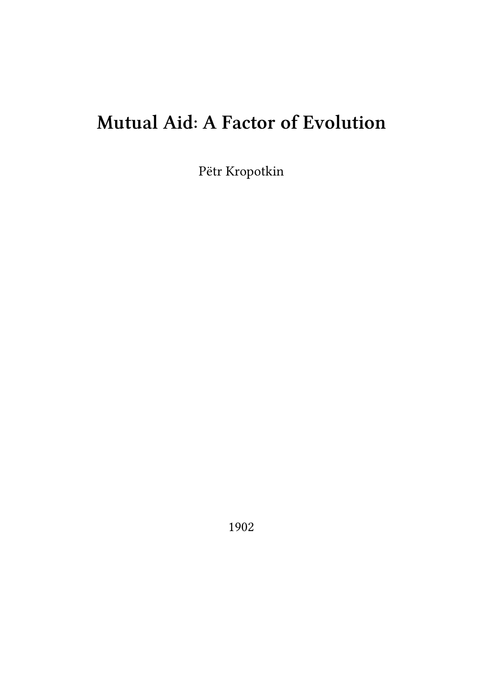# **Mutual Aid: A Factor of Evolution**

Pëtr Kropotkin

1902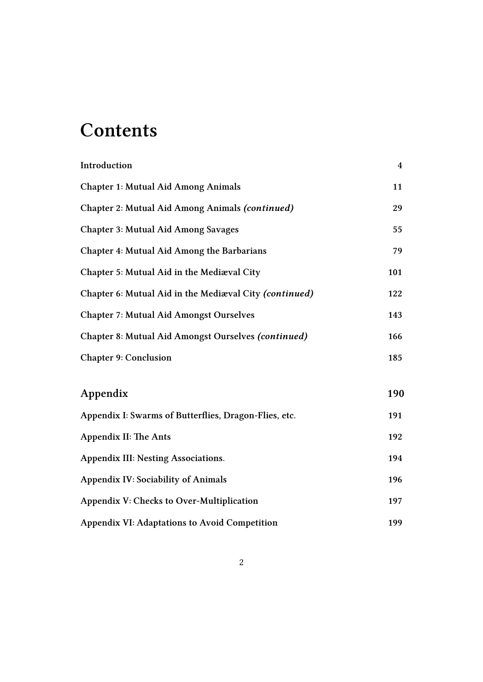### **Contents**

| Introduction                                           | $\overline{\mathbf{4}}$ |
|--------------------------------------------------------|-------------------------|
| <b>Chapter 1: Mutual Aid Among Animals</b>             | 11                      |
| Chapter 2: Mutual Aid Among Animals (continued)        | 29                      |
| <b>Chapter 3: Mutual Aid Among Savages</b>             | 55                      |
| <b>Chapter 4: Mutual Aid Among the Barbarians</b>      | 79                      |
| Chapter 5: Mutual Aid in the Mediæval City             | 101                     |
| Chapter 6: Mutual Aid in the Mediæval City (continued) | 122                     |
| <b>Chapter 7: Mutual Aid Amongst Ourselves</b>         | 143                     |
| Chapter 8: Mutual Aid Amongst Ourselves (continued)    | 166                     |
| <b>Chapter 9: Conclusion</b>                           | 185                     |
|                                                        |                         |
| Appendix                                               | 190                     |
| Appendix I: Swarms of Butterflies, Dragon-Flies, etc.  | 191                     |
| <b>Appendix II: The Ants</b>                           | 192                     |
| <b>Appendix III: Nesting Associations.</b>             | 194                     |
| <b>Appendix IV: Sociability of Animals</b>             | 196                     |
| Appendix V: Checks to Over-Multiplication              | 197                     |
| <b>Appendix VI: Adaptations to Avoid Competition</b>   | 199                     |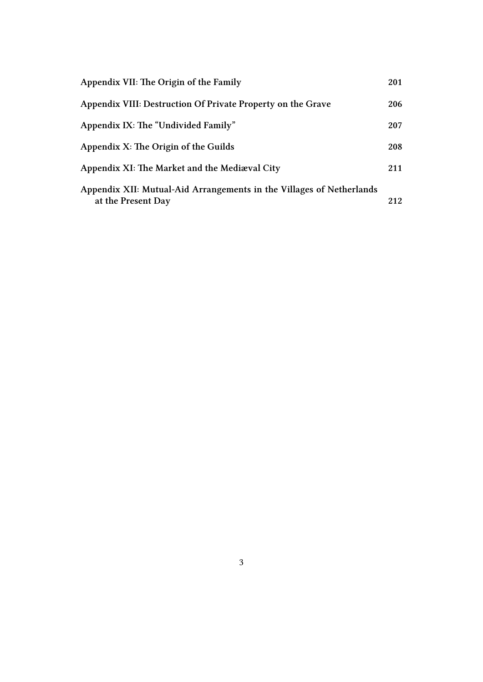| Appendix VII: The Origin of the Family                                                     | 201 |
|--------------------------------------------------------------------------------------------|-----|
| Appendix VIII: Destruction Of Private Property on the Grave                                | 206 |
| Appendix IX: The "Undivided Family"                                                        | 207 |
| Appendix X: The Origin of the Guilds                                                       | 208 |
| Appendix XI: The Market and the Mediaval City                                              | 211 |
| Appendix XII: Mutual-Aid Arrangements in the Villages of Netherlands<br>at the Present Day | 212 |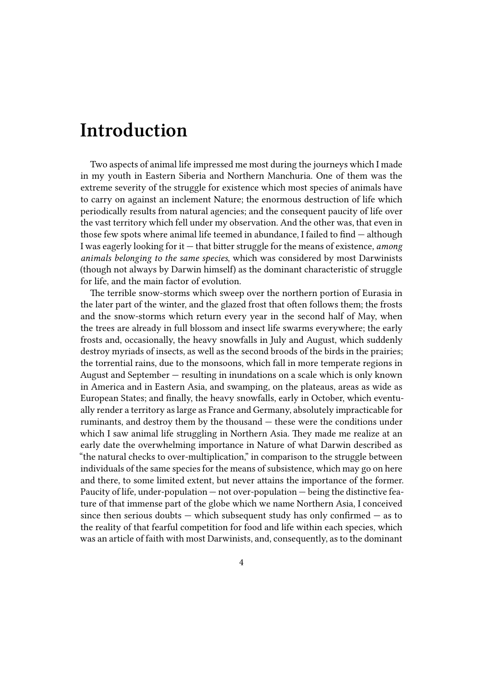#### <span id="page-3-0"></span>**Introduction**

Two aspects of animal life impressed me most during the journeys which I made in my youth in Eastern Siberia and Northern Manchuria. One of them was the extreme severity of the struggle for existence which most species of animals have to carry on against an inclement Nature; the enormous destruction of life which periodically results from natural agencies; and the consequent paucity of life over the vast territory which fell under my observation. And the other was, that even in those few spots where animal life teemed in abundance, I failed to find — although I was eagerly looking for it — that bitter struggle for the means of existence, *among animals belonging to the same species*, which was considered by most Darwinists (though not always by Darwin himself) as the dominant characteristic of struggle for life, and the main factor of evolution.

The terrible snow-storms which sweep over the northern portion of Eurasia in the later part of the winter, and the glazed frost that often follows them; the frosts and the snow-storms which return every year in the second half of May, when the trees are already in full blossom and insect life swarms everywhere; the early frosts and, occasionally, the heavy snowfalls in July and August, which suddenly destroy myriads of insects, as well as the second broods of the birds in the prairies; the torrential rains, due to the monsoons, which fall in more temperate regions in August and September — resulting in inundations on a scale which is only known in America and in Eastern Asia, and swamping, on the plateaus, areas as wide as European States; and finally, the heavy snowfalls, early in October, which eventually render a territory as large as France and Germany, absolutely impracticable for ruminants, and destroy them by the thousand — these were the conditions under which I saw animal life struggling in Northern Asia. They made me realize at an early date the overwhelming importance in Nature of what Darwin described as "the natural checks to over-multiplication," in comparison to the struggle between individuals of the same species for the means of subsistence, which may go on here and there, to some limited extent, but never attains the importance of the former. Paucity of life, under-population — not over-population — being the distinctive feature of that immense part of the globe which we name Northern Asia, I conceived since then serious doubts  $-$  which subsequent study has only confirmed  $-$  as to the reality of that fearful competition for food and life within each species, which was an article of faith with most Darwinists, and, consequently, as to the dominant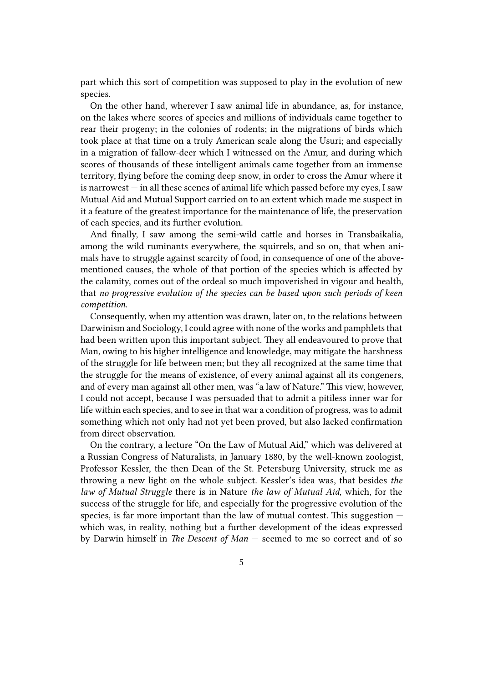part which this sort of competition was supposed to play in the evolution of new species.

On the other hand, wherever I saw animal life in abundance, as, for instance, on the lakes where scores of species and millions of individuals came together to rear their progeny; in the colonies of rodents; in the migrations of birds which took place at that time on a truly American scale along the Usuri; and especially in a migration of fallow-deer which I witnessed on the Amur, and during which scores of thousands of these intelligent animals came together from an immense territory, flying before the coming deep snow, in order to cross the Amur where it is narrowest — in all these scenes of animal life which passed before my eyes, I saw Mutual Aid and Mutual Support carried on to an extent which made me suspect in it a feature of the greatest importance for the maintenance of life, the preservation of each species, and its further evolution.

And finally, I saw among the semi-wild cattle and horses in Transbaikalia, among the wild ruminants everywhere, the squirrels, and so on, that when animals have to struggle against scarcity of food, in consequence of one of the abovementioned causes, the whole of that portion of the species which is affected by the calamity, comes out of the ordeal so much impoverished in vigour and health, that *no progressive evolution of the species can be based upon such periods of keen competition.*

Consequently, when my attention was drawn, later on, to the relations between Darwinism and Sociology, I could agree with none of the works and pamphlets that had been written upon this important subject. They all endeavoured to prove that Man, owing to his higher intelligence and knowledge, may mitigate the harshness of the struggle for life between men; but they all recognized at the same time that the struggle for the means of existence, of every animal against all its congeners, and of every man against all other men, was "a law of Nature." This view, however, I could not accept, because I was persuaded that to admit a pitiless inner war for life within each species, and to see in that war a condition of progress, was to admit something which not only had not yet been proved, but also lacked confirmation from direct observation.

On the contrary, a lecture "On the Law of Mutual Aid," which was delivered at a Russian Congress of Naturalists, in January 1880, by the well-known zoologist, Professor Kessler, the then Dean of the St. Petersburg University, struck me as throwing a new light on the whole subject. Kessler's idea was, that besides *the law of Mutual Struggle* there is in Nature *the law of Mutual Aid,* which, for the success of the struggle for life, and especially for the progressive evolution of the species, is far more important than the law of mutual contest. This suggestion  $$ which was, in reality, nothing but a further development of the ideas expressed by Darwin himself in *The Descent of Man* — seemed to me so correct and of so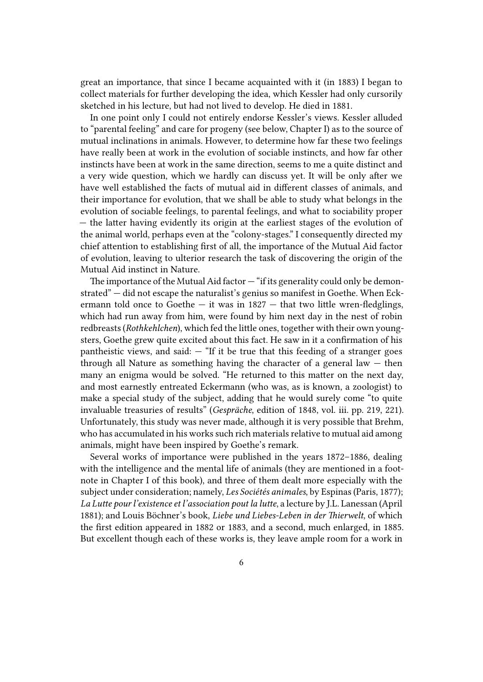great an importance, that since I became acquainted with it (in 1883) I began to collect materials for further developing the idea, which Kessler had only cursorily sketched in his lecture, but had not lived to develop. He died in 1881.

In one point only I could not entirely endorse Kessler's views. Kessler alluded to "parental feeling" and care for progeny (see below, Chapter I) as to the source of mutual inclinations in animals. However, to determine how far these two feelings have really been at work in the evolution of sociable instincts, and how far other instincts have been at work in the same direction, seems to me a quite distinct and a very wide question, which we hardly can discuss yet. It will be only after we have well established the facts of mutual aid in different classes of animals, and their importance for evolution, that we shall be able to study what belongs in the evolution of sociable feelings, to parental feelings, and what to sociability proper — the latter having evidently its origin at the earliest stages of the evolution of the animal world, perhaps even at the "colony-stages." I consequently directed my chief attention to establishing first of all, the importance of the Mutual Aid factor of evolution, leaving to ulterior research the task of discovering the origin of the Mutual Aid instinct in Nature.

The importance of the Mutual Aid factor  $-\ddot{\,}$  if its generality could only be demonstrated" — did not escape the naturalist's genius so manifest in Goethe. When Eckermann told once to Goethe  $-$  it was in 1827  $-$  that two little wren-fledglings, which had run away from him, were found by him next day in the nest of robin redbreasts (*Rothkehlchen*), which fed the little ones, together with their own youngsters, Goethe grew quite excited about this fact. He saw in it a confirmation of his pantheistic views, and said:  $-$  "If it be true that this feeding of a stranger goes through all Nature as something having the character of a general law  $-$  then many an enigma would be solved. "He returned to this matter on the next day, and most earnestly entreated Eckermann (who was, as is known, a zoologist) to make a special study of the subject, adding that he would surely come "to quite invaluable treasuries of results" (*Gespräche*, edition of 1848, vol. iii. pp. 219, 221). Unfortunately, this study was never made, although it is very possible that Brehm, who has accumulated in his works such rich materials relative to mutual aid among animals, might have been inspired by Goethe's remark.

Several works of importance were published in the years 1872–1886, dealing with the intelligence and the mental life of animals (they are mentioned in a footnote in Chapter I of this book), and three of them dealt more especially with the subject under consideration; namely, *Les Sociétés animales*, by Espinas (Paris, 1877); *La Lutte pour l'existence et l'association pout la lutte*, a lecture by J.L. Lanessan (April 1881); and Louis Böchner's book, *Liebe und Liebes-Leben in der Thierwelt*, of which the first edition appeared in 1882 or 1883, and a second, much enlarged, in 1885. But excellent though each of these works is, they leave ample room for a work in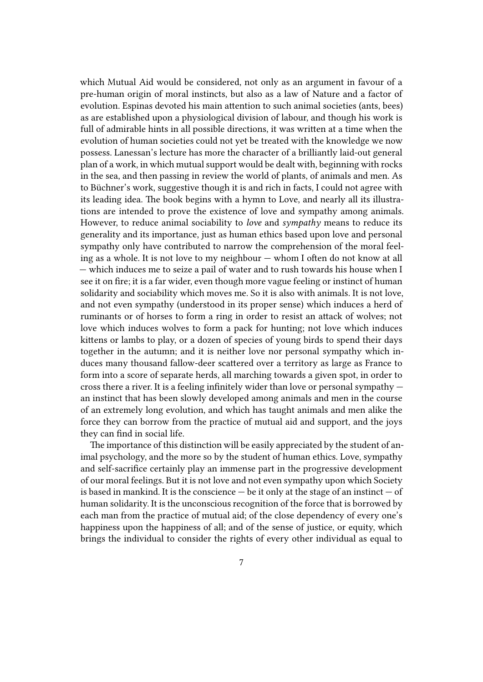which Mutual Aid would be considered, not only as an argument in favour of a pre-human origin of moral instincts, but also as a law of Nature and a factor of evolution. Espinas devoted his main attention to such animal societies (ants, bees) as are established upon a physiological division of labour, and though his work is full of admirable hints in all possible directions, it was written at a time when the evolution of human societies could not yet be treated with the knowledge we now possess. Lanessan's lecture has more the character of a brilliantly laid-out general plan of a work, in which mutual support would be dealt with, beginning with rocks in the sea, and then passing in review the world of plants, of animals and men. As to Büchner's work, suggestive though it is and rich in facts, I could not agree with its leading idea. The book begins with a hymn to Love, and nearly all its illustrations are intended to prove the existence of love and sympathy among animals. However, to reduce animal sociability to *love* and *sympathy* means to reduce its generality and its importance, just as human ethics based upon love and personal sympathy only have contributed to narrow the comprehension of the moral feeling as a whole. It is not love to my neighbour — whom I often do not know at all — which induces me to seize a pail of water and to rush towards his house when I see it on fire; it is a far wider, even though more vague feeling or instinct of human solidarity and sociability which moves me. So it is also with animals. It is not love, and not even sympathy (understood in its proper sense) which induces a herd of ruminants or of horses to form a ring in order to resist an attack of wolves; not love which induces wolves to form a pack for hunting; not love which induces kittens or lambs to play, or a dozen of species of young birds to spend their days together in the autumn; and it is neither love nor personal sympathy which induces many thousand fallow-deer scattered over a territory as large as France to form into a score of separate herds, all marching towards a given spot, in order to cross there a river. It is a feeling infinitely wider than love or personal sympathy an instinct that has been slowly developed among animals and men in the course of an extremely long evolution, and which has taught animals and men alike the force they can borrow from the practice of mutual aid and support, and the joys they can find in social life.

The importance of this distinction will be easily appreciated by the student of animal psychology, and the more so by the student of human ethics. Love, sympathy and self-sacrifice certainly play an immense part in the progressive development of our moral feelings. But it is not love and not even sympathy upon which Society is based in mankind. It is the conscience  $-$  be it only at the stage of an instinct  $-$  of human solidarity. It is the unconscious recognition of the force that is borrowed by each man from the practice of mutual aid; of the close dependency of every one's happiness upon the happiness of all; and of the sense of justice, or equity, which brings the individual to consider the rights of every other individual as equal to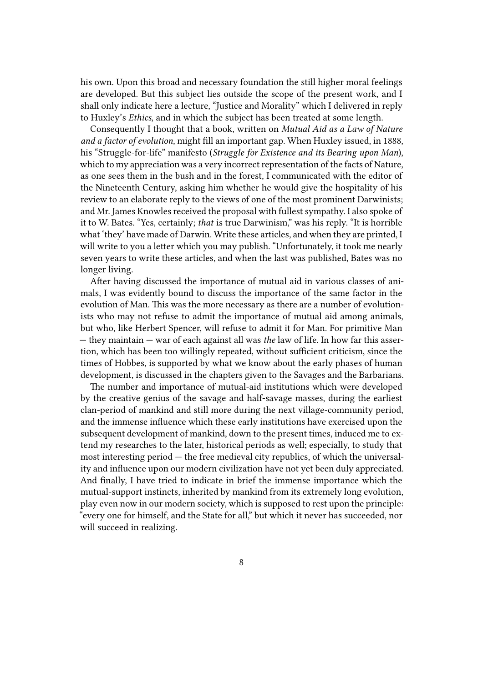his own. Upon this broad and necessary foundation the still higher moral feelings are developed. But this subject lies outside the scope of the present work, and I shall only indicate here a lecture, "Justice and Morality" which I delivered in reply to Huxley's *Ethics*, and in which the subject has been treated at some length.

Consequently I thought that a book, written on *Mutual Aid as a Law of Nature and a factor of evolution*, might fill an important gap. When Huxley issued, in 1888, his "Struggle-for-life" manifesto (*Struggle for Existence and its Bearing upon Man*), which to my appreciation was a very incorrect representation of the facts of Nature, as one sees them in the bush and in the forest, I communicated with the editor of the Nineteenth Century, asking him whether he would give the hospitality of his review to an elaborate reply to the views of one of the most prominent Darwinists; and Mr. James Knowles received the proposal with fullest sympathy. I also spoke of it to W. Bates. "Yes, certainly; *that* is true Darwinism," was his reply. "It is horrible what 'they' have made of Darwin. Write these articles, and when they are printed, I will write to you a letter which you may publish. "Unfortunately, it took me nearly seven years to write these articles, and when the last was published, Bates was no longer living.

After having discussed the importance of mutual aid in various classes of animals, I was evidently bound to discuss the importance of the same factor in the evolution of Man. This was the more necessary as there are a number of evolutionists who may not refuse to admit the importance of mutual aid among animals, but who, like Herbert Spencer, will refuse to admit it for Man. For primitive Man — they maintain — war of each against all was *the* law of life. In how far this assertion, which has been too willingly repeated, without sufficient criticism, since the times of Hobbes, is supported by what we know about the early phases of human development, is discussed in the chapters given to the Savages and the Barbarians.

The number and importance of mutual-aid institutions which were developed by the creative genius of the savage and half-savage masses, during the earliest clan-period of mankind and still more during the next village-community period, and the immense influence which these early institutions have exercised upon the subsequent development of mankind, down to the present times, induced me to extend my researches to the later, historical periods as well; especially, to study that most interesting period — the free medieval city republics, of which the universality and influence upon our modern civilization have not yet been duly appreciated. And finally, I have tried to indicate in brief the immense importance which the mutual-support instincts, inherited by mankind from its extremely long evolution, play even now in our modern society, which is supposed to rest upon the principle: "every one for himself, and the State for all," but which it never has succeeded, nor will succeed in realizing.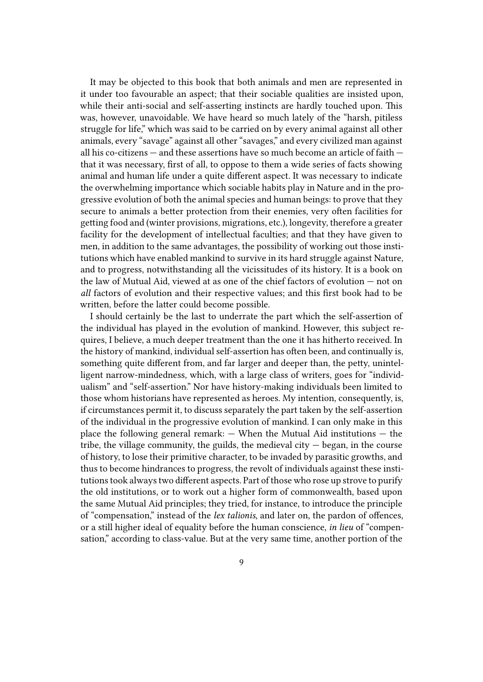It may be objected to this book that both animals and men are represented in it under too favourable an aspect; that their sociable qualities are insisted upon, while their anti-social and self-asserting instincts are hardly touched upon. This was, however, unavoidable. We have heard so much lately of the "harsh, pitiless struggle for life," which was said to be carried on by every animal against all other animals, every "savage" against all other "savages," and every civilized man against all his co-citizens — and these assertions have so much become an article of faith that it was necessary, first of all, to oppose to them a wide series of facts showing animal and human life under a quite different aspect. It was necessary to indicate the overwhelming importance which sociable habits play in Nature and in the progressive evolution of both the animal species and human beings: to prove that they secure to animals a better protection from their enemies, very often facilities for getting food and (winter provisions, migrations, etc.), longevity, therefore a greater facility for the development of intellectual faculties; and that they have given to men, in addition to the same advantages, the possibility of working out those institutions which have enabled mankind to survive in its hard struggle against Nature, and to progress, notwithstanding all the vicissitudes of its history. It is a book on the law of Mutual Aid, viewed at as one of the chief factors of evolution — not on *all* factors of evolution and their respective values; and this first book had to be written, before the latter could become possible.

I should certainly be the last to underrate the part which the self-assertion of the individual has played in the evolution of mankind. However, this subject requires, I believe, a much deeper treatment than the one it has hitherto received. In the history of mankind, individual self-assertion has often been, and continually is, something quite different from, and far larger and deeper than, the petty, unintelligent narrow-mindedness, which, with a large class of writers, goes for "individualism" and "self-assertion." Nor have history-making individuals been limited to those whom historians have represented as heroes. My intention, consequently, is, if circumstances permit it, to discuss separately the part taken by the self-assertion of the individual in the progressive evolution of mankind. I can only make in this place the following general remark:  $-$  When the Mutual Aid institutions  $-$  the tribe, the village community, the guilds, the medieval city  $-$  began, in the course of history, to lose their primitive character, to be invaded by parasitic growths, and thus to become hindrances to progress, the revolt of individuals against these institutions took always two different aspects. Part of those who rose up strove to purify the old institutions, or to work out a higher form of commonwealth, based upon the same Mutual Aid principles; they tried, for instance, to introduce the principle of "compensation," instead of the *lex talionis*, and later on, the pardon of offences, or a still higher ideal of equality before the human conscience, *in lieu* of "compensation," according to class-value. But at the very same time, another portion of the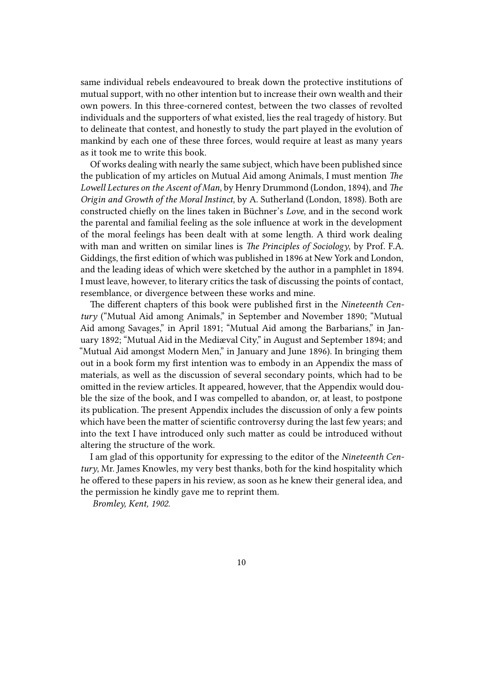same individual rebels endeavoured to break down the protective institutions of mutual support, with no other intention but to increase their own wealth and their own powers. In this three-cornered contest, between the two classes of revolted individuals and the supporters of what existed, lies the real tragedy of history. But to delineate that contest, and honestly to study the part played in the evolution of mankind by each one of these three forces, would require at least as many years as it took me to write this book.

Of works dealing with nearly the same subject, which have been published since the publication of my articles on Mutual Aid among Animals, I must mention *The Lowell Lectures on the Ascent of Man*, by Henry Drummond (London, 1894), and *The Origin and Growth of the Moral Instinct*, by A. Sutherland (London, 1898). Both are constructed chiefly on the lines taken in Büchner's *Love*, and in the second work the parental and familial feeling as the sole influence at work in the development of the moral feelings has been dealt with at some length. A third work dealing with man and written on similar lines is *The Principles of Sociology*, by Prof. F.A. Giddings, the first edition of which was published in 1896 at New York and London, and the leading ideas of which were sketched by the author in a pamphlet in 1894. I must leave, however, to literary critics the task of discussing the points of contact, resemblance, or divergence between these works and mine.

The different chapters of this book were published first in the *Nineteenth Century* ("Mutual Aid among Animals," in September and November 1890; "Mutual Aid among Savages," in April 1891; "Mutual Aid among the Barbarians," in January 1892; "Mutual Aid in the Mediæval City," in August and September 1894; and "Mutual Aid amongst Modern Men," in January and June 1896). In bringing them out in a book form my first intention was to embody in an Appendix the mass of materials, as well as the discussion of several secondary points, which had to be omitted in the review articles. It appeared, however, that the Appendix would double the size of the book, and I was compelled to abandon, or, at least, to postpone its publication. The present Appendix includes the discussion of only a few points which have been the matter of scientific controversy during the last few years; and into the text I have introduced only such matter as could be introduced without altering the structure of the work.

I am glad of this opportunity for expressing to the editor of the *Nineteenth Century*, Mr. James Knowles, my very best thanks, both for the kind hospitality which he offered to these papers in his review, as soon as he knew their general idea, and the permission he kindly gave me to reprint them.

*Bromley, Kent, 1902*.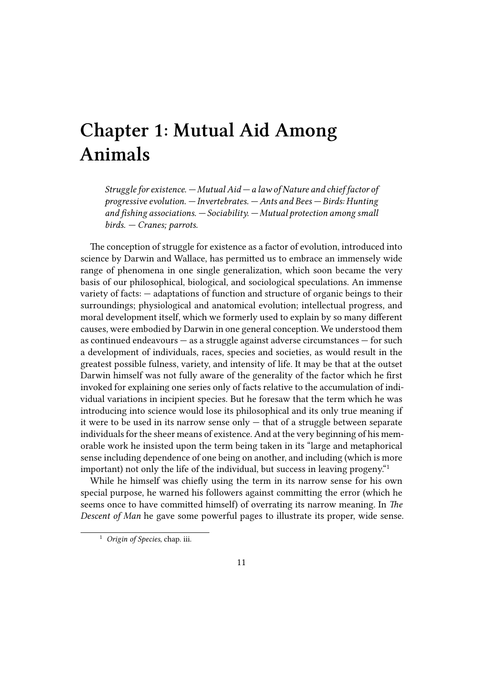### <span id="page-10-0"></span>**Chapter 1: Mutual Aid Among Animals**

*Struggle for existence. — Mutual Aid — a law of Nature and chief factor of progressive evolution. — Invertebrates. — Ants and Bees — Birds: Hunting and fishing associations. — Sociability. — Mutual protection among small birds. — Cranes; parrots.*

The conception of struggle for existence as a factor of evolution, introduced into science by Darwin and Wallace, has permitted us to embrace an immensely wide range of phenomena in one single generalization, which soon became the very basis of our philosophical, biological, and sociological speculations. An immense variety of facts: — adaptations of function and structure of organic beings to their surroundings; physiological and anatomical evolution; intellectual progress, and moral development itself, which we formerly used to explain by so many different causes, were embodied by Darwin in one general conception. We understood them as continued endeavours — as a struggle against adverse circumstances — for such a development of individuals, races, species and societies, as would result in the greatest possible fulness, variety, and intensity of life. It may be that at the outset Darwin himself was not fully aware of the generality of the factor which he first invoked for explaining one series only of facts relative to the accumulation of individual variations in incipient species. But he foresaw that the term which he was introducing into science would lose its philosophical and its only true meaning if it were to be used in its narrow sense only  $-$  that of a struggle between separate individuals for the sheer means of existence. And at the very beginning of his memorable work he insisted upon the term being taken in its "large and metaphorical sense including dependence of one being on another, and including (which is more important) not only the life of the individual, but success in leaving progeny.<sup>"1</sup>

While he himself was chiefly using the term in its narrow sense for his own special purpose, he warned his followers against committing the error (which he seems once to have committed himself) of overrating its narrow meaning. In *The Descent of Man* he gave some powerful pages to illustrate its proper, wide sense.

<sup>1</sup> *Origin of Species*, chap. iii.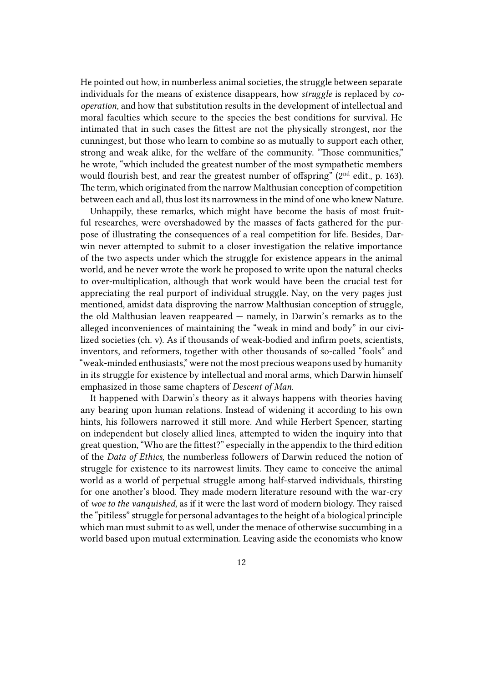He pointed out how, in numberless animal societies, the struggle between separate individuals for the means of existence disappears, how *struggle* is replaced by *cooperation*, and how that substitution results in the development of intellectual and moral faculties which secure to the species the best conditions for survival. He intimated that in such cases the fittest are not the physically strongest, nor the cunningest, but those who learn to combine so as mutually to support each other, strong and weak alike, for the welfare of the community. "Those communities," he wrote, "which included the greatest number of the most sympathetic members would flourish best, and rear the greatest number of offspring" (2<sup>nd</sup> edit., p. 163). The term, which originated from the narrow Malthusian conception of competition between each and all, thus lost its narrowness in the mind of one who knew Nature.

Unhappily, these remarks, which might have become the basis of most fruitful researches, were overshadowed by the masses of facts gathered for the purpose of illustrating the consequences of a real competition for life. Besides, Darwin never attempted to submit to a closer investigation the relative importance of the two aspects under which the struggle for existence appears in the animal world, and he never wrote the work he proposed to write upon the natural checks to over-multiplication, although that work would have been the crucial test for appreciating the real purport of individual struggle. Nay, on the very pages just mentioned, amidst data disproving the narrow Malthusian conception of struggle, the old Malthusian leaven reappeared — namely, in Darwin's remarks as to the alleged inconveniences of maintaining the "weak in mind and body" in our civilized societies (ch. v). As if thousands of weak-bodied and infirm poets, scientists, inventors, and reformers, together with other thousands of so-called "fools" and "weak-minded enthusiasts," were not the most precious weapons used by humanity in its struggle for existence by intellectual and moral arms, which Darwin himself emphasized in those same chapters of *Descent of Man*.

It happened with Darwin's theory as it always happens with theories having any bearing upon human relations. Instead of widening it according to his own hints, his followers narrowed it still more. And while Herbert Spencer, starting on independent but closely allied lines, attempted to widen the inquiry into that great question, "Who are the fittest?" especially in the appendix to the third edition of the *Data of Ethics*, the numberless followers of Darwin reduced the notion of struggle for existence to its narrowest limits. They came to conceive the animal world as a world of perpetual struggle among half-starved individuals, thirsting for one another's blood. They made modern literature resound with the war-cry of *woe to the vanquished*, as if it were the last word of modern biology. They raised the "pitiless" struggle for personal advantages to the height of a biological principle which man must submit to as well, under the menace of otherwise succumbing in a world based upon mutual extermination. Leaving aside the economists who know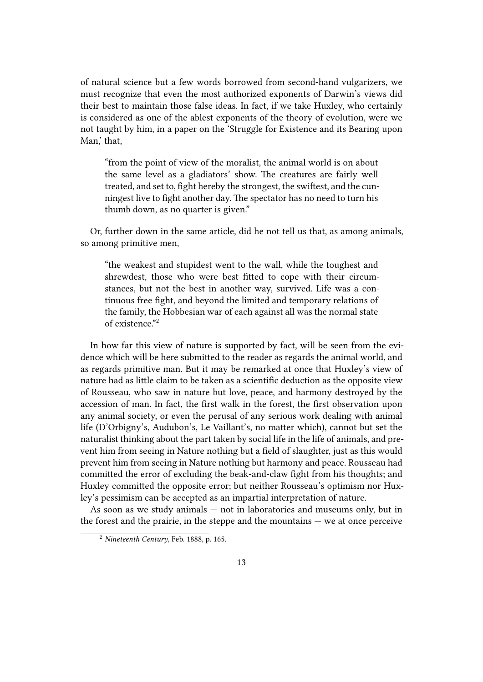of natural science but a few words borrowed from second-hand vulgarizers, we must recognize that even the most authorized exponents of Darwin's views did their best to maintain those false ideas. In fact, if we take Huxley, who certainly is considered as one of the ablest exponents of the theory of evolution, were we not taught by him, in a paper on the 'Struggle for Existence and its Bearing upon Man,' that,

"from the point of view of the moralist, the animal world is on about the same level as a gladiators' show. The creatures are fairly well treated, and set to, fight hereby the strongest, the swiftest, and the cunningest live to fight another day. The spectator has no need to turn his thumb down, as no quarter is given."

Or, further down in the same article, did he not tell us that, as among animals, so among primitive men,

"the weakest and stupidest went to the wall, while the toughest and shrewdest, those who were best fitted to cope with their circumstances, but not the best in another way, survived. Life was a continuous free fight, and beyond the limited and temporary relations of the family, the Hobbesian war of each against all was the normal state of existence"<sup>2</sup>

In how far this view of nature is supported by fact, will be seen from the evidence which will be here submitted to the reader as regards the animal world, and as regards primitive man. But it may be remarked at once that Huxley's view of nature had as little claim to be taken as a scientific deduction as the opposite view of Rousseau, who saw in nature but love, peace, and harmony destroyed by the accession of man. In fact, the first walk in the forest, the first observation upon any animal society, or even the perusal of any serious work dealing with animal life (D'Orbigny's, Audubon's, Le Vaillant's, no matter which), cannot but set the naturalist thinking about the part taken by social life in the life of animals, and prevent him from seeing in Nature nothing but a field of slaughter, just as this would prevent him from seeing in Nature nothing but harmony and peace. Rousseau had committed the error of excluding the beak-and-claw fight from his thoughts; and Huxley committed the opposite error; but neither Rousseau's optimism nor Huxley's pessimism can be accepted as an impartial interpretation of nature.

As soon as we study animals — not in laboratories and museums only, but in the forest and the prairie, in the steppe and the mountains  $-$  we at once perceive

<sup>2</sup> *Nineteenth Century*, Feb. 1888, p. 165.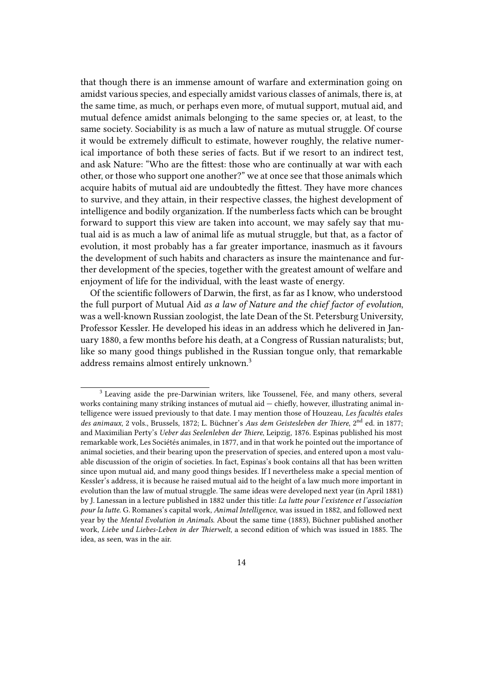that though there is an immense amount of warfare and extermination going on amidst various species, and especially amidst various classes of animals, there is, at the same time, as much, or perhaps even more, of mutual support, mutual aid, and mutual defence amidst animals belonging to the same species or, at least, to the same society. Sociability is as much a law of nature as mutual struggle. Of course it would be extremely difficult to estimate, however roughly, the relative numerical importance of both these series of facts. But if we resort to an indirect test, and ask Nature: "Who are the fittest: those who are continually at war with each other, or those who support one another?" we at once see that those animals which acquire habits of mutual aid are undoubtedly the fittest. They have more chances to survive, and they attain, in their respective classes, the highest development of intelligence and bodily organization. If the numberless facts which can be brought forward to support this view are taken into account, we may safely say that mutual aid is as much a law of animal life as mutual struggle, but that, as a factor of evolution, it most probably has a far greater importance, inasmuch as it favours the development of such habits and characters as insure the maintenance and further development of the species, together with the greatest amount of welfare and enjoyment of life for the individual, with the least waste of energy.

Of the scientific followers of Darwin, the first, as far as I know, who understood the full purport of Mutual Aid *as a law of Nature and the chief factor of evolution*, was a well-known Russian zoologist, the late Dean of the St. Petersburg University, Professor Kessler. He developed his ideas in an address which he delivered in January 1880, a few months before his death, at a Congress of Russian naturalists; but, like so many good things published in the Russian tongue only, that remarkable address remains almost entirely unknown.<sup>3</sup>

<sup>&</sup>lt;sup>3</sup> Leaving aside the pre-Darwinian writers, like Toussenel, Fée, and many others, several works containing many striking instances of mutual aid — chiefly, however, illustrating animal intelligence were issued previously to that date. I may mention those of Houzeau, *Les facultés etales des animaux*, 2 vols., Brussels, 1872; L. Büchner's *Aus dem Geistesleben der Thiere*, 2nd ed. in 1877; and Maximilian Perty's *Ueber das Seelenleben der Thiere*, Leipzig, 1876. Espinas published his most remarkable work, Les Sociétés animales, in 1877, and in that work he pointed out the importance of animal societies, and their bearing upon the preservation of species, and entered upon a most valuable discussion of the origin of societies. In fact, Espinas's book contains all that has been written since upon mutual aid, and many good things besides. If I nevertheless make a special mention of Kessler's address, it is because he raised mutual aid to the height of a law much more important in evolution than the law of mutual struggle. The same ideas were developed next year (in April 1881) by J. Lanessan in a lecture published in 1882 under this title: *La lutte pour l'existence et l'association pour la lutte*. G. Romanes's capital work, *Animal Intelligence*, was issued in 1882, and followed next year by the *Mental Evolution in Animals*. About the same time (1883), Büchner published another work, *Liebe und Liebes-Leben in der Thierwelt*, a second edition of which was issued in 1885. The idea, as seen, was in the air.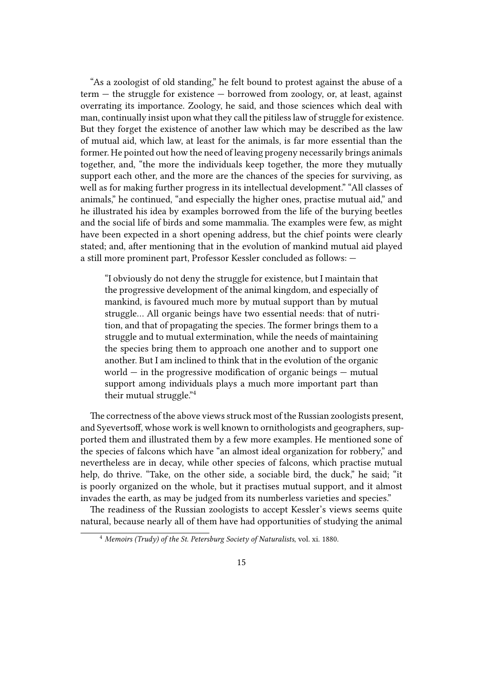"As a zoologist of old standing," he felt bound to protest against the abuse of a  $term - the struggle for existence - borrowed from zoology, or, at least, against$ overrating its importance. Zoology, he said, and those sciences which deal with man, continually insist upon what they call the pitiless law of struggle for existence. But they forget the existence of another law which may be described as the law of mutual aid, which law, at least for the animals, is far more essential than the former. He pointed out how the need of leaving progeny necessarily brings animals together, and, "the more the individuals keep together, the more they mutually support each other, and the more are the chances of the species for surviving, as well as for making further progress in its intellectual development." "All classes of animals," he continued, "and especially the higher ones, practise mutual aid," and he illustrated his idea by examples borrowed from the life of the burying beetles and the social life of birds and some mammalia. The examples were few, as might have been expected in a short opening address, but the chief points were clearly stated; and, after mentioning that in the evolution of mankind mutual aid played a still more prominent part, Professor Kessler concluded as follows: —

"I obviously do not deny the struggle for existence, but I maintain that the progressive development of the animal kingdom, and especially of mankind, is favoured much more by mutual support than by mutual struggle… All organic beings have two essential needs: that of nutrition, and that of propagating the species. The former brings them to a struggle and to mutual extermination, while the needs of maintaining the species bring them to approach one another and to support one another. But I am inclined to think that in the evolution of the organic world  $-$  in the progressive modification of organic beings  $-$  mutual support among individuals plays a much more important part than their mutual struggle."<sup>4</sup>

The correctness of the above views struck most of the Russian zoologists present, and Syevertsoff, whose work is well known to ornithologists and geographers, supported them and illustrated them by a few more examples. He mentioned sone of the species of falcons which have "an almost ideal organization for robbery," and nevertheless are in decay, while other species of falcons, which practise mutual help, do thrive. "Take, on the other side, a sociable bird, the duck," he said; "it is poorly organized on the whole, but it practises mutual support, and it almost invades the earth, as may be judged from its numberless varieties and species."

The readiness of the Russian zoologists to accept Kessler's views seems quite natural, because nearly all of them have had opportunities of studying the animal

<sup>4</sup> *Memoirs (Trudy) of the St. Petersburg Society of Naturalists*, vol. xi. 1880.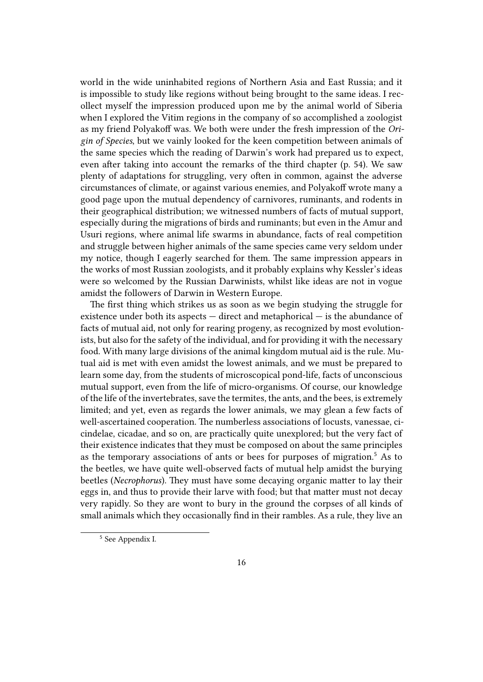world in the wide uninhabited regions of Northern Asia and East Russia; and it is impossible to study like regions without being brought to the same ideas. I recollect myself the impression produced upon me by the animal world of Siberia when I explored the Vitim regions in the company of so accomplished a zoologist as my friend Polyakoff was. We both were under the fresh impression of the *Origin of Species*, but we vainly looked for the keen competition between animals of the same species which the reading of Darwin's work had prepared us to expect, even after taking into account the remarks of the third chapter (p. 54). We saw plenty of adaptations for struggling, very often in common, against the adverse circumstances of climate, or against various enemies, and Polyakoff wrote many a good page upon the mutual dependency of carnivores, ruminants, and rodents in their geographical distribution; we witnessed numbers of facts of mutual support, especially during the migrations of birds and ruminants; but even in the Amur and Usuri regions, where animal life swarms in abundance, facts of real competition and struggle between higher animals of the same species came very seldom under my notice, though I eagerly searched for them. The same impression appears in the works of most Russian zoologists, and it probably explains why Kessler's ideas were so welcomed by the Russian Darwinists, whilst like ideas are not in vogue amidst the followers of Darwin in Western Europe.

The first thing which strikes us as soon as we begin studying the struggle for existence under both its aspects — direct and metaphorical — is the abundance of facts of mutual aid, not only for rearing progeny, as recognized by most evolutionists, but also for the safety of the individual, and for providing it with the necessary food. With many large divisions of the animal kingdom mutual aid is the rule. Mutual aid is met with even amidst the lowest animals, and we must be prepared to learn some day, from the students of microscopical pond-life, facts of unconscious mutual support, even from the life of micro-organisms. Of course, our knowledge of the life of the invertebrates, save the termites, the ants, and the bees, is extremely limited; and yet, even as regards the lower animals, we may glean a few facts of well-ascertained cooperation. The numberless associations of locusts, vanessae, cicindelae, cicadae, and so on, are practically quite unexplored; but the very fact of their existence indicates that they must be composed on about the same principles as the temporary associations of ants or bees for purposes of migration.<sup>5</sup> As to the beetles, we have quite well-observed facts of mutual help amidst the burying beetles (*Necrophorus*). They must have some decaying organic matter to lay their eggs in, and thus to provide their larve with food; but that matter must not decay very rapidly. So they are wont to bury in the ground the corpses of all kinds of small animals which they occasionally find in their rambles. As a rule, they live an

<sup>5</sup> See Appendix I.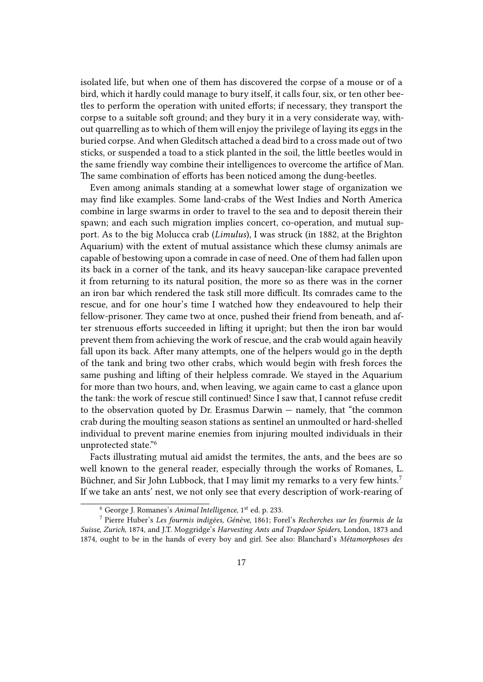isolated life, but when one of them has discovered the corpse of a mouse or of a bird, which it hardly could manage to bury itself, it calls four, six, or ten other beetles to perform the operation with united efforts; if necessary, they transport the corpse to a suitable soft ground; and they bury it in a very considerate way, without quarrelling as to which of them will enjoy the privilege of laying its eggs in the buried corpse. And when Gleditsch attached a dead bird to a cross made out of two sticks, or suspended a toad to a stick planted in the soil, the little beetles would in the same friendly way combine their intelligences to overcome the artifice of Man. The same combination of efforts has been noticed among the dung-beetles.

Even among animals standing at a somewhat lower stage of organization we may find like examples. Some land-crabs of the West Indies and North America combine in large swarms in order to travel to the sea and to deposit therein their spawn; and each such migration implies concert, co-operation, and mutual support. As to the big Molucca crab (*Limulus*), I was struck (in 1882, at the Brighton Aquarium) with the extent of mutual assistance which these clumsy animals are capable of bestowing upon a comrade in case of need. One of them had fallen upon its back in a corner of the tank, and its heavy saucepan-like carapace prevented it from returning to its natural position, the more so as there was in the corner an iron bar which rendered the task still more difficult. Its comrades came to the rescue, and for one hour's time I watched how they endeavoured to help their fellow-prisoner. They came two at once, pushed their friend from beneath, and after strenuous efforts succeeded in lifting it upright; but then the iron bar would prevent them from achieving the work of rescue, and the crab would again heavily fall upon its back. After many attempts, one of the helpers would go in the depth of the tank and bring two other crabs, which would begin with fresh forces the same pushing and lifting of their helpless comrade. We stayed in the Aquarium for more than two hours, and, when leaving, we again came to cast a glance upon the tank: the work of rescue still continued! Since I saw that, I cannot refuse credit to the observation quoted by Dr. Erasmus Darwin — namely, that "the common crab during the moulting season stations as sentinel an unmoulted or hard-shelled individual to prevent marine enemies from injuring moulted individuals in their unprotected state."<sup>6</sup>

Facts illustrating mutual aid amidst the termites, the ants, and the bees are so well known to the general reader, especially through the works of Romanes, L. Büchner, and Sir John Lubbock, that I may limit my remarks to a very few hints.<sup>7</sup> If we take an ants' nest, we not only see that every description of work-rearing of

<sup>6</sup> George J. Romanes's *Animal Intelligence*, 1st ed. p. 233.

<sup>7</sup> Pierre Huber's *Les fourmis indigëes, Génève*, 1861; Forel's *Recherches sur les fourmis de la Suisse, Zurich*, 1874, and J.T. Moggridge's *Harvesting Ants and Trapdoor Spiders*, London, 1873 and 1874, ought to be in the hands of every boy and girl. See also: Blanchard's *Métamorphoses des*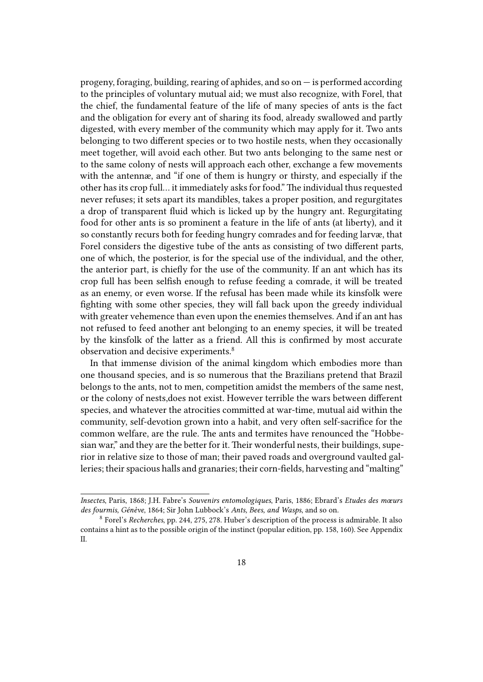progeny, foraging, building, rearing of aphides, and so on — is performed according to the principles of voluntary mutual aid; we must also recognize, with Forel, that the chief, the fundamental feature of the life of many species of ants is the fact and the obligation for every ant of sharing its food, already swallowed and partly digested, with every member of the community which may apply for it. Two ants belonging to two different species or to two hostile nests, when they occasionally meet together, will avoid each other. But two ants belonging to the same nest or to the same colony of nests will approach each other, exchange a few movements with the antennæ, and "if one of them is hungry or thirsty, and especially if the other has its crop full… it immediately asks for food." The individual thus requested never refuses; it sets apart its mandibles, takes a proper position, and regurgitates a drop of transparent fluid which is licked up by the hungry ant. Regurgitating food for other ants is so prominent a feature in the life of ants (at liberty), and it so constantly recurs both for feeding hungry comrades and for feeding larvæ, that Forel considers the digestive tube of the ants as consisting of two different parts, one of which, the posterior, is for the special use of the individual, and the other, the anterior part, is chiefly for the use of the community. If an ant which has its crop full has been selfish enough to refuse feeding a comrade, it will be treated as an enemy, or even worse. If the refusal has been made while its kinsfolk were fighting with some other species, they will fall back upon the greedy individual with greater vehemence than even upon the enemies themselves. And if an ant has not refused to feed another ant belonging to an enemy species, it will be treated by the kinsfolk of the latter as a friend. All this is confirmed by most accurate observation and decisive experiments.<sup>8</sup>

In that immense division of the animal kingdom which embodies more than one thousand species, and is so numerous that the Brazilians pretend that Brazil belongs to the ants, not to men, competition amidst the members of the same nest, or the colony of nests,does not exist. However terrible the wars between different species, and whatever the atrocities committed at war-time, mutual aid within the community, self-devotion grown into a habit, and very often self-sacrifice for the common welfare, are the rule. The ants and termites have renounced the "Hobbesian war," and they are the better for it. Their wonderful nests, their buildings, superior in relative size to those of man; their paved roads and overground vaulted galleries; their spacious halls and granaries; their corn-fields, harvesting and "malting"

*Insectes*, Paris, 1868; J.H. Fabre's *Souvenirs entomologiques*, Paris, 1886; Ebrard's *Etudes des mœurs des fourmis, Génève*, 1864; Sir John Lubbock's *Ants, Bees, and Wasps*, and so on.

<sup>8</sup> Forel's *Recherches*, pp. 244, 275, 278. Huber's description of the process is admirable. It also contains a hint as to the possible origin of the instinct (popular edition, pp. 158, 160). See Appendix II.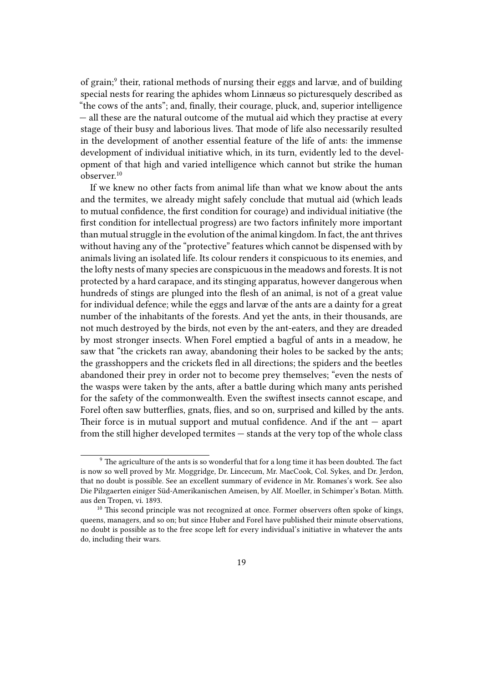of grain;<sup>9</sup> their, rational methods of nursing their eggs and larvæ, and of building special nests for rearing the aphides whom Linnæus so picturesquely described as "the cows of the ants"; and, finally, their courage, pluck, and, superior intelligence — all these are the natural outcome of the mutual aid which they practise at every stage of their busy and laborious lives. That mode of life also necessarily resulted in the development of another essential feature of the life of ants: the immense development of individual initiative which, in its turn, evidently led to the development of that high and varied intelligence which cannot but strike the human  $\alpha$ bserver<sup>10</sup>

If we knew no other facts from animal life than what we know about the ants and the termites, we already might safely conclude that mutual aid (which leads to mutual confidence, the first condition for courage) and individual initiative (the first condition for intellectual progress) are two factors infinitely more important than mutual struggle in the evolution of the animal kingdom. In fact, the ant thrives without having any of the "protective" features which cannot be dispensed with by animals living an isolated life. Its colour renders it conspicuous to its enemies, and the lofty nests of many species are conspicuous in the meadows and forests. It is not protected by a hard carapace, and its stinging apparatus, however dangerous when hundreds of stings are plunged into the flesh of an animal, is not of a great value for individual defence; while the eggs and larvæ of the ants are a dainty for a great number of the inhabitants of the forests. And yet the ants, in their thousands, are not much destroyed by the birds, not even by the ant-eaters, and they are dreaded by most stronger insects. When Forel emptied a bagful of ants in a meadow, he saw that "the crickets ran away, abandoning their holes to be sacked by the ants; the grasshoppers and the crickets fled in all directions; the spiders and the beetles abandoned their prey in order not to become prey themselves; "even the nests of the wasps were taken by the ants, after a battle during which many ants perished for the safety of the commonwealth. Even the swiftest insects cannot escape, and Forel often saw butterflies, gnats, flies, and so on, surprised and killed by the ants. Their force is in mutual support and mutual confidence. And if the ant  $-$  apart from the still higher developed termites — stands at the very top of the whole class

 $^9$  The agriculture of the ants is so wonderful that for a long time it has been doubted. The fact is now so well proved by Mr. Moggridge, Dr. Lincecum, Mr. MacCook, Col. Sykes, and Dr. Jerdon, that no doubt is possible. See an excellent summary of evidence in Mr. Romanes's work. See also Die Pilzgaerten einiger Süd-Amerikanischen Ameisen, by Alf. Moeller, in Schimper's Botan. Mitth. aus den Tropen, vi. 1893.

 $10$  This second principle was not recognized at once. Former observers often spoke of kings, queens, managers, and so on; but since Huber and Forel have published their minute observations, no doubt is possible as to the free scope left for every individual's initiative in whatever the ants do, including their wars.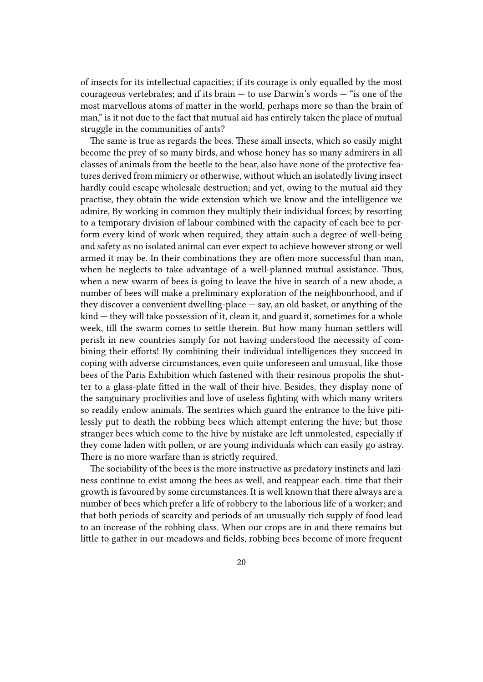of insects for its intellectual capacities; if its courage is only equalled by the most courageous vertebrates; and if its brain  $-$  to use Darwin's words  $-$  "is one of the most marvellous atoms of matter in the world, perhaps more so than the brain of man," is it not due to the fact that mutual aid has entirely taken the place of mutual struggle in the communities of ants?

The same is true as regards the bees. These small insects, which so easily might become the prey of so many birds, and whose honey has so many admirers in all classes of animals from the beetle to the bear, also have none of the protective features derived from mimicry or otherwise, without which an isolatedly living insect hardly could escape wholesale destruction; and yet, owing to the mutual aid they practise, they obtain the wide extension which we know and the intelligence we admire, By working in common they multiply their individual forces; by resorting to a temporary division of labour combined with the capacity of each bee to perform every kind of work when required, they attain such a degree of well-being and safety as no isolated animal can ever expect to achieve however strong or well armed it may be. In their combinations they are often more successful than man, when he neglects to take advantage of a well-planned mutual assistance. Thus, when a new swarm of bees is going to leave the hive in search of a new abode, a number of bees will make a preliminary exploration of the neighbourhood, and if they discover a convenient dwelling-place — say, an old basket, or anything of the kind — they will take possession of it, clean it, and guard it, sometimes for a whole week, till the swarm comes to settle therein. But how many human settlers will perish in new countries simply for not having understood the necessity of combining their efforts! By combining their individual intelligences they succeed in coping with adverse circumstances, even quite unforeseen and unusual, like those bees of the Paris Exhibition which fastened with their resinous propolis the shutter to a glass-plate fitted in the wall of their hive. Besides, they display none of the sanguinary proclivities and love of useless fighting with which many writers so readily endow animals. The sentries which guard the entrance to the hive pitilessly put to death the robbing bees which attempt entering the hive; but those stranger bees which come to the hive by mistake are left unmolested, especially if they come laden with pollen, or are young individuals which can easily go astray. There is no more warfare than is strictly required.

The sociability of the bees is the more instructive as predatory instincts and laziness continue to exist among the bees as well, and reappear each. time that their growth is favoured by some circumstances. It is well known that there always are a number of bees which prefer a life of robbery to the laborious life of a worker; and that both periods of scarcity and periods of an unusually rich supply of food lead to an increase of the robbing class. When our crops are in and there remains but little to gather in our meadows and fields, robbing bees become of more frequent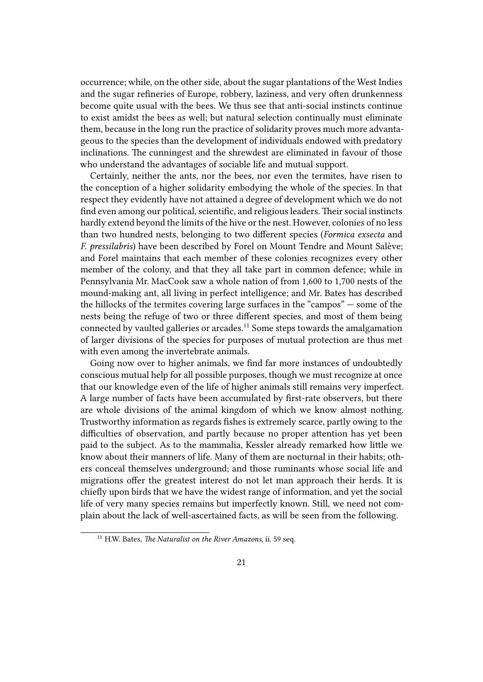occurrence; while, on the other side, about the sugar plantations of the West Indies and the sugar refineries of Europe, robbery, laziness, and very often drunkenness become quite usual with the bees. We thus see that anti-social instincts continue to exist amidst the bees as well; but natural selection continually must eliminate them, because in the long run the practice of solidarity proves much more advantageous to the species than the development of individuals endowed with predatory inclinations. The cunningest and the shrewdest are eliminated in favour of those who understand the advantages of sociable life and mutual support.

Certainly, neither the ants, nor the bees, nor even the termites, have risen to the conception of a higher solidarity embodying the whole of the species. In that respect they evidently have not attained a degree of development which we do not find even among our political, scientific, and religious leaders. Their social instincts hardly extend beyond the limits of the hive or the nest. However, colonies of no less than two hundred nests, belonging to two different species (*Formica exsecta* and *F. pressilabris*) have been described by Forel on Mount Tendre and Mount Salève; and Forel maintains that each member of these colonies recognizes every other member of the colony, and that they all take part in common defence; while in Pennsylvania Mr. MacCook saw a whole nation of from 1,600 to 1,700 nests of the mound-making ant, all living in perfect intelligence; and Mr. Bates has described the hillocks of the termites covering large surfaces in the "campos" — some of the nests being the refuge of two or three different species, and most of them being connected by vaulted galleries or arcades.<sup>11</sup> Some steps towards the amalgamation of larger divisions of the species for purposes of mutual protection are thus met with even among the invertebrate animals.

Going now over to higher animals, we find far more instances of undoubtedly conscious mutual help for all possible purposes, though we must recognize at once that our knowledge even of the life of higher animals still remains very imperfect. A large number of facts have been accumulated by first-rate observers, but there are whole divisions of the animal kingdom of which we know almost nothing. Trustworthy information as regards fishes is extremely scarce, partly owing to the difficulties of observation, and partly because no proper attention has yet been paid to the subject. As to the mammalia, Kessler already remarked how little we know about their manners of life. Many of them are nocturnal in their habits; others conceal themselves underground; and those ruminants whose social life and migrations offer the greatest interest do not let man approach their herds. It is chiefly upon birds that we have the widest range of information, and yet the social life of very many species remains but imperfectly known. Still, we need not complain about the lack of well-ascertained facts, as will be seen from the following.

<sup>11</sup> H.W. Bates, *The Naturalist on the River Amazons*, ii. 59 seq.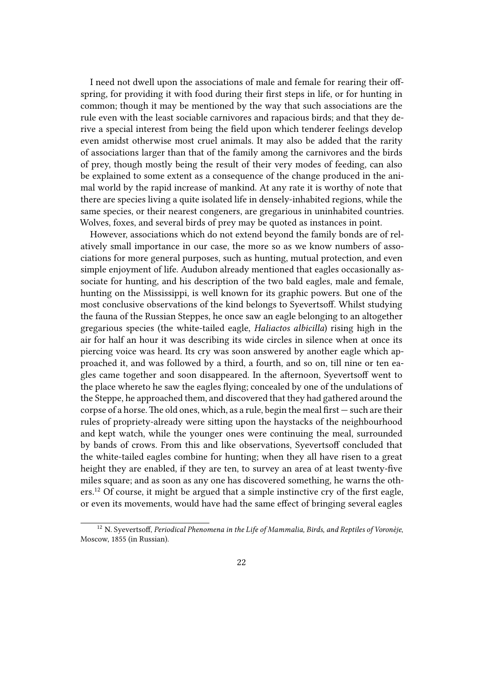I need not dwell upon the associations of male and female for rearing their offspring, for providing it with food during their first steps in life, or for hunting in common; though it may be mentioned by the way that such associations are the rule even with the least sociable carnivores and rapacious birds; and that they derive a special interest from being the field upon which tenderer feelings develop even amidst otherwise most cruel animals. It may also be added that the rarity of associations larger than that of the family among the carnivores and the birds of prey, though mostly being the result of their very modes of feeding, can also be explained to some extent as a consequence of the change produced in the animal world by the rapid increase of mankind. At any rate it is worthy of note that there are species living a quite isolated life in densely-inhabited regions, while the same species, or their nearest congeners, are gregarious in uninhabited countries. Wolves, foxes, and several birds of prey may be quoted as instances in point.

However, associations which do not extend beyond the family bonds are of relatively small importance in our case, the more so as we know numbers of associations for more general purposes, such as hunting, mutual protection, and even simple enjoyment of life. Audubon already mentioned that eagles occasionally associate for hunting, and his description of the two bald eagles, male and female, hunting on the Mississippi, is well known for its graphic powers. But one of the most conclusive observations of the kind belongs to Syevertsoff. Whilst studying the fauna of the Russian Steppes, he once saw an eagle belonging to an altogether gregarious species (the white-tailed eagle, *Haliactos albicilla*) rising high in the air for half an hour it was describing its wide circles in silence when at once its piercing voice was heard. Its cry was soon answered by another eagle which approached it, and was followed by a third, a fourth, and so on, till nine or ten eagles came together and soon disappeared. In the afternoon, Syevertsoff went to the place whereto he saw the eagles flying; concealed by one of the undulations of the Steppe, he approached them, and discovered that they had gathered around the corpse of a horse. The old ones, which, as a rule, begin the meal first  $-$  such are their rules of propriety-already were sitting upon the haystacks of the neighbourhood and kept watch, while the younger ones were continuing the meal, surrounded by bands of crows. From this and like observations, Syevertsoff concluded that the white-tailed eagles combine for hunting; when they all have risen to a great height they are enabled, if they are ten, to survey an area of at least twenty-five miles square; and as soon as any one has discovered something, he warns the others.<sup>12</sup> Of course, it might be argued that a simple instinctive cry of the first eagle, or even its movements, would have had the same effect of bringing several eagles

<sup>12</sup> N. Syevertsoff, *Periodical Phenomena in the Life of Mammalia, Birds, and Reptiles of Voronèje*, Moscow, 1855 (in Russian).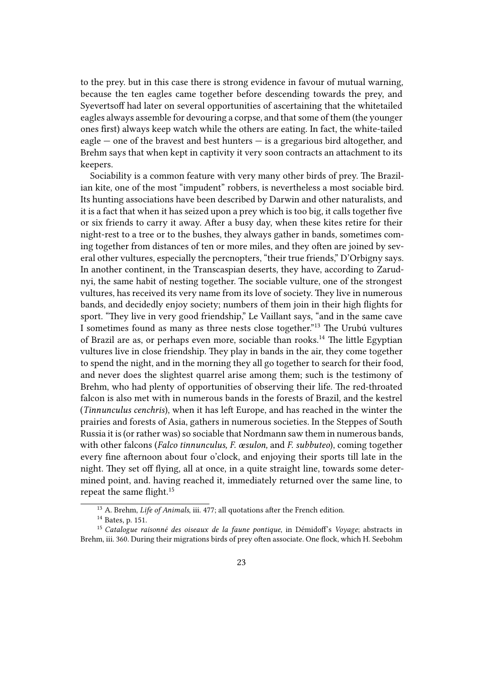to the prey. but in this case there is strong evidence in favour of mutual warning, because the ten eagles came together before descending towards the prey, and Syevertsoff had later on several opportunities of ascertaining that the whitetailed eagles always assemble for devouring a corpse, and that some of them (the younger ones first) always keep watch while the others are eating. In fact, the white-tailed eagle  $-$  one of the bravest and best hunters  $-$  is a gregarious bird altogether, and Brehm says that when kept in captivity it very soon contracts an attachment to its keepers.

Sociability is a common feature with very many other birds of prey. The Brazilian kite, one of the most "impudent" robbers, is nevertheless a most sociable bird. Its hunting associations have been described by Darwin and other naturalists, and it is a fact that when it has seized upon a prey which is too big, it calls together five or six friends to carry it away. After a busy day, when these kites retire for their night-rest to a tree or to the bushes, they always gather in bands, sometimes coming together from distances of ten or more miles, and they often are joined by several other vultures, especially the percnopters, "their true friends," D'Orbigny says. In another continent, in the Transcaspian deserts, they have, according to Zarudnyi, the same habit of nesting together. The sociable vulture, one of the strongest vultures, has received its very name from its love of society. They live in numerous bands, and decidedly enjoy society; numbers of them join in their high flights for sport. "They live in very good friendship," Le Vaillant says, "and in the same cave I sometimes found as many as three nests close together."<sup>13</sup> The Urubú vultures of Brazil are as, or perhaps even more, sociable than rooks.<sup>14</sup> The little Egyptian vultures live in close friendship. They play in bands in the air, they come together to spend the night, and in the morning they all go together to search for their food, and never does the slightest quarrel arise among them; such is the testimony of Brehm, who had plenty of opportunities of observing their life. The red-throated falcon is also met with in numerous bands in the forests of Brazil, and the kestrel (*Tinnunculus cenchris*), when it has left Europe, and has reached in the winter the prairies and forests of Asia, gathers in numerous societies. In the Steppes of South Russia it is (or rather was) so sociable that Nordmann saw them in numerous bands, with other falcons (*Falco tinnunculus, F. œsulon,* and *F. subbuteo*), coming together every fine afternoon about four o'clock, and enjoying their sports till late in the night. They set off flying, all at once, in a quite straight line, towards some determined point, and. having reached it, immediately returned over the same line, to repeat the same flight.<sup>15</sup>

<sup>13</sup> A. Brehm, *Life of Animals*, iii. 477; all quotations after the French edition.

<sup>14</sup> Bates, p. 151.

<sup>15</sup> *Catalogue raisonné des oiseaux de la faune pontique*, in Démidoff's *Voyage*; abstracts in Brehm, iii. 360. During their migrations birds of prey often associate. One flock, which H. Seebohm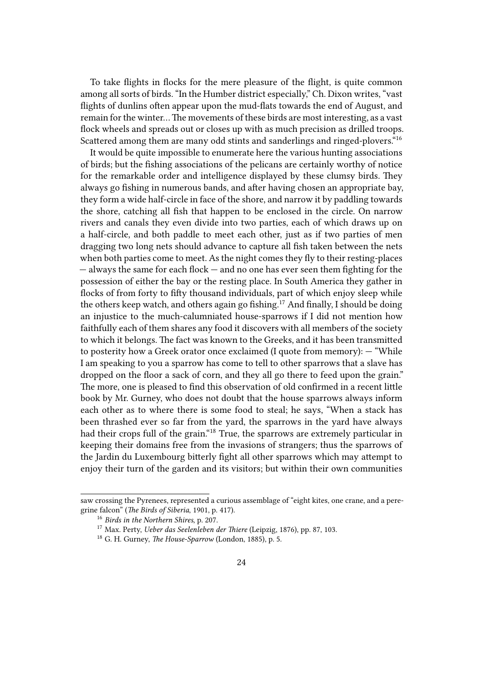To take flights in flocks for the mere pleasure of the flight, is quite common among all sorts of birds. "In the Humber district especially," Ch. Dixon writes, "vast flights of dunlins often appear upon the mud-flats towards the end of August, and remain for the winter…The movements of these birds are most interesting, as a vast flock wheels and spreads out or closes up with as much precision as drilled troops. Scattered among them are many odd stints and sanderlings and ringed-plovers. <sup>"16</sup>

It would be quite impossible to enumerate here the various hunting associations of birds; but the fishing associations of the pelicans are certainly worthy of notice for the remarkable order and intelligence displayed by these clumsy birds. They always go fishing in numerous bands, and after having chosen an appropriate bay, they form a wide half-circle in face of the shore, and narrow it by paddling towards the shore, catching all fish that happen to be enclosed in the circle. On narrow rivers and canals they even divide into two parties, each of which draws up on a half-circle, and both paddle to meet each other, just as if two parties of men dragging two long nets should advance to capture all fish taken between the nets when both parties come to meet. As the night comes they fly to their resting-places — always the same for each flock — and no one has ever seen them fighting for the possession of either the bay or the resting place. In South America they gather in flocks of from forty to fifty thousand individuals, part of which enjoy sleep while the others keep watch, and others again go fishing.<sup>17</sup> And finally, I should be doing an injustice to the much-calumniated house-sparrows if I did not mention how faithfully each of them shares any food it discovers with all members of the society to which it belongs. The fact was known to the Greeks, and it has been transmitted to posterity how a Greek orator once exclaimed (I quote from memory): — "While I am speaking to you a sparrow has come to tell to other sparrows that a slave has dropped on the floor a sack of corn, and they all go there to feed upon the grain." The more, one is pleased to find this observation of old confirmed in a recent little book by Mr. Gurney, who does not doubt that the house sparrows always inform each other as to where there is some food to steal; he says, "When a stack has been thrashed ever so far from the yard, the sparrows in the yard have always had their crops full of the grain.<sup>"18</sup> True, the sparrows are extremely particular in keeping their domains free from the invasions of strangers; thus the sparrows of the Jardin du Luxembourg bitterly fight all other sparrows which may attempt to enjoy their turn of the garden and its visitors; but within their own communities

saw crossing the Pyrenees, represented a curious assemblage of "eight kites, one crane, and a peregrine falcon" (*The Birds of Siberia*, 1901, p. 417).

<sup>16</sup> *Birds in the Northern Shires*, p. 207.

<sup>17</sup> Max. Perty, *Ueber das Seelenleben der Thiere* (Leipzig, 1876), pp. 87, 103.

<sup>18</sup> G. H. Gurney, *The House-Sparrow* (London, 1885), p. 5.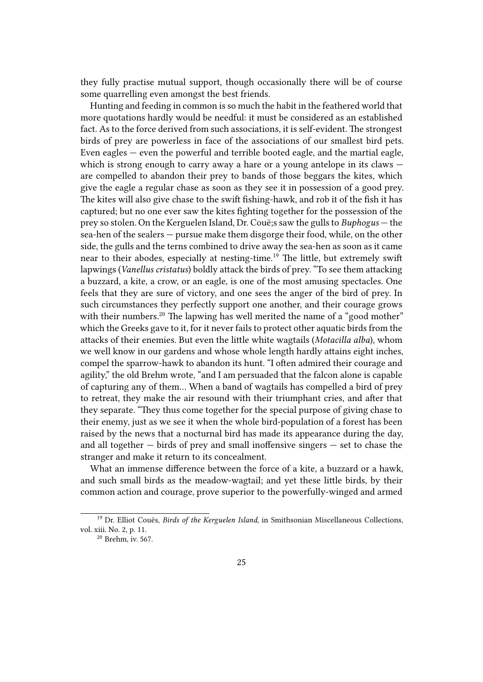they fully practise mutual support, though occasionally there will be of course some quarrelling even amongst the best friends.

Hunting and feeding in common is so much the habit in the feathered world that more quotations hardly would be needful: it must be considered as an established fact. As to the force derived from such associations, it is self-evident. The strongest birds of prey are powerless in face of the associations of our smallest bird pets. Even eagles — even the powerful and terrible booted eagle, and the martial eagle, which is strong enough to carry away a hare or a young antelope in its claws  $$ are compelled to abandon their prey to bands of those beggars the kites, which give the eagle a regular chase as soon as they see it in possession of a good prey. The kites will also give chase to the swift fishing-hawk, and rob it of the fish it has captured; but no one ever saw the kites fighting together for the possession of the prey so stolen. On the Kerguelen Island, Dr. Couë;s saw the gulls to *Buphogus* — the sea-hen of the sealers — pursue make them disgorge their food, while, on the other side, the gulls and the terns combined to drive away the sea-hen as soon as it came near to their abodes, especially at nesting-time.<sup>19</sup> The little, but extremely swift lapwings (*Vanellus cristatus*) boldly attack the birds of prey. "To see them attacking a buzzard, a kite, a crow, or an eagle, is one of the most amusing spectacles. One feels that they are sure of victory, and one sees the anger of the bird of prey. In such circumstances they perfectly support one another, and their courage grows with their numbers.<sup>20</sup> The lapwing has well merited the name of a "good mother" which the Greeks gave to it, for it never fails to protect other aquatic birds from the attacks of their enemies. But even the little white wagtails (*Motacilla alba*), whom we well know in our gardens and whose whole length hardly attains eight inches, compel the sparrow-hawk to abandon its hunt. "I often admired their courage and agility," the old Brehm wrote, "and I am persuaded that the falcon alone is capable of capturing any of them… When a band of wagtails has compelled a bird of prey to retreat, they make the air resound with their triumphant cries, and after that they separate. "They thus come together for the special purpose of giving chase to their enemy, just as we see it when the whole bird-population of a forest has been raised by the news that a nocturnal bird has made its appearance during the day, and all together — birds of prey and small inoffensive singers — set to chase the stranger and make it return to its concealment.

What an immense difference between the force of a kite, a buzzard or a hawk, and such small birds as the meadow-wagtail; and yet these little birds, by their common action and courage, prove superior to the powerfully-winged and armed

<sup>19</sup> Dr. Elliot Couës, *Birds of the Kerguelen Island*, in Smithsonian Miscellaneous Collections, vol. xiii. No. 2, p. 11.

<sup>20</sup> Brehm, iv. 567.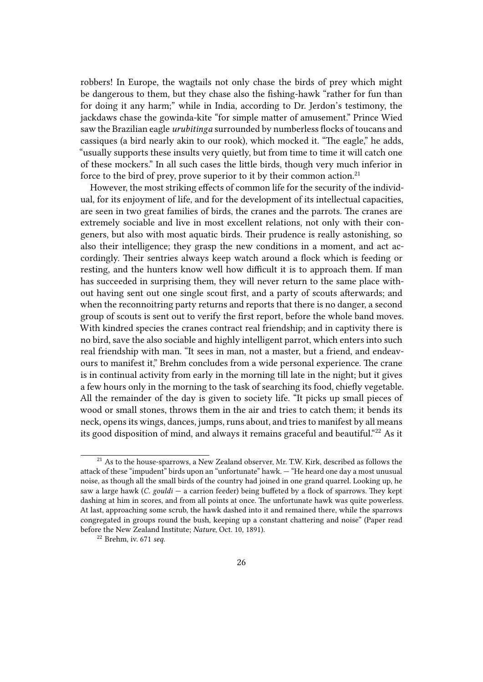robbers! In Europe, the wagtails not only chase the birds of prey which might be dangerous to them, but they chase also the fishing-hawk "rather for fun than for doing it any harm;" while in India, according to Dr. Jerdon's testimony, the jackdaws chase the gowinda-kite "for simple matter of amusement." Prince Wied saw the Brazilian eagle *urubitinga* surrounded by numberless flocks of toucans and cassiques (a bird nearly akin to our rook), which mocked it. "The eagle," he adds, "usually supports these insults very quietly, but from time to time it will catch one of these mockers." In all such cases the little birds, though very much inferior in force to the bird of prey, prove superior to it by their common action. $21$ 

However, the most striking effects of common life for the security of the individual, for its enjoyment of life, and for the development of its intellectual capacities, are seen in two great families of birds, the cranes and the parrots. The cranes are extremely sociable and live in most excellent relations, not only with their congeners, but also with most aquatic birds. Their prudence is really astonishing, so also their intelligence; they grasp the new conditions in a moment, and act accordingly. Their sentries always keep watch around a flock which is feeding or resting, and the hunters know well how difficult it is to approach them. If man has succeeded in surprising them, they will never return to the same place without having sent out one single scout first, and a party of scouts afterwards; and when the reconnoitring party returns and reports that there is no danger, a second group of scouts is sent out to verify the first report, before the whole band moves. With kindred species the cranes contract real friendship; and in captivity there is no bird, save the also sociable and highly intelligent parrot, which enters into such real friendship with man. "It sees in man, not a master, but a friend, and endeavours to manifest it," Brehm concludes from a wide personal experience. The crane is in continual activity from early in the morning till late in the night; but it gives a few hours only in the morning to the task of searching its food, chiefly vegetable. All the remainder of the day is given to society life. "It picks up small pieces of wood or small stones, throws them in the air and tries to catch them; it bends its neck, opens its wings, dances, jumps, runs about, and tries to manifest by all means its good disposition of mind, and always it remains graceful and beautiful."<sup>22</sup> As it

<sup>&</sup>lt;sup>21</sup> As to the house-sparrows, a New Zealand observer, Mr. T.W. Kirk, described as follows the attack of these "impudent" birds upon an "unfortunate" hawk. — "He heard one day a most unusual noise, as though all the small birds of the country had joined in one grand quarrel. Looking up, he saw a large hawk (*C. gouldi* — a carrion feeder) being buffeted by a flock of sparrows. They kept dashing at him in scores, and from all points at once. The unfortunate hawk was quite powerless. At last, approaching some scrub, the hawk dashed into it and remained there, while the sparrows congregated in groups round the bush, keeping up a constant chattering and noise" (Paper read before the New Zealand Institute; *Nature*, Oct. 10, 1891).

<sup>22</sup> Brehm, iv. 671 *seq*.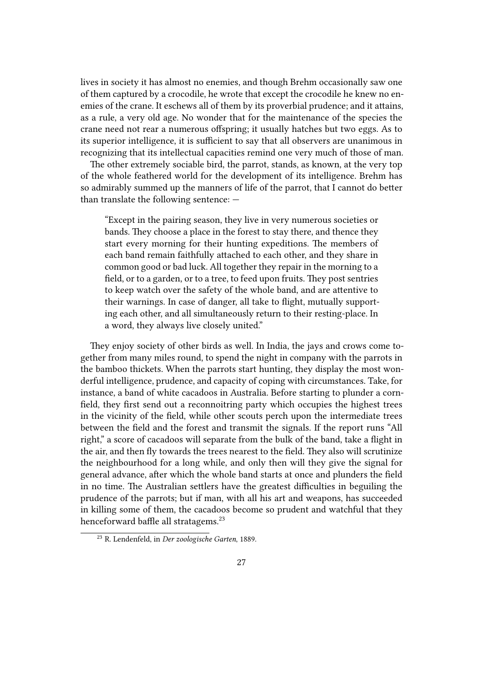lives in society it has almost no enemies, and though Brehm occasionally saw one of them captured by a crocodile, he wrote that except the crocodile he knew no enemies of the crane. It eschews all of them by its proverbial prudence; and it attains, as a rule, a very old age. No wonder that for the maintenance of the species the crane need not rear a numerous offspring; it usually hatches but two eggs. As to its superior intelligence, it is sufficient to say that all observers are unanimous in recognizing that its intellectual capacities remind one very much of those of man.

The other extremely sociable bird, the parrot, stands, as known, at the very top of the whole feathered world for the development of its intelligence. Brehm has so admirably summed up the manners of life of the parrot, that I cannot do better than translate the following sentence: —

"Except in the pairing season, they live in very numerous societies or bands. They choose a place in the forest to stay there, and thence they start every morning for their hunting expeditions. The members of each band remain faithfully attached to each other, and they share in common good or bad luck. All together they repair in the morning to a field, or to a garden, or to a tree, to feed upon fruits. They post sentries to keep watch over the safety of the whole band, and are attentive to their warnings. In case of danger, all take to flight, mutually supporting each other, and all simultaneously return to their resting-place. In a word, they always live closely united."

They enjoy society of other birds as well. In India, the jays and crows come together from many miles round, to spend the night in company with the parrots in the bamboo thickets. When the parrots start hunting, they display the most wonderful intelligence, prudence, and capacity of coping with circumstances. Take, for instance, a band of white cacadoos in Australia. Before starting to plunder a cornfield, they first send out a reconnoitring party which occupies the highest trees in the vicinity of the field, while other scouts perch upon the intermediate trees between the field and the forest and transmit the signals. If the report runs "All right," a score of cacadoos will separate from the bulk of the band, take a flight in the air, and then fly towards the trees nearest to the field. They also will scrutinize the neighbourhood for a long while, and only then will they give the signal for general advance, after which the whole band starts at once and plunders the field in no time. The Australian settlers have the greatest difficulties in beguiling the prudence of the parrots; but if man, with all his art and weapons, has succeeded in killing some of them, the cacadoos become so prudent and watchful that they henceforward baffle all stratagems.<sup>23</sup>

<sup>23</sup> R. Lendenfeld, in *Der zoologische Garten*, 1889.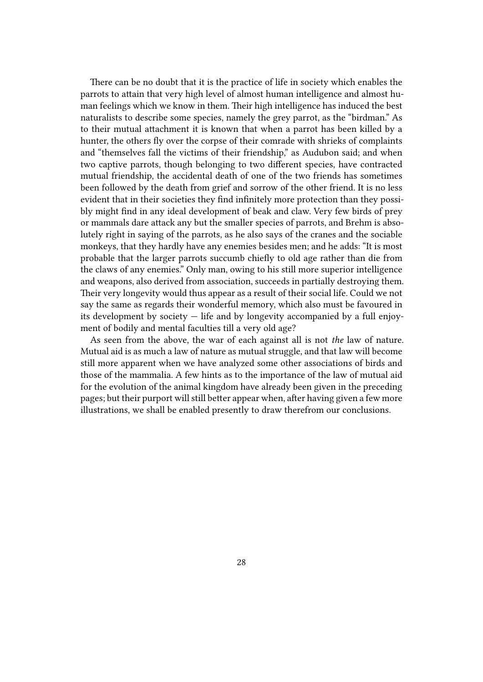There can be no doubt that it is the practice of life in society which enables the parrots to attain that very high level of almost human intelligence and almost human feelings which we know in them. Their high intelligence has induced the best naturalists to describe some species, namely the grey parrot, as the "birdman." As to their mutual attachment it is known that when a parrot has been killed by a hunter, the others fly over the corpse of their comrade with shrieks of complaints and "themselves fall the victims of their friendship," as Audubon said; and when two captive parrots, though belonging to two different species, have contracted mutual friendship, the accidental death of one of the two friends has sometimes been followed by the death from grief and sorrow of the other friend. It is no less evident that in their societies they find infinitely more protection than they possibly might find in any ideal development of beak and claw. Very few birds of prey or mammals dare attack any but the smaller species of parrots, and Brehm is absolutely right in saying of the parrots, as he also says of the cranes and the sociable monkeys, that they hardly have any enemies besides men; and he adds: "It is most probable that the larger parrots succumb chiefly to old age rather than die from the claws of any enemies." Only man, owing to his still more superior intelligence and weapons, also derived from association, succeeds in partially destroying them. Their very longevity would thus appear as a result of their social life. Could we not say the same as regards their wonderful memory, which also must be favoured in its development by society — life and by longevity accompanied by a full enjoyment of bodily and mental faculties till a very old age?

As seen from the above, the war of each against all is not *the* law of nature. Mutual aid is as much a law of nature as mutual struggle, and that law will become still more apparent when we have analyzed some other associations of birds and those of the mammalia. A few hints as to the importance of the law of mutual aid for the evolution of the animal kingdom have already been given in the preceding pages; but their purport will still better appear when, after having given a few more illustrations, we shall be enabled presently to draw therefrom our conclusions.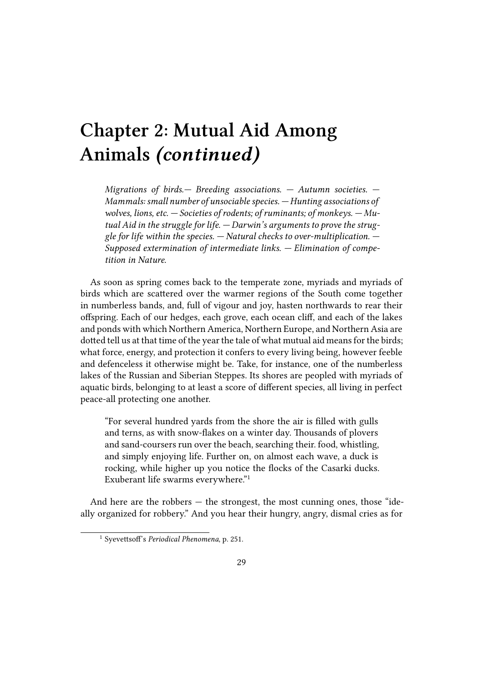## <span id="page-28-0"></span>**Chapter 2: Mutual Aid Among Animals** *(continued)*

*Migrations of birds.— Breeding associations. — Autumn societies. — Mammals: small number of unsociable species. — Hunting associations of wolves, lions, etc. — Societies of rodents; of ruminants; of monkeys. — Mutual Aid in the struggle for life. — Darwin's arguments to prove the struggle for life within the species. — Natural checks to over-multiplication. — Supposed extermination of intermediate links. — Elimination of competition in Nature.*

As soon as spring comes back to the temperate zone, myriads and myriads of birds which are scattered over the warmer regions of the South come together in numberless bands, and, full of vigour and joy, hasten northwards to rear their offspring. Each of our hedges, each grove, each ocean cliff, and each of the lakes and ponds with which Northern America, Northern Europe, and Northern Asia are dotted tell us at that time of the year the tale of what mutual aid means for the birds; what force, energy, and protection it confers to every living being, however feeble and defenceless it otherwise might be. Take, for instance, one of the numberless lakes of the Russian and Siberian Steppes. Its shores are peopled with myriads of aquatic birds, belonging to at least a score of different species, all living in perfect peace-all protecting one another.

"For several hundred yards from the shore the air is filled with gulls and terns, as with snow-flakes on a winter day. Thousands of plovers and sand-coursers run over the beach, searching their. food, whistling, and simply enjoying life. Further on, on almost each wave, a duck is rocking, while higher up you notice the flocks of the Casarki ducks. Exuberant life swarms everywhere."<sup>1</sup>

And here are the robbers  $-$  the strongest, the most cunning ones, those "ideally organized for robbery." And you hear their hungry, angry, dismal cries as for

<sup>1</sup> Syevettsoff's *Periodical Phenomena*, p. 251.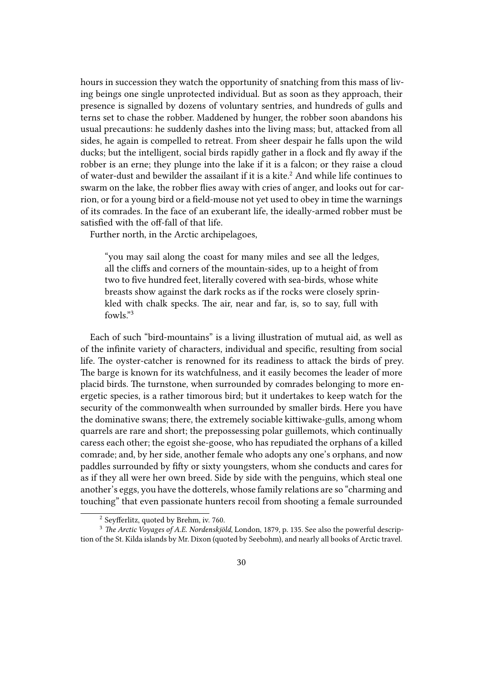hours in succession they watch the opportunity of snatching from this mass of living beings one single unprotected individual. But as soon as they approach, their presence is signalled by dozens of voluntary sentries, and hundreds of gulls and terns set to chase the robber. Maddened by hunger, the robber soon abandons his usual precautions: he suddenly dashes into the living mass; but, attacked from all sides, he again is compelled to retreat. From sheer despair he falls upon the wild ducks; but the intelligent, social birds rapidly gather in a flock and fly away if the robber is an erne; they plunge into the lake if it is a falcon; or they raise a cloud of water-dust and bewilder the assailant if it is a kite.<sup>2</sup> And while life continues to swarm on the lake, the robber flies away with cries of anger, and looks out for carrion, or for a young bird or a field-mouse not yet used to obey in time the warnings of its comrades. In the face of an exuberant life, the ideally-armed robber must be satisfied with the off-fall of that life.

Further north, in the Arctic archipelagoes,

"you may sail along the coast for many miles and see all the ledges, all the cliffs and corners of the mountain-sides, up to a height of from two to five hundred feet, literally covered with sea-birds, whose white breasts show against the dark rocks as if the rocks were closely sprinkled with chalk specks. The air, near and far, is, so to say, full with fowls."<sup>3</sup>

Each of such "bird-mountains" is a living illustration of mutual aid, as well as of the infinite variety of characters, individual and specific, resulting from social life. The oyster-catcher is renowned for its readiness to attack the birds of prey. The barge is known for its watchfulness, and it easily becomes the leader of more placid birds. The turnstone, when surrounded by comrades belonging to more energetic species, is a rather timorous bird; but it undertakes to keep watch for the security of the commonwealth when surrounded by smaller birds. Here you have the dominative swans; there, the extremely sociable kittiwake-gulls, among whom quarrels are rare and short; the prepossessing polar guillemots, which continually caress each other; the egoist she-goose, who has repudiated the orphans of a killed comrade; and, by her side, another female who adopts any one's orphans, and now paddles surrounded by fifty or sixty youngsters, whom she conducts and cares for as if they all were her own breed. Side by side with the penguins, which steal one another's eggs, you have the dotterels, whose family relations are so "charming and touching" that even passionate hunters recoil from shooting a female surrounded

<sup>2</sup> Seyfferlitz, quoted by Brehm, iv. 760.

<sup>3</sup> *The Arctic Voyages of A.E. Nordenskjöld*, London, 1879, p. 135. See also the powerful description of the St. Kilda islands by Mr. Dixon (quoted by Seebohm), and nearly all books of Arctic travel.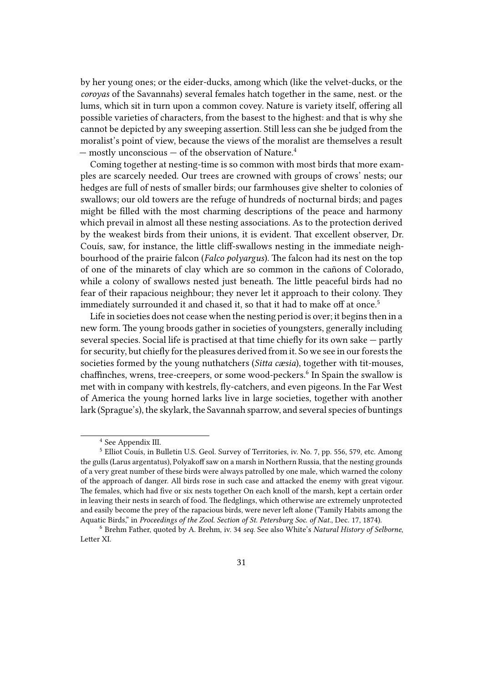by her young ones; or the eider-ducks, among which (like the velvet-ducks, or the *coroyas* of the Savannahs) several females hatch together in the same, nest. or the lums, which sit in turn upon a common covey. Nature is variety itself, offering all possible varieties of characters, from the basest to the highest: and that is why she cannot be depicted by any sweeping assertion. Still less can she be judged from the moralist's point of view, because the views of the moralist are themselves a result — mostly unconscious — of the observation of Nature.<sup>4</sup>

Coming together at nesting-time is so common with most birds that more examples are scarcely needed. Our trees are crowned with groups of crows' nests; our hedges are full of nests of smaller birds; our farmhouses give shelter to colonies of swallows; our old towers are the refuge of hundreds of nocturnal birds; and pages might be filled with the most charming descriptions of the peace and harmony which prevail in almost all these nesting associations. As to the protection derived by the weakest birds from their unions, it is evident. That excellent observer, Dr. Couís, saw, for instance, the little cliff-swallows nesting in the immediate neighbourhood of the prairie falcon (*Falco polyargus*). The falcon had its nest on the top of one of the minarets of clay which are so common in the cañons of Colorado, while a colony of swallows nested just beneath. The little peaceful birds had no fear of their rapacious neighbour; they never let it approach to their colony. They immediately surrounded it and chased it, so that it had to make off at once.<sup>5</sup>

Life in societies does not cease when the nesting period is over; it begins then in a new form. The young broods gather in societies of youngsters, generally including several species. Social life is practised at that time chiefly for its own sake — partly for security, but chiefly for the pleasures derived from it. So we see in our forests the societies formed by the young nuthatchers (*Sitta cæsia*), together with tit-mouses, chaffinches, wrens, tree-creepers, or some wood-peckers.<sup>6</sup> In Spain the swallow is met with in company with kestrels, fly-catchers, and even pigeons. In the Far West of America the young horned larks live in large societies, together with another lark (Sprague's), the skylark, the Savannah sparrow, and several species of buntings

<sup>4</sup> See Appendix III.

<sup>5</sup> Elliot Couís, in Bulletin U.S. Geol. Survey of Territories, iv. No. 7, pp. 556, 579, etc. Among the gulls (Larus argentatus), Polyakoff saw on a marsh in Northern Russia, that the nesting grounds of a very great number of these birds were always patrolled by one male, which warned the colony of the approach of danger. All birds rose in such case and attacked the enemy with great vigour. The females, which had five or six nests together On each knoll of the marsh, kept a certain order in leaving their nests in search of food. The fledglings, which otherwise are extremely unprotected and easily become the prey of the rapacious birds, were never left alone ("Family Habits among the Aquatic Birds," in *Proceedings of the Zool. Section of St. Petersburg Soc. of Nat.*, Dec. 17, 1874).

<sup>6</sup> Brehm Father, quoted by A. Brehm, iv. 34 *seq*. See also White's *Natural History of Selborne*, Letter XI.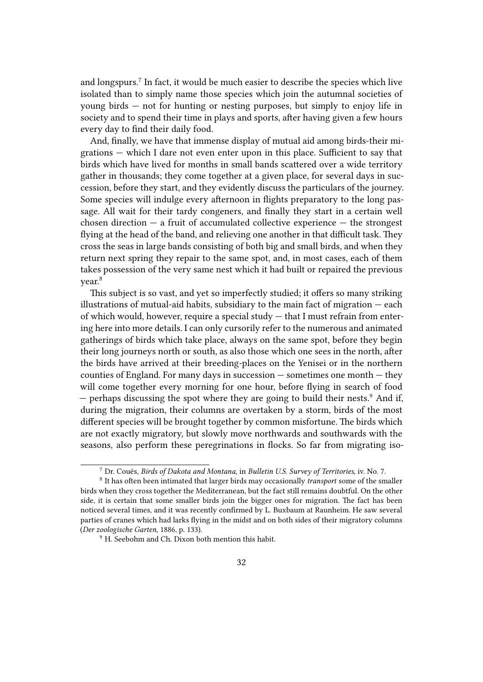and longspurs.<sup>7</sup> In fact, it would be much easier to describe the species which live isolated than to simply name those species which join the autumnal societies of young birds — not for hunting or nesting purposes, but simply to enjoy life in society and to spend their time in plays and sports, after having given a few hours every day to find their daily food.

And, finally, we have that immense display of mutual aid among birds-their migrations — which I dare not even enter upon in this place. Sufficient to say that birds which have lived for months in small bands scattered over a wide territory gather in thousands; they come together at a given place, for several days in succession, before they start, and they evidently discuss the particulars of the journey. Some species will indulge every afternoon in flights preparatory to the long passage. All wait for their tardy congeners, and finally they start in a certain well chosen direction  $-$  a fruit of accumulated collective experience  $-$  the strongest flying at the head of the band, and relieving one another in that difficult task. They cross the seas in large bands consisting of both big and small birds, and when they return next spring they repair to the same spot, and, in most cases, each of them takes possession of the very same nest which it had built or repaired the previous year.<sup>8</sup>

This subject is so vast, and yet so imperfectly studied; it offers so many striking illustrations of mutual-aid habits, subsidiary to the main fact of migration — each of which would, however, require a special study — that I must refrain from entering here into more details. I can only cursorily refer to the numerous and animated gatherings of birds which take place, always on the same spot, before they begin their long journeys north or south, as also those which one sees in the north, after the birds have arrived at their breeding-places on the Yenisei or in the northern counties of England. For many days in succession — sometimes one month — they will come together every morning for one hour, before flying in search of food  $-$  perhaps discussing the spot where they are going to build their nests.<sup>9</sup> And if, during the migration, their columns are overtaken by a storm, birds of the most different species will be brought together by common misfortune. The birds which are not exactly migratory, but slowly move northwards and southwards with the seasons, also perform these peregrinations in flocks. So far from migrating iso-

<sup>7</sup> Dr. Couës, *Birds of Dakota and Montana*, in *Bulletin U.S. Survey of Territories*, iv. No. 7.

<sup>8</sup> It has often been intimated that larger birds may occasionally *transport* some of the smaller birds when they cross together the Mediterranean, but the fact still remains doubtful. On the other side, it is certain that some smaller birds join the bigger ones for migration. The fact has been noticed several times, and it was recently confirmed by L. Buxbaum at Raunheim. He saw several parties of cranes which had larks flying in the midst and on both sides of their migratory columns (*Der zoologische Garten*, 1886, p. 133).

<sup>&</sup>lt;sup>9</sup> H. Seebohm and Ch. Dixon both mention this habit.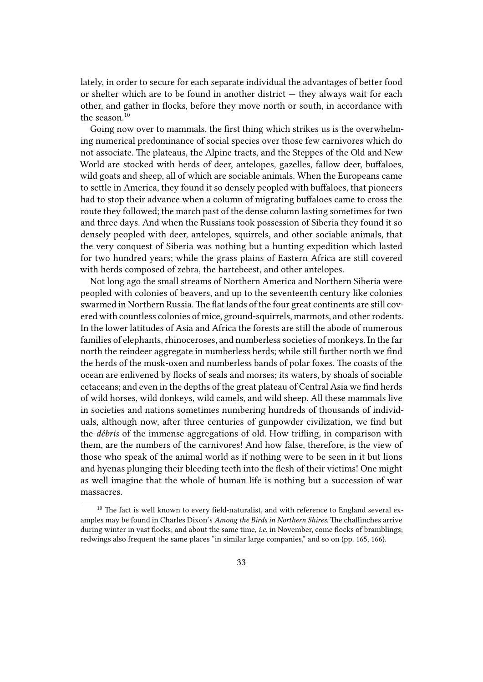lately, in order to secure for each separate individual the advantages of better food or shelter which are to be found in another district — they always wait for each other, and gather in flocks, before they move north or south, in accordance with the season.<sup>10</sup>

Going now over to mammals, the first thing which strikes us is the overwhelming numerical predominance of social species over those few carnivores which do not associate. The plateaus, the Alpine tracts, and the Steppes of the Old and New World are stocked with herds of deer, antelopes, gazelles, fallow deer, buffaloes, wild goats and sheep, all of which are sociable animals. When the Europeans came to settle in America, they found it so densely peopled with buffaloes, that pioneers had to stop their advance when a column of migrating buffaloes came to cross the route they followed; the march past of the dense column lasting sometimes for two and three days. And when the Russians took possession of Siberia they found it so densely peopled with deer, antelopes, squirrels, and other sociable animals, that the very conquest of Siberia was nothing but a hunting expedition which lasted for two hundred years; while the grass plains of Eastern Africa are still covered with herds composed of zebra, the hartebeest, and other antelopes.

Not long ago the small streams of Northern America and Northern Siberia were peopled with colonies of beavers, and up to the seventeenth century like colonies swarmed in Northern Russia. The flat lands of the four great continents are still covered with countless colonies of mice, ground-squirrels, marmots, and other rodents. In the lower latitudes of Asia and Africa the forests are still the abode of numerous families of elephants, rhinoceroses, and numberless societies of monkeys. In the far north the reindeer aggregate in numberless herds; while still further north we find the herds of the musk-oxen and numberless bands of polar foxes. The coasts of the ocean are enlivened by flocks of seals and morses; its waters, by shoals of sociable cetaceans; and even in the depths of the great plateau of Central Asia we find herds of wild horses, wild donkeys, wild camels, and wild sheep. All these mammals live in societies and nations sometimes numbering hundreds of thousands of individuals, although now, after three centuries of gunpowder civilization, we find but the *débris* of the immense aggregations of old. How trifling, in comparison with them, are the numbers of the carnivores! And how false, therefore, is the view of those who speak of the animal world as if nothing were to be seen in it but lions and hyenas plunging their bleeding teeth into the flesh of their victims! One might as well imagine that the whole of human life is nothing but a succession of war massacres.

 $10$  The fact is well known to every field-naturalist, and with reference to England several examples may be found in Charles Dixon's *Among the Birds in Northern Shires*. The chaffinches arrive during winter in vast flocks; and about the same time, *i.e.* in November, come flocks of bramblings; redwings also frequent the same places "in similar large companies," and so on (pp. 165, 166).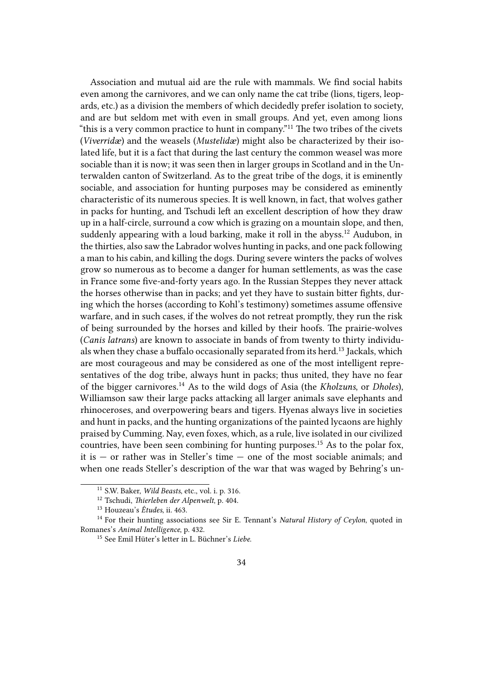Association and mutual aid are the rule with mammals. We find social habits even among the carnivores, and we can only name the cat tribe (lions, tigers, leopards, etc.) as a division the members of which decidedly prefer isolation to society, and are but seldom met with even in small groups. And yet, even among lions "this is a very common practice to hunt in company."<sup>11</sup> The two tribes of the civets (*Viverridæ*) and the weasels (*Mustelidæ*) might also be characterized by their isolated life, but it is a fact that during the last century the common weasel was more sociable than it is now; it was seen then in larger groups in Scotland and in the Unterwalden canton of Switzerland. As to the great tribe of the dogs, it is eminently sociable, and association for hunting purposes may be considered as eminently characteristic of its numerous species. It is well known, in fact, that wolves gather in packs for hunting, and Tschudi left an excellent description of how they draw up in a half-circle, surround a cow which is grazing on a mountain slope, and then, suddenly appearing with a loud barking, make it roll in the abyss.<sup>12</sup> Audubon, in the thirties, also saw the Labrador wolves hunting in packs, and one pack following a man to his cabin, and killing the dogs. During severe winters the packs of wolves grow so numerous as to become a danger for human settlements, as was the case in France some five-and-forty years ago. In the Russian Steppes they never attack the horses otherwise than in packs; and yet they have to sustain bitter fights, during which the horses (according to Kohl's testimony) sometimes assume offensive warfare, and in such cases, if the wolves do not retreat promptly, they run the risk of being surrounded by the horses and killed by their hoofs. The prairie-wolves (*Canis latrans*) are known to associate in bands of from twenty to thirty individuals when they chase a buffalo occasionally separated from its herd.<sup>13</sup> Jackals, which are most courageous and may be considered as one of the most intelligent representatives of the dog tribe, always hunt in packs; thus united, they have no fear of the bigger carnivores.<sup>14</sup> As to the wild dogs of Asia (the *Kholzuns*, or *Dholes*), Williamson saw their large packs attacking all larger animals save elephants and rhinoceroses, and overpowering bears and tigers. Hyenas always live in societies and hunt in packs, and the hunting organizations of the painted lycaons are highly praised by Cumming. Nay, even foxes, which, as a rule, live isolated in our civilized countries, have been seen combining for hunting purposes.<sup>15</sup> As to the polar fox, it is  $-$  or rather was in Steller's time  $-$  one of the most sociable animals; and when one reads Steller's description of the war that was waged by Behring's un-

<sup>11</sup> S.W. Baker, *Wild Beasts*, etc., vol. i. p. 316.

<sup>12</sup> Tschudi, *Thierleben der Alpenwelt*, p. 404.

<sup>13</sup> Houzeau's *Études*, ii. 463.

<sup>14</sup> For their hunting associations see Sir E. Tennant's *Natural History of Ceylon*, quoted in Romanes's *Animal Intelligence*, p. 432.

<sup>15</sup> See Emil Hüter's letter in L. Büchner's *Liebe*.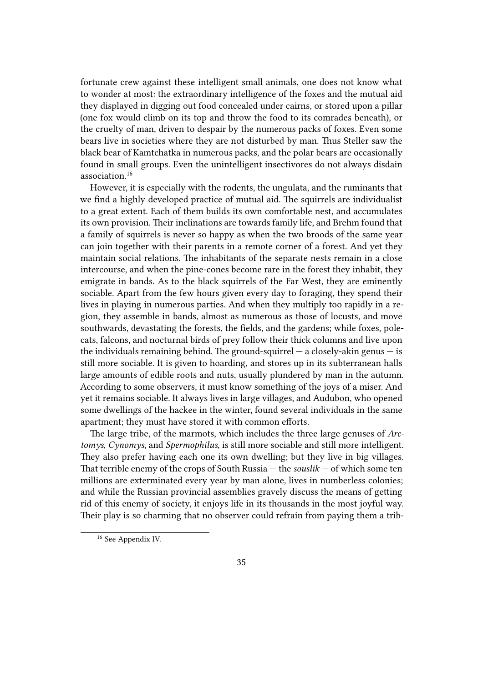fortunate crew against these intelligent small animals, one does not know what to wonder at most: the extraordinary intelligence of the foxes and the mutual aid they displayed in digging out food concealed under cairns, or stored upon a pillar (one fox would climb on its top and throw the food to its comrades beneath), or the cruelty of man, driven to despair by the numerous packs of foxes. Even some bears live in societies where they are not disturbed by man. Thus Steller saw the black bear of Kamtchatka in numerous packs, and the polar bears are occasionally found in small groups. Even the unintelligent insectivores do not always disdain association.<sup>16</sup>

However, it is especially with the rodents, the ungulata, and the ruminants that we find a highly developed practice of mutual aid. The squirrels are individualist to a great extent. Each of them builds its own comfortable nest, and accumulates its own provision. Their inclinations are towards family life, and Brehm found that a family of squirrels is never so happy as when the two broods of the same year can join together with their parents in a remote corner of a forest. And yet they maintain social relations. The inhabitants of the separate nests remain in a close intercourse, and when the pine-cones become rare in the forest they inhabit, they emigrate in bands. As to the black squirrels of the Far West, they are eminently sociable. Apart from the few hours given every day to foraging, they spend their lives in playing in numerous parties. And when they multiply too rapidly in a region, they assemble in bands, almost as numerous as those of locusts, and move southwards, devastating the forests, the fields, and the gardens; while foxes, polecats, falcons, and nocturnal birds of prey follow their thick columns and live upon the individuals remaining behind. The ground-squirrel  $-$  a closely-akin genus  $-$  is still more sociable. It is given to hoarding, and stores up in its subterranean halls large amounts of edible roots and nuts, usually plundered by man in the autumn. According to some observers, it must know something of the joys of a miser. And yet it remains sociable. It always lives in large villages, and Audubon, who opened some dwellings of the hackee in the winter, found several individuals in the same apartment; they must have stored it with common efforts.

The large tribe, of the marmots, which includes the three large genuses of *Arctomys*, *Cynomys*, and *Spermophilus*, is still more sociable and still more intelligent. They also prefer having each one its own dwelling; but they live in big villages. That terrible enemy of the crops of South Russia — the *souslik* — of which some ten millions are exterminated every year by man alone, lives in numberless colonies; and while the Russian provincial assemblies gravely discuss the means of getting rid of this enemy of society, it enjoys life in its thousands in the most joyful way. Their play is so charming that no observer could refrain from paying them a trib-

<sup>&</sup>lt;sup>16</sup> See Appendix IV.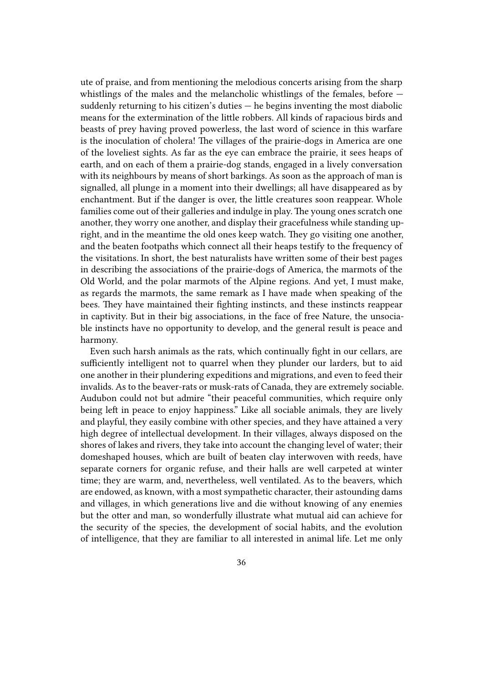ute of praise, and from mentioning the melodious concerts arising from the sharp whistlings of the males and the melancholic whistlings of the females, before  $$ suddenly returning to his citizen's duties  $-$  he begins inventing the most diabolic means for the extermination of the little robbers. All kinds of rapacious birds and beasts of prey having proved powerless, the last word of science in this warfare is the inoculation of cholera! The villages of the prairie-dogs in America are one of the loveliest sights. As far as the eye can embrace the prairie, it sees heaps of earth, and on each of them a prairie-dog stands, engaged in a lively conversation with its neighbours by means of short barkings. As soon as the approach of man is signalled, all plunge in a moment into their dwellings; all have disappeared as by enchantment. But if the danger is over, the little creatures soon reappear. Whole families come out of their galleries and indulge in play. The young ones scratch one another, they worry one another, and display their gracefulness while standing upright, and in the meantime the old ones keep watch. They go visiting one another, and the beaten footpaths which connect all their heaps testify to the frequency of the visitations. In short, the best naturalists have written some of their best pages in describing the associations of the prairie-dogs of America, the marmots of the Old World, and the polar marmots of the Alpine regions. And yet, I must make, as regards the marmots, the same remark as I have made when speaking of the bees. They have maintained their fighting instincts, and these instincts reappear in captivity. But in their big associations, in the face of free Nature, the unsociable instincts have no opportunity to develop, and the general result is peace and harmony.

Even such harsh animals as the rats, which continually fight in our cellars, are sufficiently intelligent not to quarrel when they plunder our larders, but to aid one another in their plundering expeditions and migrations, and even to feed their invalids. As to the beaver-rats or musk-rats of Canada, they are extremely sociable. Audubon could not but admire "their peaceful communities, which require only being left in peace to enjoy happiness." Like all sociable animals, they are lively and playful, they easily combine with other species, and they have attained a very high degree of intellectual development. In their villages, always disposed on the shores of lakes and rivers, they take into account the changing level of water; their domeshaped houses, which are built of beaten clay interwoven with reeds, have separate corners for organic refuse, and their halls are well carpeted at winter time; they are warm, and, nevertheless, well ventilated. As to the beavers, which are endowed, as known, with a most sympathetic character, their astounding dams and villages, in which generations live and die without knowing of any enemies but the otter and man, so wonderfully illustrate what mutual aid can achieve for the security of the species, the development of social habits, and the evolution of intelligence, that they are familiar to all interested in animal life. Let me only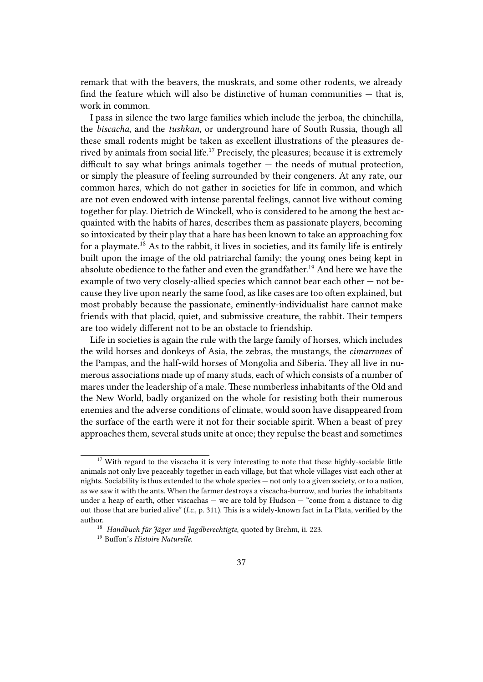remark that with the beavers, the muskrats, and some other rodents, we already find the feature which will also be distinctive of human communities  $-$  that is, work in common.

I pass in silence the two large families which include the jerboa, the chinchilla, the *biscacha*, and the *tushkan*, or underground hare of South Russia, though all these small rodents might be taken as excellent illustrations of the pleasures derived by animals from social life.<sup>17</sup> Precisely, the pleasures; because it is extremely difficult to say what brings animals together — the needs of mutual protection, or simply the pleasure of feeling surrounded by their congeners. At any rate, our common hares, which do not gather in societies for life in common, and which are not even endowed with intense parental feelings, cannot live without coming together for play. Dietrich de Winckell, who is considered to be among the best acquainted with the habits of hares, describes them as passionate players, becoming so intoxicated by their play that a hare has been known to take an approaching fox for a playmate.<sup>18</sup> As to the rabbit, it lives in societies, and its family life is entirely built upon the image of the old patriarchal family; the young ones being kept in absolute obedience to the father and even the grandfather.<sup>19</sup> And here we have the example of two very closely-allied species which cannot bear each other — not because they live upon nearly the same food, as like cases are too often explained, but most probably because the passionate, eminently-individualist hare cannot make friends with that placid, quiet, and submissive creature, the rabbit. Their tempers are too widely different not to be an obstacle to friendship.

Life in societies is again the rule with the large family of horses, which includes the wild horses and donkeys of Asia, the zebras, the mustangs, the *cimarrones* of the Pampas, and the half-wild horses of Mongolia and Siberia. They all live in numerous associations made up of many studs, each of which consists of a number of mares under the leadership of a male. These numberless inhabitants of the Old and the New World, badly organized on the whole for resisting both their numerous enemies and the adverse conditions of climate, would soon have disappeared from the surface of the earth were it not for their sociable spirit. When a beast of prey approaches them, several studs unite at once; they repulse the beast and sometimes

<sup>&</sup>lt;sup>17</sup> With regard to the viscacha it is very interesting to note that these highly-sociable little animals not only live peaceably together in each village, but that whole villages visit each other at nights. Sociability is thus extended to the whole species — not only to a given society, or to a nation, as we saw it with the ants. When the farmer destroys a viscacha-burrow, and buries the inhabitants under a heap of earth, other viscachas  $-$  we are told by Hudson  $-$  "come from a distance to dig out those that are buried alive" (*l.c.*, p. 311). This is a widely-known fact in La Plata, verified by the author.

<sup>18</sup> *Handbuch für Jäger und Jagdberechtigte*, quoted by Brehm, ii. 223.

<sup>19</sup> Buffon's *Histoire Naturelle*.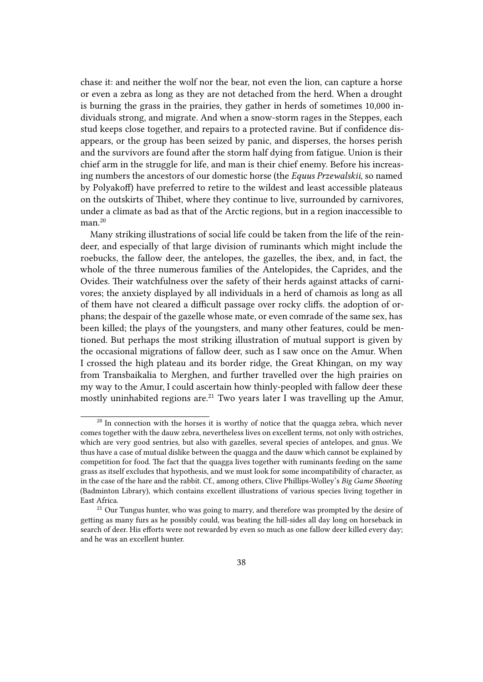chase it: and neither the wolf nor the bear, not even the lion, can capture a horse or even a zebra as long as they are not detached from the herd. When a drought is burning the grass in the prairies, they gather in herds of sometimes 10,000 individuals strong, and migrate. And when a snow-storm rages in the Steppes, each stud keeps close together, and repairs to a protected ravine. But if confidence disappears, or the group has been seized by panic, and disperses, the horses perish and the survivors are found after the storm half dying from fatigue. Union is their chief arm in the struggle for life, and man is their chief enemy. Before his increasing numbers the ancestors of our domestic horse (the *Equus Przewalskii*, so named by Polyakoff) have preferred to retire to the wildest and least accessible plateaus on the outskirts of Thibet, where they continue to live, surrounded by carnivores, under a climate as bad as that of the Arctic regions, but in a region inaccessible to man.<sup>20</sup>

Many striking illustrations of social life could be taken from the life of the reindeer, and especially of that large division of ruminants which might include the roebucks, the fallow deer, the antelopes, the gazelles, the ibex, and, in fact, the whole of the three numerous families of the Antelopides, the Caprides, and the Ovides. Their watchfulness over the safety of their herds against attacks of carnivores; the anxiety displayed by all individuals in a herd of chamois as long as all of them have not cleared a difficult passage over rocky cliffs. the adoption of orphans; the despair of the gazelle whose mate, or even comrade of the same sex, has been killed; the plays of the youngsters, and many other features, could be mentioned. But perhaps the most striking illustration of mutual support is given by the occasional migrations of fallow deer, such as I saw once on the Amur. When I crossed the high plateau and its border ridge, the Great Khingan, on my way from Transbaikalia to Merghen, and further travelled over the high prairies on my way to the Amur, I could ascertain how thinly-peopled with fallow deer these mostly uninhabited regions are.<sup>21</sup> Two years later I was travelling up the Amur,

 $20$  In connection with the horses it is worthy of notice that the quagga zebra, which never comes together with the dauw zebra, nevertheless lives on excellent terms, not only with ostriches, which are very good sentries, but also with gazelles, several species of antelopes, and gnus. We thus have a case of mutual dislike between the quagga and the dauw which cannot be explained by competition for food. The fact that the quagga lives together with ruminants feeding on the same grass as itself excludes that hypothesis, and we must look for some incompatibility of character, as in the case of the hare and the rabbit. Cf., among others, Clive Phillips-Wolley's *Big Game Shooting* (Badminton Library), which contains excellent illustrations of various species living together in East Africa.

 $21$  Our Tungus hunter, who was going to marry, and therefore was prompted by the desire of getting as many furs as he possibly could, was beating the hill-sides all day long on horseback in search of deer. His efforts were not rewarded by even so much as one fallow deer killed every day; and he was an excellent hunter.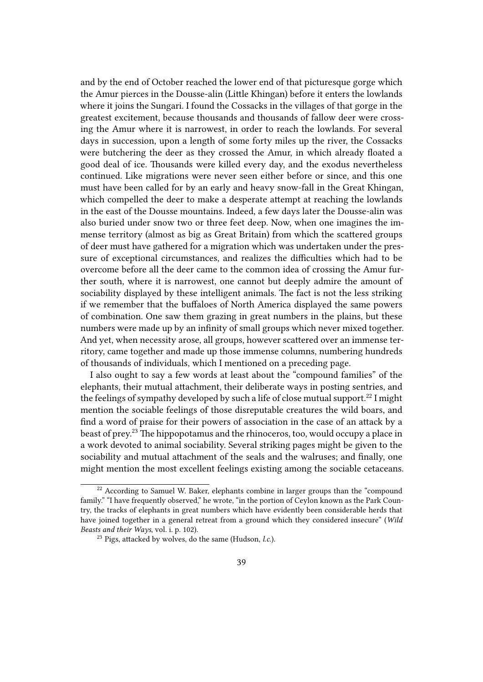and by the end of October reached the lower end of that picturesque gorge which the Amur pierces in the Dousse-alin (Little Khingan) before it enters the lowlands where it joins the Sungari. I found the Cossacks in the villages of that gorge in the greatest excitement, because thousands and thousands of fallow deer were crossing the Amur where it is narrowest, in order to reach the lowlands. For several days in succession, upon a length of some forty miles up the river, the Cossacks were butchering the deer as they crossed the Amur, in which already floated a good deal of ice. Thousands were killed every day, and the exodus nevertheless continued. Like migrations were never seen either before or since, and this one must have been called for by an early and heavy snow-fall in the Great Khingan, which compelled the deer to make a desperate attempt at reaching the lowlands in the east of the Dousse mountains. Indeed, a few days later the Dousse-alin was also buried under snow two or three feet deep. Now, when one imagines the immense territory (almost as big as Great Britain) from which the scattered groups of deer must have gathered for a migration which was undertaken under the pressure of exceptional circumstances, and realizes the difficulties which had to be overcome before all the deer came to the common idea of crossing the Amur further south, where it is narrowest, one cannot but deeply admire the amount of sociability displayed by these intelligent animals. The fact is not the less striking if we remember that the buffaloes of North America displayed the same powers of combination. One saw them grazing in great numbers in the plains, but these numbers were made up by an infinity of small groups which never mixed together. And yet, when necessity arose, all groups, however scattered over an immense territory, came together and made up those immense columns, numbering hundreds of thousands of individuals, which I mentioned on a preceding page.

I also ought to say a few words at least about the "compound families" of the elephants, their mutual attachment, their deliberate ways in posting sentries, and the feelings of sympathy developed by such a life of close mutual support.<sup>22</sup> I might mention the sociable feelings of those disreputable creatures the wild boars, and find a word of praise for their powers of association in the case of an attack by a beast of prey.<sup>23</sup> The hippopotamus and the rhinoceros, too, would occupy a place in a work devoted to animal sociability. Several striking pages might be given to the sociability and mutual attachment of the seals and the walruses; and finally, one might mention the most excellent feelings existing among the sociable cetaceans.

 $22$  According to Samuel W. Baker, elephants combine in larger groups than the "compound" family." "I have frequently observed," he wrote, "in the portion of Ceylon known as the Park Country, the tracks of elephants in great numbers which have evidently been considerable herds that have joined together in a general retreat from a ground which they considered insecure" (*Wild Beasts and their Ways*, vol. i. p. 102).

<sup>23</sup> Pigs, attacked by wolves, do the same (Hudson, *l.c*.).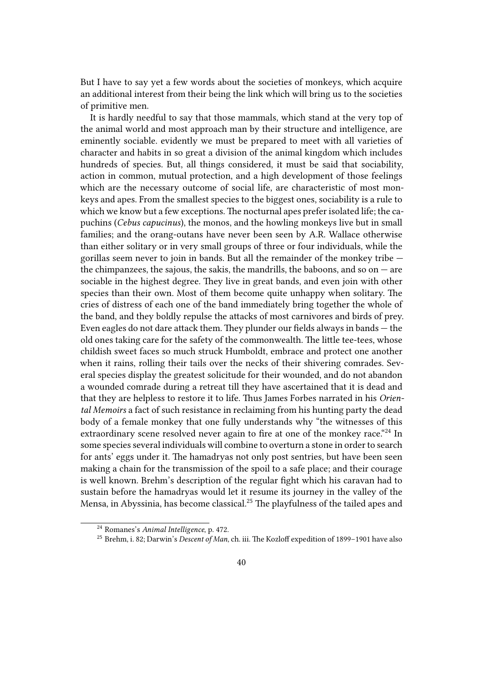But I have to say yet a few words about the societies of monkeys, which acquire an additional interest from their being the link which will bring us to the societies of primitive men.

It is hardly needful to say that those mammals, which stand at the very top of the animal world and most approach man by their structure and intelligence, are eminently sociable. evidently we must be prepared to meet with all varieties of character and habits in so great a division of the animal kingdom which includes hundreds of species. But, all things considered, it must be said that sociability, action in common, mutual protection, and a high development of those feelings which are the necessary outcome of social life, are characteristic of most monkeys and apes. From the smallest species to the biggest ones, sociability is a rule to which we know but a few exceptions. The nocturnal apes prefer isolated life; the capuchins (*Cebus capucinus*), the monos, and the howling monkeys live but in small families; and the orang-outans have never been seen by A.R. Wallace otherwise than either solitary or in very small groups of three or four individuals, while the gorillas seem never to join in bands. But all the remainder of the monkey tribe the chimpanzees, the sajous, the sakis, the mandrills, the baboons, and so on  $-$  are sociable in the highest degree. They live in great bands, and even join with other species than their own. Most of them become quite unhappy when solitary. The cries of distress of each one of the band immediately bring together the whole of the band, and they boldly repulse the attacks of most carnivores and birds of prey. Even eagles do not dare attack them. They plunder our fields always in bands — the old ones taking care for the safety of the commonwealth. The little tee-tees, whose childish sweet faces so much struck Humboldt, embrace and protect one another when it rains, rolling their tails over the necks of their shivering comrades. Several species display the greatest solicitude for their wounded, and do not abandon a wounded comrade during a retreat till they have ascertained that it is dead and that they are helpless to restore it to life. Thus James Forbes narrated in his *Oriental Memoirs* a fact of such resistance in reclaiming from his hunting party the dead body of a female monkey that one fully understands why "the witnesses of this extraordinary scene resolved never again to fire at one of the monkey race.<sup>"24</sup> In some species several individuals will combine to overturn a stone in order to search for ants' eggs under it. The hamadryas not only post sentries, but have been seen making a chain for the transmission of the spoil to a safe place; and their courage is well known. Brehm's description of the regular fight which his caravan had to sustain before the hamadryas would let it resume its journey in the valley of the Mensa, in Abyssinia, has become classical.<sup>25</sup> The playfulness of the tailed apes and

<sup>24</sup> Romanes's *Animal Intelligence*, p. 472.

<sup>25</sup> Brehm, i. 82; Darwin's *Descent of Man*, ch. iii. The Kozloff expedition of 1899–1901 have also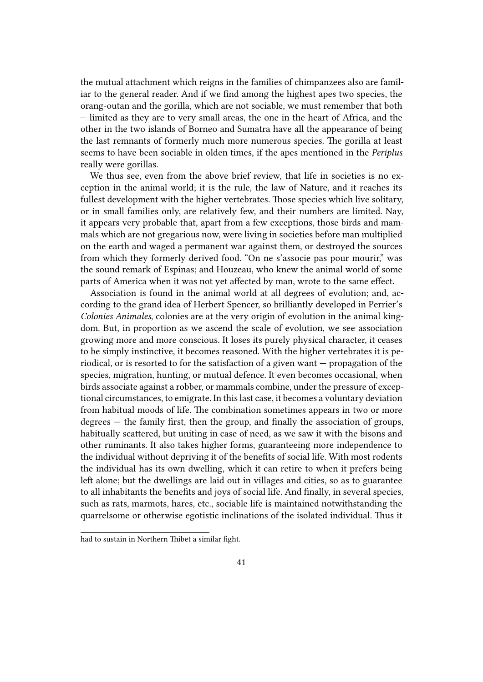the mutual attachment which reigns in the families of chimpanzees also are familiar to the general reader. And if we find among the highest apes two species, the orang-outan and the gorilla, which are not sociable, we must remember that both — limited as they are to very small areas, the one in the heart of Africa, and the other in the two islands of Borneo and Sumatra have all the appearance of being the last remnants of formerly much more numerous species. The gorilla at least seems to have been sociable in olden times, if the apes mentioned in the *Periplus* really were gorillas.

We thus see, even from the above brief review, that life in societies is no exception in the animal world; it is the rule, the law of Nature, and it reaches its fullest development with the higher vertebrates. Those species which live solitary, or in small families only, are relatively few, and their numbers are limited. Nay, it appears very probable that, apart from a few exceptions, those birds and mammals which are not gregarious now, were living in societies before man multiplied on the earth and waged a permanent war against them, or destroyed the sources from which they formerly derived food. "On ne s'associe pas pour mourir," was the sound remark of Espinas; and Houzeau, who knew the animal world of some parts of America when it was not yet affected by man, wrote to the same effect.

Association is found in the animal world at all degrees of evolution; and, according to the grand idea of Herbert Spencer, so brilliantly developed in Perrier's *Colonies Animales*, colonies are at the very origin of evolution in the animal kingdom. But, in proportion as we ascend the scale of evolution, we see association growing more and more conscious. It loses its purely physical character, it ceases to be simply instinctive, it becomes reasoned. With the higher vertebrates it is periodical, or is resorted to for the satisfaction of a given want — propagation of the species, migration, hunting, or mutual defence. It even becomes occasional, when birds associate against a robber, or mammals combine, under the pressure of exceptional circumstances, to emigrate. In this last case, it becomes a voluntary deviation from habitual moods of life. The combination sometimes appears in two or more degrees — the family first, then the group, and finally the association of groups, habitually scattered, but uniting in case of need, as we saw it with the bisons and other ruminants. It also takes higher forms, guaranteeing more independence to the individual without depriving it of the benefits of social life. With most rodents the individual has its own dwelling, which it can retire to when it prefers being left alone; but the dwellings are laid out in villages and cities, so as to guarantee to all inhabitants the benefits and joys of social life. And finally, in several species, such as rats, marmots, hares, etc., sociable life is maintained notwithstanding the quarrelsome or otherwise egotistic inclinations of the isolated individual. Thus it

had to sustain in Northern Thibet a similar fight.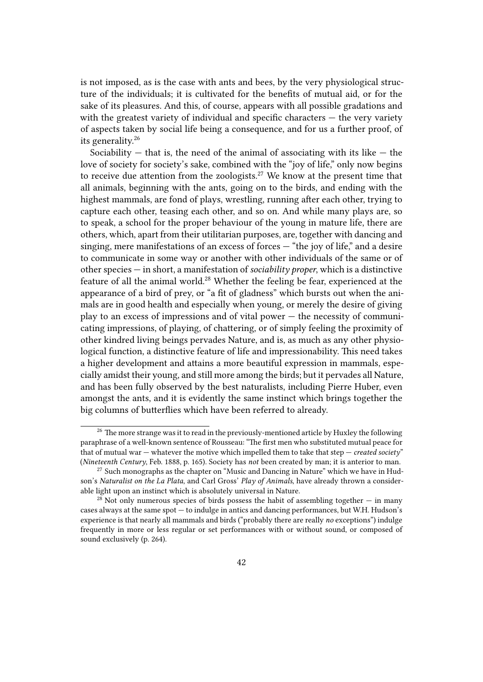is not imposed, as is the case with ants and bees, by the very physiological structure of the individuals; it is cultivated for the benefits of mutual aid, or for the sake of its pleasures. And this, of course, appears with all possible gradations and with the greatest variety of individual and specific characters  $-$  the very variety of aspects taken by social life being a consequence, and for us a further proof, of its generality.<sup>26</sup>

Sociability  $-$  that is, the need of the animal of associating with its like  $-$  the love of society for society's sake, combined with the "joy of life," only now begins to receive due attention from the zoologists.<sup>27</sup> We know at the present time that all animals, beginning with the ants, going on to the birds, and ending with the highest mammals, are fond of plays, wrestling, running after each other, trying to capture each other, teasing each other, and so on. And while many plays are, so to speak, a school for the proper behaviour of the young in mature life, there are others, which, apart from their utilitarian purposes, are, together with dancing and singing, mere manifestations of an excess of forces — "the joy of life," and a desire to communicate in some way or another with other individuals of the same or of other species — in short, a manifestation of *sociability proper*, which is a distinctive feature of all the animal world.<sup>28</sup> Whether the feeling be fear, experienced at the appearance of a bird of prey, or "a fit of gladness" which bursts out when the animals are in good health and especially when young, or merely the desire of giving play to an excess of impressions and of vital power — the necessity of communicating impressions, of playing, of chattering, or of simply feeling the proximity of other kindred living beings pervades Nature, and is, as much as any other physiological function, a distinctive feature of life and impressionability. This need takes a higher development and attains a more beautiful expression in mammals, especially amidst their young, and still more among the birds; but it pervades all Nature, and has been fully observed by the best naturalists, including Pierre Huber, even amongst the ants, and it is evidently the same instinct which brings together the big columns of butterflies which have been referred to already.

 $26$  The more strange was it to read in the previously-mentioned article by Huxley the following paraphrase of a well-known sentence of Rousseau: "The first men who substituted mutual peace for that of mutual war — whatever the motive which impelled them to take that step — *created society*" (*Nineteenth Century*, Feb. 1888, p. 165). Society has *not* been created by man; it is anterior to man.

<sup>&</sup>lt;sup>27</sup> Such monographs as the chapter on "Music and Dancing in Nature" which we have in Hudson's *Naturalist on the La Plata*, and Carl Gross' *Play of Animals*, have already thrown a considerable light upon an instinct which is absolutely universal in Nature.

<sup>&</sup>lt;sup>28</sup> Not only numerous species of birds possess the habit of assembling together  $-$  in many cases always at the same spot — to indulge in antics and dancing performances, but W.H. Hudson's experience is that nearly all mammals and birds ("probably there are really *no* exceptions") indulge frequently in more or less regular or set performances with or without sound, or composed of sound exclusively (p. 264).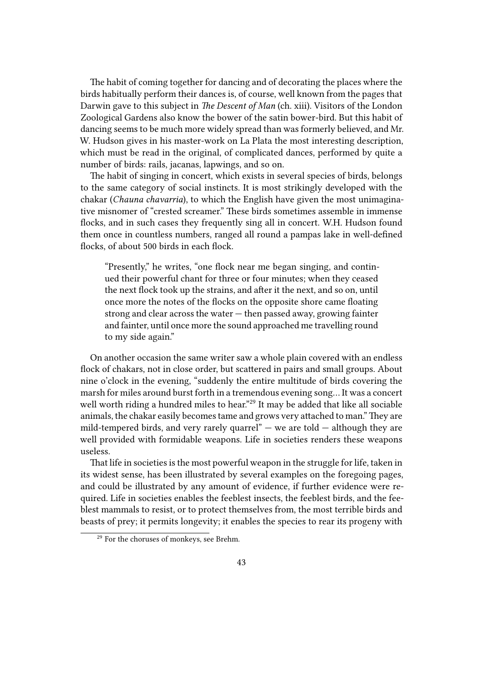The habit of coming together for dancing and of decorating the places where the birds habitually perform their dances is, of course, well known from the pages that Darwin gave to this subject in *The Descent of Man* (ch. xiii). Visitors of the London Zoological Gardens also know the bower of the satin bower-bird. But this habit of dancing seems to be much more widely spread than was formerly believed, and Mr. W. Hudson gives in his master-work on La Plata the most interesting description, which must be read in the original, of complicated dances, performed by quite a number of birds: rails, jacanas, lapwings, and so on.

The habit of singing in concert, which exists in several species of birds, belongs to the same category of social instincts. It is most strikingly developed with the chakar (*Chauna chavarria*), to which the English have given the most unimaginative misnomer of "crested screamer." These birds sometimes assemble in immense flocks, and in such cases they frequently sing all in concert. W.H. Hudson found them once in countless numbers, ranged all round a pampas lake in well-defined flocks, of about 500 birds in each flock.

"Presently," he writes, "one flock near me began singing, and continued their powerful chant for three or four minutes; when they ceased the next flock took up the strains, and after it the next, and so on, until once more the notes of the flocks on the opposite shore came floating strong and clear across the water — then passed away, growing fainter and fainter, until once more the sound approached me travelling round to my side again."

On another occasion the same writer saw a whole plain covered with an endless flock of chakars, not in close order, but scattered in pairs and small groups. About nine o'clock in the evening, "suddenly the entire multitude of birds covering the marsh for miles around burst forth in a tremendous evening song… It was a concert well worth riding a hundred miles to hear."<sup>29</sup> It may be added that like all sociable animals, the chakar easily becomes tame and grows very attached to man."They are mild-tempered birds, and very rarely quarrel"  $-$  we are told  $-$  although they are well provided with formidable weapons. Life in societies renders these weapons useless.

That life in societies is the most powerful weapon in the struggle for life, taken in its widest sense, has been illustrated by several examples on the foregoing pages, and could be illustrated by any amount of evidence, if further evidence were required. Life in societies enables the feeblest insects, the feeblest birds, and the feeblest mammals to resist, or to protect themselves from, the most terrible birds and beasts of prey; it permits longevity; it enables the species to rear its progeny with

<sup>&</sup>lt;sup>29</sup> For the choruses of monkeys, see Brehm.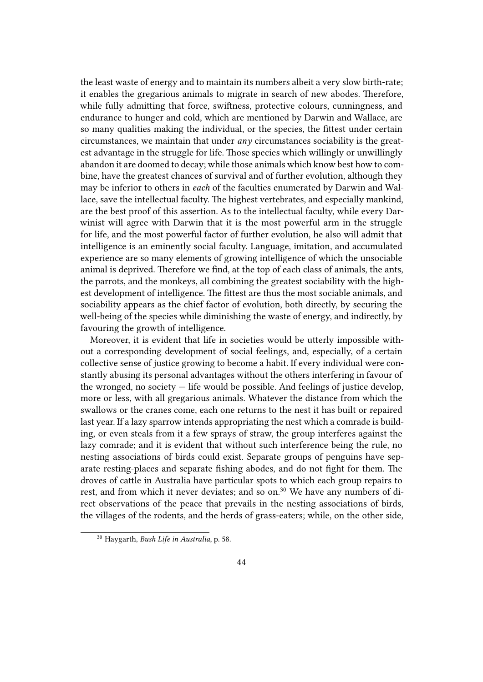the least waste of energy and to maintain its numbers albeit a very slow birth-rate; it enables the gregarious animals to migrate in search of new abodes. Therefore, while fully admitting that force, swiftness, protective colours, cunningness, and endurance to hunger and cold, which are mentioned by Darwin and Wallace, are so many qualities making the individual, or the species, the fittest under certain circumstances, we maintain that under *any* circumstances sociability is the greatest advantage in the struggle for life. Those species which willingly or unwillingly abandon it are doomed to decay; while those animals which know best how to combine, have the greatest chances of survival and of further evolution, although they may be inferior to others in *each* of the faculties enumerated by Darwin and Wallace, save the intellectual faculty. The highest vertebrates, and especially mankind, are the best proof of this assertion. As to the intellectual faculty, while every Darwinist will agree with Darwin that it is the most powerful arm in the struggle for life, and the most powerful factor of further evolution, he also will admit that intelligence is an eminently social faculty. Language, imitation, and accumulated experience are so many elements of growing intelligence of which the unsociable animal is deprived. Therefore we find, at the top of each class of animals, the ants, the parrots, and the monkeys, all combining the greatest sociability with the highest development of intelligence. The fittest are thus the most sociable animals, and sociability appears as the chief factor of evolution, both directly, by securing the well-being of the species while diminishing the waste of energy, and indirectly, by favouring the growth of intelligence.

Moreover, it is evident that life in societies would be utterly impossible without a corresponding development of social feelings, and, especially, of a certain collective sense of justice growing to become a habit. If every individual were constantly abusing its personal advantages without the others interfering in favour of the wronged, no society — life would be possible. And feelings of justice develop, more or less, with all gregarious animals. Whatever the distance from which the swallows or the cranes come, each one returns to the nest it has built or repaired last year. If a lazy sparrow intends appropriating the nest which a comrade is building, or even steals from it a few sprays of straw, the group interferes against the lazy comrade; and it is evident that without such interference being the rule, no nesting associations of birds could exist. Separate groups of penguins have separate resting-places and separate fishing abodes, and do not fight for them. The droves of cattle in Australia have particular spots to which each group repairs to rest, and from which it never deviates; and so on.<sup>30</sup> We have any numbers of direct observations of the peace that prevails in the nesting associations of birds, the villages of the rodents, and the herds of grass-eaters; while, on the other side,

<sup>30</sup> Haygarth, *Bush Life in Australia*, p. 58.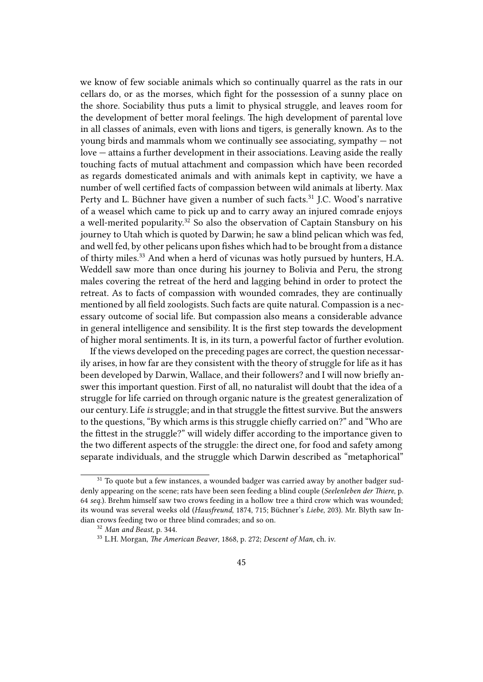we know of few sociable animals which so continually quarrel as the rats in our cellars do, or as the morses, which fight for the possession of a sunny place on the shore. Sociability thus puts a limit to physical struggle, and leaves room for the development of better moral feelings. The high development of parental love in all classes of animals, even with lions and tigers, is generally known. As to the young birds and mammals whom we continually see associating, sympathy — not love — attains a further development in their associations. Leaving aside the really touching facts of mutual attachment and compassion which have been recorded as regards domesticated animals and with animals kept in captivity, we have a number of well certified facts of compassion between wild animals at liberty. Max Perty and L. Büchner have given a number of such facts.<sup>31</sup> J.C. Wood's narrative of a weasel which came to pick up and to carry away an injured comrade enjoys a well-merited popularity.<sup>32</sup> So also the observation of Captain Stansbury on his journey to Utah which is quoted by Darwin; he saw a blind pelican which was fed, and well fed, by other pelicans upon fishes which had to be brought from a distance of thirty miles.<sup>33</sup> And when a herd of vicunas was hotly pursued by hunters, H.A. Weddell saw more than once during his journey to Bolivia and Peru, the strong males covering the retreat of the herd and lagging behind in order to protect the retreat. As to facts of compassion with wounded comrades, they are continually mentioned by all field zoologists. Such facts are quite natural. Compassion is a necessary outcome of social life. But compassion also means a considerable advance in general intelligence and sensibility. It is the first step towards the development of higher moral sentiments. It is, in its turn, a powerful factor of further evolution.

If the views developed on the preceding pages are correct, the question necessarily arises, in how far are they consistent with the theory of struggle for life as it has been developed by Darwin, Wallace, and their followers? and I will now briefly answer this important question. First of all, no naturalist will doubt that the idea of a struggle for life carried on through organic nature is the greatest generalization of our century. Life *is* struggle; and in that struggle the fittest survive. But the answers to the questions, "By which arms is this struggle chiefly carried on?" and "Who are the fittest in the struggle?" will widely differ according to the importance given to the two different aspects of the struggle: the direct one, for food and safety among separate individuals, and the struggle which Darwin described as "metaphorical"

 $31$  To quote but a few instances, a wounded badger was carried away by another badger suddenly appearing on the scene; rats have been seen feeding a blind couple (*Seelenleben der Thiere*, p. 64 *seq*.). Brehm himself saw two crows feeding in a hollow tree a third crow which was wounded; its wound was several weeks old (*Hausfreund*, 1874, 715; Büchner's *Liebe*, 203). Mr. Blyth saw Indian crows feeding two or three blind comrades; and so on.

<sup>32</sup> *Man and Beast*, p. 344.

<sup>33</sup> L.H. Morgan, *The American Beaver*, 1868, p. 272; *Descent of Man*, ch. iv.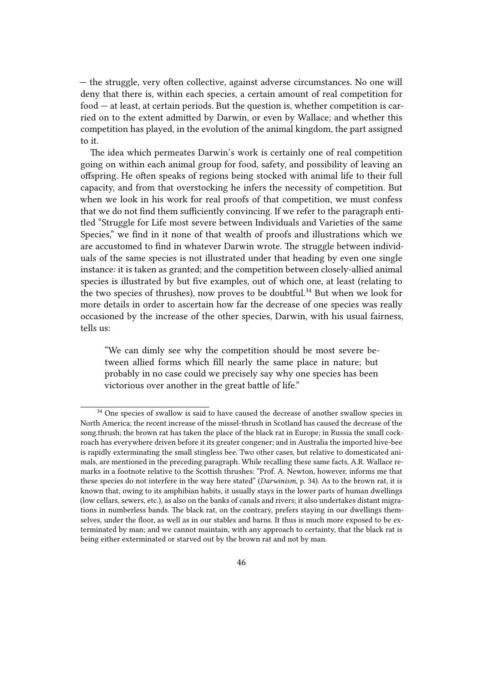— the struggle, very often collective, against adverse circumstances. No one will deny that there is, within each species, a certain amount of real competition for food — at least, at certain periods. But the question is, whether competition is carried on to the extent admitted by Darwin, or even by Wallace; and whether this competition has played, in the evolution of the animal kingdom, the part assigned to it.

The idea which permeates Darwin's work is certainly one of real competition going on within each animal group for food, safety, and possibility of leaving an offspring. He often speaks of regions being stocked with animal life to their full capacity, and from that overstocking he infers the necessity of competition. But when we look in his work for real proofs of that competition, we must confess that we do not find them sufficiently convincing. If we refer to the paragraph entitled "Struggle for Life most severe between Individuals and Varieties of the same Species," we find in it none of that wealth of proofs and illustrations which we are accustomed to find in whatever Darwin wrote. The struggle between individuals of the same species is not illustrated under that heading by even one single instance: it is taken as granted; and the competition between closely-allied animal species is illustrated by but five examples, out of which one, at least (relating to the two species of thrushes), now proves to be doubtful.<sup>34</sup> But when we look for more details in order to ascertain how far the decrease of one species was really occasioned by the increase of the other species, Darwin, with his usual fairness, tells us:

"We can dimly see why the competition should be most severe between allied forms which fill nearly the same place in nature; but probably in no case could we precisely say why one species has been victorious over another in the great battle of life."

<sup>&</sup>lt;sup>34</sup> One species of swallow is said to have caused the decrease of another swallow species in North America; the recent increase of the missel-thrush in Scotland has caused the decrease of the song.thrush; the brown rat has taken the place of the black rat in Europe; in Russia the small cockroach has everywhere driven before it its greater congener; and in Australia the imported hive-bee is rapidly exterminating the small stingless bee. Two other cases, but relative to domesticated animals, are mentioned in the preceding paragraph. While recalling these same facts, A.R. Wallace remarks in a footnote relative to the Scottish thrushes: "Prof. A. Newton, however, informs me that these species do not interfere in the way here stated" (*Darwinism*, p. 34). As to the brown rat, it is known that, owing to its amphibian habits, it usually stays in the lower parts of human dwellings (low cellars, sewers, etc.), as also on the banks of canals and rivers; it also undertakes distant migrations in numberless bands. The black rat, on the contrary, prefers staying in our dwellings themselves, under the floor, as well as in our stables and barns. It thus is much more exposed to be exterminated by man; and we cannot maintain, with any approach to certainty, that the black rat is being either exterminated or starved out by the brown rat and not by man.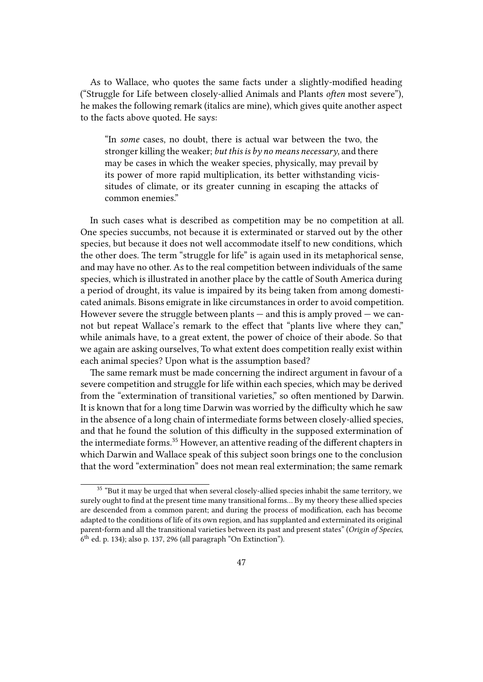As to Wallace, who quotes the same facts under a slightly-modified heading ("Struggle for Life between closely-allied Animals and Plants *often* most severe"), he makes the following remark (italics are mine), which gives quite another aspect to the facts above quoted. He says:

"In *some* cases, no doubt, there is actual war between the two, the stronger killing the weaker; *but this is by no means necessary*, and there may be cases in which the weaker species, physically, may prevail by its power of more rapid multiplication, its better withstanding vicissitudes of climate, or its greater cunning in escaping the attacks of common enemies."

In such cases what is described as competition may be no competition at all. One species succumbs, not because it is exterminated or starved out by the other species, but because it does not well accommodate itself to new conditions, which the other does. The term "struggle for life" is again used in its metaphorical sense, and may have no other. As to the real competition between individuals of the same species, which is illustrated in another place by the cattle of South America during a period of drought, its value is impaired by its being taken from among domesticated animals. Bisons emigrate in like circumstances in order to avoid competition. However severe the struggle between plants  $-$  and this is amply proved  $-$  we cannot but repeat Wallace's remark to the effect that "plants live where they can," while animals have, to a great extent, the power of choice of their abode. So that we again are asking ourselves, To what extent does competition really exist within each animal species? Upon what is the assumption based?

The same remark must be made concerning the indirect argument in favour of a severe competition and struggle for life within each species, which may be derived from the "extermination of transitional varieties," so often mentioned by Darwin. It is known that for a long time Darwin was worried by the difficulty which he saw in the absence of a long chain of intermediate forms between closely-allied species, and that he found the solution of this difficulty in the supposed extermination of the intermediate forms.<sup>35</sup> However, an attentive reading of the different chapters in which Darwin and Wallace speak of this subject soon brings one to the conclusion that the word "extermination" does not mean real extermination; the same remark

<sup>&</sup>lt;sup>35</sup> "But it may be urged that when several closely-allied species inhabit the same territory, we surely ought to find at the present time many transitional forms… By my theory these allied species are descended from a common parent; and during the process of modification, each has become adapted to the conditions of life of its own region, and has supplanted and exterminated its original parent-form and all the transitional varieties between its past and present states" (*Origin of Species*, 6 th ed. p. 134); also p. 137, 296 (all paragraph "On Extinction").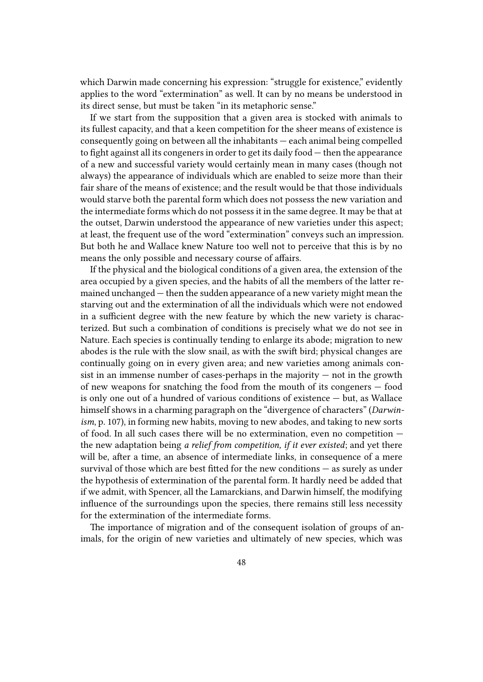which Darwin made concerning his expression: "struggle for existence," evidently applies to the word "extermination" as well. It can by no means be understood in its direct sense, but must be taken "in its metaphoric sense."

If we start from the supposition that a given area is stocked with animals to its fullest capacity, and that a keen competition for the sheer means of existence is consequently going on between all the inhabitants — each animal being compelled to fight against all its congeners in order to get its daily food — then the appearance of a new and successful variety would certainly mean in many cases (though not always) the appearance of individuals which are enabled to seize more than their fair share of the means of existence; and the result would be that those individuals would starve both the parental form which does not possess the new variation and the intermediate forms which do not possess it in the same degree. It may be that at the outset, Darwin understood the appearance of new varieties under this aspect; at least, the frequent use of the word "extermination" conveys such an impression. But both he and Wallace knew Nature too well not to perceive that this is by no means the only possible and necessary course of affairs.

If the physical and the biological conditions of a given area, the extension of the area occupied by a given species, and the habits of all the members of the latter remained unchanged — then the sudden appearance of a new variety might mean the starving out and the extermination of all the individuals which were not endowed in a sufficient degree with the new feature by which the new variety is characterized. But such a combination of conditions is precisely what we do not see in Nature. Each species is continually tending to enlarge its abode; migration to new abodes is the rule with the slow snail, as with the swift bird; physical changes are continually going on in every given area; and new varieties among animals consist in an immense number of cases-perhaps in the majority  $-$  not in the growth of new weapons for snatching the food from the mouth of its congeners — food is only one out of a hundred of various conditions of existence — but, as Wallace himself shows in a charming paragraph on the "divergence of characters" (*Darwinism*, p. 107), in forming new habits, moving to new abodes, and taking to new sorts of food. In all such cases there will be no extermination, even no competition the new adaptation being *a relief from competition, if it ever existed*; and yet there will be, after a time, an absence of intermediate links, in consequence of a mere survival of those which are best fitted for the new conditions — as surely as under the hypothesis of extermination of the parental form. It hardly need be added that if we admit, with Spencer, all the Lamarckians, and Darwin himself, the modifying influence of the surroundings upon the species, there remains still less necessity for the extermination of the intermediate forms.

The importance of migration and of the consequent isolation of groups of animals, for the origin of new varieties and ultimately of new species, which was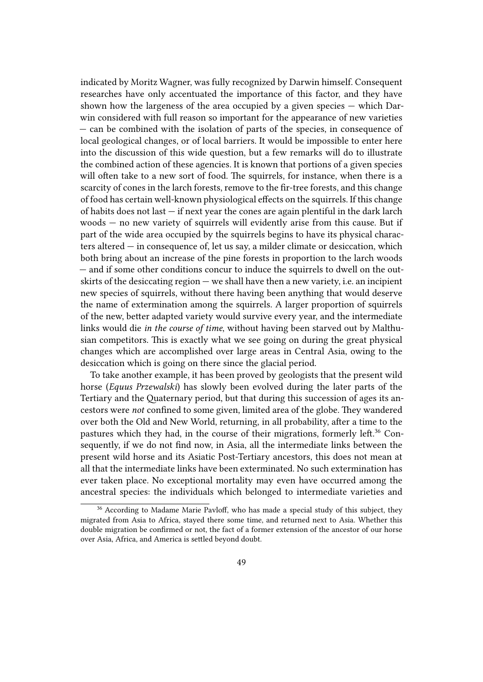indicated by Moritz Wagner, was fully recognized by Darwin himself. Consequent researches have only accentuated the importance of this factor, and they have shown how the largeness of the area occupied by a given species  $-$  which Darwin considered with full reason so important for the appearance of new varieties — can be combined with the isolation of parts of the species, in consequence of local geological changes, or of local barriers. It would be impossible to enter here into the discussion of this wide question, but a few remarks will do to illustrate the combined action of these agencies. It is known that portions of a given species will often take to a new sort of food. The squirrels, for instance, when there is a scarcity of cones in the larch forests, remove to the fir-tree forests, and this change of food has certain well-known physiological effects on the squirrels. If this change of habits does not last — if next year the cones are again plentiful in the dark larch woods — no new variety of squirrels will evidently arise from this cause. But if part of the wide area occupied by the squirrels begins to have its physical characters altered — in consequence of, let us say, a milder climate or desiccation, which both bring about an increase of the pine forests in proportion to the larch woods — and if some other conditions concur to induce the squirrels to dwell on the outskirts of the desiccating region — we shall have then a new variety, i.e. an incipient new species of squirrels, without there having been anything that would deserve the name of extermination among the squirrels. A larger proportion of squirrels of the new, better adapted variety would survive every year, and the intermediate links would die *in the course of time*, without having been starved out by Malthusian competitors. This is exactly what we see going on during the great physical changes which are accomplished over large areas in Central Asia, owing to the desiccation which is going on there since the glacial period.

To take another example, it has been proved by geologists that the present wild horse (*Equus Przewalski*) has slowly been evolved during the later parts of the Tertiary and the Quaternary period, but that during this succession of ages its ancestors were *not* confined to some given, limited area of the globe. They wandered over both the Old and New World, returning, in all probability, after a time to the pastures which they had, in the course of their migrations, formerly left.<sup>36</sup> Consequently, if we do not find now, in Asia, all the intermediate links between the present wild horse and its Asiatic Post-Tertiary ancestors, this does not mean at all that the intermediate links have been exterminated. No such extermination has ever taken place. No exceptional mortality may even have occurred among the ancestral species: the individuals which belonged to intermediate varieties and

<sup>&</sup>lt;sup>36</sup> According to Madame Marie Pavloff, who has made a special study of this subject, they migrated from Asia to Africa, stayed there some time, and returned next to Asia. Whether this double migration be confirmed or not, the fact of a former extension of the ancestor of our horse over Asia, Africa, and America is settled beyond doubt.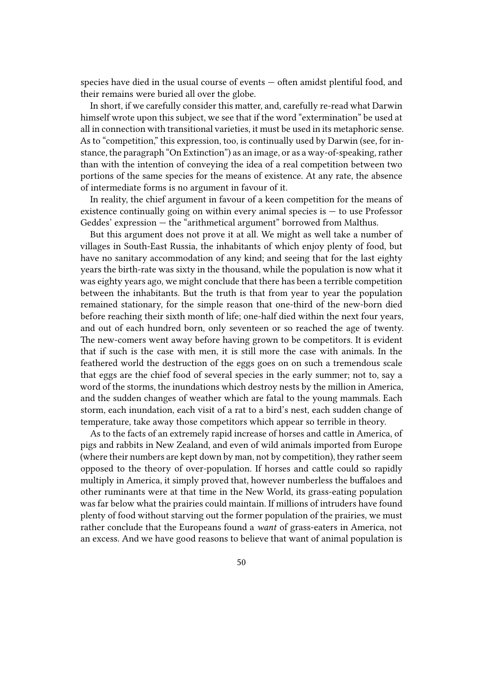species have died in the usual course of events — often amidst plentiful food, and their remains were buried all over the globe.

In short, if we carefully consider this matter, and, carefully re-read what Darwin himself wrote upon this subject, we see that if the word "extermination" be used at all in connection with transitional varieties, it must be used in its metaphoric sense. As to "competition," this expression, too, is continually used by Darwin (see, for instance, the paragraph "On Extinction") as an image, or as a way-of-speaking, rather than with the intention of conveying the idea of a real competition between two portions of the same species for the means of existence. At any rate, the absence of intermediate forms is no argument in favour of it.

In reality, the chief argument in favour of a keen competition for the means of existence continually going on within every animal species is  $-$  to use Professor Geddes' expression — the "arithmetical argument" borrowed from Malthus.

But this argument does not prove it at all. We might as well take a number of villages in South-East Russia, the inhabitants of which enjoy plenty of food, but have no sanitary accommodation of any kind; and seeing that for the last eighty years the birth-rate was sixty in the thousand, while the population is now what it was eighty years ago, we might conclude that there has been a terrible competition between the inhabitants. But the truth is that from year to year the population remained stationary, for the simple reason that one-third of the new-born died before reaching their sixth month of life; one-half died within the next four years, and out of each hundred born, only seventeen or so reached the age of twenty. The new-comers went away before having grown to be competitors. It is evident that if such is the case with men, it is still more the case with animals. In the feathered world the destruction of the eggs goes on on such a tremendous scale that eggs are the chief food of several species in the early summer; not to, say a word of the storms, the inundations which destroy nests by the million in America, and the sudden changes of weather which are fatal to the young mammals. Each storm, each inundation, each visit of a rat to a bird's nest, each sudden change of temperature, take away those competitors which appear so terrible in theory.

As to the facts of an extremely rapid increase of horses and cattle in America, of pigs and rabbits in New Zealand, and even of wild animals imported from Europe (where their numbers are kept down by man, not by competition), they rather seem opposed to the theory of over-population. If horses and cattle could so rapidly multiply in America, it simply proved that, however numberless the buffaloes and other ruminants were at that time in the New World, its grass-eating population was far below what the prairies could maintain. If millions of intruders have found plenty of food without starving out the former population of the prairies, we must rather conclude that the Europeans found a *want* of grass-eaters in America, not an excess. And we have good reasons to believe that want of animal population is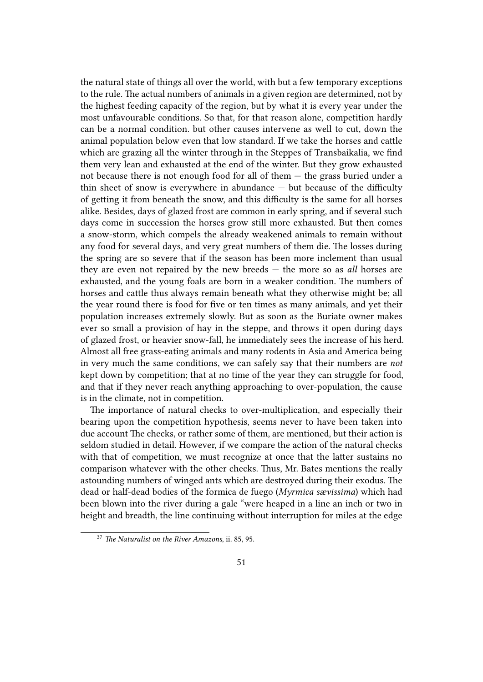the natural state of things all over the world, with but a few temporary exceptions to the rule. The actual numbers of animals in a given region are determined, not by the highest feeding capacity of the region, but by what it is every year under the most unfavourable conditions. So that, for that reason alone, competition hardly can be a normal condition. but other causes intervene as well to cut, down the animal population below even that low standard. If we take the horses and cattle which are grazing all the winter through in the Steppes of Transbaikalia, we find them very lean and exhausted at the end of the winter. But they grow exhausted not because there is not enough food for all of them — the grass buried under a thin sheet of snow is everywhere in abundance — but because of the difficulty of getting it from beneath the snow, and this difficulty is the same for all horses alike. Besides, days of glazed frost are common in early spring, and if several such days come in succession the horses grow still more exhausted. But then comes a snow-storm, which compels the already weakened animals to remain without any food for several days, and very great numbers of them die. The losses during the spring are so severe that if the season has been more inclement than usual they are even not repaired by the new breeds — the more so as *all* horses are exhausted, and the young foals are born in a weaker condition. The numbers of horses and cattle thus always remain beneath what they otherwise might be; all the year round there is food for five or ten times as many animals, and yet their population increases extremely slowly. But as soon as the Buriate owner makes ever so small a provision of hay in the steppe, and throws it open during days of glazed frost, or heavier snow-fall, he immediately sees the increase of his herd. Almost all free grass-eating animals and many rodents in Asia and America being in very much the same conditions, we can safely say that their numbers are *not* kept down by competition; that at no time of the year they can struggle for food, and that if they never reach anything approaching to over-population, the cause is in the climate, not in competition.

The importance of natural checks to over-multiplication, and especially their bearing upon the competition hypothesis, seems never to have been taken into due account The checks, or rather some of them, are mentioned, but their action is seldom studied in detail. However, if we compare the action of the natural checks with that of competition, we must recognize at once that the latter sustains no comparison whatever with the other checks. Thus, Mr. Bates mentions the really astounding numbers of winged ants which are destroyed during their exodus. The dead or half-dead bodies of the formica de fuego (*Myrmica sævissima*) which had been blown into the river during a gale "were heaped in a line an inch or two in height and breadth, the line continuing without interruption for miles at the edge

<sup>37</sup> *The Naturalist on the River Amazons*, ii. 85, 95.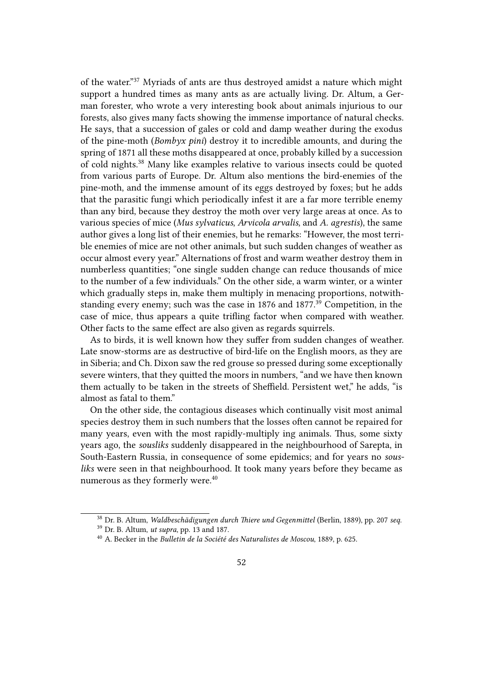of the water."<sup>37</sup> Myriads of ants are thus destroyed amidst a nature which might support a hundred times as many ants as are actually living. Dr. Altum, a German forester, who wrote a very interesting book about animals injurious to our forests, also gives many facts showing the immense importance of natural checks. He says, that a succession of gales or cold and damp weather during the exodus of the pine-moth (*Bombyx pini*) destroy it to incredible amounts, and during the spring of 1871 all these moths disappeared at once, probably killed by a succession of cold nights.<sup>38</sup> Many like examples relative to various insects could be quoted from various parts of Europe. Dr. Altum also mentions the bird-enemies of the pine-moth, and the immense amount of its eggs destroyed by foxes; but he adds that the parasitic fungi which periodically infest it are a far more terrible enemy than any bird, because they destroy the moth over very large areas at once. As to various species of mice (*Mus sylvaticus*, *Arvicola arvalis*, and *A. agrestis*), the same author gives a long list of their enemies, but he remarks: "However, the most terrible enemies of mice are not other animals, but such sudden changes of weather as occur almost every year." Alternations of frost and warm weather destroy them in numberless quantities; "one single sudden change can reduce thousands of mice to the number of a few individuals." On the other side, a warm winter, or a winter which gradually steps in, make them multiply in menacing proportions, notwithstanding every enemy; such was the case in 1876 and  $1877<sup>39</sup>$  Competition, in the case of mice, thus appears a quite trifling factor when compared with weather. Other facts to the same effect are also given as regards squirrels.

As to birds, it is well known how they suffer from sudden changes of weather. Late snow-storms are as destructive of bird-life on the English moors, as they are in Siberia; and Ch. Dixon saw the red grouse so pressed during some exceptionally severe winters, that they quitted the moors in numbers, "and we have then known them actually to be taken in the streets of Sheffield. Persistent wet," he adds, "is almost as fatal to them."

On the other side, the contagious diseases which continually visit most animal species destroy them in such numbers that the losses often cannot be repaired for many years, even with the most rapidly-multiply ing animals. Thus, some sixty years ago, the *sousliks* suddenly disappeared in the neighbourhood of Sarepta, in South-Eastern Russia, in consequence of some epidemics; and for years no *sousliks* were seen in that neighbourhood. It took many years before they became as numerous as they formerly were.<sup>40</sup>

<sup>38</sup> Dr. B. Altum, *Waldbeschädigungen durch Thiere und Gegenmittel* (Berlin, 1889), pp. 207 *seq*.

<sup>39</sup> Dr. B. Altum, *ut supra*, pp. 13 and 187.

<sup>40</sup> A. Becker in the *Bulletin de la Société des Naturalistes de Moscou*, 1889, p. 625.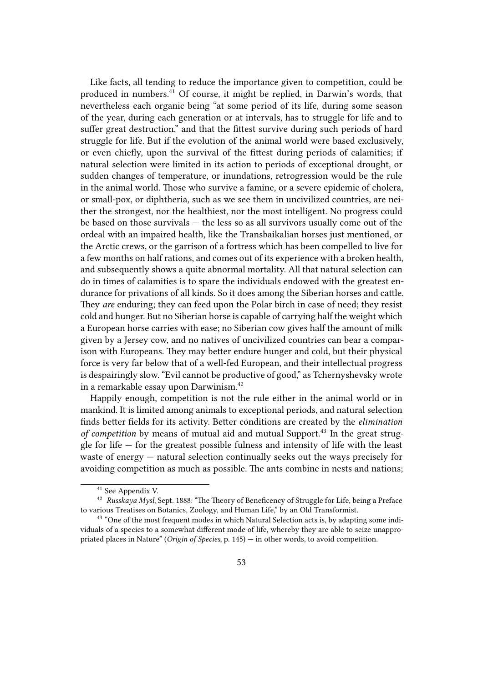Like facts, all tending to reduce the importance given to competition, could be produced in numbers.<sup>41</sup> Of course, it might be replied, in Darwin's words, that nevertheless each organic being "at some period of its life, during some season of the year, during each generation or at intervals, has to struggle for life and to suffer great destruction," and that the fittest survive during such periods of hard struggle for life. But if the evolution of the animal world were based exclusively, or even chiefly, upon the survival of the fittest during periods of calamities; if natural selection were limited in its action to periods of exceptional drought, or sudden changes of temperature, or inundations, retrogression would be the rule in the animal world. Those who survive a famine, or a severe epidemic of cholera, or small-pox, or diphtheria, such as we see them in uncivilized countries, are neither the strongest, nor the healthiest, nor the most intelligent. No progress could be based on those survivals — the less so as all survivors usually come out of the ordeal with an impaired health, like the Transbaikalian horses just mentioned, or the Arctic crews, or the garrison of a fortress which has been compelled to live for a few months on half rations, and comes out of its experience with a broken health, and subsequently shows a quite abnormal mortality. All that natural selection can do in times of calamities is to spare the individuals endowed with the greatest endurance for privations of all kinds. So it does among the Siberian horses and cattle. They *are* enduring; they can feed upon the Polar birch in case of need; they resist cold and hunger. But no Siberian horse is capable of carrying half the weight which a European horse carries with ease; no Siberian cow gives half the amount of milk given by a Jersey cow, and no natives of uncivilized countries can bear a comparison with Europeans. They may better endure hunger and cold, but their physical force is very far below that of a well-fed European, and their intellectual progress is despairingly slow. "Evil cannot be productive of good," as Tchernyshevsky wrote in a remarkable essay upon Darwinism.<sup>42</sup>

Happily enough, competition is not the rule either in the animal world or in mankind. It is limited among animals to exceptional periods, and natural selection finds better fields for its activity. Better conditions are created by the *elimination of competition* by means of mutual aid and mutual Support.<sup>43</sup> In the great struggle for life  $-$  for the greatest possible fulness and intensity of life with the least waste of energy — natural selection continually seeks out the ways precisely for avoiding competition as much as possible. The ants combine in nests and nations;

<sup>41</sup> See Appendix V.

<sup>42</sup> *Russkaya Mysl*, Sept. 1888: "The Theory of Beneficency of Struggle for Life, being a Preface to various Treatises on Botanics, Zoology, and Human Life," by an Old Transformist.

 $43$  "One of the most frequent modes in which Natural Selection acts is, by adapting some individuals of a species to a somewhat different mode of life, whereby they are able to seize unappropriated places in Nature" (*Origin of Species*, p. 145) — in other words, to avoid competition.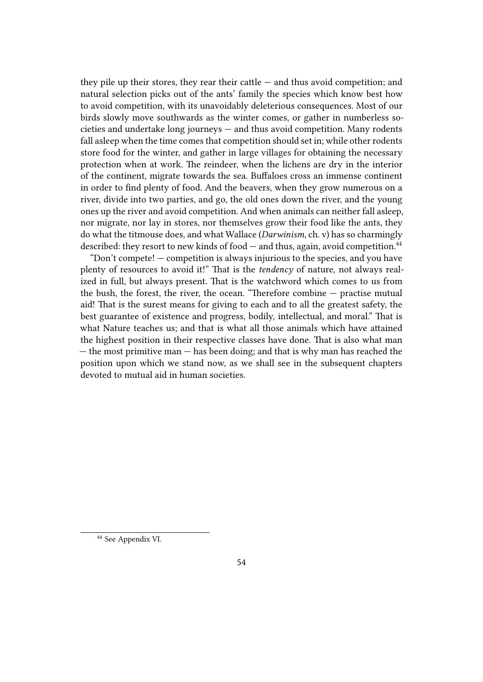they pile up their stores, they rear their cattle — and thus avoid competition; and natural selection picks out of the ants' family the species which know best how to avoid competition, with its unavoidably deleterious consequences. Most of our birds slowly move southwards as the winter comes, or gather in numberless societies and undertake long journeys — and thus avoid competition. Many rodents fall asleep when the time comes that competition should set in; while other rodents store food for the winter, and gather in large villages for obtaining the necessary protection when at work. The reindeer, when the lichens are dry in the interior of the continent, migrate towards the sea. Buffaloes cross an immense continent in order to find plenty of food. And the beavers, when they grow numerous on a river, divide into two parties, and go, the old ones down the river, and the young ones up the river and avoid competition. And when animals can neither fall asleep, nor migrate, nor lay in stores, nor themselves grow their food like the ants, they do what the titmouse does, and what Wallace (*Darwinism*, ch. v) has so charmingly described: they resort to new kinds of food  $-$  and thus, again, avoid competition.<sup>44</sup>

"Don't compete! — competition is always injurious to the species, and you have plenty of resources to avoid it!" That is the *tendency* of nature, not always realized in full, but always present. That is the watchword which comes to us from the bush, the forest, the river, the ocean. "Therefore combine — practise mutual aid! That is the surest means for giving to each and to all the greatest safety, the best guarantee of existence and progress, bodily, intellectual, and moral." That is what Nature teaches us; and that is what all those animals which have attained the highest position in their respective classes have done. That is also what man — the most primitive man — has been doing; and that is why man has reached the position upon which we stand now, as we shall see in the subsequent chapters devoted to mutual aid in human societies.

<sup>44</sup> See Appendix VI.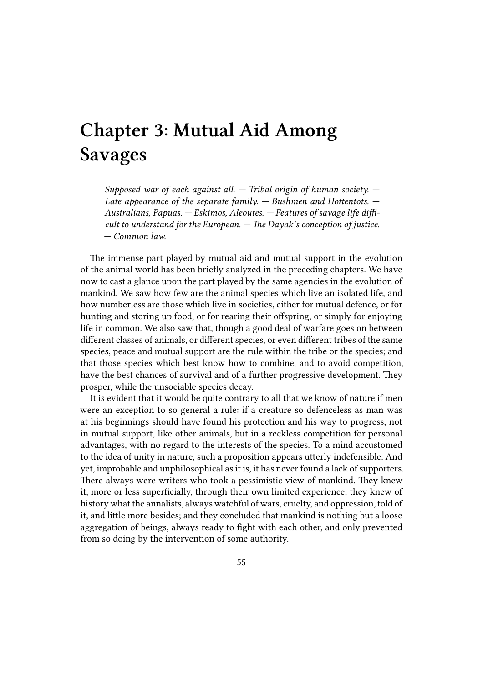## **Chapter 3: Mutual Aid Among Savages**

*Supposed war of each against all. — Tribal origin of human society. — Late appearance of the separate family. — Bushmen and Hottentots. — Australians, Papuas. — Eskimos, Aleoutes. — Features of savage life difficult to understand for the European. — The Dayak's conception of justice. — Common law.*

The immense part played by mutual aid and mutual support in the evolution of the animal world has been briefly analyzed in the preceding chapters. We have now to cast a glance upon the part played by the same agencies in the evolution of mankind. We saw how few are the animal species which live an isolated life, and how numberless are those which live in societies, either for mutual defence, or for hunting and storing up food, or for rearing their offspring, or simply for enjoying life in common. We also saw that, though a good deal of warfare goes on between different classes of animals, or different species, or even different tribes of the same species, peace and mutual support are the rule within the tribe or the species; and that those species which best know how to combine, and to avoid competition, have the best chances of survival and of a further progressive development. They prosper, while the unsociable species decay.

It is evident that it would be quite contrary to all that we know of nature if men were an exception to so general a rule: if a creature so defenceless as man was at his beginnings should have found his protection and his way to progress, not in mutual support, like other animals, but in a reckless competition for personal advantages, with no regard to the interests of the species. To a mind accustomed to the idea of unity in nature, such a proposition appears utterly indefensible. And yet, improbable and unphilosophical as it is, it has never found a lack of supporters. There always were writers who took a pessimistic view of mankind. They knew it, more or less superficially, through their own limited experience; they knew of history what the annalists, always watchful of wars, cruelty, and oppression, told of it, and little more besides; and they concluded that mankind is nothing but a loose aggregation of beings, always ready to fight with each other, and only prevented from so doing by the intervention of some authority.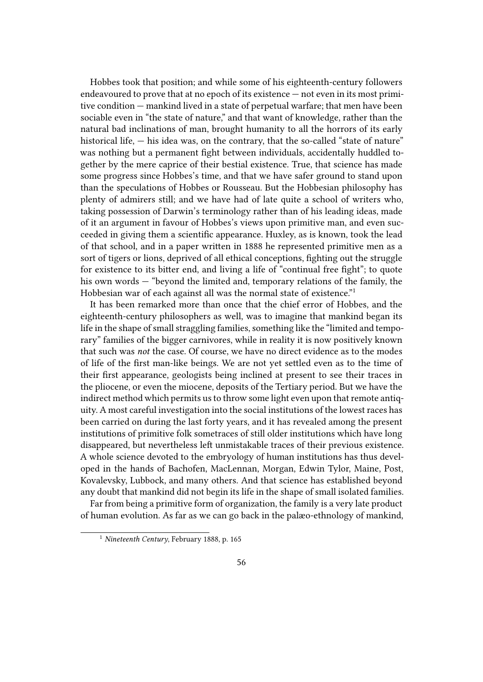Hobbes took that position; and while some of his eighteenth-century followers endeavoured to prove that at no epoch of its existence — not even in its most primitive condition — mankind lived in a state of perpetual warfare; that men have been sociable even in "the state of nature," and that want of knowledge, rather than the natural bad inclinations of man, brought humanity to all the horrors of its early historical life, — his idea was, on the contrary, that the so-called "state of nature" was nothing but a permanent fight between individuals, accidentally huddled together by the mere caprice of their bestial existence. True, that science has made some progress since Hobbes's time, and that we have safer ground to stand upon than the speculations of Hobbes or Rousseau. But the Hobbesian philosophy has plenty of admirers still; and we have had of late quite a school of writers who, taking possession of Darwin's terminology rather than of his leading ideas, made of it an argument in favour of Hobbes's views upon primitive man, and even succeeded in giving them a scientific appearance. Huxley, as is known, took the lead of that school, and in a paper written in 1888 he represented primitive men as a sort of tigers or lions, deprived of all ethical conceptions, fighting out the struggle for existence to its bitter end, and living a life of "continual free fight"; to quote his own words — "beyond the limited and, temporary relations of the family, the Hobbesian war of each against all was the normal state of existence."<sup>1</sup>

It has been remarked more than once that the chief error of Hobbes, and the eighteenth-century philosophers as well, was to imagine that mankind began its life in the shape of small straggling families, something like the "limited and temporary" families of the bigger carnivores, while in reality it is now positively known that such was *not* the case. Of course, we have no direct evidence as to the modes of life of the first man-like beings. We are not yet settled even as to the time of their first appearance, geologists being inclined at present to see their traces in the pliocene, or even the miocene, deposits of the Tertiary period. But we have the indirect method which permits us to throw some light even upon that remote antiquity. A most careful investigation into the social institutions of the lowest races has been carried on during the last forty years, and it has revealed among the present institutions of primitive folk sometraces of still older institutions which have long disappeared, but nevertheless left unmistakable traces of their previous existence. A whole science devoted to the embryology of human institutions has thus developed in the hands of Bachofen, MacLennan, Morgan, Edwin Tylor, Maine, Post, Kovalevsky, Lubbock, and many others. And that science has established beyond any doubt that mankind did not begin its life in the shape of small isolated families.

Far from being a primitive form of organization, the family is a very late product of human evolution. As far as we can go back in the palæo-ethnology of mankind,

<sup>1</sup> *Nineteenth Century*, February 1888, p. 165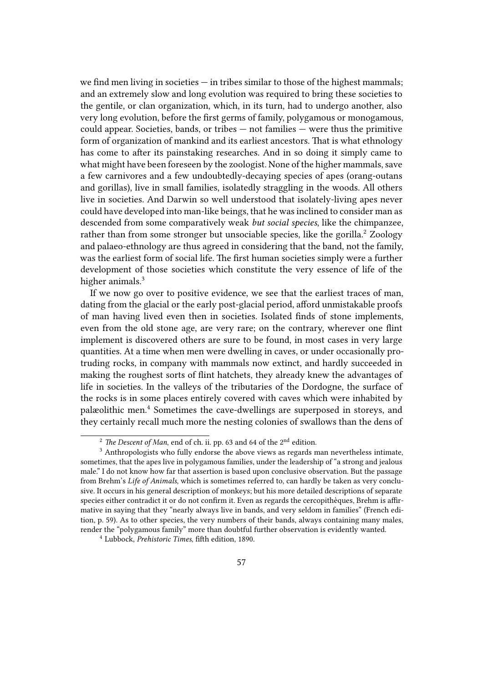we find men living in societies — in tribes similar to those of the highest mammals; and an extremely slow and long evolution was required to bring these societies to the gentile, or clan organization, which, in its turn, had to undergo another, also very long evolution, before the first germs of family, polygamous or monogamous, could appear. Societies, bands, or tribes  $-$  not families  $-$  were thus the primitive form of organization of mankind and its earliest ancestors. That is what ethnology has come to after its painstaking researches. And in so doing it simply came to what might have been foreseen by the zoologist. None of the higher mammals, save a few carnivores and a few undoubtedly-decaying species of apes (orang-outans and gorillas), live in small families, isolatedly straggling in the woods. All others live in societies. And Darwin so well understood that isolately-living apes never could have developed into man-like beings, that he was inclined to consider man as descended from some comparatively weak *but social species*, like the chimpanzee, rather than from some stronger but unsociable species, like the gorilla.<sup>2</sup> Zoology and palaeo-ethnology are thus agreed in considering that the band, not the family, was the earliest form of social life. The first human societies simply were a further development of those societies which constitute the very essence of life of the higher animals.<sup>3</sup>

If we now go over to positive evidence, we see that the earliest traces of man, dating from the glacial or the early post-glacial period, afford unmistakable proofs of man having lived even then in societies. Isolated finds of stone implements, even from the old stone age, are very rare; on the contrary, wherever one flint implement is discovered others are sure to be found, in most cases in very large quantities. At a time when men were dwelling in caves, or under occasionally protruding rocks, in company with mammals now extinct, and hardly succeeded in making the roughest sorts of flint hatchets, they already knew the advantages of life in societies. In the valleys of the tributaries of the Dordogne, the surface of the rocks is in some places entirely covered with caves which were inhabited by palæolithic men.<sup>4</sup> Sometimes the cave-dwellings are superposed in storeys, and they certainly recall much more the nesting colonies of swallows than the dens of

<sup>&</sup>lt;sup>2</sup> *The Descent of Man*, end of ch. ii. pp. 63 and 64 of the 2<sup>nd</sup> edition.

<sup>&</sup>lt;sup>3</sup> Anthropologists who fully endorse the above views as regards man nevertheless intimate, sometimes, that the apes live in polygamous families, under the leadership of "a strong and jealous male." I do not know how far that assertion is based upon conclusive observation. But the passage from Brehm's *Life of Animals*, which is sometimes referred to, can hardly be taken as very conclusive. It occurs in his general description of monkeys; but his more detailed descriptions of separate species either contradict it or do not confirm it. Even as regards the cercopithèques, Brehm is affirmative in saying that they "nearly always live in bands, and very seldom in families" (French edition, p. 59). As to other species, the very numbers of their bands, always containing many males, render the "polygamous family" more than doubtful further observation is evidently wanted.

<sup>4</sup> Lubbock, *Prehistoric Times*, fifth edition, 1890.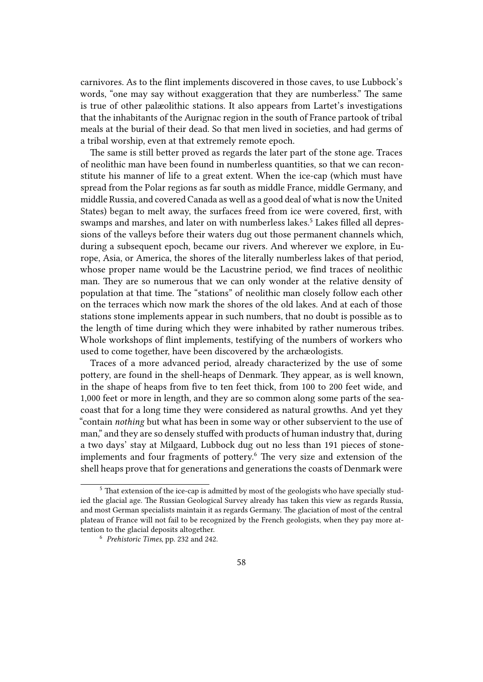carnivores. As to the flint implements discovered in those caves, to use Lubbock's words, "one may say without exaggeration that they are numberless." The same is true of other palæolithic stations. It also appears from Lartet's investigations that the inhabitants of the Aurignac region in the south of France partook of tribal meals at the burial of their dead. So that men lived in societies, and had germs of a tribal worship, even at that extremely remote epoch.

The same is still better proved as regards the later part of the stone age. Traces of neolithic man have been found in numberless quantities, so that we can reconstitute his manner of life to a great extent. When the ice-cap (which must have spread from the Polar regions as far south as middle France, middle Germany, and middle Russia, and covered Canada as well as a good deal of what is now the United States) began to melt away, the surfaces freed from ice were covered, first, with swamps and marshes, and later on with numberless lakes.<sup>5</sup> Lakes filled all depressions of the valleys before their waters dug out those permanent channels which, during a subsequent epoch, became our rivers. And wherever we explore, in Europe, Asia, or America, the shores of the literally numberless lakes of that period, whose proper name would be the Lacustrine period, we find traces of neolithic man. They are so numerous that we can only wonder at the relative density of population at that time. The "stations" of neolithic man closely follow each other on the terraces which now mark the shores of the old lakes. And at each of those stations stone implements appear in such numbers, that no doubt is possible as to the length of time during which they were inhabited by rather numerous tribes. Whole workshops of flint implements, testifying of the numbers of workers who used to come together, have been discovered by the archæologists.

Traces of a more advanced period, already characterized by the use of some pottery, are found in the shell-heaps of Denmark. They appear, as is well known, in the shape of heaps from five to ten feet thick, from 100 to 200 feet wide, and 1,000 feet or more in length, and they are so common along some parts of the seacoast that for a long time they were considered as natural growths. And yet they "contain *nothing* but what has been in some way or other subservient to the use of man," and they are so densely stuffed with products of human industry that, during a two days' stay at Milgaard, Lubbock dug out no less than 191 pieces of stoneimplements and four fragments of pottery.<sup>6</sup> The very size and extension of the shell heaps prove that for generations and generations the coasts of Denmark were

<sup>&</sup>lt;sup>5</sup> That extension of the ice-cap is admitted by most of the geologists who have specially studied the glacial age. The Russian Geological Survey already has taken this view as regards Russia, and most German specialists maintain it as regards Germany. The glaciation of most of the central plateau of France will not fail to be recognized by the French geologists, when they pay more attention to the glacial deposits altogether.

<sup>6</sup> *Prehistoric Times*, pp. 232 and 242.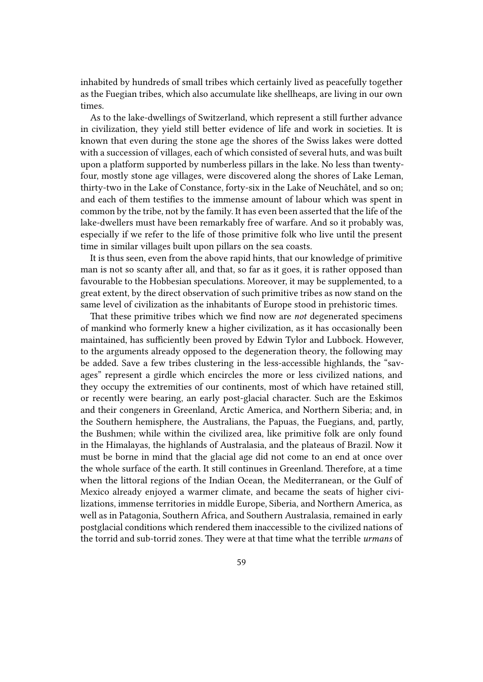inhabited by hundreds of small tribes which certainly lived as peacefully together as the Fuegian tribes, which also accumulate like shellheaps, are living in our own times.

As to the lake-dwellings of Switzerland, which represent a still further advance in civilization, they yield still better evidence of life and work in societies. It is known that even during the stone age the shores of the Swiss lakes were dotted with a succession of villages, each of which consisted of several huts, and was built upon a platform supported by numberless pillars in the lake. No less than twentyfour, mostly stone age villages, were discovered along the shores of Lake Leman, thirty-two in the Lake of Constance, forty-six in the Lake of Neuchâtel, and so on; and each of them testifies to the immense amount of labour which was spent in common by the tribe, not by the family. It has even been asserted that the life of the lake-dwellers must have been remarkably free of warfare. And so it probably was, especially if we refer to the life of those primitive folk who live until the present time in similar villages built upon pillars on the sea coasts.

It is thus seen, even from the above rapid hints, that our knowledge of primitive man is not so scanty after all, and that, so far as it goes, it is rather opposed than favourable to the Hobbesian speculations. Moreover, it may be supplemented, to a great extent, by the direct observation of such primitive tribes as now stand on the same level of civilization as the inhabitants of Europe stood in prehistoric times.

That these primitive tribes which we find now are *not* degenerated specimens of mankind who formerly knew a higher civilization, as it has occasionally been maintained, has sufficiently been proved by Edwin Tylor and Lubbock. However, to the arguments already opposed to the degeneration theory, the following may be added. Save a few tribes clustering in the less-accessible highlands, the "savages" represent a girdle which encircles the more or less civilized nations, and they occupy the extremities of our continents, most of which have retained still, or recently were bearing, an early post-glacial character. Such are the Eskimos and their congeners in Greenland, Arctic America, and Northern Siberia; and, in the Southern hemisphere, the Australians, the Papuas, the Fuegians, and, partly, the Bushmen; while within the civilized area, like primitive folk are only found in the Himalayas, the highlands of Australasia, and the plateaus of Brazil. Now it must be borne in mind that the glacial age did not come to an end at once over the whole surface of the earth. It still continues in Greenland. Therefore, at a time when the littoral regions of the Indian Ocean, the Mediterranean, or the Gulf of Mexico already enjoyed a warmer climate, and became the seats of higher civilizations, immense territories in middle Europe, Siberia, and Northern America, as well as in Patagonia, Southern Africa, and Southern Australasia, remained in early postglacial conditions which rendered them inaccessible to the civilized nations of the torrid and sub-torrid zones. They were at that time what the terrible *urmans* of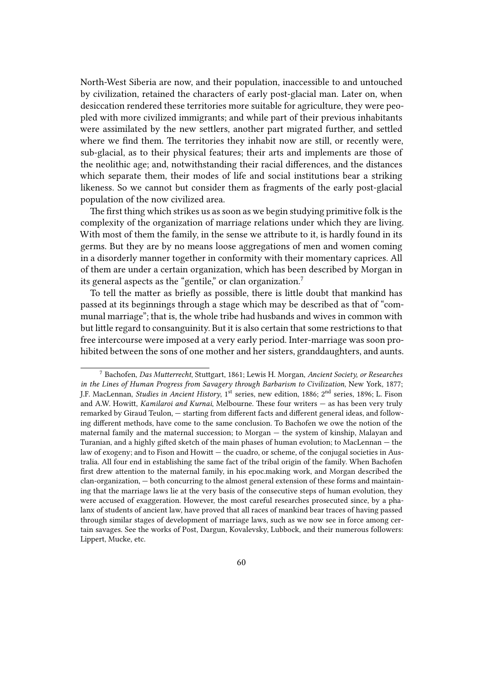North-West Siberia are now, and their population, inaccessible to and untouched by civilization, retained the characters of early post-glacial man. Later on, when desiccation rendered these territories more suitable for agriculture, they were peopled with more civilized immigrants; and while part of their previous inhabitants were assimilated by the new settlers, another part migrated further, and settled where we find them. The territories they inhabit now are still, or recently were, sub-glacial, as to their physical features; their arts and implements are those of the neolithic age; and, notwithstanding their racial differences, and the distances which separate them, their modes of life and social institutions bear a striking likeness. So we cannot but consider them as fragments of the early post-glacial population of the now civilized area.

The first thing which strikes us as soon as we begin studying primitive folk is the complexity of the organization of marriage relations under which they are living. With most of them the family, in the sense we attribute to it, is hardly found in its germs. But they are by no means loose aggregations of men and women coming in a disorderly manner together in conformity with their momentary caprices. All of them are under a certain organization, which has been described by Morgan in its general aspects as the "gentile," or clan organization.<sup>7</sup>

To tell the matter as briefly as possible, there is little doubt that mankind has passed at its beginnings through a stage which may be described as that of "communal marriage"; that is, the whole tribe had husbands and wives in common with but little regard to consanguinity. But it is also certain that some restrictions to that free intercourse were imposed at a very early period. Inter-marriage was soon prohibited between the sons of one mother and her sisters, granddaughters, and aunts.

<sup>7</sup> Bachofen, *Das Mutterrecht*, Stuttgart, 1861; Lewis H. Morgan, *Ancient Society, or Researches in the Lines of Human Progress from Savagery through Barbarism to Civilization*, New York, 1877; J.F. MacLennan, *Studies in Ancient History*, 1<sup>st</sup> series, new edition, 1886; 2<sup>nd</sup> series, 1896; L. Fison and A.W. Howitt, *Kamilaroi and Kurnai*, Melbourne. These four writers — as has been very truly remarked by Giraud Teulon, — starting from different facts and different general ideas, and following different methods, have come to the same conclusion. To Bachofen we owe the notion of the maternal family and the maternal succession; to Morgan — the system of kinship, Malayan and Turanian, and a highly gifted sketch of the main phases of human evolution; to MacLennan — the law of exogeny; and to Fison and Howitt — the cuadro, or scheme, of the conjugal societies in Australia. All four end in establishing the same fact of the tribal origin of the family. When Bachofen first drew attention to the maternal family, in his epoc.making work, and Morgan described the clan-organization, — both concurring to the almost general extension of these forms and maintaining that the marriage laws lie at the very basis of the consecutive steps of human evolution, they were accused of exaggeration. However, the most careful researches prosecuted since, by a phalanx of students of ancient law, have proved that all races of mankind bear traces of having passed through similar stages of development of marriage laws, such as we now see in force among certain savages. See the works of Post, Dargun, Kovalevsky, Lubbock, and their numerous followers: Lippert, Mucke, etc.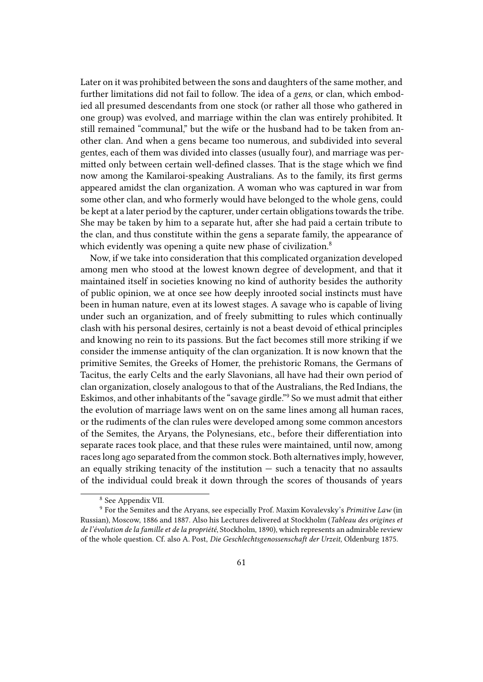Later on it was prohibited between the sons and daughters of the same mother, and further limitations did not fail to follow. The idea of a *gens*, or clan, which embodied all presumed descendants from one stock (or rather all those who gathered in one group) was evolved, and marriage within the clan was entirely prohibited. It still remained "communal," but the wife or the husband had to be taken from another clan. And when a gens became too numerous, and subdivided into several gentes, each of them was divided into classes (usually four), and marriage was permitted only between certain well-defined classes. That is the stage which we find now among the Kamilaroi-speaking Australians. As to the family, its first germs appeared amidst the clan organization. A woman who was captured in war from some other clan, and who formerly would have belonged to the whole gens, could be kept at a later period by the capturer, under certain obligations towards the tribe. She may be taken by him to a separate hut, after she had paid a certain tribute to the clan, and thus constitute within the gens a separate family, the appearance of which evidently was opening a quite new phase of civilization.<sup>8</sup>

Now, if we take into consideration that this complicated organization developed among men who stood at the lowest known degree of development, and that it maintained itself in societies knowing no kind of authority besides the authority of public opinion, we at once see how deeply inrooted social instincts must have been in human nature, even at its lowest stages. A savage who is capable of living under such an organization, and of freely submitting to rules which continually clash with his personal desires, certainly is not a beast devoid of ethical principles and knowing no rein to its passions. But the fact becomes still more striking if we consider the immense antiquity of the clan organization. It is now known that the primitive Semites, the Greeks of Homer, the prehistoric Romans, the Germans of Tacitus, the early Celts and the early Slavonians, all have had their own period of clan organization, closely analogous to that of the Australians, the Red Indians, the Eskimos, and other inhabitants of the "savage girdle."<sup>9</sup> So we must admit that either the evolution of marriage laws went on on the same lines among all human races, or the rudiments of the clan rules were developed among some common ancestors of the Semites, the Aryans, the Polynesians, etc., before their differentiation into separate races took place, and that these rules were maintained, until now, among races long ago separated from the common stock. Both alternatives imply, however, an equally striking tenacity of the institution  $-$  such a tenacity that no assaults of the individual could break it down through the scores of thousands of years

<sup>8</sup> See Appendix VII.

<sup>9</sup> For the Semites and the Aryans, see especially Prof. Maxim Kovalevsky's *Primitive Law* (in Russian), Moscow, 1886 and 1887. Also his Lectures delivered at Stockholm (*Tableau des origines et de l'évolution de la famille et de la propriété*, Stockholm, 1890), which represents an admirable review of the whole question. Cf. also A. Post, *Die Geschlechtsgenossenschaft der Urzeit*, Oldenburg 1875.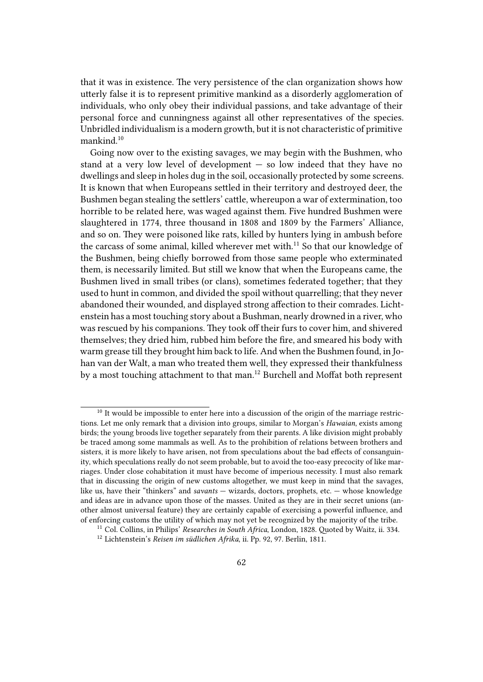that it was in existence. The very persistence of the clan organization shows how utterly false it is to represent primitive mankind as a disorderly agglomeration of individuals, who only obey their individual passions, and take advantage of their personal force and cunningness against all other representatives of the species. Unbridled individualism is a modern growth, but it is not characteristic of primitive mankind.<sup>10</sup>

Going now over to the existing savages, we may begin with the Bushmen, who stand at a very low level of development — so low indeed that they have no dwellings and sleep in holes dug in the soil, occasionally protected by some screens. It is known that when Europeans settled in their territory and destroyed deer, the Bushmen began stealing the settlers' cattle, whereupon a war of extermination, too horrible to be related here, was waged against them. Five hundred Bushmen were slaughtered in 1774, three thousand in 1808 and 1809 by the Farmers' Alliance, and so on. They were poisoned like rats, killed by hunters lying in ambush before the carcass of some animal, killed wherever met with.<sup>11</sup> So that our knowledge of the Bushmen, being chiefly borrowed from those same people who exterminated them, is necessarily limited. But still we know that when the Europeans came, the Bushmen lived in small tribes (or clans), sometimes federated together; that they used to hunt in common, and divided the spoil without quarrelling; that they never abandoned their wounded, and displayed strong affection to their comrades. Lichtenstein has a most touching story about a Bushman, nearly drowned in a river, who was rescued by his companions. They took off their furs to cover him, and shivered themselves; they dried him, rubbed him before the fire, and smeared his body with warm grease till they brought him back to life. And when the Bushmen found, in Johan van der Walt, a man who treated them well, they expressed their thankfulness by a most touching attachment to that man.<sup>12</sup> Burchell and Moffat both represent

<sup>&</sup>lt;sup>10</sup> It would be impossible to enter here into a discussion of the origin of the marriage restrictions. Let me only remark that a division into groups, similar to Morgan's *Hawaian*, exists among birds; the young broods live together separately from their parents. A like division might probably be traced among some mammals as well. As to the prohibition of relations between brothers and sisters, it is more likely to have arisen, not from speculations about the bad effects of consanguinity, which speculations really do not seem probable, but to avoid the too-easy precocity of like marriages. Under close cohabitation it must have become of imperious necessity. I must also remark that in discussing the origin of new customs altogether, we must keep in mind that the savages, like us, have their "thinkers" and *savants* — wizards, doctors, prophets, etc. — whose knowledge and ideas are in advance upon those of the masses. United as they are in their secret unions (another almost universal feature) they are certainly capable of exercising a powerful influence, and of enforcing customs the utility of which may not yet be recognized by the majority of the tribe.

<sup>11</sup> Col. Collins, in Philips' *Researches in South Africa*, London, 1828. Quoted by Waitz, ii. 334.

<sup>12</sup> Lichtenstein's *Reisen im südlichen Afrika*, ii. Pp. 92, 97. Berlin, 1811.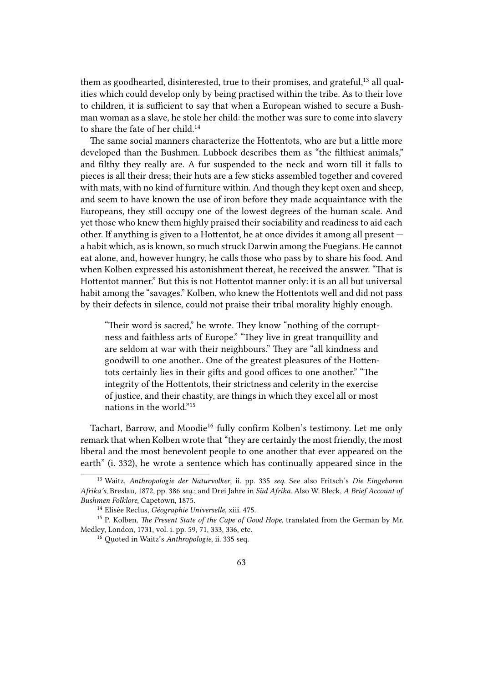them as goodhearted, disinterested, true to their promises, and grateful,<sup>13</sup> all qualities which could develop only by being practised within the tribe. As to their love to children, it is sufficient to say that when a European wished to secure a Bushman woman as a slave, he stole her child: the mother was sure to come into slavery to share the fate of her child.<sup>14</sup>

The same social manners characterize the Hottentots, who are but a little more developed than the Bushmen. Lubbock describes them as "the filthiest animals," and filthy they really are. A fur suspended to the neck and worn till it falls to pieces is all their dress; their huts are a few sticks assembled together and covered with mats, with no kind of furniture within. And though they kept oxen and sheep, and seem to have known the use of iron before they made acquaintance with the Europeans, they still occupy one of the lowest degrees of the human scale. And yet those who knew them highly praised their sociability and readiness to aid each other. If anything is given to a Hottentot, he at once divides it among all present a habit which, as is known, so much struck Darwin among the Fuegians. He cannot eat alone, and, however hungry, he calls those who pass by to share his food. And when Kolben expressed his astonishment thereat, he received the answer. "That is Hottentot manner." But this is not Hottentot manner only: it is an all but universal habit among the "savages." Kolben, who knew the Hottentots well and did not pass by their defects in silence, could not praise their tribal morality highly enough.

"Their word is sacred," he wrote. They know "nothing of the corruptness and faithless arts of Europe." "They live in great tranquillity and are seldom at war with their neighbours." They are "all kindness and goodwill to one another.. One of the greatest pleasures of the Hottentots certainly lies in their gifts and good offices to one another." "The integrity of the Hottentots, their strictness and celerity in the exercise of justice, and their chastity, are things in which they excel all or most nations in the world."<sup>15</sup>

Tachart, Barrow, and Moodie<sup>16</sup> fully confirm Kolben's testimony. Let me only remark that when Kolben wrote that "they are certainly the most friendly, the most liberal and the most benevolent people to one another that ever appeared on the earth" (i. 332), he wrote a sentence which has continually appeared since in the

<sup>13</sup> Waitz, *Anthropologie der Naturvolker*, ii. pp. 335 *seq*. See also Fritsch's *Die Eingeboren Afrika's*, Breslau, 1872, pp. 386 *seq*.; and Drei Jahre in *Süd Afrika*. Also W. Bleck, *A Brief Account of Bushmen Folklore*, Capetown, 1875.

<sup>14</sup> Elisée Reclus, *Géographie Universelle*, xiii. 475.

<sup>15</sup> P. Kolben, *The Present State of the Cape of Good Hope*, translated from the German by Mr. Medley, London, 1731, vol. i. pp. 59, 71, 333, 336, etc.

<sup>16</sup> Quoted in Waitz's *Anthropologie*, ii. 335 seq.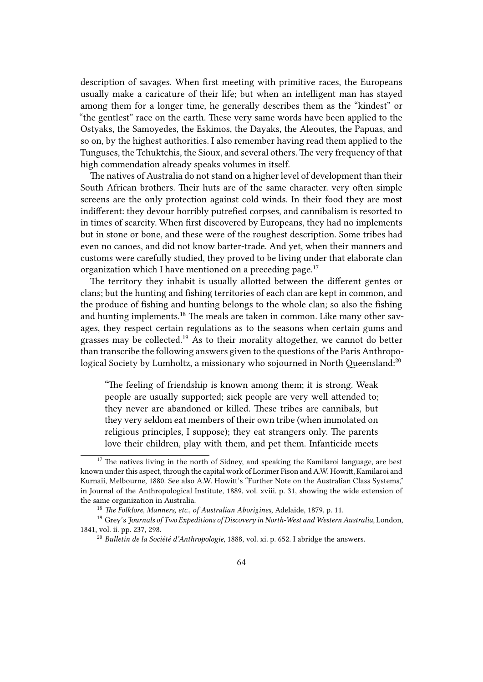description of savages. When first meeting with primitive races, the Europeans usually make a caricature of their life; but when an intelligent man has stayed among them for a longer time, he generally describes them as the "kindest" or "the gentlest" race on the earth. These very same words have been applied to the Ostyaks, the Samoyedes, the Eskimos, the Dayaks, the Aleoutes, the Papuas, and so on, by the highest authorities. I also remember having read them applied to the Tunguses, the Tchuktchis, the Sioux, and several others. The very frequency of that high commendation already speaks volumes in itself.

The natives of Australia do not stand on a higher level of development than their South African brothers. Their huts are of the same character. very often simple screens are the only protection against cold winds. In their food they are most indifferent: they devour horribly putrefied corpses, and cannibalism is resorted to in times of scarcity. When first discovered by Europeans, they had no implements but in stone or bone, and these were of the roughest description. Some tribes had even no canoes, and did not know barter-trade. And yet, when their manners and customs were carefully studied, they proved to be living under that elaborate clan organization which I have mentioned on a preceding page.<sup>17</sup>

The territory they inhabit is usually allotted between the different gentes or clans; but the hunting and fishing territories of each clan are kept in common, and the produce of fishing and hunting belongs to the whole clan; so also the fishing and hunting implements.<sup>18</sup> The meals are taken in common. Like many other savages, they respect certain regulations as to the seasons when certain gums and grasses may be collected.<sup>19</sup> As to their morality altogether, we cannot do better than transcribe the following answers given to the questions of the Paris Anthropological Society by Lumholtz, a missionary who sojourned in North Queensland:<sup>20</sup>

"The feeling of friendship is known among them; it is strong. Weak people are usually supported; sick people are very well attended to; they never are abandoned or killed. These tribes are cannibals, but they very seldom eat members of their own tribe (when immolated on religious principles, I suppose); they eat strangers only. The parents love their children, play with them, and pet them. Infanticide meets

<sup>&</sup>lt;sup>17</sup> The natives living in the north of Sidney, and speaking the Kamilaroi language, are best known under this aspect, through the capital work of Lorimer Fison and A.W. Howitt, Kamilaroi and Kurnaii, Melbourne, 1880. See also A.W. Howitt's "Further Note on the Australian Class Systems," in Journal of the Anthropological Institute, 1889, vol. xviii. p. 31, showing the wide extension of the same organization in Australia.

<sup>18</sup> *The Folklore, Manners, etc., of Australian Aborigines*, Adelaide, 1879, p. 11.

<sup>19</sup> Grey's *Journals of Two Expeditions of Discovery in North-West and Western Australia*, London, 1841, vol. ii. pp. 237, 298.

<sup>20</sup> *Bulletin de la Société d'Anthropologie*, 1888, vol. xi. p. 652. I abridge the answers.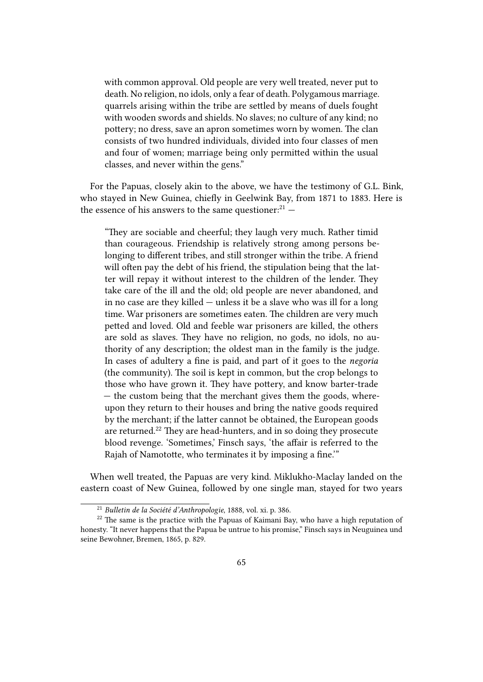with common approval. Old people are very well treated, never put to death. No religion, no idols, only a fear of death. Polygamous marriage. quarrels arising within the tribe are settled by means of duels fought with wooden swords and shields. No slaves; no culture of any kind; no pottery; no dress, save an apron sometimes worn by women. The clan consists of two hundred individuals, divided into four classes of men and four of women; marriage being only permitted within the usual classes, and never within the gens."

For the Papuas, closely akin to the above, we have the testimony of G.L. Bink, who stayed in New Guinea, chiefly in Geelwink Bay, from 1871 to 1883. Here is the essence of his answers to the same questioner: $21 -$ 

"They are sociable and cheerful; they laugh very much. Rather timid than courageous. Friendship is relatively strong among persons belonging to different tribes, and still stronger within the tribe. A friend will often pay the debt of his friend, the stipulation being that the latter will repay it without interest to the children of the lender. They take care of the ill and the old; old people are never abandoned, and in no case are they killed — unless it be a slave who was ill for a long time. War prisoners are sometimes eaten. The children are very much petted and loved. Old and feeble war prisoners are killed, the others are sold as slaves. They have no religion, no gods, no idols, no authority of any description; the oldest man in the family is the judge. In cases of adultery a fine is paid, and part of it goes to the *negoria* (the community). The soil is kept in common, but the crop belongs to those who have grown it. They have pottery, and know barter-trade — the custom being that the merchant gives them the goods, whereupon they return to their houses and bring the native goods required by the merchant; if the latter cannot be obtained, the European goods are returned.<sup>22</sup> They are head-hunters, and in so doing they prosecute blood revenge. 'Sometimes,' Finsch says, 'the affair is referred to the Rajah of Namototte, who terminates it by imposing a fine.'"

When well treated, the Papuas are very kind. Miklukho-Maclay landed on the eastern coast of New Guinea, followed by one single man, stayed for two years

<sup>21</sup> *Bulletin de la Société d'Anthropologie*, 1888, vol. xi. p. 386.

<sup>&</sup>lt;sup>22</sup> The same is the practice with the Papuas of Kaimani Bay, who have a high reputation of honesty. "It never happens that the Papua be untrue to his promise," Finsch says in Neuguinea und seine Bewohner, Bremen, 1865, p. 829.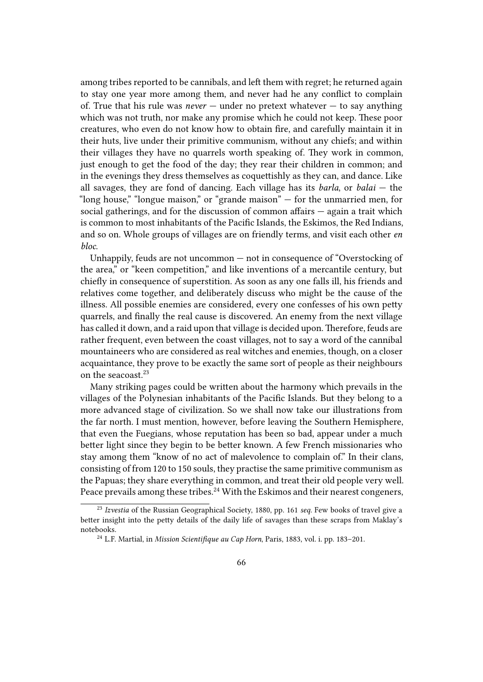among tribes reported to be cannibals, and left them with regret; he returned again to stay one year more among them, and never had he any conflict to complain of. True that his rule was *never* — under no pretext whatever — to say anything which was not truth, nor make any promise which he could not keep. These poor creatures, who even do not know how to obtain fire, and carefully maintain it in their huts, live under their primitive communism, without any chiefs; and within their villages they have no quarrels worth speaking of. They work in common, just enough to get the food of the day; they rear their children in common; and in the evenings they dress themselves as coquettishly as they can, and dance. Like all savages, they are fond of dancing. Each village has its *barla*, or *balai* — the "long house," "longue maison," or "grande maison" — for the unmarried men, for social gatherings, and for the discussion of common affairs — again a trait which is common to most inhabitants of the Pacific Islands, the Eskimos, the Red Indians, and so on. Whole groups of villages are on friendly terms, and visit each other *en bloc*.

Unhappily, feuds are not uncommon — not in consequence of "Overstocking of the area," or "keen competition," and like inventions of a mercantile century, but chiefly in consequence of superstition. As soon as any one falls ill, his friends and relatives come together, and deliberately discuss who might be the cause of the illness. All possible enemies are considered, every one confesses of his own petty quarrels, and finally the real cause is discovered. An enemy from the next village has called it down, and a raid upon that village is decided upon. Therefore, feuds are rather frequent, even between the coast villages, not to say a word of the cannibal mountaineers who are considered as real witches and enemies, though, on a closer acquaintance, they prove to be exactly the same sort of people as their neighbours on the seacoast.<sup>23</sup>

Many striking pages could be written about the harmony which prevails in the villages of the Polynesian inhabitants of the Pacific Islands. But they belong to a more advanced stage of civilization. So we shall now take our illustrations from the far north. I must mention, however, before leaving the Southern Hemisphere, that even the Fuegians, whose reputation has been so bad, appear under a much better light since they begin to be better known. A few French missionaries who stay among them "know of no act of malevolence to complain of." In their clans, consisting of from 120 to 150 souls, they practise the same primitive communism as the Papuas; they share everything in common, and treat their old people very well. Peace prevails among these tribes.<sup>24</sup> With the Eskimos and their nearest congeners,

<sup>23</sup> *Izvestia* of the Russian Geographical Society, 1880, pp. 161 *seq*. Few books of travel give a better insight into the petty details of the daily life of savages than these scraps from Maklay's notebooks.

<sup>24</sup> L.F. Martial, in *Mission Scientifique au Cap Horn*, Paris, 1883, vol. i. pp. 183–201.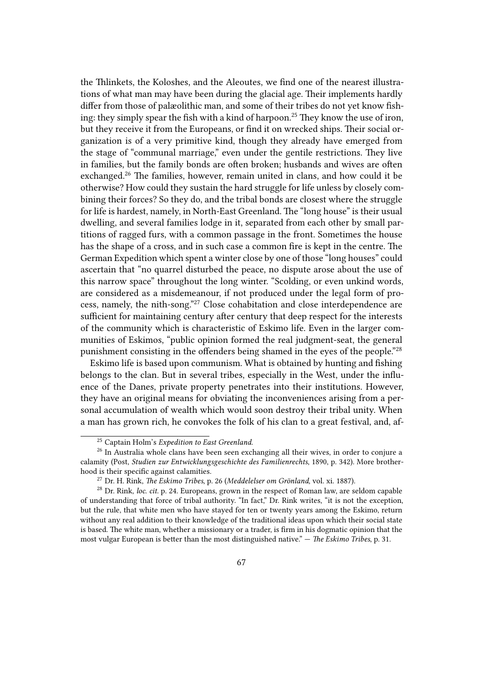the Thlinkets, the Koloshes, and the Aleoutes, we find one of the nearest illustrations of what man may have been during the glacial age. Their implements hardly differ from those of palæolithic man, and some of their tribes do not yet know fishing: they simply spear the fish with a kind of harpoon.<sup>25</sup> They know the use of iron, but they receive it from the Europeans, or find it on wrecked ships. Their social organization is of a very primitive kind, though they already have emerged from the stage of "communal marriage," even under the gentile restrictions. They live in families, but the family bonds are often broken; husbands and wives are often exchanged.<sup>26</sup> The families, however, remain united in clans, and how could it be otherwise? How could they sustain the hard struggle for life unless by closely combining their forces? So they do, and the tribal bonds are closest where the struggle for life is hardest, namely, in North-East Greenland. The "long house" is their usual dwelling, and several families lodge in it, separated from each other by small partitions of ragged furs, with a common passage in the front. Sometimes the house has the shape of a cross, and in such case a common fire is kept in the centre. The German Expedition which spent a winter close by one of those "long houses" could ascertain that "no quarrel disturbed the peace, no dispute arose about the use of this narrow space" throughout the long winter. "Scolding, or even unkind words, are considered as a misdemeanour, if not produced under the legal form of process, namely, the nith-song."<sup>27</sup> Close cohabitation and close interdependence are sufficient for maintaining century after century that deep respect for the interests of the community which is characteristic of Eskimo life. Even in the larger communities of Eskimos, "public opinion formed the real judgment-seat, the general punishment consisting in the offenders being shamed in the eyes of the people."<sup>28</sup>

Eskimo life is based upon communism. What is obtained by hunting and fishing belongs to the clan. But in several tribes, especially in the West, under the influence of the Danes, private property penetrates into their institutions. However, they have an original means for obviating the inconveniences arising from a personal accumulation of wealth which would soon destroy their tribal unity. When a man has grown rich, he convokes the folk of his clan to a great festival, and, af-

<sup>25</sup> Captain Holm's *Expedition to East Greenland*.

<sup>&</sup>lt;sup>26</sup> In Australia whole clans have been seen exchanging all their wives, in order to conjure a calamity (Post, *Studien zur Entwicklungsgeschichte des Familienrechts*, 1890, p. 342). More brotherhood is their specific against calamities.

<sup>27</sup> Dr. H. Rink, *The Eskimo Tribes*, p. 26 (*Meddelelser om Grönland*, vol. xi. 1887).

<sup>28</sup> Dr. Rink, *loc. cit.* p. 24. Europeans, grown in the respect of Roman law, are seldom capable of understanding that force of tribal authority. "In fact," Dr. Rink writes, "it is not the exception, but the rule, that white men who have stayed for ten or twenty years among the Eskimo, return without any real addition to their knowledge of the traditional ideas upon which their social state is based. The white man, whether a missionary or a trader, is firm in his dogmatic opinion that the most vulgar European is better than the most distinguished native." — *The Eskimo Tribes*, p. 31.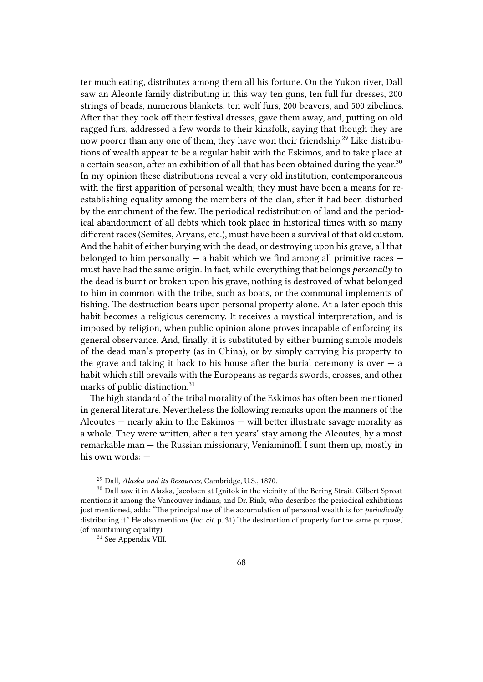ter much eating, distributes among them all his fortune. On the Yukon river, Dall saw an Aleonte family distributing in this way ten guns, ten full fur dresses, 200 strings of beads, numerous blankets, ten wolf furs, 200 beavers, and 500 zibelines. After that they took off their festival dresses, gave them away, and, putting on old ragged furs, addressed a few words to their kinsfolk, saying that though they are now poorer than any one of them, they have won their friendship.<sup>29</sup> Like distributions of wealth appear to be a regular habit with the Eskimos, and to take place at a certain season, after an exhibition of all that has been obtained during the year.<sup>30</sup> In my opinion these distributions reveal a very old institution, contemporaneous with the first apparition of personal wealth; they must have been a means for reestablishing equality among the members of the clan, after it had been disturbed by the enrichment of the few. The periodical redistribution of land and the periodical abandonment of all debts which took place in historical times with so many different races (Semites, Aryans, etc.), must have been a survival of that old custom. And the habit of either burying with the dead, or destroying upon his grave, all that belonged to him personally  $-$  a habit which we find among all primitive races  $$ must have had the same origin. In fact, while everything that belongs *personally* to the dead is burnt or broken upon his grave, nothing is destroyed of what belonged to him in common with the tribe, such as boats, or the communal implements of fishing. The destruction bears upon personal property alone. At a later epoch this habit becomes a religious ceremony. It receives a mystical interpretation, and is imposed by religion, when public opinion alone proves incapable of enforcing its general observance. And, finally, it is substituted by either burning simple models of the dead man's property (as in China), or by simply carrying his property to the grave and taking it back to his house after the burial ceremony is over  $-$  a habit which still prevails with the Europeans as regards swords, crosses, and other marks of public distinction.<sup>31</sup>

The high standard of the tribal morality of the Eskimos has often been mentioned in general literature. Nevertheless the following remarks upon the manners of the Aleoutes  $-$  nearly akin to the Eskimos  $-$  will better illustrate savage morality as a whole. They were written, after a ten years' stay among the Aleoutes, by a most remarkable man — the Russian missionary, Veniaminoff. I sum them up, mostly in his own words: —

<sup>29</sup> Dall, *Alaska and its Resources*, Cambridge, U.S., 1870.

<sup>&</sup>lt;sup>30</sup> Dall saw it in Alaska, Jacobsen at Ignitok in the vicinity of the Bering Strait. Gilbert Sproat mentions it among the Vancouver indians; and Dr. Rink, who describes the periodical exhibitions just mentioned, adds: "The principal use of the accumulation of personal wealth is for *periodically* distributing it." He also mentions (*loc. cit.* p. 31) "the destruction of property for the same purpose,' (of maintaining equality).

<sup>31</sup> See Appendix VIII.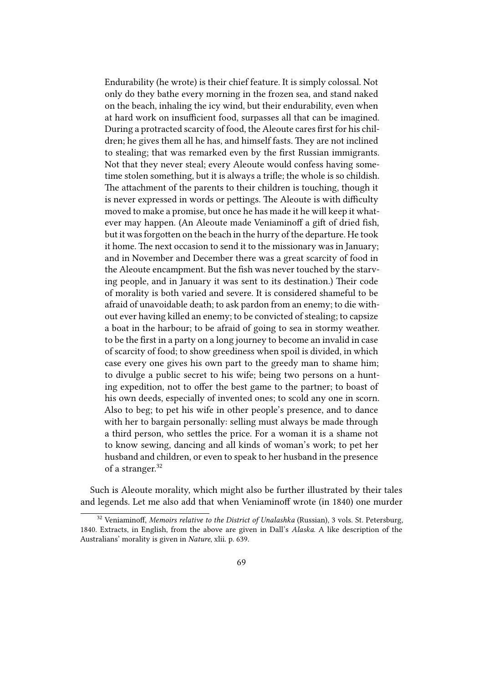Endurability (he wrote) is their chief feature. It is simply colossal. Not only do they bathe every morning in the frozen sea, and stand naked on the beach, inhaling the icy wind, but their endurability, even when at hard work on insufficient food, surpasses all that can be imagined. During a protracted scarcity of food, the Aleoute cares first for his children; he gives them all he has, and himself fasts. They are not inclined to stealing; that was remarked even by the first Russian immigrants. Not that they never steal; every Aleoute would confess having sometime stolen something, but it is always a trifle; the whole is so childish. The attachment of the parents to their children is touching, though it is never expressed in words or pettings. The Aleoute is with difficulty moved to make a promise, but once he has made it he will keep it whatever may happen. (An Aleoute made Veniaminoff a gift of dried fish, but it was forgotten on the beach in the hurry of the departure. He took it home. The next occasion to send it to the missionary was in January; and in November and December there was a great scarcity of food in the Aleoute encampment. But the fish was never touched by the starving people, and in January it was sent to its destination.) Their code of morality is both varied and severe. It is considered shameful to be afraid of unavoidable death; to ask pardon from an enemy; to die without ever having killed an enemy; to be convicted of stealing; to capsize a boat in the harbour; to be afraid of going to sea in stormy weather. to be the first in a party on a long journey to become an invalid in case of scarcity of food; to show greediness when spoil is divided, in which case every one gives his own part to the greedy man to shame him; to divulge a public secret to his wife; being two persons on a hunting expedition, not to offer the best game to the partner; to boast of his own deeds, especially of invented ones; to scold any one in scorn. Also to beg; to pet his wife in other people's presence, and to dance with her to bargain personally: selling must always be made through a third person, who settles the price. For a woman it is a shame not to know sewing, dancing and all kinds of woman's work; to pet her husband and children, or even to speak to her husband in the presence of a stranger.<sup>32</sup>

Such is Aleoute morality, which might also be further illustrated by their tales and legends. Let me also add that when Veniaminoff wrote (in 1840) one murder

<sup>32</sup> Veniaminoff, *Memoirs relative to the District of Unalashka* (Russian), 3 vols. St. Petersburg, 1840. Extracts, in English, from the above are given in Dall's *Alaska*. A like description of the Australians' morality is given in *Nature*, xlii. p. 639.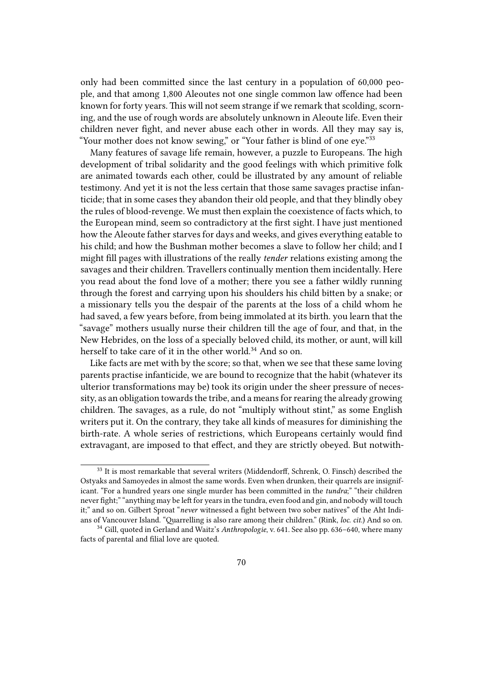only had been committed since the last century in a population of 60,000 people, and that among 1,800 Aleoutes not one single common law offence had been known for forty years. This will not seem strange if we remark that scolding, scorning, and the use of rough words are absolutely unknown in Aleoute life. Even their children never fight, and never abuse each other in words. All they may say is, "Your mother does not know sewing," or "Your father is blind of one eye."<sup>33</sup>

Many features of savage life remain, however, a puzzle to Europeans. The high development of tribal solidarity and the good feelings with which primitive folk are animated towards each other, could be illustrated by any amount of reliable testimony. And yet it is not the less certain that those same savages practise infanticide; that in some cases they abandon their old people, and that they blindly obey the rules of blood-revenge. We must then explain the coexistence of facts which, to the European mind, seem so contradictory at the first sight. I have just mentioned how the Aleoute father starves for days and weeks, and gives everything eatable to his child; and how the Bushman mother becomes a slave to follow her child; and I might fill pages with illustrations of the really *tender* relations existing among the savages and their children. Travellers continually mention them incidentally. Here you read about the fond love of a mother; there you see a father wildly running through the forest and carrying upon his shoulders his child bitten by a snake; or a missionary tells you the despair of the parents at the loss of a child whom he had saved, a few years before, from being immolated at its birth. you learn that the "savage" mothers usually nurse their children till the age of four, and that, in the New Hebrides, on the loss of a specially beloved child, its mother, or aunt, will kill herself to take care of it in the other world.<sup>34</sup> And so on.

Like facts are met with by the score; so that, when we see that these same loving parents practise infanticide, we are bound to recognize that the habit (whatever its ulterior transformations may be) took its origin under the sheer pressure of necessity, as an obligation towards the tribe, and a means for rearing the already growing children. The savages, as a rule, do not "multiply without stint," as some English writers put it. On the contrary, they take all kinds of measures for diminishing the birth-rate. A whole series of restrictions, which Europeans certainly would find extravagant, are imposed to that effect, and they are strictly obeyed. But notwith-

<sup>&</sup>lt;sup>33</sup> It is most remarkable that several writers (Middendorff, Schrenk, O. Finsch) described the Ostyaks and Samoyedes in almost the same words. Even when drunken, their quarrels are insignificant. "For a hundred years one single murder has been committed in the *tundra*;" "their children never fight;" "anything may be left for years in the tundra, even food and gin, and nobody will touch it;" and so on. Gilbert Sproat "*never* witnessed a fight between two sober natives" of the Aht Indians of Vancouver Island. "Quarrelling is also rare among their children." (Rink, *loc. cit.*) And so on.

<sup>34</sup> Gill, quoted in Gerland and Waitz's *Anthropologie*, v. 641. See also pp. 636–640, where many facts of parental and filial love are quoted.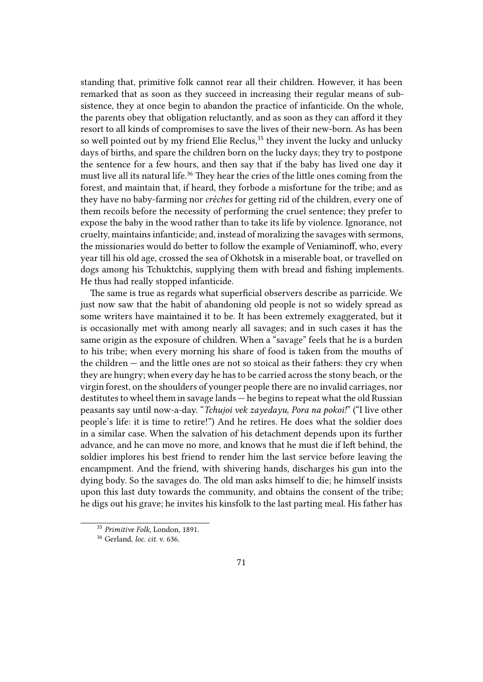standing that, primitive folk cannot rear all their children. However, it has been remarked that as soon as they succeed in increasing their regular means of subsistence, they at once begin to abandon the practice of infanticide. On the whole, the parents obey that obligation reluctantly, and as soon as they can afford it they resort to all kinds of compromises to save the lives of their new-born. As has been so well pointed out by my friend Elie Reclus,<sup>35</sup> they invent the lucky and unlucky days of births, and spare the children born on the lucky days; they try to postpone the sentence for a few hours, and then say that if the baby has lived one day it must live all its natural life.<sup>36</sup> They hear the cries of the little ones coming from the forest, and maintain that, if heard, they forbode a misfortune for the tribe; and as they have no baby-farming nor *crèches* for getting rid of the children, every one of them recoils before the necessity of performing the cruel sentence; they prefer to expose the baby in the wood rather than to take its life by violence. Ignorance, not cruelty, maintains infanticide; and, instead of moralizing the savages with sermons, the missionaries would do better to follow the example of Veniaminoff, who, every year till his old age, crossed the sea of Okhotsk in a miserable boat, or travelled on dogs among his Tchuktchis, supplying them with bread and fishing implements. He thus had really stopped infanticide.

The same is true as regards what superficial observers describe as parricide. We just now saw that the habit of abandoning old people is not so widely spread as some writers have maintained it to be. It has been extremely exaggerated, but it is occasionally met with among nearly all savages; and in such cases it has the same origin as the exposure of children. When a "savage" feels that he is a burden to his tribe; when every morning his share of food is taken from the mouths of the children — and the little ones are not so stoical as their fathers: they cry when they are hungry; when every day he has to be carried across the stony beach, or the virgin forest, on the shoulders of younger people there are no invalid carriages, nor destitutes to wheel them in savage lands — he begins to repeat what the old Russian peasants say until now-a-day. "*Tchujoi vek zayedayu, Pora na pokoi!*" ("I live other people's life: it is time to retire!") And he retires. He does what the soldier does in a similar case. When the salvation of his detachment depends upon its further advance, and he can move no more, and knows that he must die if left behind, the soldier implores his best friend to render him the last service before leaving the encampment. And the friend, with shivering hands, discharges his gun into the dying body. So the savages do. The old man asks himself to die; he himself insists upon this last duty towards the community, and obtains the consent of the tribe; he digs out his grave; he invites his kinsfolk to the last parting meal. His father has

<sup>35</sup> *Primitive Folk*, London, 1891.

<sup>36</sup> Gerland, *loc. cit.* v. 636.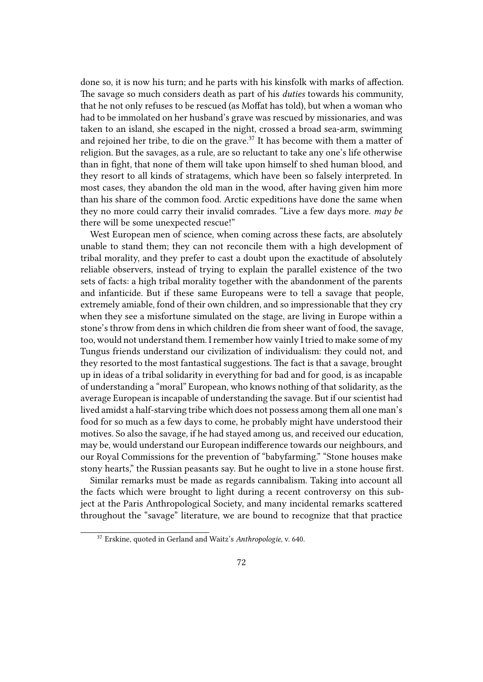done so, it is now his turn; and he parts with his kinsfolk with marks of affection. The savage so much considers death as part of his *duties* towards his community, that he not only refuses to be rescued (as Moffat has told), but when a woman who had to be immolated on her husband's grave was rescued by missionaries, and was taken to an island, she escaped in the night, crossed a broad sea-arm, swimming and rejoined her tribe, to die on the grave. $37$  It has become with them a matter of religion. But the savages, as a rule, are so reluctant to take any one's life otherwise than in fight, that none of them will take upon himself to shed human blood, and they resort to all kinds of stratagems, which have been so falsely interpreted. In most cases, they abandon the old man in the wood, after having given him more than his share of the common food. Arctic expeditions have done the same when they no more could carry their invalid comrades. "Live a few days more. *may be* there will be some unexpected rescue!"

West European men of science, when coming across these facts, are absolutely unable to stand them; they can not reconcile them with a high development of tribal morality, and they prefer to cast a doubt upon the exactitude of absolutely reliable observers, instead of trying to explain the parallel existence of the two sets of facts: a high tribal morality together with the abandonment of the parents and infanticide. But if these same Europeans were to tell a savage that people, extremely amiable, fond of their own children, and so impressionable that they cry when they see a misfortune simulated on the stage, are living in Europe within a stone's throw from dens in which children die from sheer want of food, the savage, too, would not understand them. I remember how vainly I tried to make some of my Tungus friends understand our civilization of individualism: they could not, and they resorted to the most fantastical suggestions. The fact is that a savage, brought up in ideas of a tribal solidarity in everything for bad and for good, is as incapable of understanding a "moral" European, who knows nothing of that solidarity, as the average European is incapable of understanding the savage. But if our scientist had lived amidst a half-starving tribe which does not possess among them all one man's food for so much as a few days to come, he probably might have understood their motives. So also the savage, if he had stayed among us, and received our education, may be, would understand our European indifference towards our neighbours, and our Royal Commissions for the prevention of "babyfarming." "Stone houses make stony hearts," the Russian peasants say. But he ought to live in a stone house first.

Similar remarks must be made as regards cannibalism. Taking into account all the facts which were brought to light during a recent controversy on this subject at the Paris Anthropological Society, and many incidental remarks scattered throughout the "savage" literature, we are bound to recognize that that practice

<sup>37</sup> Erskine, quoted in Gerland and Waitz's *Anthropologie*, v. 640.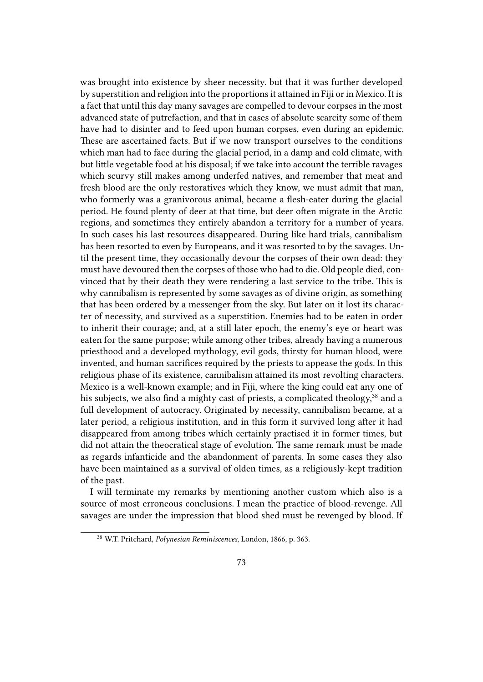was brought into existence by sheer necessity. but that it was further developed by superstition and religion into the proportions it attained in Fiji or in Mexico. It is a fact that until this day many savages are compelled to devour corpses in the most advanced state of putrefaction, and that in cases of absolute scarcity some of them have had to disinter and to feed upon human corpses, even during an epidemic. These are ascertained facts. But if we now transport ourselves to the conditions which man had to face during the glacial period, in a damp and cold climate, with but little vegetable food at his disposal; if we take into account the terrible ravages which scurvy still makes among underfed natives, and remember that meat and fresh blood are the only restoratives which they know, we must admit that man, who formerly was a granivorous animal, became a flesh-eater during the glacial period. He found plenty of deer at that time, but deer often migrate in the Arctic regions, and sometimes they entirely abandon a territory for a number of years. In such cases his last resources disappeared. During like hard trials, cannibalism has been resorted to even by Europeans, and it was resorted to by the savages. Until the present time, they occasionally devour the corpses of their own dead: they must have devoured then the corpses of those who had to die. Old people died, convinced that by their death they were rendering a last service to the tribe. This is why cannibalism is represented by some savages as of divine origin, as something that has been ordered by a messenger from the sky. But later on it lost its character of necessity, and survived as a superstition. Enemies had to be eaten in order to inherit their courage; and, at a still later epoch, the enemy's eye or heart was eaten for the same purpose; while among other tribes, already having a numerous priesthood and a developed mythology, evil gods, thirsty for human blood, were invented, and human sacrifices required by the priests to appease the gods. In this religious phase of its existence, cannibalism attained its most revolting characters. Mexico is a well-known example; and in Fiji, where the king could eat any one of his subjects, we also find a mighty cast of priests, a complicated theology,<sup>38</sup> and a full development of autocracy. Originated by necessity, cannibalism became, at a later period, a religious institution, and in this form it survived long after it had disappeared from among tribes which certainly practised it in former times, but did not attain the theocratical stage of evolution. The same remark must be made as regards infanticide and the abandonment of parents. In some cases they also have been maintained as a survival of olden times, as a religiously-kept tradition of the past.

I will terminate my remarks by mentioning another custom which also is a source of most erroneous conclusions. I mean the practice of blood-revenge. All savages are under the impression that blood shed must be revenged by blood. If

<sup>38</sup> W.T. Pritchard, *Polynesian Reminiscences*, London, 1866, p. 363.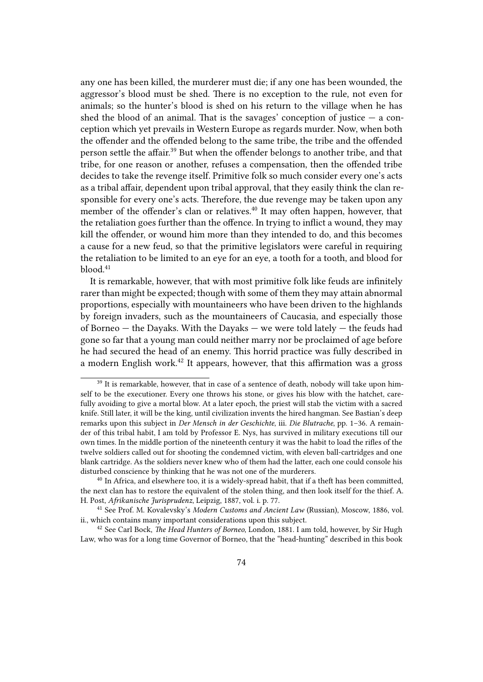any one has been killed, the murderer must die; if any one has been wounded, the aggressor's blood must be shed. There is no exception to the rule, not even for animals; so the hunter's blood is shed on his return to the village when he has shed the blood of an animal. That is the savages' conception of justice  $-$  a conception which yet prevails in Western Europe as regards murder. Now, when both the offender and the offended belong to the same tribe, the tribe and the offended person settle the affair.<sup>39</sup> But when the offender belongs to another tribe, and that tribe, for one reason or another, refuses a compensation, then the offended tribe decides to take the revenge itself. Primitive folk so much consider every one's acts as a tribal affair, dependent upon tribal approval, that they easily think the clan responsible for every one's acts. Therefore, the due revenge may be taken upon any member of the offender's clan or relatives.<sup>40</sup> It may often happen, however, that the retaliation goes further than the offence. In trying to inflict a wound, they may kill the offender, or wound him more than they intended to do, and this becomes a cause for a new feud, so that the primitive legislators were careful in requiring the retaliation to be limited to an eye for an eye, a tooth for a tooth, and blood for  $b$ lood. $41$ 

It is remarkable, however, that with most primitive folk like feuds are infinitely rarer than might be expected; though with some of them they may attain abnormal proportions, especially with mountaineers who have been driven to the highlands by foreign invaders, such as the mountaineers of Caucasia, and especially those of Borneo — the Dayaks. With the Dayaks — we were told lately — the feuds had gone so far that a young man could neither marry nor be proclaimed of age before he had secured the head of an enemy. This horrid practice was fully described in a modern English work.<sup>42</sup> It appears, however, that this affirmation was a gross

 $39$  It is remarkable, however, that in case of a sentence of death, nobody will take upon himself to be the executioner. Every one throws his stone, or gives his blow with the hatchet, carefully avoiding to give a mortal blow. At a later epoch, the priest will stab the victim with a sacred knife. Still later, it will be the king, until civilization invents the hired hangman. See Bastian's deep remarks upon this subject in *Der Mensch in der Geschichte*, iii. *Die Blutrache*, pp. 1–36. A remainder of this tribal habit, I am told by Professor E. Nys, has survived in military executions till our own times. In the middle portion of the nineteenth century it was the habit to load the rifles of the twelve soldiers called out for shooting the condemned victim, with eleven ball-cartridges and one blank cartridge. As the soldiers never knew who of them had the latter, each one could console his disturbed conscience by thinking that he was not one of the murderers.

<sup>40</sup> In Africa, and elsewhere too, it is a widely-spread habit, that if a theft has been committed, the next clan has to restore the equivalent of the stolen thing, and then look itself for the thief. A. H. Post, *Afrikanische Jurisprudenz*, Leipzig, 1887, vol. i. p. 77.

<sup>41</sup> See Prof. M. Kovalevsky's *Modern Customs and Ancient Law* (Russian), Moscow, 1886, vol. ii., which contains many important considerations upon this subject.

<sup>42</sup> See Carl Bock, *The Head Hunters of Borneo*, London, 1881. I am told, however, by Sir Hugh Law, who was for a long time Governor of Borneo, that the "head-hunting" described in this book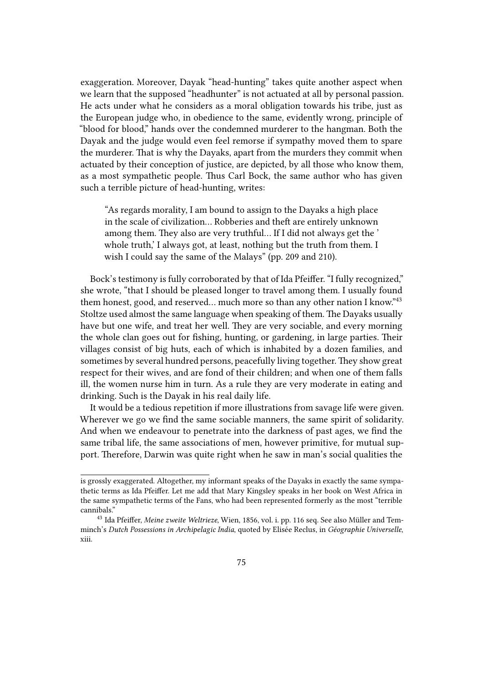exaggeration. Moreover, Dayak "head-hunting" takes quite another aspect when we learn that the supposed "headhunter" is not actuated at all by personal passion. He acts under what he considers as a moral obligation towards his tribe, just as the European judge who, in obedience to the same, evidently wrong, principle of "blood for blood," hands over the condemned murderer to the hangman. Both the Dayak and the judge would even feel remorse if sympathy moved them to spare the murderer. That is why the Dayaks, apart from the murders they commit when actuated by their conception of justice, are depicted, by all those who know them, as a most sympathetic people. Thus Carl Bock, the same author who has given such a terrible picture of head-hunting, writes:

"As regards morality, I am bound to assign to the Dayaks a high place in the scale of civilization… Robberies and theft are entirely unknown among them. They also are very truthful… If I did not always get the ' whole truth,' I always got, at least, nothing but the truth from them. I wish I could say the same of the Malays" (pp. 209 and 210).

Bock's testimony is fully corroborated by that of Ida Pfeiffer. "I fully recognized," she wrote, "that I should be pleased longer to travel among them. I usually found them honest, good, and reserved... much more so than any other nation I know."<sup>43</sup> Stoltze used almost the same language when speaking of them. The Dayaks usually have but one wife, and treat her well. They are very sociable, and every morning the whole clan goes out for fishing, hunting, or gardening, in large parties. Their villages consist of big huts, each of which is inhabited by a dozen families, and sometimes by several hundred persons, peacefully living together. They show great respect for their wives, and are fond of their children; and when one of them falls ill, the women nurse him in turn. As a rule they are very moderate in eating and drinking. Such is the Dayak in his real daily life.

It would be a tedious repetition if more illustrations from savage life were given. Wherever we go we find the same sociable manners, the same spirit of solidarity. And when we endeavour to penetrate into the darkness of past ages, we find the same tribal life, the same associations of men, however primitive, for mutual support. Therefore, Darwin was quite right when he saw in man's social qualities the

is grossly exaggerated. Altogether, my informant speaks of the Dayaks in exactly the same sympathetic terms as Ida Pfeiffer. Let me add that Mary Kingsley speaks in her book on West Africa in the same sympathetic terms of the Fans, who had been represented formerly as the most "terrible cannibals."

<sup>43</sup> Ida Pfeiffer, *Meine zweite Weltrieze*, Wien, 1856, vol. i. pp. 116 seq. See also Müller and Temminch's *Dutch Possessions in Archipelagic India*, quoted by Elisée Reclus, in *Géographie Universelle*, xiii.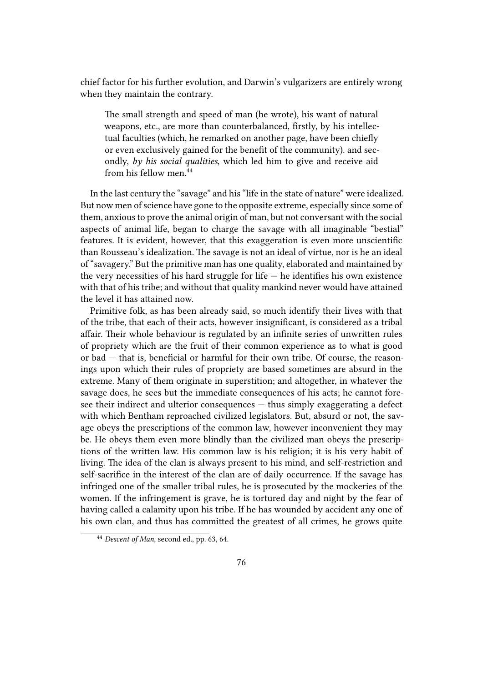chief factor for his further evolution, and Darwin's vulgarizers are entirely wrong when they maintain the contrary.

The small strength and speed of man (he wrote), his want of natural weapons, etc., are more than counterbalanced, firstly, by his intellectual faculties (which, he remarked on another page, have been chiefly or even exclusively gained for the benefit of the community). and secondly, *by his social qualities*, which led him to give and receive aid from his fellow men.<sup>44</sup>

In the last century the "savage" and his "life in the state of nature" were idealized. But now men of science have gone to the opposite extreme, especially since some of them, anxious to prove the animal origin of man, but not conversant with the social aspects of animal life, began to charge the savage with all imaginable "bestial" features. It is evident, however, that this exaggeration is even more unscientific than Rousseau's idealization. The savage is not an ideal of virtue, nor is he an ideal of "savagery." But the primitive man has one quality, elaborated and maintained by the very necessities of his hard struggle for life  $-$  he identifies his own existence with that of his tribe; and without that quality mankind never would have attained the level it has attained now.

Primitive folk, as has been already said, so much identify their lives with that of the tribe, that each of their acts, however insignificant, is considered as a tribal affair. Their whole behaviour is regulated by an infinite series of unwritten rules of propriety which are the fruit of their common experience as to what is good or bad — that is, beneficial or harmful for their own tribe. Of course, the reasonings upon which their rules of propriety are based sometimes are absurd in the extreme. Many of them originate in superstition; and altogether, in whatever the savage does, he sees but the immediate consequences of his acts; he cannot foresee their indirect and ulterior consequences — thus simply exaggerating a defect with which Bentham reproached civilized legislators. But, absurd or not, the savage obeys the prescriptions of the common law, however inconvenient they may be. He obeys them even more blindly than the civilized man obeys the prescriptions of the written law. His common law is his religion; it is his very habit of living. The idea of the clan is always present to his mind, and self-restriction and self-sacrifice in the interest of the clan are of daily occurrence. If the savage has infringed one of the smaller tribal rules, he is prosecuted by the mockeries of the women. If the infringement is grave, he is tortured day and night by the fear of having called a calamity upon his tribe. If he has wounded by accident any one of his own clan, and thus has committed the greatest of all crimes, he grows quite

<sup>44</sup> *Descent of Man*, second ed., pp. 63, 64.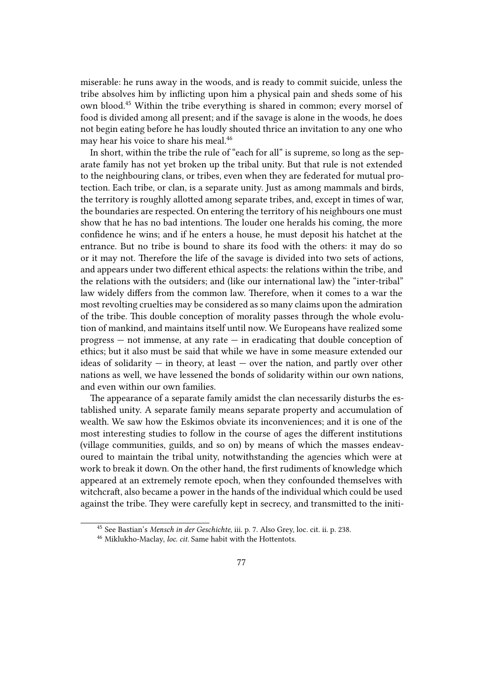miserable: he runs away in the woods, and is ready to commit suicide, unless the tribe absolves him by inflicting upon him a physical pain and sheds some of his own blood.<sup>45</sup> Within the tribe everything is shared in common; every morsel of food is divided among all present; and if the savage is alone in the woods, he does not begin eating before he has loudly shouted thrice an invitation to any one who may hear his voice to share his meal.<sup>46</sup>

In short, within the tribe the rule of "each for all" is supreme, so long as the separate family has not yet broken up the tribal unity. But that rule is not extended to the neighbouring clans, or tribes, even when they are federated for mutual protection. Each tribe, or clan, is a separate unity. Just as among mammals and birds, the territory is roughly allotted among separate tribes, and, except in times of war, the boundaries are respected. On entering the territory of his neighbours one must show that he has no bad intentions. The louder one heralds his coming, the more confidence he wins; and if he enters a house, he must deposit his hatchet at the entrance. But no tribe is bound to share its food with the others: it may do so or it may not. Therefore the life of the savage is divided into two sets of actions, and appears under two different ethical aspects: the relations within the tribe, and the relations with the outsiders; and (like our international law) the "inter-tribal" law widely differs from the common law. Therefore, when it comes to a war the most revolting cruelties may be considered as so many claims upon the admiration of the tribe. This double conception of morality passes through the whole evolution of mankind, and maintains itself until now. We Europeans have realized some progress  $-$  not immense, at any rate  $-$  in eradicating that double conception of ethics; but it also must be said that while we have in some measure extended our ideas of solidarity — in theory, at least — over the nation, and partly over other nations as well, we have lessened the bonds of solidarity within our own nations, and even within our own families.

The appearance of a separate family amidst the clan necessarily disturbs the established unity. A separate family means separate property and accumulation of wealth. We saw how the Eskimos obviate its inconveniences; and it is one of the most interesting studies to follow in the course of ages the different institutions (village communities, guilds, and so on) by means of which the masses endeavoured to maintain the tribal unity, notwithstanding the agencies which were at work to break it down. On the other hand, the first rudiments of knowledge which appeared at an extremely remote epoch, when they confounded themselves with witchcraft, also became a power in the hands of the individual which could be used against the tribe. They were carefully kept in secrecy, and transmitted to the initi-

<sup>45</sup> See Bastian's *Mensch in der Geschichte*, iii. p. 7. Also Grey, loc. cit. ii. p. 238.

<sup>46</sup> Miklukho-Maclay, *loc. cit.* Same habit with the Hottentots.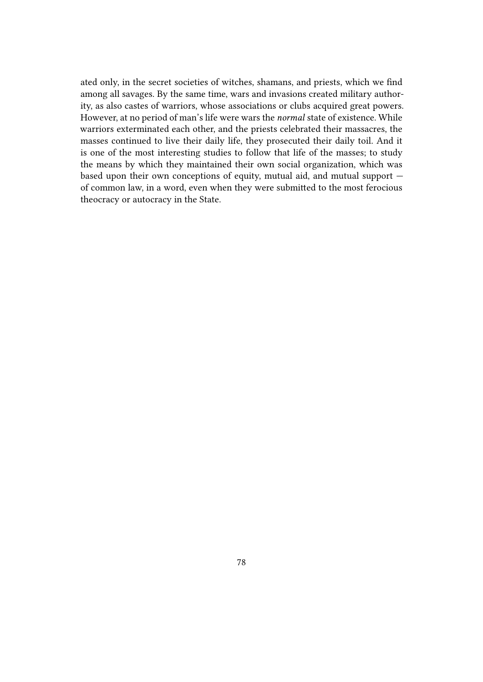ated only, in the secret societies of witches, shamans, and priests, which we find among all savages. By the same time, wars and invasions created military authority, as also castes of warriors, whose associations or clubs acquired great powers. However, at no period of man's life were wars the *normal* state of existence. While warriors exterminated each other, and the priests celebrated their massacres, the masses continued to live their daily life, they prosecuted their daily toil. And it is one of the most interesting studies to follow that life of the masses; to study the means by which they maintained their own social organization, which was based upon their own conceptions of equity, mutual aid, and mutual support of common law, in a word, even when they were submitted to the most ferocious theocracy or autocracy in the State.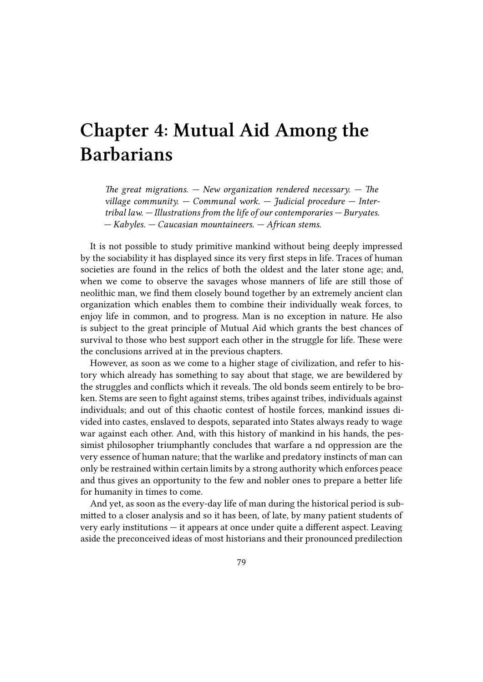## **Chapter 4: Mutual Aid Among the Barbarians**

*The great migrations. — New organization rendered necessary. — The village community. — Communal work. — Judicial procedure — Intertribal law. — Illustrations from the life of our contemporaries — Buryates. — Kabyles. — Caucasian mountaineers. — African stems.*

It is not possible to study primitive mankind without being deeply impressed by the sociability it has displayed since its very first steps in life. Traces of human societies are found in the relics of both the oldest and the later stone age; and, when we come to observe the savages whose manners of life are still those of neolithic man, we find them closely bound together by an extremely ancient clan organization which enables them to combine their individually weak forces, to enjoy life in common, and to progress. Man is no exception in nature. He also is subject to the great principle of Mutual Aid which grants the best chances of survival to those who best support each other in the struggle for life. These were the conclusions arrived at in the previous chapters.

However, as soon as we come to a higher stage of civilization, and refer to history which already has something to say about that stage, we are bewildered by the struggles and conflicts which it reveals. The old bonds seem entirely to be broken. Stems are seen to fight against stems, tribes against tribes, individuals against individuals; and out of this chaotic contest of hostile forces, mankind issues divided into castes, enslaved to despots, separated into States always ready to wage war against each other. And, with this history of mankind in his hands, the pessimist philosopher triumphantly concludes that warfare a nd oppression are the very essence of human nature; that the warlike and predatory instincts of man can only be restrained within certain limits by a strong authority which enforces peace and thus gives an opportunity to the few and nobler ones to prepare a better life for humanity in times to come.

And yet, as soon as the every-day life of man during the historical period is submitted to a closer analysis and so it has been, of late, by many patient students of very early institutions — it appears at once under quite a different aspect. Leaving aside the preconceived ideas of most historians and their pronounced predilection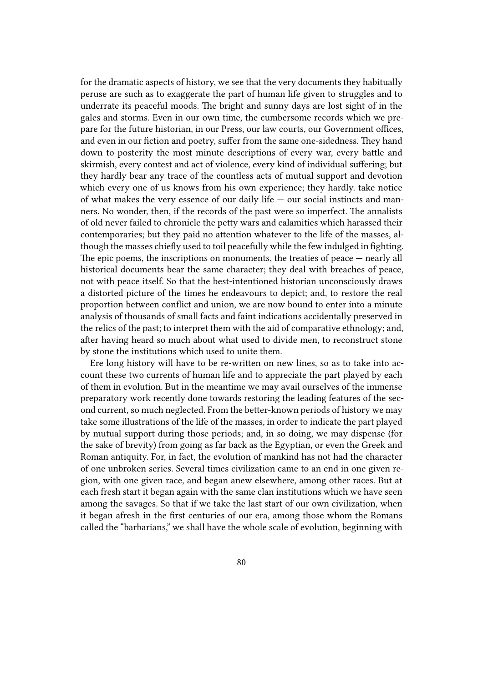for the dramatic aspects of history, we see that the very documents they habitually peruse are such as to exaggerate the part of human life given to struggles and to underrate its peaceful moods. The bright and sunny days are lost sight of in the gales and storms. Even in our own time, the cumbersome records which we prepare for the future historian, in our Press, our law courts, our Government offices, and even in our fiction and poetry, suffer from the same one-sidedness. They hand down to posterity the most minute descriptions of every war, every battle and skirmish, every contest and act of violence, every kind of individual suffering; but they hardly bear any trace of the countless acts of mutual support and devotion which every one of us knows from his own experience; they hardly. take notice of what makes the very essence of our daily life — our social instincts and manners. No wonder, then, if the records of the past were so imperfect. The annalists of old never failed to chronicle the petty wars and calamities which harassed their contemporaries; but they paid no attention whatever to the life of the masses, although the masses chiefly used to toil peacefully while the few indulged in fighting. The epic poems, the inscriptions on monuments, the treaties of peace — nearly all historical documents bear the same character; they deal with breaches of peace, not with peace itself. So that the best-intentioned historian unconsciously draws a distorted picture of the times he endeavours to depict; and, to restore the real proportion between conflict and union, we are now bound to enter into a minute analysis of thousands of small facts and faint indications accidentally preserved in the relics of the past; to interpret them with the aid of comparative ethnology; and, after having heard so much about what used to divide men, to reconstruct stone by stone the institutions which used to unite them.

Ere long history will have to be re-written on new lines, so as to take into account these two currents of human life and to appreciate the part played by each of them in evolution. But in the meantime we may avail ourselves of the immense preparatory work recently done towards restoring the leading features of the second current, so much neglected. From the better-known periods of history we may take some illustrations of the life of the masses, in order to indicate the part played by mutual support during those periods; and, in so doing, we may dispense (for the sake of brevity) from going as far back as the Egyptian, or even the Greek and Roman antiquity. For, in fact, the evolution of mankind has not had the character of one unbroken series. Several times civilization came to an end in one given region, with one given race, and began anew elsewhere, among other races. But at each fresh start it began again with the same clan institutions which we have seen among the savages. So that if we take the last start of our own civilization, when it began afresh in the first centuries of our era, among those whom the Romans called the "barbarians," we shall have the whole scale of evolution, beginning with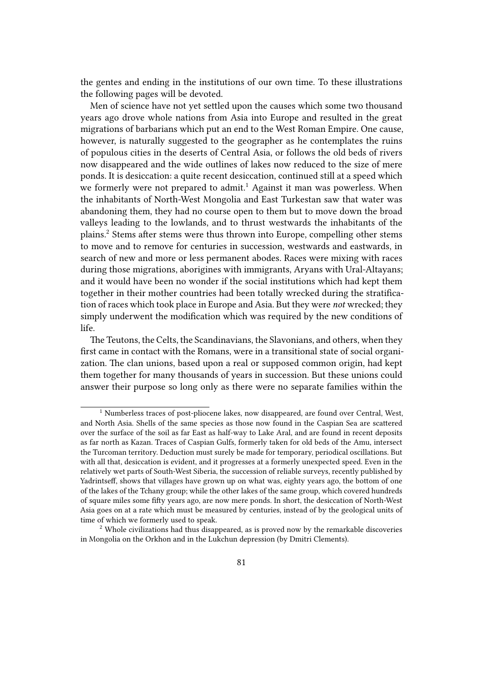the gentes and ending in the institutions of our own time. To these illustrations the following pages will be devoted.

Men of science have not yet settled upon the causes which some two thousand years ago drove whole nations from Asia into Europe and resulted in the great migrations of barbarians which put an end to the West Roman Empire. One cause, however, is naturally suggested to the geographer as he contemplates the ruins of populous cities in the deserts of Central Asia, or follows the old beds of rivers now disappeared and the wide outlines of lakes now reduced to the size of mere ponds. It is desiccation: a quite recent desiccation, continued still at a speed which we formerly were not prepared to admit.<sup>1</sup> Against it man was powerless. When the inhabitants of North-West Mongolia and East Turkestan saw that water was abandoning them, they had no course open to them but to move down the broad valleys leading to the lowlands, and to thrust westwards the inhabitants of the plains.<sup>2</sup> Stems after stems were thus thrown into Europe, compelling other stems to move and to remove for centuries in succession, westwards and eastwards, in search of new and more or less permanent abodes. Races were mixing with races during those migrations, aborigines with immigrants, Aryans with Ural-Altayans; and it would have been no wonder if the social institutions which had kept them together in their mother countries had been totally wrecked during the stratification of races which took place in Europe and Asia. But they were *not* wrecked; they simply underwent the modification which was required by the new conditions of life.

The Teutons, the Celts, the Scandinavians, the Slavonians, and others, when they first came in contact with the Romans, were in a transitional state of social organization. The clan unions, based upon a real or supposed common origin, had kept them together for many thousands of years in succession. But these unions could answer their purpose so long only as there were no separate families within the

<sup>&</sup>lt;sup>1</sup> Numberless traces of post-pliocene lakes, now disappeared, are found over Central, West, and North Asia. Shells of the same species as those now found in the Caspian Sea are scattered over the surface of the soil as far East as half-way to Lake Aral, and are found in recent deposits as far north as Kazan. Traces of Caspian Gulfs, formerly taken for old beds of the Amu, intersect the Turcoman territory. Deduction must surely be made for temporary, periodical oscillations. But with all that, desiccation is evident, and it progresses at a formerly unexpected speed. Even in the relatively wet parts of South-West Siberia, the succession of reliable surveys, recently published by Yadrintseff, shows that villages have grown up on what was, eighty years ago, the bottom of one of the lakes of the Tchany group; while the other lakes of the same group, which covered hundreds of square miles some fifty years ago, are now mere ponds. In short, the desiccation of North-West Asia goes on at a rate which must be measured by centuries, instead of by the geological units of time of which we formerly used to speak.

<sup>2</sup> Whole civilizations had thus disappeared, as is proved now by the remarkable discoveries in Mongolia on the Orkhon and in the Lukchun depression (by Dmitri Clements).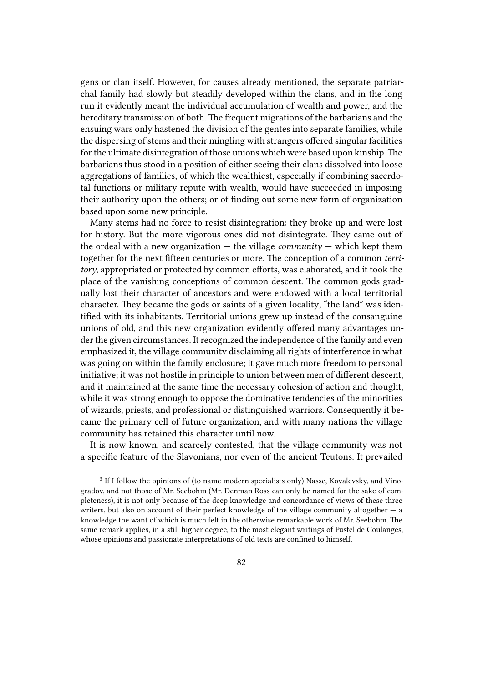gens or clan itself. However, for causes already mentioned, the separate patriarchal family had slowly but steadily developed within the clans, and in the long run it evidently meant the individual accumulation of wealth and power, and the hereditary transmission of both. The frequent migrations of the barbarians and the ensuing wars only hastened the division of the gentes into separate families, while the dispersing of stems and their mingling with strangers offered singular facilities for the ultimate disintegration of those unions which were based upon kinship. The barbarians thus stood in a position of either seeing their clans dissolved into loose aggregations of families, of which the wealthiest, especially if combining sacerdotal functions or military repute with wealth, would have succeeded in imposing their authority upon the others; or of finding out some new form of organization based upon some new principle.

Many stems had no force to resist disintegration: they broke up and were lost for history. But the more vigorous ones did not disintegrate. They came out of the ordeal with a new organization  $-$  the village *community*  $-$  which kept them together for the next fifteen centuries or more. The conception of a common *territory*, appropriated or protected by common efforts, was elaborated, and it took the place of the vanishing conceptions of common descent. The common gods gradually lost their character of ancestors and were endowed with a local territorial character. They became the gods or saints of a given locality; "the land" was identified with its inhabitants. Territorial unions grew up instead of the consanguine unions of old, and this new organization evidently offered many advantages under the given circumstances. It recognized the independence of the family and even emphasized it, the village community disclaiming all rights of interference in what was going on within the family enclosure; it gave much more freedom to personal initiative; it was not hostile in principle to union between men of different descent, and it maintained at the same time the necessary cohesion of action and thought, while it was strong enough to oppose the dominative tendencies of the minorities of wizards, priests, and professional or distinguished warriors. Consequently it became the primary cell of future organization, and with many nations the village community has retained this character until now.

It is now known, and scarcely contested, that the village community was not a specific feature of the Slavonians, nor even of the ancient Teutons. It prevailed

<sup>&</sup>lt;sup>3</sup> If I follow the opinions of (to name modern specialists only) Nasse, Kovalevsky, and Vinogradov, and not those of Mr. Seebohm (Mr. Denman Ross can only be named for the sake of completeness), it is not only because of the deep knowledge and concordance of views of these three writers, but also on account of their perfect knowledge of the village community altogether  $-$  a knowledge the want of which is much felt in the otherwise remarkable work of Mr. Seebohm. The same remark applies, in a still higher degree, to the most elegant writings of Fustel de Coulanges, whose opinions and passionate interpretations of old texts are confined to himself.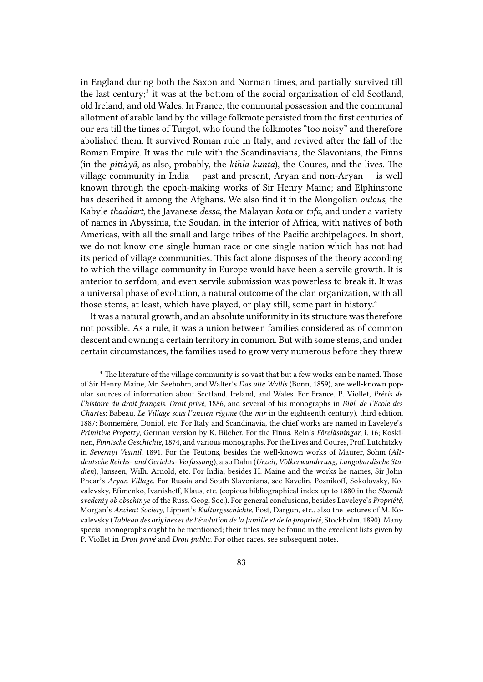in England during both the Saxon and Norman times, and partially survived till the last century;<sup>3</sup> it was at the bottom of the social organization of old Scotland, old Ireland, and old Wales. In France, the communal possession and the communal allotment of arable land by the village folkmote persisted from the first centuries of our era till the times of Turgot, who found the folkmotes "too noisy" and therefore abolished them. It survived Roman rule in Italy, and revived after the fall of the Roman Empire. It was the rule with the Scandinavians, the Slavonians, the Finns (in the *pittäyä*, as also, probably, the *kihla-kunta*), the Coures, and the lives. The village community in India — past and present, Aryan and non-Aryan — is well known through the epoch-making works of Sir Henry Maine; and Elphinstone has described it among the Afghans. We also find it in the Mongolian *oulous*, the Kabyle *thaddart*, the Javanese *dessa*, the Malayan *kota* or *tofa*, and under a variety of names in Abyssinia, the Soudan, in the interior of Africa, with natives of both Americas, with all the small and large tribes of the Pacific archipelagoes. In short, we do not know one single human race or one single nation which has not had its period of village communities. This fact alone disposes of the theory according to which the village community in Europe would have been a servile growth. It is anterior to serfdom, and even servile submission was powerless to break it. It was a universal phase of evolution, a natural outcome of the clan organization, with all those stems, at least, which have played, or play still, some part in history.<sup>4</sup>

It was a natural growth, and an absolute uniformity in its structure was therefore not possible. As a rule, it was a union between families considered as of common descent and owning a certain territory in common. But with some stems, and under certain circumstances, the families used to grow very numerous before they threw

<sup>4</sup> The literature of the village community is so vast that but a few works can be named. Those of Sir Henry Maine, Mr. Seebohm, and Walter's *Das alte Wallis* (Bonn, 1859), are well-known popular sources of information about Scotland, Ireland, and Wales. For France, P. Viollet, *Précis de l'histoire du droit français. Droit privé*, 1886, and several of his monographs in *Bibl. de l'Ecole des Chartes*; Babeau, *Le Village sous l'ancien régime* (the *mir* in the eighteenth century), third edition, 1887; Bonnemère, Doniol, etc. For Italy and Scandinavia, the chief works are named in Laveleye's *Primitive Property*, German version by K. Bücher. For the Finns, Rein's *Föreläsningar*, i. 16; Koskinen, *Finnische Geschichte,* 1874, and various monographs. For the Lives and Coures, Prof. Lutchitzky in *Severnyi Vestnil*, 1891. For the Teutons, besides the well-known works of Maurer, Sohm (*Altdeutsche Reichs- und Gerichts- Verfassung*), also Dahn (*Urzeit, Völkerwanderung, Langobardische Studien*), Janssen, Wilh. Arnold, etc. For India, besides H. Maine and the works he names, Sir John Phear's *Aryan Village*. For Russia and South Slavonians, see Kavelin, Posnikoff, Sokolovsky, Kovalevsky, Efimenko, Ivanisheff, Klaus, etc. (copious bibliographical index up to 1880 in the *Sbornik svedeniy ob obschinye* of the Russ. Geog. Soc.). For general conclusions, besides Laveleye's *Propriété*, Morgan's *Ancient Society*, Lippert's *Kulturgeschichte*, Post, Dargun, etc., also the lectures of M. Kovalevsky (*Tableau des origines et de l'évolution de la famille et de la propriété*, Stockholm, 1890). Many special monographs ought to be mentioned; their titles may be found in the excellent lists given by P. Viollet in *Droit privé* and *Droit public*. For other races, see subsequent notes.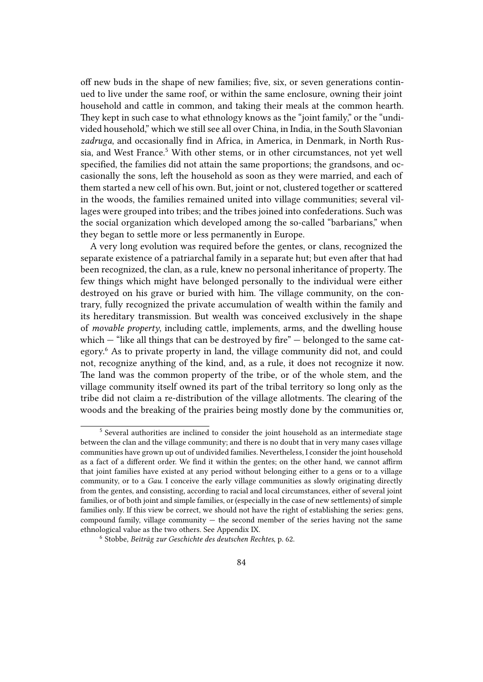off new buds in the shape of new families; five, six, or seven generations continued to live under the same roof, or within the same enclosure, owning their joint household and cattle in common, and taking their meals at the common hearth. They kept in such case to what ethnology knows as the "joint family," or the "undivided household," which we still see all over China, in India, in the South Slavonian *zadruga*, and occasionally find in Africa, in America, in Denmark, in North Russia, and West France.<sup>5</sup> With other stems, or in other circumstances, not yet well specified, the families did not attain the same proportions; the grandsons, and occasionally the sons, left the household as soon as they were married, and each of them started a new cell of his own. But, joint or not, clustered together or scattered in the woods, the families remained united into village communities; several villages were grouped into tribes; and the tribes joined into confederations. Such was the social organization which developed among the so-called "barbarians," when they began to settle more or less permanently in Europe.

A very long evolution was required before the gentes, or clans, recognized the separate existence of a patriarchal family in a separate hut; but even after that had been recognized, the clan, as a rule, knew no personal inheritance of property. The few things which might have belonged personally to the individual were either destroyed on his grave or buried with him. The village community, on the contrary, fully recognized the private accumulation of wealth within the family and its hereditary transmission. But wealth was conceived exclusively in the shape of *movable property*, including cattle, implements, arms, and the dwelling house which – "like all things that can be destroyed by fire" – belonged to the same category.<sup>6</sup> As to private property in land, the village community did not, and could not, recognize anything of the kind, and, as a rule, it does not recognize it now. The land was the common property of the tribe, or of the whole stem, and the village community itself owned its part of the tribal territory so long only as the tribe did not claim a re-distribution of the village allotments. The clearing of the woods and the breaking of the prairies being mostly done by the communities or,

<sup>5</sup> Several authorities are inclined to consider the joint household as an intermediate stage between the clan and the village community; and there is no doubt that in very many cases village communities have grown up out of undivided families. Nevertheless, I consider the joint household as a fact of a different order. We find it within the gentes; on the other hand, we cannot affirm that joint families have existed at any period without belonging either to a gens or to a village community, or to a *Gau*. I conceive the early village communities as slowly originating directly from the gentes, and consisting, according to racial and local circumstances, either of several joint families, or of both joint and simple families, or (especially in the case of new settlements) of simple families only. If this view be correct, we should not have the right of establishing the series: gens, compound family, village community  $-$  the second member of the series having not the same ethnological value as the two others. See Appendix IX.

<sup>6</sup> Stobbe, *Beiträg zur Geschichte des deutschen Rechtes*, p. 62.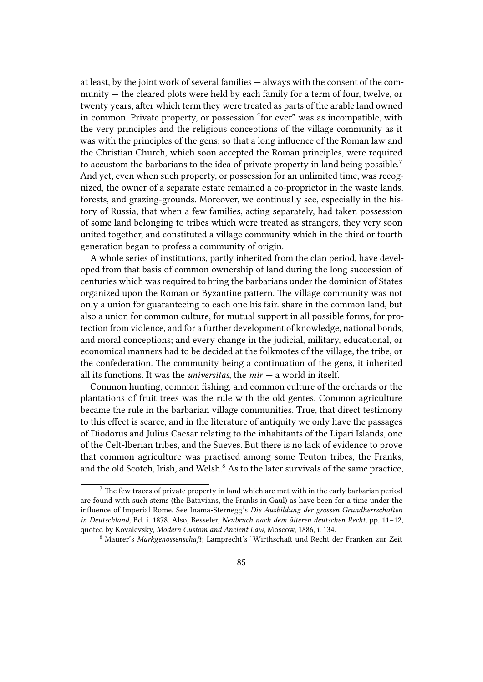at least, by the joint work of several families — always with the consent of the community — the cleared plots were held by each family for a term of four, twelve, or twenty years, after which term they were treated as parts of the arable land owned in common. Private property, or possession "for ever" was as incompatible, with the very principles and the religious conceptions of the village community as it was with the principles of the gens; so that a long influence of the Roman law and the Christian Church, which soon accepted the Roman principles, were required to accustom the barbarians to the idea of private property in land being possible.<sup>7</sup> And yet, even when such property, or possession for an unlimited time, was recognized, the owner of a separate estate remained a co-proprietor in the waste lands, forests, and grazing-grounds. Moreover, we continually see, especially in the history of Russia, that when a few families, acting separately, had taken possession of some land belonging to tribes which were treated as strangers, they very soon united together, and constituted a village community which in the third or fourth generation began to profess a community of origin.

A whole series of institutions, partly inherited from the clan period, have developed from that basis of common ownership of land during the long succession of centuries which was required to bring the barbarians under the dominion of States organized upon the Roman or Byzantine pattern. The village community was not only a union for guaranteeing to each one his fair. share in the common land, but also a union for common culture, for mutual support in all possible forms, for protection from violence, and for a further development of knowledge, national bonds, and moral conceptions; and every change in the judicial, military, educational, or economical manners had to be decided at the folkmotes of the village, the tribe, or the confederation. The community being a continuation of the gens, it inherited all its functions. It was the *universitas*, the *mir* — a world in itself.

Common hunting, common fishing, and common culture of the orchards or the plantations of fruit trees was the rule with the old gentes. Common agriculture became the rule in the barbarian village communities. True, that direct testimony to this effect is scarce, and in the literature of antiquity we only have the passages of Diodorus and Julius Caesar relating to the inhabitants of the Lipari Islands, one of the Celt-Iberian tribes, and the Sueves. But there is no lack of evidence to prove that common agriculture was practised among some Teuton tribes, the Franks, and the old Scotch, Irish, and Welsh.<sup>8</sup> As to the later survivals of the same practice,

 $<sup>7</sup>$  The few traces of private property in land which are met with in the early barbarian period</sup> are found with such stems (the Batavians, the Franks in Gaul) as have been for a time under the influence of Imperial Rome. See Inama-Sternegg's *Die Ausbildung der grossen Grundherrschaften in Deutschland*, Bd. i. 1878. Also, Besseler, *Neubruch nach dem älteren deutschen Recht*, pp. 11–12, quoted by Kovalevsky, *Modern Custom and Ancient Law*, Moscow, 1886, i. 134.

<sup>8</sup> Maurer's *Markgenossenschaft*; Lamprecht's "Wirthschaft und Recht der Franken zur Zeit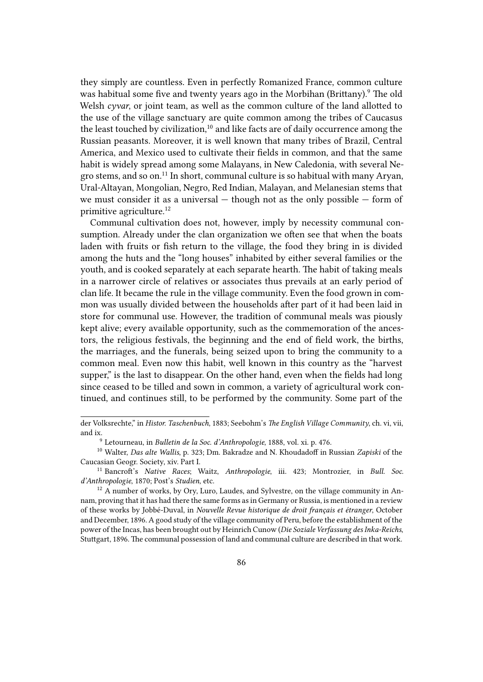they simply are countless. Even in perfectly Romanized France, common culture was habitual some five and twenty years ago in the Morbihan (Brittany).<sup>9</sup> The old Welsh *cyvar*, or joint team, as well as the common culture of the land allotted to the use of the village sanctuary are quite common among the tribes of Caucasus the least touched by civilization, $10$  and like facts are of daily occurrence among the Russian peasants. Moreover, it is well known that many tribes of Brazil, Central America, and Mexico used to cultivate their fields in common, and that the same habit is widely spread among some Malayans, in New Caledonia, with several Negro stems, and so on.<sup>11</sup> In short, communal culture is so habitual with many Aryan, Ural-Altayan, Mongolian, Negro, Red Indian, Malayan, and Melanesian stems that we must consider it as a universal  $-$  though not as the only possible  $-$  form of primitive agriculture.<sup>12</sup>

Communal cultivation does not, however, imply by necessity communal consumption. Already under the clan organization we often see that when the boats laden with fruits or fish return to the village, the food they bring in is divided among the huts and the "long houses" inhabited by either several families or the youth, and is cooked separately at each separate hearth. The habit of taking meals in a narrower circle of relatives or associates thus prevails at an early period of clan life. It became the rule in the village community. Even the food grown in common was usually divided between the households after part of it had been laid in store for communal use. However, the tradition of communal meals was piously kept alive; every available opportunity, such as the commemoration of the ancestors, the religious festivals, the beginning and the end of field work, the births, the marriages, and the funerals, being seized upon to bring the community to a common meal. Even now this habit, well known in this country as the "harvest supper," is the last to disappear. On the other hand, even when the fields had long since ceased to be tilled and sown in common, a variety of agricultural work continued, and continues still, to be performed by the community. Some part of the

der Volksrechte," in *Histor. Taschenbuch*, 1883; Seebohm's *The English Village Community*, ch. vi, vii, and ix.

<sup>9</sup> Letourneau, in *Bulletin de la Soc. d'Anthropologie*, 1888, vol. xi. p. 476.

<sup>10</sup> Walter, *Das alte Wallis*, p. 323; Dm. Bakradze and N. Khoudadoff in Russian *Zapiski* of the Caucasian Geogr. Society, xiv. Part I.

<sup>11</sup> Bancroft's *Native Races*; Waitz, *Anthropologie*, iii. 423; Montrozier, in *Bull. Soc. d'Anthropologie*, 1870; Post's *Studien*, etc.

 $12$  A number of works, by Ory, Luro, Laudes, and Sylvestre, on the village community in Annam, proving that it has had there the same forms as in Germany or Russia, is mentioned in a review of these works by Jobbé-Duval, in *Nouvelle Revue historique de droit français et étranger*, October and December, 1896. A good study of the village community of Peru, before the establishment of the power of the Incas, has been brought out by Heinrich Cunow (*Die Soziale Verfassung des Inka-Reichs*, Stuttgart, 1896. The communal possession of land and communal culture are described in that work.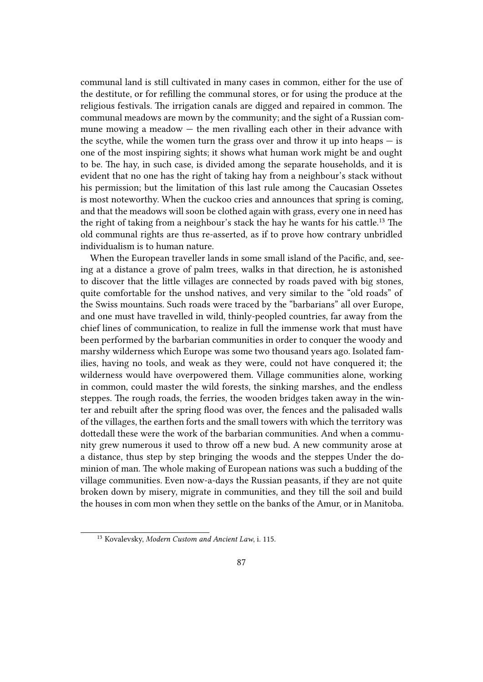communal land is still cultivated in many cases in common, either for the use of the destitute, or for refilling the communal stores, or for using the produce at the religious festivals. The irrigation canals are digged and repaired in common. The communal meadows are mown by the community; and the sight of a Russian commune mowing a meadow  $-$  the men rivalling each other in their advance with the scythe, while the women turn the grass over and throw it up into heaps  $-$  is one of the most inspiring sights; it shows what human work might be and ought to be. The hay, in such case, is divided among the separate households, and it is evident that no one has the right of taking hay from a neighbour's stack without his permission; but the limitation of this last rule among the Caucasian Ossetes is most noteworthy. When the cuckoo cries and announces that spring is coming, and that the meadows will soon be clothed again with grass, every one in need has the right of taking from a neighbour's stack the hay he wants for his cattle.<sup>13</sup> The old communal rights are thus re-asserted, as if to prove how contrary unbridled individualism is to human nature.

When the European traveller lands in some small island of the Pacific, and, seeing at a distance a grove of palm trees, walks in that direction, he is astonished to discover that the little villages are connected by roads paved with big stones, quite comfortable for the unshod natives, and very similar to the "old roads" of the Swiss mountains. Such roads were traced by the "barbarians" all over Europe, and one must have travelled in wild, thinly-peopled countries, far away from the chief lines of communication, to realize in full the immense work that must have been performed by the barbarian communities in order to conquer the woody and marshy wilderness which Europe was some two thousand years ago. Isolated families, having no tools, and weak as they were, could not have conquered it; the wilderness would have overpowered them. Village communities alone, working in common, could master the wild forests, the sinking marshes, and the endless steppes. The rough roads, the ferries, the wooden bridges taken away in the winter and rebuilt after the spring flood was over, the fences and the palisaded walls of the villages, the earthen forts and the small towers with which the territory was dottedall these were the work of the barbarian communities. And when a community grew numerous it used to throw off a new bud. A new community arose at a distance, thus step by step bringing the woods and the steppes Under the dominion of man. The whole making of European nations was such a budding of the village communities. Even now-a-days the Russian peasants, if they are not quite broken down by misery, migrate in communities, and they till the soil and build the houses in com mon when they settle on the banks of the Amur, or in Manitoba.

<sup>13</sup> Kovalevsky, *Modern Custom and Ancient Law*, i. 115.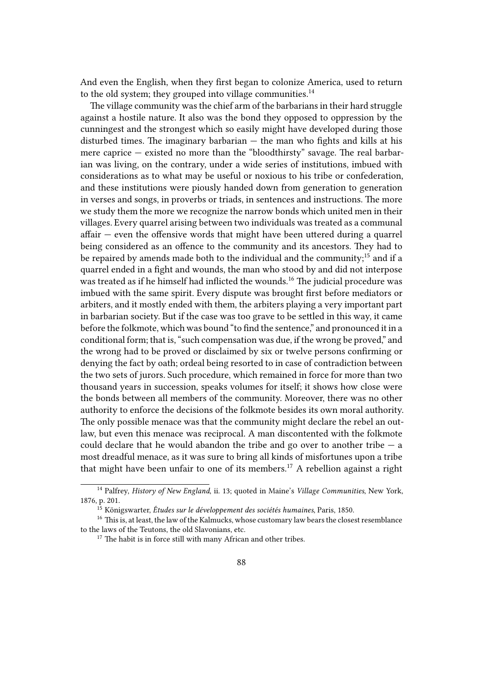And even the English, when they first began to colonize America, used to return to the old system; they grouped into village communities. $14$ 

The village community was the chief arm of the barbarians in their hard struggle against a hostile nature. It also was the bond they opposed to oppression by the cunningest and the strongest which so easily might have developed during those disturbed times. The imaginary barbarian  $-$  the man who fights and kills at his mere caprice — existed no more than the "bloodthirsty" savage. The real barbarian was living, on the contrary, under a wide series of institutions, imbued with considerations as to what may be useful or noxious to his tribe or confederation, and these institutions were piously handed down from generation to generation in verses and songs, in proverbs or triads, in sentences and instructions. The more we study them the more we recognize the narrow bonds which united men in their villages. Every quarrel arising between two individuals was treated as a communal affair — even the offensive words that might have been uttered during a quarrel being considered as an offence to the community and its ancestors. They had to be repaired by amends made both to the individual and the community;<sup>15</sup> and if a quarrel ended in a fight and wounds, the man who stood by and did not interpose was treated as if he himself had inflicted the wounds.<sup>16</sup> The judicial procedure was imbued with the same spirit. Every dispute was brought first before mediators or arbiters, and it mostly ended with them, the arbiters playing a very important part in barbarian society. But if the case was too grave to be settled in this way, it came before the folkmote, which was bound "to find the sentence," and pronounced it in a conditional form; that is, "such compensation was due, if the wrong be proved," and the wrong had to be proved or disclaimed by six or twelve persons confirming or denying the fact by oath; ordeal being resorted to in case of contradiction between the two sets of jurors. Such procedure, which remained in force for more than two thousand years in succession, speaks volumes for itself; it shows how close were the bonds between all members of the community. Moreover, there was no other authority to enforce the decisions of the folkmote besides its own moral authority. The only possible menace was that the community might declare the rebel an outlaw, but even this menace was reciprocal. A man discontented with the folkmote could declare that he would abandon the tribe and go over to another tribe  $-$  a most dreadful menace, as it was sure to bring all kinds of misfortunes upon a tribe that might have been unfair to one of its members.<sup>17</sup> A rebellion against a right

<sup>14</sup> Palfrey, *History of New England*, ii. 13; quoted in Maine's *Village Communities*, New York, 1876, p. 201.

<sup>15</sup> Königswarter, *Études sur le développement des sociétés humaines*, Paris, 1850.

<sup>&</sup>lt;sup>16</sup> This is, at least, the law of the Kalmucks, whose customary law bears the closest resemblance to the laws of the Teutons, the old Slavonians, etc.

<sup>&</sup>lt;sup>17</sup> The habit is in force still with many African and other tribes.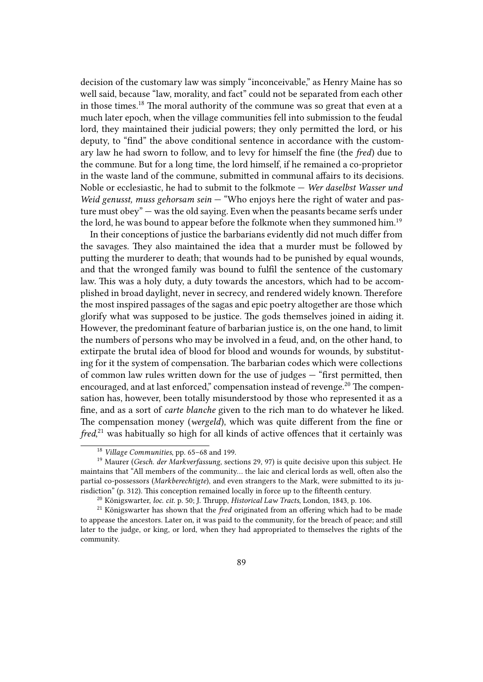decision of the customary law was simply "inconceivable," as Henry Maine has so well said, because "law, morality, and fact" could not be separated from each other in those times.<sup>18</sup> The moral authority of the commune was so great that even at a much later epoch, when the village communities fell into submission to the feudal lord, they maintained their judicial powers; they only permitted the lord, or his deputy, to "find" the above conditional sentence in accordance with the customary law he had sworn to follow, and to levy for himself the fine (the *fred*) due to the commune. But for a long time, the lord himself, if he remained a co-proprietor in the waste land of the commune, submitted in communal affairs to its decisions. Noble or ecclesiastic, he had to submit to the folkmote — *Wer daselbst Wasser und Weid genusst, muss gehorsam sein* — "Who enjoys here the right of water and pasture must obey" — was the old saying. Even when the peasants became serfs under the lord, he was bound to appear before the folkmote when they summoned him.<sup>19</sup>

In their conceptions of justice the barbarians evidently did not much differ from the savages. They also maintained the idea that a murder must be followed by putting the murderer to death; that wounds had to be punished by equal wounds, and that the wronged family was bound to fulfil the sentence of the customary law. This was a holy duty, a duty towards the ancestors, which had to be accomplished in broad daylight, never in secrecy, and rendered widely known. Therefore the most inspired passages of the sagas and epic poetry altogether are those which glorify what was supposed to be justice. The gods themselves joined in aiding it. However, the predominant feature of barbarian justice is, on the one hand, to limit the numbers of persons who may be involved in a feud, and, on the other hand, to extirpate the brutal idea of blood for blood and wounds for wounds, by substituting for it the system of compensation. The barbarian codes which were collections of common law rules written down for the use of judges — "first permitted, then encouraged, and at last enforced," compensation instead of revenge.<sup>20</sup> The compensation has, however, been totally misunderstood by those who represented it as a fine, and as a sort of *carte blanche* given to the rich man to do whatever he liked. The compensation money (*wergeld*), which was quite different from the fine or *fred*, <sup>21</sup> was habitually so high for all kinds of active offences that it certainly was

<sup>18</sup> *Village Communities*, pp. 65–68 and 199.

<sup>19</sup> Maurer (*Gesch. der Markverfassung*, sections 29, 97) is quite decisive upon this subject. He maintains that "All members of the community… the laic and clerical lords as well, often also the partial co-possessors (*Markberechtigte*), and even strangers to the Mark, were submitted to its jurisdiction" (p. 312). This conception remained locally in force up to the fifteenth century.

<sup>20</sup> Königswarter, *loc. cit.* p. 50; J. Thrupp, *Historical Law Tracts*, London, 1843, p. 106.

<sup>21</sup> Königswarter has shown that the *fred* originated from an offering which had to be made to appease the ancestors. Later on, it was paid to the community, for the breach of peace; and still later to the judge, or king, or lord, when they had appropriated to themselves the rights of the community.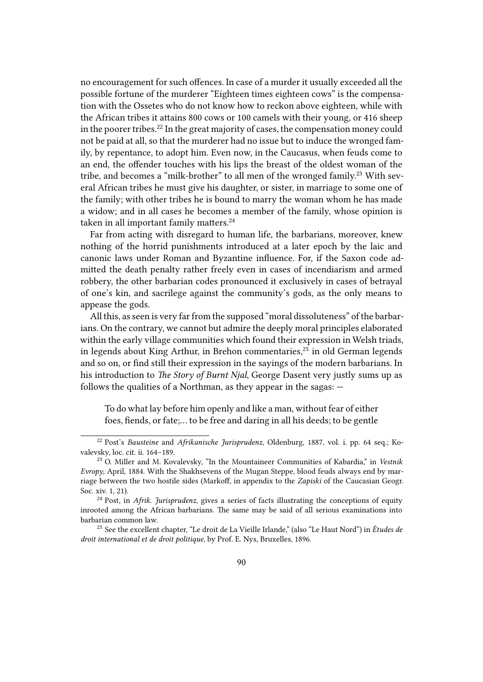no encouragement for such offences. In case of a murder it usually exceeded all the possible fortune of the murderer "Eighteen times eighteen cows" is the compensation with the Ossetes who do not know how to reckon above eighteen, while with the African tribes it attains 800 cows or 100 camels with their young, or 416 sheep in the poorer tribes.<sup>22</sup> In the great majority of cases, the compensation money could not be paid at all, so that the murderer had no issue but to induce the wronged family, by repentance, to adopt him. Even now, in the Caucasus, when feuds come to an end, the offender touches with his lips the breast of the oldest woman of the tribe, and becomes a "milk-brother" to all men of the wronged family.<sup>23</sup> With several African tribes he must give his daughter, or sister, in marriage to some one of the family; with other tribes he is bound to marry the woman whom he has made a widow; and in all cases he becomes a member of the family, whose opinion is taken in all important family matters.<sup>24</sup>

Far from acting with disregard to human life, the barbarians, moreover, knew nothing of the horrid punishments introduced at a later epoch by the laic and canonic laws under Roman and Byzantine influence. For, if the Saxon code admitted the death penalty rather freely even in cases of incendiarism and armed robbery, the other barbarian codes pronounced it exclusively in cases of betrayal of one's kin, and sacrilege against the community's gods, as the only means to appease the gods.

All this, as seen is very far from the supposed "moral dissoluteness" of the barbarians. On the contrary, we cannot but admire the deeply moral principles elaborated within the early village communities which found their expression in Welsh triads, in legends about King Arthur, in Brehon commentaries, $^{25}$  in old German legends and so on, or find still their expression in the sayings of the modern barbarians. In his introduction to *The Story of Burnt Njal*, George Dasent very justly sums up as follows the qualities of a Northman, as they appear in the sagas: —

To do what lay before him openly and like a man, without fear of either foes, fiends, or fate;… to be free and daring in all his deeds; to be gentle

<sup>22</sup> Post's *Bausteine* and *Afrikanische Jurisprudenz*, Oldenburg, 1887, vol. i. pp. 64 seq.; Kovalevsky, loc. cit. ii. 164–189.

<sup>23</sup> O. Miller and M. Kovalevsky, "In the Mountaineer Communities of Kabardia," in *Vestnik Evropy*, April, 1884. With the Shakhsevens of the Mugan Steppe, blood feuds always end by marriage between the two hostile sides (Markoff, in appendix to the *Zapiski* of the Caucasian Geogr. Soc. xiv. 1, 21).

<sup>24</sup> Post, in *Afrik. Jurisprudenz*, gives a series of facts illustrating the conceptions of equity inrooted among the African barbarians. The same may be said of all serious examinations into barbarian common law.

<sup>25</sup> See the excellent chapter, "Le droit de La Vieille Irlande," (also "Le Haut Nord") in *Études de droit international et de droit politique*, by Prof. E. Nys, Bruxelles, 1896.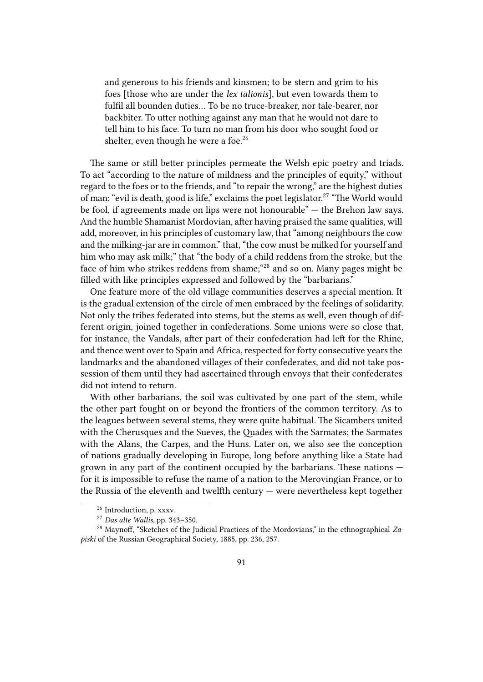and generous to his friends and kinsmen; to be stern and grim to his foes [those who are under the *lex talionis*], but even towards them to fulfil all bounden duties… To be no truce-breaker, nor tale-bearer, nor backbiter. To utter nothing against any man that he would not dare to tell him to his face. To turn no man from his door who sought food or shelter, even though he were a foe.<sup>26</sup>

The same or still better principles permeate the Welsh epic poetry and triads. To act "according to the nature of mildness and the principles of equity," without regard to the foes or to the friends, and "to repair the wrong," are the highest duties of man; "evil is death, good is life," exclaims the poet legislator.<sup>27</sup> "The World would be fool, if agreements made on lips were not honourable" — the Brehon law says. And the humble Shamanist Mordovian, after having praised the same qualities, will add, moreover, in his principles of customary law, that "among neighbours the cow and the milking-jar are in common." that, "the cow must be milked for yourself and him who may ask milk;" that "the body of a child reddens from the stroke, but the face of him who strikes reddens from shame;"<sup>28</sup> and so on. Many pages might be filled with like principles expressed and followed by the "barbarians."

One feature more of the old village communities deserves a special mention. It is the gradual extension of the circle of men embraced by the feelings of solidarity. Not only the tribes federated into stems, but the stems as well, even though of different origin, joined together in confederations. Some unions were so close that, for instance, the Vandals, after part of their confederation had left for the Rhine, and thence went over to Spain and Africa, respected for forty consecutive years the landmarks and the abandoned villages of their confederates, and did not take possession of them until they had ascertained through envoys that their confederates did not intend to return.

With other barbarians, the soil was cultivated by one part of the stem, while the other part fought on or beyond the frontiers of the common territory. As to the leagues between several stems, they were quite habitual. The Sicambers united with the Cherusques and the Sueves, the Quades with the Sarmates; the Sarmates with the Alans, the Carpes, and the Huns. Later on, we also see the conception of nations gradually developing in Europe, long before anything like a State had grown in any part of the continent occupied by the barbarians. These nations for it is impossible to refuse the name of a nation to the Merovingian France, or to the Russia of the eleventh and twelfth century — were nevertheless kept together

<sup>26</sup> Introduction, p. xxxv.

<sup>27</sup> *Das alte Wallis*, pp. 343–350.

<sup>28</sup> Maynoff, "Sketches of the Judicial Practices of the Mordovians," in the ethnographical *Zapiski* of the Russian Geographical Society, 1885, pp. 236, 257.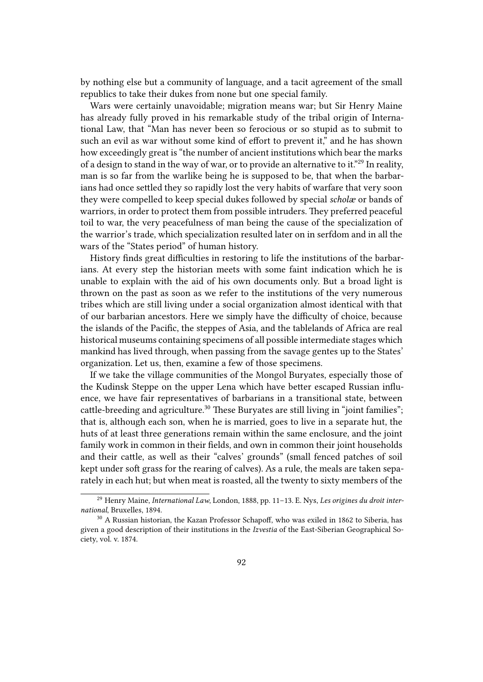by nothing else but a community of language, and a tacit agreement of the small republics to take their dukes from none but one special family.

Wars were certainly unavoidable; migration means war; but Sir Henry Maine has already fully proved in his remarkable study of the tribal origin of International Law, that "Man has never been so ferocious or so stupid as to submit to such an evil as war without some kind of effort to prevent it," and he has shown how exceedingly great is "the number of ancient institutions which bear the marks of a design to stand in the way of war, or to provide an alternative to it."<sup>29</sup> In reality, man is so far from the warlike being he is supposed to be, that when the barbarians had once settled they so rapidly lost the very habits of warfare that very soon they were compelled to keep special dukes followed by special *scholæ* or bands of warriors, in order to protect them from possible intruders. They preferred peaceful toil to war, the very peacefulness of man being the cause of the specialization of the warrior's trade, which specialization resulted later on in serfdom and in all the wars of the "States period" of human history.

History finds great difficulties in restoring to life the institutions of the barbarians. At every step the historian meets with some faint indication which he is unable to explain with the aid of his own documents only. But a broad light is thrown on the past as soon as we refer to the institutions of the very numerous tribes which are still living under a social organization almost identical with that of our barbarian ancestors. Here we simply have the difficulty of choice, because the islands of the Pacific, the steppes of Asia, and the tablelands of Africa are real historical museums containing specimens of all possible intermediate stages which mankind has lived through, when passing from the savage gentes up to the States' organization. Let us, then, examine a few of those specimens.

If we take the village communities of the Mongol Buryates, especially those of the Kudinsk Steppe on the upper Lena which have better escaped Russian influence, we have fair representatives of barbarians in a transitional state, between cattle-breeding and agriculture.<sup>30</sup> These Buryates are still living in "joint families"; that is, although each son, when he is married, goes to live in a separate hut, the huts of at least three generations remain within the same enclosure, and the joint family work in common in their fields, and own in common their joint households and their cattle, as well as their "calves' grounds" (small fenced patches of soil kept under soft grass for the rearing of calves). As a rule, the meals are taken separately in each hut; but when meat is roasted, all the twenty to sixty members of the

<sup>29</sup> Henry Maine, *International Law*, London, 1888, pp. 11–13. E. Nys, *Les origines du droit international*, Bruxelles, 1894.

<sup>&</sup>lt;sup>30</sup> A Russian historian, the Kazan Professor Schapoff, who was exiled in 1862 to Siberia, has given a good description of their institutions in the *Izvestia* of the East-Siberian Geographical Society, vol. v. 1874.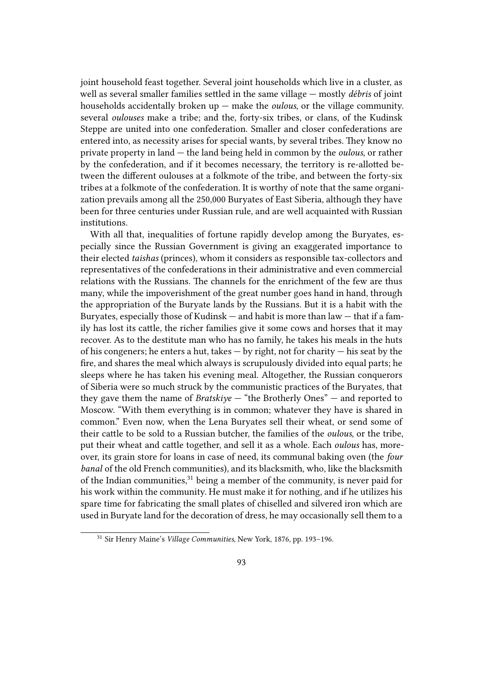joint household feast together. Several joint households which live in a cluster, as well as several smaller families settled in the same village — mostly *débris* of joint households accidentally broken up — make the *oulous*, or the village community. several *oulouses* make a tribe; and the, forty-six tribes, or clans, of the Kudinsk Steppe are united into one confederation. Smaller and closer confederations are entered into, as necessity arises for special wants, by several tribes. They know no private property in land — the land being held in common by the *oulous*, or rather by the confederation, and if it becomes necessary, the territory is re-allotted between the different oulouses at a folkmote of the tribe, and between the forty-six tribes at a folkmote of the confederation. It is worthy of note that the same organization prevails among all the 250,000 Buryates of East Siberia, although they have been for three centuries under Russian rule, and are well acquainted with Russian institutions.

With all that, inequalities of fortune rapidly develop among the Buryates, especially since the Russian Government is giving an exaggerated importance to their elected *taishas* (princes), whom it considers as responsible tax-collectors and representatives of the confederations in their administrative and even commercial relations with the Russians. The channels for the enrichment of the few are thus many, while the impoverishment of the great number goes hand in hand, through the appropriation of the Buryate lands by the Russians. But it is a habit with the Buryates, especially those of Kudinsk — and habit is more than law — that if a family has lost its cattle, the richer families give it some cows and horses that it may recover. As to the destitute man who has no family, he takes his meals in the huts of his congeners; he enters a hut, takes — by right, not for charity — his seat by the fire, and shares the meal which always is scrupulously divided into equal parts; he sleeps where he has taken his evening meal. Altogether, the Russian conquerors of Siberia were so much struck by the communistic practices of the Buryates, that they gave them the name of *Bratskiye* — "the Brotherly Ones" — and reported to Moscow. "With them everything is in common; whatever they have is shared in common." Even now, when the Lena Buryates sell their wheat, or send some of their cattle to be sold to a Russian butcher, the families of the *oulous*, or the tribe, put their wheat and cattle together, and sell it as a whole. Each *oulous* has, moreover, its grain store for loans in case of need, its communal baking oven (the *four banal* of the old French communities), and its blacksmith, who, like the blacksmith of the Indian communities, $31$  being a member of the community, is never paid for his work within the community. He must make it for nothing, and if he utilizes his spare time for fabricating the small plates of chiselled and silvered iron which are used in Buryate land for the decoration of dress, he may occasionally sell them to a

<sup>31</sup> Sir Henry Maine's *Village Communities*, New York, 1876, pp. 193–196.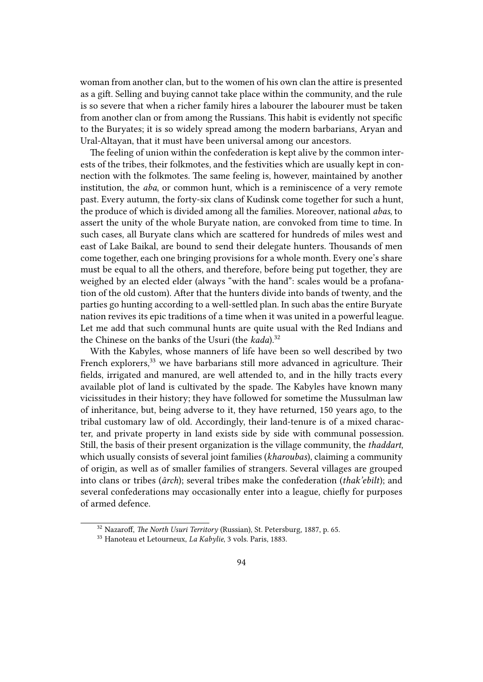woman from another clan, but to the women of his own clan the attire is presented as a gift. Selling and buying cannot take place within the community, and the rule is so severe that when a richer family hires a labourer the labourer must be taken from another clan or from among the Russians. This habit is evidently not specific to the Buryates; it is so widely spread among the modern barbarians, Aryan and Ural-Altayan, that it must have been universal among our ancestors.

The feeling of union within the confederation is kept alive by the common interests of the tribes, their folkmotes, and the festivities which are usually kept in connection with the folkmotes. The same feeling is, however, maintained by another institution, the *aba*, or common hunt, which is a reminiscence of a very remote past. Every autumn, the forty-six clans of Kudinsk come together for such a hunt, the produce of which is divided among all the families. Moreover, national *abas*, to assert the unity of the whole Buryate nation, are convoked from time to time. In such cases, all Buryate clans which are scattered for hundreds of miles west and east of Lake Baikal, are bound to send their delegate hunters. Thousands of men come together, each one bringing provisions for a whole month. Every one's share must be equal to all the others, and therefore, before being put together, they are weighed by an elected elder (always "with the hand": scales would be a profanation of the old custom). After that the hunters divide into bands of twenty, and the parties go hunting according to a well-settled plan. In such abas the entire Buryate nation revives its epic traditions of a time when it was united in a powerful league. Let me add that such communal hunts are quite usual with the Red Indians and the Chinese on the banks of the Usuri (the *kada*).<sup>32</sup>

With the Kabyles, whose manners of life have been so well described by two French explorers,<sup>33</sup> we have barbarians still more advanced in agriculture. Their fields, irrigated and manured, are well attended to, and in the hilly tracts every available plot of land is cultivated by the spade. The Kabyles have known many vicissitudes in their history; they have followed for sometime the Mussulman law of inheritance, but, being adverse to it, they have returned, 150 years ago, to the tribal customary law of old. Accordingly, their land-tenure is of a mixed character, and private property in land exists side by side with communal possession. Still, the basis of their present organization is the village community, the *thaddart*, which usually consists of several joint families (*kharoubas*), claiming a community of origin, as well as of smaller families of strangers. Several villages are grouped into clans or tribes (*ârch*); several tribes make the confederation (*thak'ebilt*); and several confederations may occasionally enter into a league, chiefly for purposes of armed defence.

<sup>32</sup> Nazaroff, *The North Usuri Territory* (Russian), St. Petersburg, 1887, p. 65.

<sup>33</sup> Hanoteau et Letourneux, *La Kabylie*, 3 vols. Paris, 1883.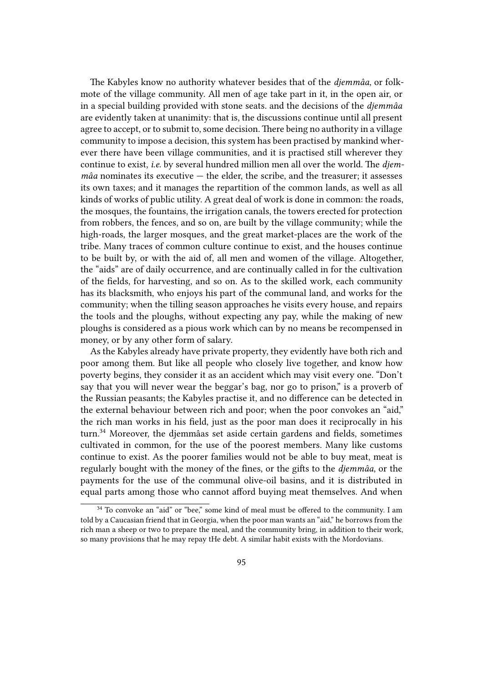The Kabyles know no authority whatever besides that of the *djemmâa*, or folkmote of the village community. All men of age take part in it, in the open air, or in a special building provided with stone seats. and the decisions of the *djemmâa* are evidently taken at unanimity: that is, the discussions continue until all present agree to accept, or to submit to, some decision. There being no authority in a village community to impose a decision, this system has been practised by mankind wherever there have been village communities, and it is practised still wherever they continue to exist, *i.e.* by several hundred million men all over the world. The *djemmâa* nominates its executive — the elder, the scribe, and the treasurer; it assesses its own taxes; and it manages the repartition of the common lands, as well as all kinds of works of public utility. A great deal of work is done in common: the roads, the mosques, the fountains, the irrigation canals, the towers erected for protection from robbers, the fences, and so on, are built by the village community; while the high-roads, the larger mosques, and the great market-places are the work of the tribe. Many traces of common culture continue to exist, and the houses continue to be built by, or with the aid of, all men and women of the village. Altogether, the "aids" are of daily occurrence, and are continually called in for the cultivation of the fields, for harvesting, and so on. As to the skilled work, each community has its blacksmith, who enjoys his part of the communal land, and works for the community; when the tilling season approaches he visits every house, and repairs the tools and the ploughs, without expecting any pay, while the making of new ploughs is considered as a pious work which can by no means be recompensed in money, or by any other form of salary.

As the Kabyles already have private property, they evidently have both rich and poor among them. But like all people who closely live together, and know how poverty begins, they consider it as an accident which may visit every one. "Don't say that you will never wear the beggar's bag, nor go to prison," is a proverb of the Russian peasants; the Kabyles practise it, and no difference can be detected in the external behaviour between rich and poor; when the poor convokes an "aid," the rich man works in his field, just as the poor man does it reciprocally in his turn.<sup>34</sup> Moreover, the djemmâas set aside certain gardens and fields, sometimes cultivated in common, for the use of the poorest members. Many like customs continue to exist. As the poorer families would not be able to buy meat, meat is regularly bought with the money of the fines, or the gifts to the *djemmâa*, or the payments for the use of the communal olive-oil basins, and it is distributed in equal parts among those who cannot afford buying meat themselves. And when

<sup>&</sup>lt;sup>34</sup> To convoke an "aid" or "bee," some kind of meal must be offered to the community. I am told by a Caucasian friend that in Georgia, when the poor man wants an "aid," he borrows from the rich man a sheep or two to prepare the meal, and the community bring, in addition to their work, so many provisions that he may repay tHe debt. A similar habit exists with the Mordovians.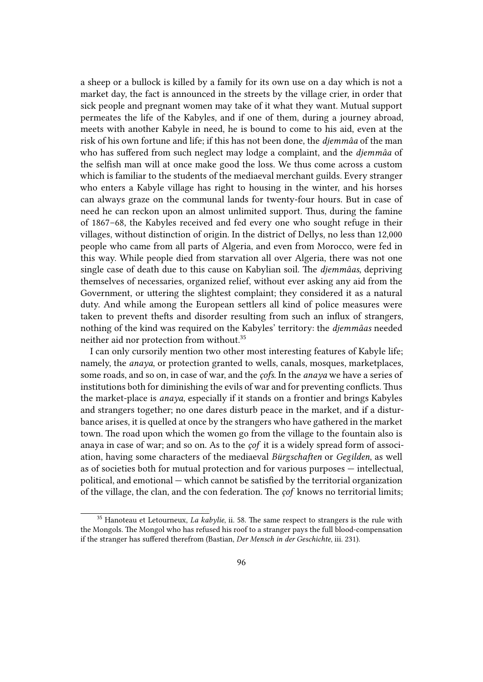a sheep or a bullock is killed by a family for its own use on a day which is not a market day, the fact is announced in the streets by the village crier, in order that sick people and pregnant women may take of it what they want. Mutual support permeates the life of the Kabyles, and if one of them, during a journey abroad, meets with another Kabyle in need, he is bound to come to his aid, even at the risk of his own fortune and life; if this has not been done, the *djemmâa* of the man who has suffered from such neglect may lodge a complaint, and the *djemmâa* of the selfish man will at once make good the loss. We thus come across a custom which is familiar to the students of the mediaeval merchant guilds. Every stranger who enters a Kabyle village has right to housing in the winter, and his horses can always graze on the communal lands for twenty-four hours. But in case of need he can reckon upon an almost unlimited support. Thus, during the famine of 1867–68, the Kabyles received and fed every one who sought refuge in their villages, without distinction of origin. In the district of Dellys, no less than 12,000 people who came from all parts of Algeria, and even from Morocco, were fed in this way. While people died from starvation all over Algeria, there was not one single case of death due to this cause on Kabylian soil. The *djemmâas*, depriving themselves of necessaries, organized relief, without ever asking any aid from the Government, or uttering the slightest complaint; they considered it as a natural duty. And while among the European settlers all kind of police measures were taken to prevent thefts and disorder resulting from such an influx of strangers, nothing of the kind was required on the Kabyles' territory: the *djemmâas* needed neither aid nor protection from without.<sup>35</sup>

I can only cursorily mention two other most interesting features of Kabyle life; namely, the *anaya*, or protection granted to wells, canals, mosques, marketplaces, some roads, and so on, in case of war, and the *çofs*. In the *anaya* we have a series of institutions both for diminishing the evils of war and for preventing conflicts. Thus the market-place is *anaya*, especially if it stands on a frontier and brings Kabyles and strangers together; no one dares disturb peace in the market, and if a disturbance arises, it is quelled at once by the strangers who have gathered in the market town. The road upon which the women go from the village to the fountain also is anaya in case of war; and so on. As to the *çof* it is a widely spread form of association, having some characters of the mediaeval *Bürgschaften* or *Gegilden*, as well as of societies both for mutual protection and for various purposes — intellectual, political, and emotional — which cannot be satisfied by the territorial organization of the village, the clan, and the con federation. The *çof* knows no territorial limits;

<sup>35</sup> Hanoteau et Letourneux, *La kabylie*, ii. 58. The same respect to strangers is the rule with the Mongols. The Mongol who has refused his roof to a stranger pays the full blood-compensation if the stranger has suffered therefrom (Bastian, *Der Mensch in der Geschichte*, iii. 231).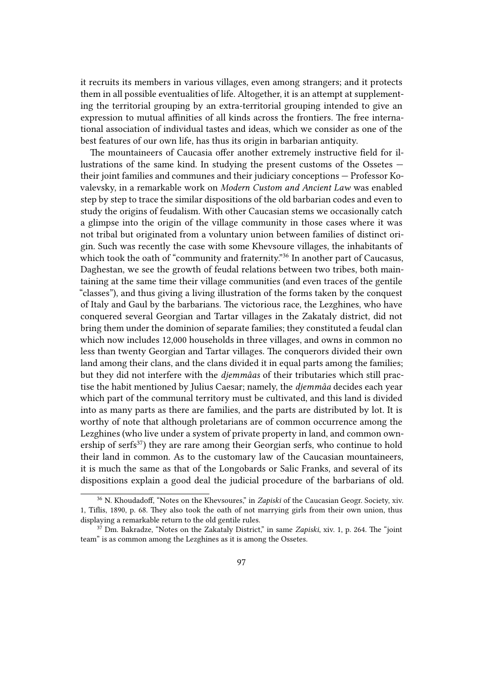it recruits its members in various villages, even among strangers; and it protects them in all possible eventualities of life. Altogether, it is an attempt at supplementing the territorial grouping by an extra-territorial grouping intended to give an expression to mutual affinities of all kinds across the frontiers. The free international association of individual tastes and ideas, which we consider as one of the best features of our own life, has thus its origin in barbarian antiquity.

The mountaineers of Caucasia offer another extremely instructive field for illustrations of the same kind. In studying the present customs of the Ossetes their joint families and communes and their judiciary conceptions — Professor Kovalevsky, in a remarkable work on *Modern Custom and Ancient Law* was enabled step by step to trace the similar dispositions of the old barbarian codes and even to study the origins of feudalism. With other Caucasian stems we occasionally catch a glimpse into the origin of the village community in those cases where it was not tribal but originated from a voluntary union between families of distinct origin. Such was recently the case with some Khevsoure villages, the inhabitants of which took the oath of "community and fraternity."<sup>36</sup> In another part of Caucasus, Daghestan, we see the growth of feudal relations between two tribes, both maintaining at the same time their village communities (and even traces of the gentile "classes"), and thus giving a living illustration of the forms taken by the conquest of Italy and Gaul by the barbarians. The victorious race, the Lezghines, who have conquered several Georgian and Tartar villages in the Zakataly district, did not bring them under the dominion of separate families; they constituted a feudal clan which now includes 12,000 households in three villages, and owns in common no less than twenty Georgian and Tartar villages. The conquerors divided their own land among their clans, and the clans divided it in equal parts among the families; but they did not interfere with the *djemmâas* of their tributaries which still practise the habit mentioned by Julius Caesar; namely, the *djemmâa* decides each year which part of the communal territory must be cultivated, and this land is divided into as many parts as there are families, and the parts are distributed by lot. It is worthy of note that although proletarians are of common occurrence among the Lezghines (who live under a system of private property in land, and common ownership of serfs<sup>37</sup>) they are rare among their Georgian serfs, who continue to hold their land in common. As to the customary law of the Caucasian mountaineers, it is much the same as that of the Longobards or Salic Franks, and several of its dispositions explain a good deal the judicial procedure of the barbarians of old.

<sup>36</sup> N. Khoudadoff, "Notes on the Khevsoures," in *Zapiski* of the Caucasian Geogr. Society, xiv. 1, Tiflis, 1890, p. 68. They also took the oath of not marrying girls from their own union, thus displaying a remarkable return to the old gentile rules.

<sup>&</sup>lt;sup>37</sup> Dm. Bakradze, "Notes on the Zakataly District," in same *Zapiski*, xiv. 1, p. 264. The "joint" team" is as common among the Lezghines as it is among the Ossetes.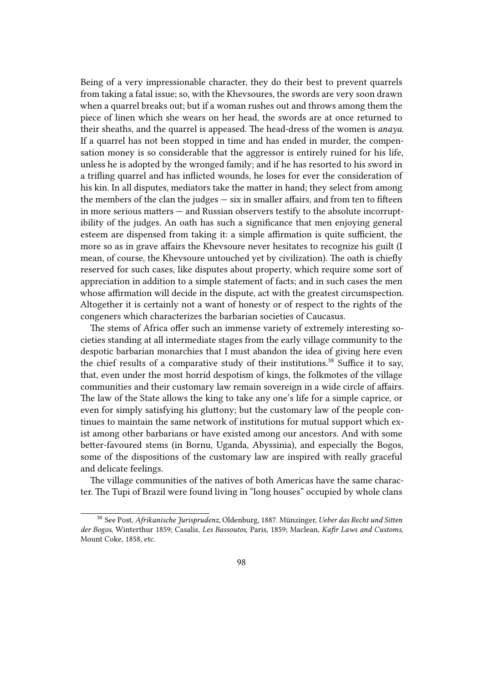Being of a very impressionable character, they do their best to prevent quarrels from taking a fatal issue; so, with the Khevsoures, the swords are very soon drawn when a quarrel breaks out; but if a woman rushes out and throws among them the piece of linen which she wears on her head, the swords are at once returned to their sheaths, and the quarrel is appeased. The head-dress of the women is *anaya*. If a quarrel has not been stopped in time and has ended in murder, the compensation money is so considerable that the aggressor is entirely ruined for his life, unless he is adopted by the wronged family; and if he has resorted to his sword in a trifling quarrel and has inflicted wounds, he loses for ever the consideration of his kin. In all disputes, mediators take the matter in hand; they select from among the members of the clan the judges  $-$  six in smaller affairs, and from ten to fifteen in more serious matters — and Russian observers testify to the absolute incorruptibility of the judges. An oath has such a significance that men enjoying general esteem are dispensed from taking it: a simple affirmation is quite sufficient, the more so as in grave affairs the Khevsoure never hesitates to recognize his guilt (I mean, of course, the Khevsoure untouched yet by civilization). The oath is chiefly reserved for such cases, like disputes about property, which require some sort of appreciation in addition to a simple statement of facts; and in such cases the men whose affirmation will decide in the dispute, act with the greatest circumspection. Altogether it is certainly not a want of honesty or of respect to the rights of the congeners which characterizes the barbarian societies of Caucasus.

The stems of Africa offer such an immense variety of extremely interesting societies standing at all intermediate stages from the early village community to the despotic barbarian monarchies that I must abandon the idea of giving here even the chief results of a comparative study of their institutions.<sup>38</sup> Suffice it to say, that, even under the most horrid despotism of kings, the folkmotes of the village communities and their customary law remain sovereign in a wide circle of affairs. The law of the State allows the king to take any one's life for a simple caprice, or even for simply satisfying his gluttony; but the customary law of the people continues to maintain the same network of institutions for mutual support which exist among other barbarians or have existed among our ancestors. And with some better-favoured stems (in Bornu, Uganda, Abyssinia), and especially the Bogos, some of the dispositions of the customary law are inspired with really graceful and delicate feelings.

The village communities of the natives of both Americas have the same character. The Tupi of Brazil were found living in "long houses" occupied by whole clans

<sup>38</sup> See Post, *Afrikanische Jurisprudenz*, Oldenburg, 1887. Münzinger, *Ueber das Recht und Sitten der Bogos*, Winterthur 1859; Casalis, *Les Bassoutos*, Paris, 1859; Maclean, *Kafir Laws and Customs*, Mount Coke, 1858, etc.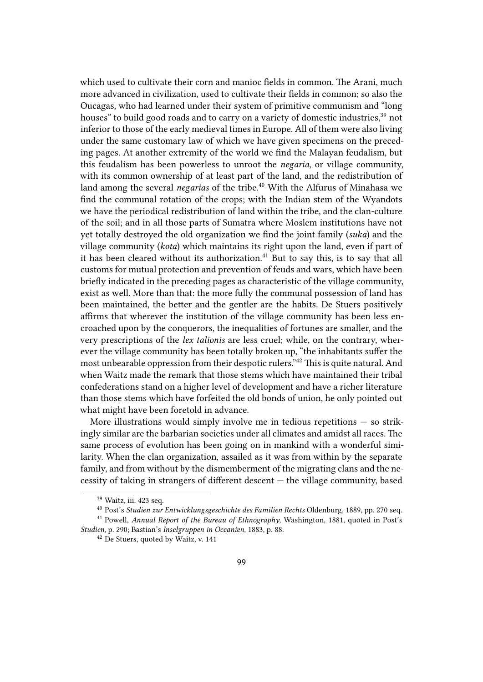which used to cultivate their corn and manioc fields in common. The Arani, much more advanced in civilization, used to cultivate their fields in common; so also the Oucagas, who had learned under their system of primitive communism and "long houses" to build good roads and to carry on a variety of domestic industries,<sup>39</sup> not inferior to those of the early medieval times in Europe. All of them were also living under the same customary law of which we have given specimens on the preceding pages. At another extremity of the world we find the Malayan feudalism, but this feudalism has been powerless to unroot the *negaria*, or village community, with its common ownership of at least part of the land, and the redistribution of land among the several *negarias* of the tribe.<sup>40</sup> With the Alfurus of Minahasa we find the communal rotation of the crops; with the Indian stem of the Wyandots we have the periodical redistribution of land within the tribe, and the clan-culture of the soil; and in all those parts of Sumatra where Moslem institutions have not yet totally destroyed the old organization we find the joint family (*suka*) and the village community (*kota*) which maintains its right upon the land, even if part of it has been cleared without its authorization.<sup>41</sup> But to say this, is to say that all customs for mutual protection and prevention of feuds and wars, which have been briefly indicated in the preceding pages as characteristic of the village community, exist as well. More than that: the more fully the communal possession of land has been maintained, the better and the gentler are the habits. De Stuers positively affirms that wherever the institution of the village community has been less encroached upon by the conquerors, the inequalities of fortunes are smaller, and the very prescriptions of the *lex talionis* are less cruel; while, on the contrary, wherever the village community has been totally broken up, "the inhabitants suffer the most unbearable oppression from their despotic rulers."<sup>42</sup> This is quite natural. And when Waitz made the remark that those stems which have maintained their tribal confederations stand on a higher level of development and have a richer literature than those stems which have forfeited the old bonds of union, he only pointed out what might have been foretold in advance.

More illustrations would simply involve me in tedious repetitions  $-$  so strikingly similar are the barbarian societies under all climates and amidst all races. The same process of evolution has been going on in mankind with a wonderful similarity. When the clan organization, assailed as it was from within by the separate family, and from without by the dismemberment of the migrating clans and the necessity of taking in strangers of different descent — the village community, based

 $\overline{39}$  Waitz, iii. 423 seq.

<sup>40</sup> Post's *Studien zur Entwicklungsgeschichte des Familien Rechts* Oldenburg, 1889, pp. 270 seq. <sup>41</sup> Powell, *Annual Report of the Bureau of Ethnography*, Washington, 1881, quoted in Post's

*Studien*, p. 290; Bastian's *Inselgruppen in Oceanien*, 1883, p. 88.

<sup>42</sup> De Stuers, quoted by Waitz, v. 141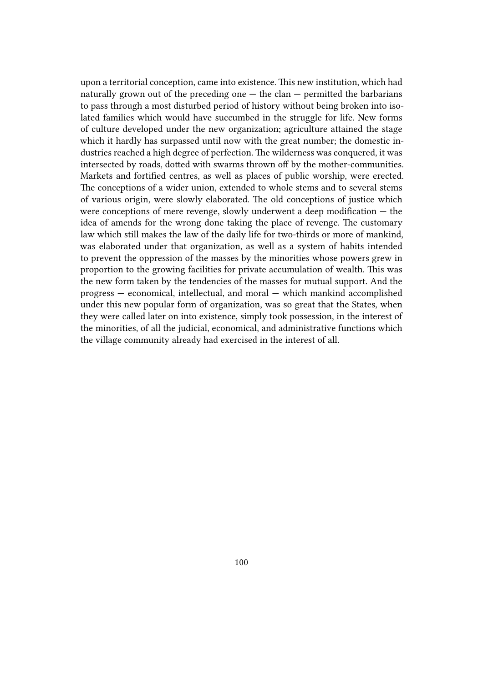upon a territorial conception, came into existence. This new institution, which had naturally grown out of the preceding one  $-$  the clan  $-$  permitted the barbarians to pass through a most disturbed period of history without being broken into isolated families which would have succumbed in the struggle for life. New forms of culture developed under the new organization; agriculture attained the stage which it hardly has surpassed until now with the great number; the domestic industries reached a high degree of perfection. The wilderness was conquered, it was intersected by roads, dotted with swarms thrown off by the mother-communities. Markets and fortified centres, as well as places of public worship, were erected. The conceptions of a wider union, extended to whole stems and to several stems of various origin, were slowly elaborated. The old conceptions of justice which were conceptions of mere revenge, slowly underwent a deep modification — the idea of amends for the wrong done taking the place of revenge. The customary law which still makes the law of the daily life for two-thirds or more of mankind, was elaborated under that organization, as well as a system of habits intended to prevent the oppression of the masses by the minorities whose powers grew in proportion to the growing facilities for private accumulation of wealth. This was the new form taken by the tendencies of the masses for mutual support. And the progress — economical, intellectual, and moral — which mankind accomplished under this new popular form of organization, was so great that the States, when they were called later on into existence, simply took possession, in the interest of the minorities, of all the judicial, economical, and administrative functions which the village community already had exercised in the interest of all.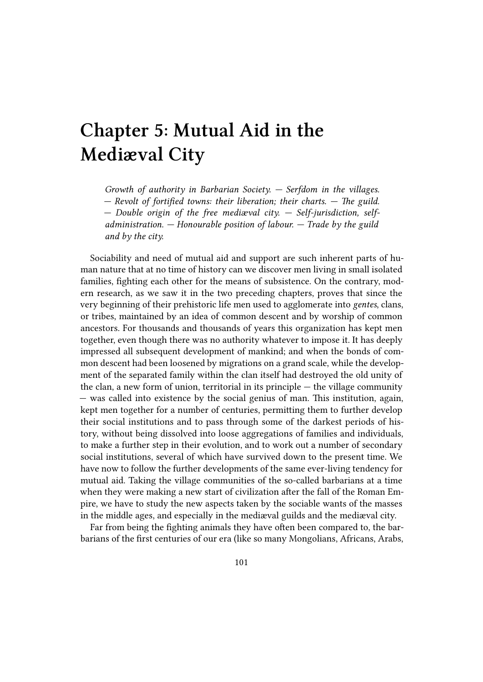## **Chapter 5: Mutual Aid in the Mediæval City**

*Growth of authority in Barbarian Society. — Serfdom in the villages. — Revolt of fortified towns: their liberation; their charts. — The guild. — Double origin of the free mediæval city. — Self-jurisdiction, selfadministration. — Honourable position of labour. — Trade by the guild and by the city.*

Sociability and need of mutual aid and support are such inherent parts of human nature that at no time of history can we discover men living in small isolated families, fighting each other for the means of subsistence. On the contrary, modern research, as we saw it in the two preceding chapters, proves that since the very beginning of their prehistoric life men used to agglomerate into *gentes*, clans, or tribes, maintained by an idea of common descent and by worship of common ancestors. For thousands and thousands of years this organization has kept men together, even though there was no authority whatever to impose it. It has deeply impressed all subsequent development of mankind; and when the bonds of common descent had been loosened by migrations on a grand scale, while the development of the separated family within the clan itself had destroyed the old unity of the clan, a new form of union, territorial in its principle  $-$  the village community — was called into existence by the social genius of man. This institution, again, kept men together for a number of centuries, permitting them to further develop their social institutions and to pass through some of the darkest periods of history, without being dissolved into loose aggregations of families and individuals, to make a further step in their evolution, and to work out a number of secondary social institutions, several of which have survived down to the present time. We have now to follow the further developments of the same ever-living tendency for mutual aid. Taking the village communities of the so-called barbarians at a time when they were making a new start of civilization after the fall of the Roman Empire, we have to study the new aspects taken by the sociable wants of the masses in the middle ages, and especially in the mediæval guilds and the mediæval city.

Far from being the fighting animals they have often been compared to, the barbarians of the first centuries of our era (like so many Mongolians, Africans, Arabs,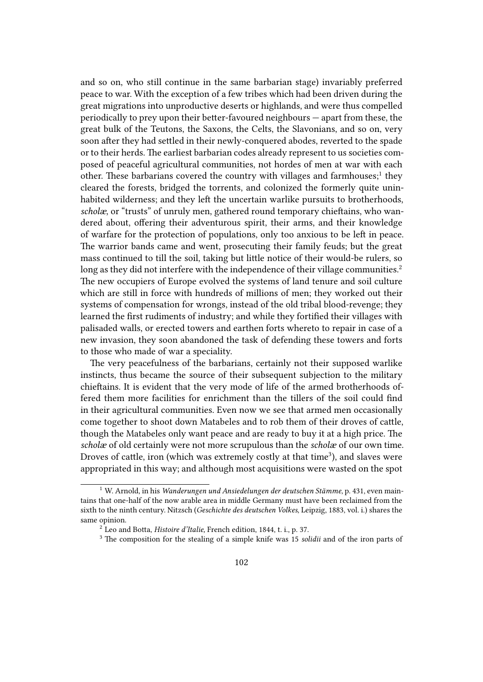and so on, who still continue in the same barbarian stage) invariably preferred peace to war. With the exception of a few tribes which had been driven during the great migrations into unproductive deserts or highlands, and were thus compelled periodically to prey upon their better-favoured neighbours — apart from these, the great bulk of the Teutons, the Saxons, the Celts, the Slavonians, and so on, very soon after they had settled in their newly-conquered abodes, reverted to the spade or to their herds. The earliest barbarian codes already represent to us societies composed of peaceful agricultural communities, not hordes of men at war with each other. These barbarians covered the country with villages and farmhouses;<sup>1</sup> they cleared the forests, bridged the torrents, and colonized the formerly quite uninhabited wilderness; and they left the uncertain warlike pursuits to brotherhoods, *scholæ*, or "trusts" of unruly men, gathered round temporary chieftains, who wandered about, offering their adventurous spirit, their arms, and their knowledge of warfare for the protection of populations, only too anxious to be left in peace. The warrior bands came and went, prosecuting their family feuds; but the great mass continued to till the soil, taking but little notice of their would-be rulers, so long as they did not interfere with the independence of their village communities.<sup>2</sup> The new occupiers of Europe evolved the systems of land tenure and soil culture which are still in force with hundreds of millions of men; they worked out their systems of compensation for wrongs, instead of the old tribal blood-revenge; they learned the first rudiments of industry; and while they fortified their villages with palisaded walls, or erected towers and earthen forts whereto to repair in case of a new invasion, they soon abandoned the task of defending these towers and forts to those who made of war a speciality.

The very peacefulness of the barbarians, certainly not their supposed warlike instincts, thus became the source of their subsequent subjection to the military chieftains. It is evident that the very mode of life of the armed brotherhoods offered them more facilities for enrichment than the tillers of the soil could find in their agricultural communities. Even now we see that armed men occasionally come together to shoot down Matabeles and to rob them of their droves of cattle, though the Matabeles only want peace and are ready to buy it at a high price. The *scholæ* of old certainly were not more scrupulous than the *scholæ* of our own time. Droves of cattle, iron (which was extremely costly at that time<sup>3</sup>), and slaves were appropriated in this way; and although most acquisitions were wasted on the spot

<sup>1</sup> W. Arnold, in his *Wanderungen und Ansiedelungen der deutschen Stämme*, p. 431, even maintains that one-half of the now arable area in middle Germany must have been reclaimed from the sixth to the ninth century. Nitzsch (*Geschichte des deutschen Volkes*, Leipzig, 1883, vol. i.) shares the same opinion.

<sup>2</sup> Leo and Botta, *Histoire d'Italie,* French edition, 1844, t. i., p. 37.

<sup>3</sup> The composition for the stealing of a simple knife was 15 *solidii* and of the iron parts of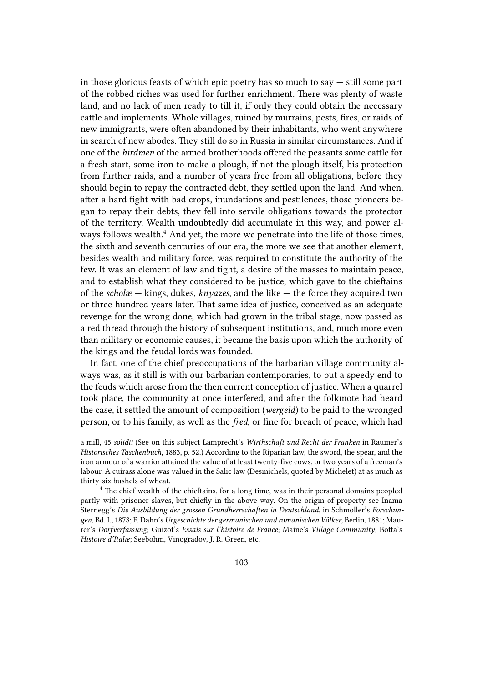in those glorious feasts of which epic poetry has so much to say — still some part of the robbed riches was used for further enrichment. There was plenty of waste land, and no lack of men ready to till it, if only they could obtain the necessary cattle and implements. Whole villages, ruined by murrains, pests, fires, or raids of new immigrants, were often abandoned by their inhabitants, who went anywhere in search of new abodes. They still do so in Russia in similar circumstances. And if one of the *hirdmen* of the armed brotherhoods offered the peasants some cattle for a fresh start, some iron to make a plough, if not the plough itself, his protection from further raids, and a number of years free from all obligations, before they should begin to repay the contracted debt, they settled upon the land. And when, after a hard fight with bad crops, inundations and pestilences, those pioneers began to repay their debts, they fell into servile obligations towards the protector of the territory. Wealth undoubtedly did accumulate in this way, and power always follows wealth.<sup>4</sup> And yet, the more we penetrate into the life of those times, the sixth and seventh centuries of our era, the more we see that another element, besides wealth and military force, was required to constitute the authority of the few. It was an element of law and tight, a desire of the masses to maintain peace, and to establish what they considered to be justice, which gave to the chieftains of the *scholæ* — kings, dukes, *knyazes*, and the like — the force they acquired two or three hundred years later. That same idea of justice, conceived as an adequate revenge for the wrong done, which had grown in the tribal stage, now passed as a red thread through the history of subsequent institutions, and, much more even than military or economic causes, it became the basis upon which the authority of the kings and the feudal lords was founded.

In fact, one of the chief preoccupations of the barbarian village community always was, as it still is with our barbarian contemporaries, to put a speedy end to the feuds which arose from the then current conception of justice. When a quarrel took place, the community at once interfered, and after the folkmote had heard the case, it settled the amount of composition (*wergeld*) to be paid to the wronged person, or to his family, as well as the *fred*, or fine for breach of peace, which had

a mill, 45 *solidii* (See on this subject Lamprecht's *Wirthschaft und Recht der Franken* in Raumer's *Historisches Taschenbuch*, 1883, p. 52.) According to the Riparian law, the sword, the spear, and the iron armour of a warrior attained the value of at least twenty-five cows, or two years of a freeman's labour. A cuirass alone was valued in the Salic law (Desmichels, quoted by Michelet) at as much as thirty-six bushels of wheat.

<sup>&</sup>lt;sup>4</sup> The chief wealth of the chieftains, for a long time, was in their personal domains peopled partly with prisoner slaves, but chiefly in the above way. On the origin of property see Inama Sternegg's *Die Ausbildung der grossen Grundherrschaften in Deutschland*, in Schmoller's *Forschungen*, Bd. I., 1878; F. Dahn's *Urgeschichte der germanischen und romanischen Völker*, Berlin, 1881; Maurer's *Dorfverfassung*; Guizot's *Essais sur l'histoire de France*; Maine's *Village Community*; Botta's *Histoire d'Italie*; Seebohm, Vinogradov, J. R. Green, etc.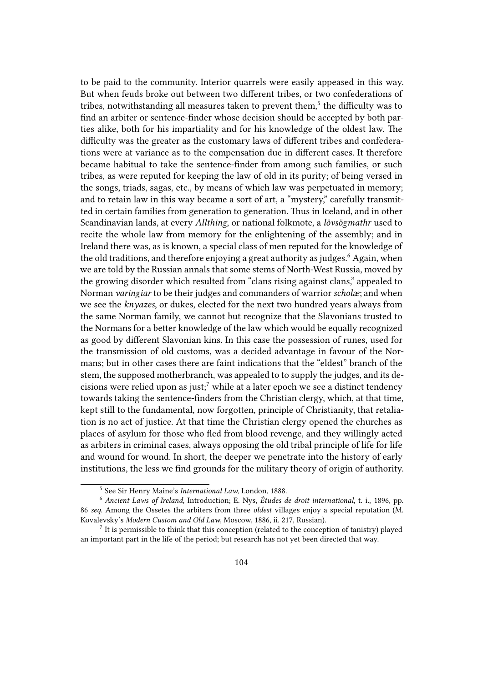to be paid to the community. Interior quarrels were easily appeased in this way. But when feuds broke out between two different tribes, or two confederations of tribes, notwithstanding all measures taken to prevent them, $5$  the difficulty was to find an arbiter or sentence-finder whose decision should be accepted by both parties alike, both for his impartiality and for his knowledge of the oldest law. The difficulty was the greater as the customary laws of different tribes and confederations were at variance as to the compensation due in different cases. It therefore became habitual to take the sentence-finder from among such families, or such tribes, as were reputed for keeping the law of old in its purity; of being versed in the songs, triads, sagas, etc., by means of which law was perpetuated in memory; and to retain law in this way became a sort of art, a "mystery," carefully transmitted in certain families from generation to generation. Thus in Iceland, and in other Scandinavian lands, at every *Allthing*, or national folkmote, a *lövsögmathr* used to recite the whole law from memory for the enlightening of the assembly; and in Ireland there was, as is known, a special class of men reputed for the knowledge of the old traditions, and therefore enjoying a great authority as judges.<sup>6</sup> Again, when we are told by the Russian annals that some stems of North-West Russia, moved by the growing disorder which resulted from "clans rising against clans," appealed to Norman *varingiar* to be their judges and commanders of warrior *scholæ*; and when we see the *knyazes*, or dukes, elected for the next two hundred years always from the same Norman family, we cannot but recognize that the Slavonians trusted to the Normans for a better knowledge of the law which would be equally recognized as good by different Slavonian kins. In this case the possession of runes, used for the transmission of old customs, was a decided advantage in favour of the Normans; but in other cases there are faint indications that the "eldest" branch of the stem, the supposed motherbranch, was appealed to to supply the judges, and its decisions were relied upon as just;<sup>7</sup> while at a later epoch we see a distinct tendency towards taking the sentence-finders from the Christian clergy, which, at that time, kept still to the fundamental, now forgotten, principle of Christianity, that retaliation is no act of justice. At that time the Christian clergy opened the churches as places of asylum for those who fled from blood revenge, and they willingly acted as arbiters in criminal cases, always opposing the old tribal principle of life for life and wound for wound. In short, the deeper we penetrate into the history of early institutions, the less we find grounds for the military theory of origin of authority.

<sup>5</sup> See Sir Henry Maine's *International Law*, London, 1888.

<sup>6</sup> *Ancient Laws of Ireland*, Introduction; E. Nys, *Études de droit international*, t. i., 1896, pp. 86 *seq*. Among the Ossetes the arbiters from three *oldest* villages enjoy a special reputation (M. Kovalevsky's *Modern Custom and Old Law*, Moscow, 1886, ii. 217, Russian).

 $7$  It is permissible to think that this conception (related to the conception of tanistry) played an important part in the life of the period; but research has not yet been directed that way.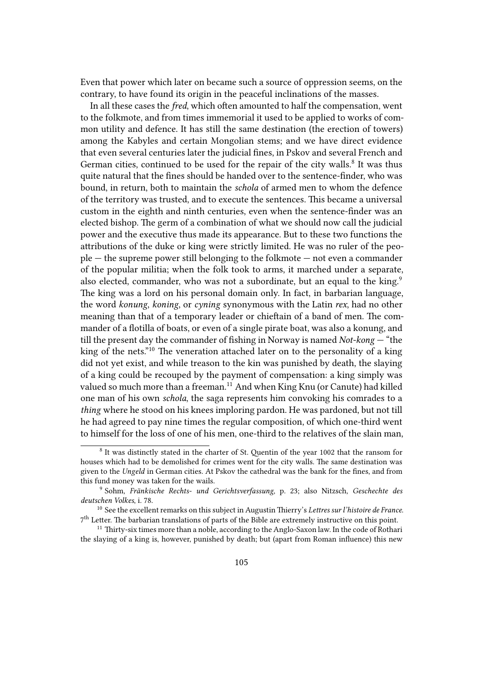Even that power which later on became such a source of oppression seems, on the contrary, to have found its origin in the peaceful inclinations of the masses.

In all these cases the *fred*, which often amounted to half the compensation, went to the folkmote, and from times immemorial it used to be applied to works of common utility and defence. It has still the same destination (the erection of towers) among the Kabyles and certain Mongolian stems; and we have direct evidence that even several centuries later the judicial fines, in Pskov and several French and German cities, continued to be used for the repair of the city walls.<sup>8</sup> It was thus quite natural that the fines should be handed over to the sentence-finder, who was bound, in return, both to maintain the *schola* of armed men to whom the defence of the territory was trusted, and to execute the sentences. This became a universal custom in the eighth and ninth centuries, even when the sentence-finder was an elected bishop. The germ of a combination of what we should now call the judicial power and the executive thus made its appearance. But to these two functions the attributions of the duke or king were strictly limited. He was no ruler of the people — the supreme power still belonging to the folkmote — not even a commander of the popular militia; when the folk took to arms, it marched under a separate, also elected, commander, who was not a subordinate, but an equal to the king.<sup>9</sup> The king was a lord on his personal domain only. In fact, in barbarian language, the word *konung*, *koning*, or *cyning* synonymous with the Latin *rex*, had no other meaning than that of a temporary leader or chieftain of a band of men. The commander of a flotilla of boats, or even of a single pirate boat, was also a konung, and till the present day the commander of fishing in Norway is named *Not-kong* — "the king of the nets."<sup>10</sup> The veneration attached later on to the personality of a king did not yet exist, and while treason to the kin was punished by death, the slaying of a king could be recouped by the payment of compensation: a king simply was valued so much more than a freeman.<sup>11</sup> And when King Knu (or Canute) had killed one man of his own *schola*, the saga represents him convoking his comrades to a *thing* where he stood on his knees imploring pardon. He was pardoned, but not till he had agreed to pay nine times the regular composition, of which one-third went to himself for the loss of one of his men, one-third to the relatives of the slain man,

<sup>&</sup>lt;sup>8</sup> It was distinctly stated in the charter of St. Quentin of the year 1002 that the ransom for houses which had to be demolished for crimes went for the city walls. The same destination was given to the *Ungeld* in German cities. At Pskov the cathedral was the bank for the fines, and from this fund money was taken for the wails.

<sup>9</sup> Sohm, *Fränkische Rechts- und Gerichtsverfassung*, p. 23; also Nitzsch, *Geschechte des deutschen Volkes*, i. 78.

<sup>10</sup> See the excellent remarks on this subject in Augustin Thierry's *Lettres sur l'histoire de France*. 7<sup>th</sup> Letter. The barbarian translations of parts of the Bible are extremely instructive on this point.

 $11$  Thirty-six times more than a noble, according to the Anglo-Saxon law. In the code of Rothari the slaying of a king is, however, punished by death; but (apart from Roman influence) this new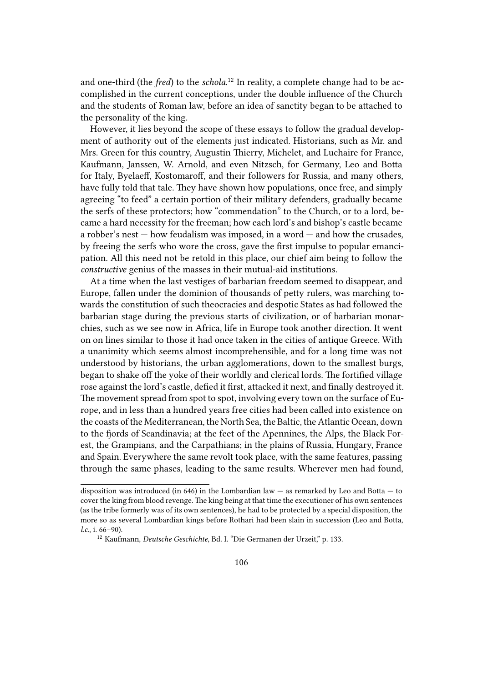and one-third (the *fred*) to the *schola*. <sup>12</sup> In reality, a complete change had to be accomplished in the current conceptions, under the double influence of the Church and the students of Roman law, before an idea of sanctity began to be attached to the personality of the king.

However, it lies beyond the scope of these essays to follow the gradual development of authority out of the elements just indicated. Historians, such as Mr. and Mrs. Green for this country, Augustin Thierry, Michelet, and Luchaire for France, Kaufmann, Janssen, W. Arnold, and even Nitzsch, for Germany, Leo and Botta for Italy, Byelaeff, Kostomaroff, and their followers for Russia, and many others, have fully told that tale. They have shown how populations, once free, and simply agreeing "to feed" a certain portion of their military defenders, gradually became the serfs of these protectors; how "commendation" to the Church, or to a lord, became a hard necessity for the freeman; how each lord's and bishop's castle became a robber's nest — how feudalism was imposed, in a word — and how the crusades, by freeing the serfs who wore the cross, gave the first impulse to popular emancipation. All this need not be retold in this place, our chief aim being to follow the *constructive* genius of the masses in their mutual-aid institutions.

At a time when the last vestiges of barbarian freedom seemed to disappear, and Europe, fallen under the dominion of thousands of petty rulers, was marching towards the constitution of such theocracies and despotic States as had followed the barbarian stage during the previous starts of civilization, or of barbarian monarchies, such as we see now in Africa, life in Europe took another direction. It went on on lines similar to those it had once taken in the cities of antique Greece. With a unanimity which seems almost incomprehensible, and for a long time was not understood by historians, the urban agglomerations, down to the smallest burgs, began to shake off the yoke of their worldly and clerical lords. The fortified village rose against the lord's castle, defied it first, attacked it next, and finally destroyed it. The movement spread from spot to spot, involving every town on the surface of Europe, and in less than a hundred years free cities had been called into existence on the coasts of the Mediterranean, the North Sea, the Baltic, the Atlantic Ocean, down to the fjords of Scandinavia; at the feet of the Apennines, the Alps, the Black Forest, the Grampians, and the Carpathians; in the plains of Russia, Hungary, France and Spain. Everywhere the same revolt took place, with the same features, passing through the same phases, leading to the same results. Wherever men had found,

disposition was introduced (in 646) in the Lombardian law  $-$  as remarked by Leo and Botta  $-$  to cover the king from blood revenge. The king being at that time the executioner of his own sentences (as the tribe formerly was of its own sentences), he had to be protected by a special disposition, the more so as several Lombardian kings before Rothari had been slain in succession (Leo and Botta, *l.c.*, i. 66–90).

<sup>12</sup> Kaufmann, *Deutsche Geschichte*, Bd. I. "Die Germanen der Urzeit," p. 133.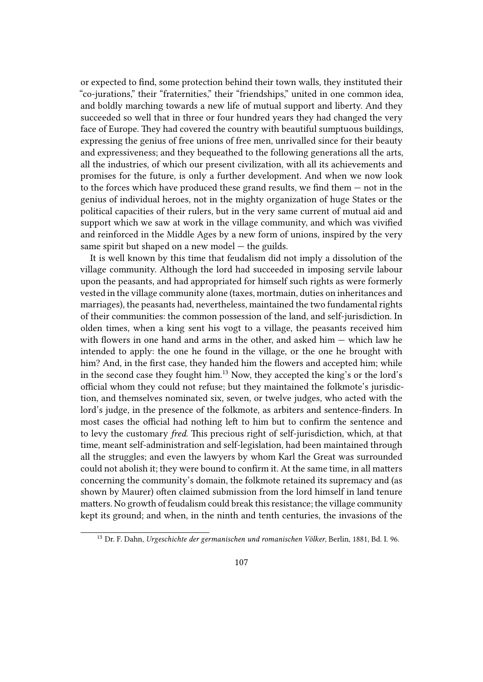or expected to find, some protection behind their town walls, they instituted their "co-jurations," their "fraternities," their "friendships," united in one common idea, and boldly marching towards a new life of mutual support and liberty. And they succeeded so well that in three or four hundred years they had changed the very face of Europe. They had covered the country with beautiful sumptuous buildings, expressing the genius of free unions of free men, unrivalled since for their beauty and expressiveness; and they bequeathed to the following generations all the arts, all the industries, of which our present civilization, with all its achievements and promises for the future, is only a further development. And when we now look to the forces which have produced these grand results, we find them  $-$  not in the genius of individual heroes, not in the mighty organization of huge States or the political capacities of their rulers, but in the very same current of mutual aid and support which we saw at work in the village community, and which was vivified and reinforced in the Middle Ages by a new form of unions, inspired by the very same spirit but shaped on a new model  $-$  the guilds.

It is well known by this time that feudalism did not imply a dissolution of the village community. Although the lord had succeeded in imposing servile labour upon the peasants, and had appropriated for himself such rights as were formerly vested in the village community alone (taxes, mortmain, duties on inheritances and marriages), the peasants had, nevertheless, maintained the two fundamental rights of their communities: the common possession of the land, and self-jurisdiction. In olden times, when a king sent his vogt to a village, the peasants received him with flowers in one hand and arms in the other, and asked him — which law he intended to apply: the one he found in the village, or the one he brought with him? And, in the first case, they handed him the flowers and accepted him; while in the second case they fought him.<sup>13</sup> Now, they accepted the king's or the lord's official whom they could not refuse; but they maintained the folkmote's jurisdiction, and themselves nominated six, seven, or twelve judges, who acted with the lord's judge, in the presence of the folkmote, as arbiters and sentence-finders. In most cases the official had nothing left to him but to confirm the sentence and to levy the customary *fred*. This precious right of self-jurisdiction, which, at that time, meant self-administration and self-legislation, had been maintained through all the struggles; and even the lawyers by whom Karl the Great was surrounded could not abolish it; they were bound to confirm it. At the same time, in all matters concerning the community's domain, the folkmote retained its supremacy and (as shown by Maurer) often claimed submission from the lord himself in land tenure matters. No growth of feudalism could break this resistance; the village community kept its ground; and when, in the ninth and tenth centuries, the invasions of the

<sup>13</sup> Dr. F. Dahn, *Urgeschichte der germanischen und romanischen Völker*, Berlin, 1881, Bd. I. 96.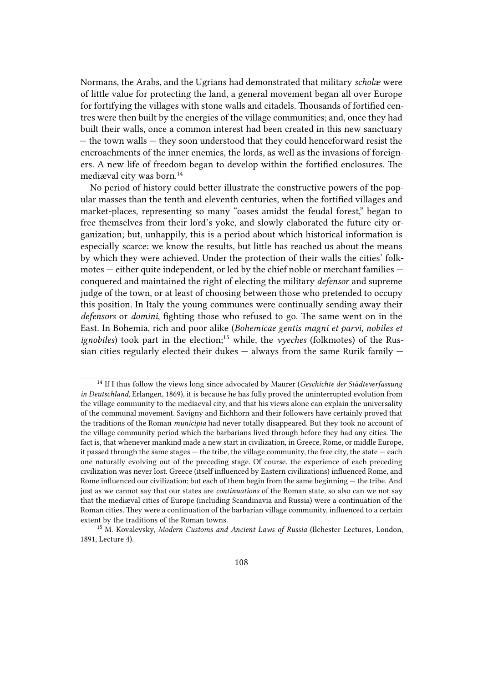Normans, the Arabs, and the Ugrians had demonstrated that military *scholæ* were of little value for protecting the land, a general movement began all over Europe for fortifying the villages with stone walls and citadels. Thousands of fortified centres were then built by the energies of the village communities; and, once they had built their walls, once a common interest had been created in this new sanctuary — the town walls — they soon understood that they could henceforward resist the encroachments of the inner enemies, the lords, as well as the invasions of foreigners. A new life of freedom began to develop within the fortified enclosures. The mediæval city was born.<sup>14</sup>

No period of history could better illustrate the constructive powers of the popular masses than the tenth and eleventh centuries, when the fortified villages and market-places, representing so many "oases amidst the feudal forest," began to free themselves from their lord's yoke, and slowly elaborated the future city organization; but, unhappily, this is a period about which historical information is especially scarce: we know the results, but little has reached us about the means by which they were achieved. Under the protection of their walls the cities' folkmotes — either quite independent, or led by the chief noble or merchant families conquered and maintained the right of electing the military *defensor* and supreme judge of the town, or at least of choosing between those who pretended to occupy this position. In Italy the young communes were continually sending away their *defensors* or *domini*, fighting those who refused to go. The same went on in the East. In Bohemia, rich and poor alike (*Bohemicae gentis magni et parvi, nobiles et ignobiles*) took part in the election;<sup>15</sup> while, the *vyeches* (folkmotes) of the Russian cities regularly elected their dukes  $-$  always from the same Rurik family  $-$ 

<sup>14</sup> If I thus follow the views long since advocated by Maurer (*Geschichte der Städteverfassung in Deutschland*, Erlangen, 1869), it is because he has fully proved the uninterrupted evolution from the village community to the mediaeval city, and that his views alone can explain the universality of the communal movement. Savigny and Eichhorn and their followers have certainly proved that the traditions of the Roman *municipia* had never totally disappeared. But they took no account of the village community period which the barbarians lived through before they had any cities. The fact is, that whenever mankind made a new start in civilization, in Greece, Rome, or middle Europe, it passed through the same stages  $-$  the tribe, the village community, the free city, the state  $-$  each one naturally evolving out of the preceding stage. Of course, the experience of each preceding civilization was never lost. Greece (itself influenced by Eastern civilizations) influenced Rome, and Rome influenced our civilization; but each of them begin from the same beginning — the tribe. And just as we cannot say that our states are *continuations* of the Roman state, so also can we not say that the mediæval cities of Europe (including Scandinavia and Russia) were a continuation of the Roman cities. They were a continuation of the barbarian village community, influenced to a certain extent by the traditions of the Roman towns.

<sup>15</sup> M. Kovalevsky, *Modern Customs and Ancient Laws of Russia* (Ilchester Lectures, London, 1891, Lecture 4).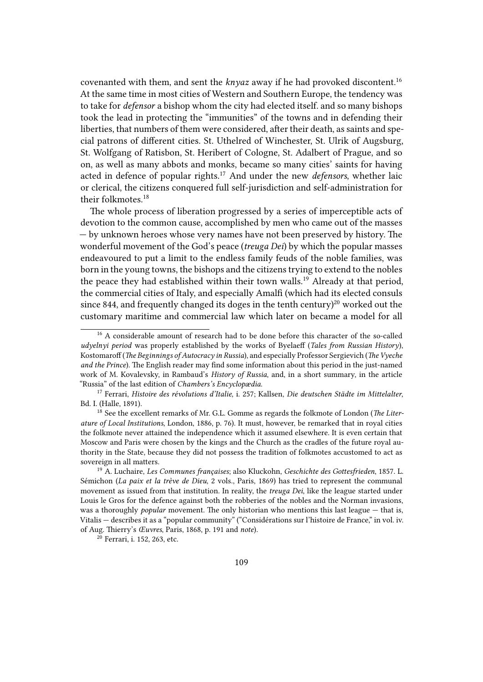covenanted with them, and sent the *knyaz* away if he had provoked discontent.<sup>16</sup> At the same time in most cities of Western and Southern Europe, the tendency was to take for *defensor* a bishop whom the city had elected itself. and so many bishops took the lead in protecting the "immunities" of the towns and in defending their liberties, that numbers of them were considered, after their death, as saints and special patrons of different cities. St. Uthelred of Winchester, St. Ulrik of Augsburg, St. Wolfgang of Ratisbon, St. Heribert of Cologne, St. Adalbert of Prague, and so on, as well as many abbots and monks, became so many cities' saints for having acted in defence of popular rights.<sup>17</sup> And under the new *defensors*, whether laic or clerical, the citizens conquered full self-jurisdiction and self-administration for their folkmotes.<sup>18</sup>

The whole process of liberation progressed by a series of imperceptible acts of devotion to the common cause, accomplished by men who came out of the masses — by unknown heroes whose very names have not been preserved by history. The wonderful movement of the God's peace (*treuga Dei*) by which the popular masses endeavoured to put a limit to the endless family feuds of the noble families, was born in the young towns, the bishops and the citizens trying to extend to the nobles the peace they had established within their town walls.<sup>19</sup> Already at that period, the commercial cities of Italy, and especially Amalfi (which had its elected consuls since 844, and frequently changed its doges in the tenth century)<sup>20</sup> worked out the customary maritime and commercial law which later on became a model for all

<sup>19</sup> A. Luchaire, *Les Communes françaises*; also Kluckohn, *Geschichte des Gottesfrieden*, 1857. L. Sémichon (*La paix et la trève de Dieu*, 2 vols., Paris, 1869) has tried to represent the communal movement as issued from that institution. In reality, the *treuga Dei*, like the league started under Louis le Gros for the defence against both the robberies of the nobles and the Norman invasions, was a thoroughly *popular* movement. The only historian who mentions this last league — that is, Vitalis — describes it as a "popular community" ("Considérations sur l'histoire de France," in vol. iv. of Aug. Thierry's *Œuvres*, Paris, 1868, p. 191 and *note*).

<sup>&</sup>lt;sup>16</sup> A considerable amount of research had to be done before this character of the so-called *udyelnyi period* was properly established by the works of Byelaeff (*Tales from Russian History*), Kostomaroff (*The Beginnings of Autocracy in Russia*), and especially Professor Sergievich (*The Vyeche and the Prince*). The English reader may find some information about this period in the just-named work of M. Kovalevsky, in Rambaud's *History of Russia*, and, in a short summary, in the article "Russia" of the last edition of *Chambers's Encyclopædia*.

<sup>17</sup> Ferrari, *Histoire des révolutions d'Italie*, i. 257; Kallsen, *Die deutschen Städte im Mittelalter*, Bd. I. (Halle, 1891).

<sup>18</sup> See the excellent remarks of Mr. G.L. Gomme as regards the folkmote of London (*The Literature of Local Institutions*, London, 1886, p. 76). It must, however, be remarked that in royal cities the folkmote never attained the independence which it assumed elsewhere. It is even certain that Moscow and Paris were chosen by the kings and the Church as the cradles of the future royal authority in the State, because they did not possess the tradition of folkmotes accustomed to act as sovereign in all matters.

<sup>20</sup> Ferrari, i. 152, 263, etc.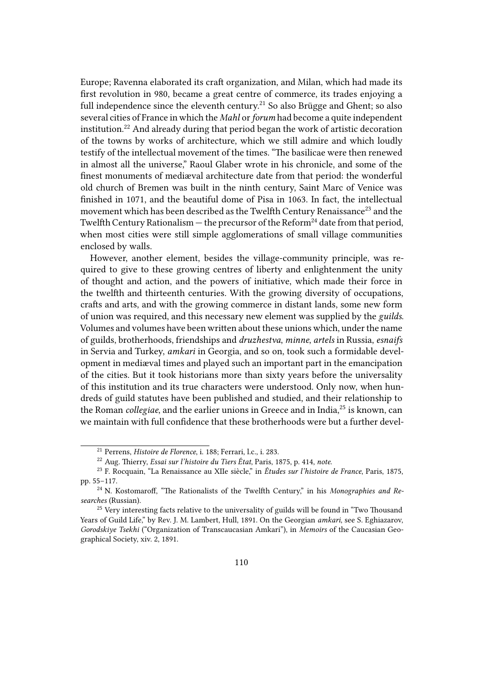Europe; Ravenna elaborated its craft organization, and Milan, which had made its first revolution in 980, became a great centre of commerce, its trades enjoying a full independence since the eleventh century.<sup>21</sup> So also Brügge and Ghent; so also several cities of France in which the *Mahl* or*forum* had become a quite independent institution.<sup>22</sup> And already during that period began the work of artistic decoration of the towns by works of architecture, which we still admire and which loudly testify of the intellectual movement of the times. "The basilicae were then renewed in almost all the universe," Raoul Glaber wrote in his chronicle, and some of the finest monuments of mediæval architecture date from that period: the wonderful old church of Bremen was built in the ninth century, Saint Marc of Venice was finished in 1071, and the beautiful dome of Pisa in 1063. In fact, the intellectual movement which has been described as the Twelfth Century Renaissance<sup>23</sup> and the Twelfth Century Rationalism  $-$  the precursor of the Reform<sup>24</sup> date from that period, when most cities were still simple agglomerations of small village communities enclosed by walls.

However, another element, besides the village-community principle, was required to give to these growing centres of liberty and enlightenment the unity of thought and action, and the powers of initiative, which made their force in the twelfth and thirteenth centuries. With the growing diversity of occupations, crafts and arts, and with the growing commerce in distant lands, some new form of union was required, and this necessary new element was supplied by the *guilds*. Volumes and volumes have been written about these unions which, under the name of guilds, brotherhoods, friendships and *druzhestva*, *minne*, *artels* in Russia, *esnaifs* in Servia and Turkey, *amkari* in Georgia, and so on, took such a formidable development in mediæval times and played such an important part in the emancipation of the cities. But it took historians more than sixty years before the universality of this institution and its true characters were understood. Only now, when hundreds of guild statutes have been published and studied, and their relationship to the Roman *collegiae*, and the earlier unions in Greece and in India,<sup>25</sup> is known, can we maintain with full confidence that these brotherhoods were but a further devel-

<sup>21</sup> Perrens, *Histoire de Florence*, i. 188; Ferrari, l.c., i. 283.

<sup>22</sup> Aug. Thierry, *Essai sur l'histoire du Tiers État*, Paris, 1875, p. 414, *note*.

<sup>23</sup> F. Rocquain, "La Renaissance au XIIe siècle," in *Études sur l'histoire de France*, Paris, 1875, pp. 55–117.

<sup>24</sup> N. Kostomaroff, "The Rationalists of the Twelfth Century," in his *Monographies and Researches* (Russian).

 $25$  Very interesting facts relative to the universality of guilds will be found in "Two Thousand" Years of Guild Life," by Rev. J. M. Lambert, Hull, 1891. On the Georgian *amkari*, see S. Eghiazarov, *Gorodskiye Tsekhi* ("Organization of Transcaucasian Amkari"), in *Memoirs* of the Caucasian Geographical Society, xiv. 2, 1891.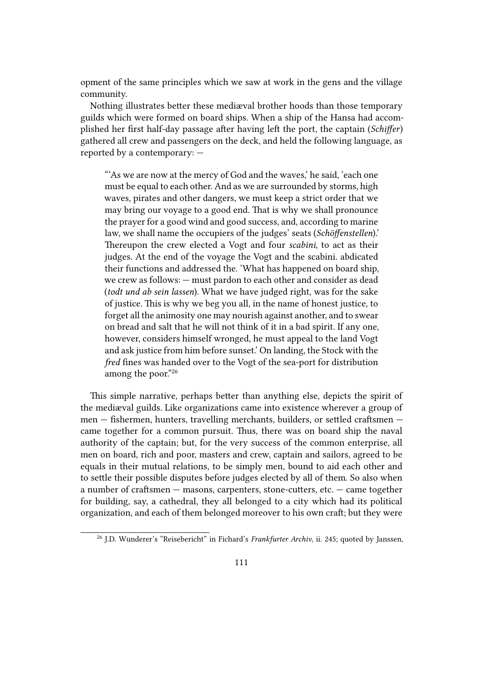opment of the same principles which we saw at work in the gens and the village community.

Nothing illustrates better these mediæval brother hoods than those temporary guilds which were formed on board ships. When a ship of the Hansa had accomplished her first half-day passage after having left the port, the captain (*Schiffer*) gathered all crew and passengers on the deck, and held the following language, as reported by a contemporary: —

"'As we are now at the mercy of God and the waves,' he said, 'each one must be equal to each other. And as we are surrounded by storms, high waves, pirates and other dangers, we must keep a strict order that we may bring our voyage to a good end. That is why we shall pronounce the prayer for a good wind and good success, and, according to marine law, we shall name the occupiers of the judges' seats (*Schöffenstellen*).' Thereupon the crew elected a Vogt and four *scabini*, to act as their judges. At the end of the voyage the Vogt and the scabini. abdicated their functions and addressed the. 'What has happened on board ship, we crew as follows: — must pardon to each other and consider as dead (*todt und ab sein lassen*). What we have judged right, was for the sake of justice. This is why we beg you all, in the name of honest justice, to forget all the animosity one may nourish against another, and to swear on bread and salt that he will not think of it in a bad spirit. If any one, however, considers himself wronged, he must appeal to the land Vogt and ask justice from him before sunset.' On landing, the Stock with the *fred* fines was handed over to the Vogt of the sea-port for distribution among the poor."<sup>26</sup>

This simple narrative, perhaps better than anything else, depicts the spirit of the mediæval guilds. Like organizations came into existence wherever a group of men — fishermen, hunters, travelling merchants, builders, or settled craftsmen came together for a common pursuit. Thus, there was on board ship the naval authority of the captain; but, for the very success of the common enterprise, all men on board, rich and poor, masters and crew, captain and sailors, agreed to be equals in their mutual relations, to be simply men, bound to aid each other and to settle their possible disputes before judges elected by all of them. So also when a number of craftsmen — masons, carpenters, stone-cutters, etc. — came together for building, say, a cathedral, they all belonged to a city which had its political organization, and each of them belonged moreover to his own craft; but they were

<sup>26</sup> J.D. Wunderer's "Reisebericht" in Fichard's *Frankfurter Archiv*, ii. 245; quoted by Janssen,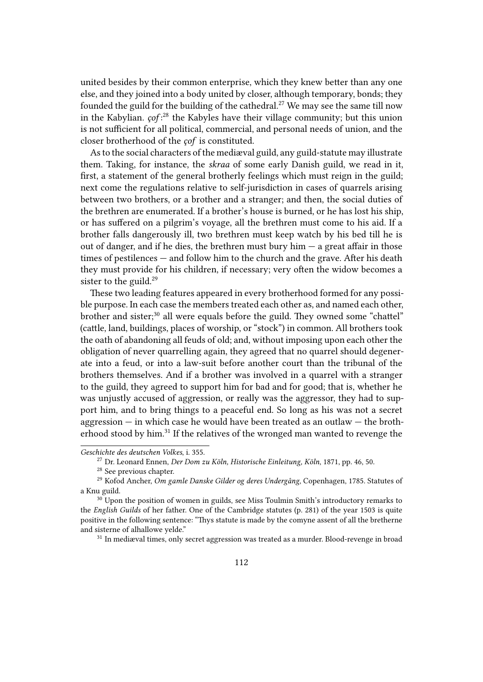united besides by their common enterprise, which they knew better than any one else, and they joined into a body united by closer, although temporary, bonds; they founded the guild for the building of the cathedral.<sup>27</sup> We may see the same till now in the Kabylian. *çof*:<sup>28</sup> the Kabyles have their village community; but this union is not sufficient for all political, commercial, and personal needs of union, and the closer brotherhood of the *çof* is constituted.

As to the social characters of the mediæval guild, any guild-statute may illustrate them. Taking, for instance, the *skraa* of some early Danish guild, we read in it, first, a statement of the general brotherly feelings which must reign in the guild; next come the regulations relative to self-jurisdiction in cases of quarrels arising between two brothers, or a brother and a stranger; and then, the social duties of the brethren are enumerated. If a brother's house is burned, or he has lost his ship, or has suffered on a pilgrim's voyage, all the brethren must come to his aid. If a brother falls dangerously ill, two brethren must keep watch by his bed till he is out of danger, and if he dies, the brethren must bury him  $-$  a great affair in those times of pestilences — and follow him to the church and the grave. After his death they must provide for his children, if necessary; very often the widow becomes a sister to the guild. $29$ 

These two leading features appeared in every brotherhood formed for any possible purpose. In each case the members treated each other as, and named each other, brother and sister;<sup>30</sup> all were equals before the guild. They owned some "chattel" (cattle, land, buildings, places of worship, or "stock") in common. All brothers took the oath of abandoning all feuds of old; and, without imposing upon each other the obligation of never quarrelling again, they agreed that no quarrel should degenerate into a feud, or into a law-suit before another court than the tribunal of the brothers themselves. And if a brother was involved in a quarrel with a stranger to the guild, they agreed to support him for bad and for good; that is, whether he was unjustly accused of aggression, or really was the aggressor, they had to support him, and to bring things to a peaceful end. So long as his was not a secret aggression  $-$  in which case he would have been treated as an outlaw  $-$  the brotherhood stood by him.<sup>31</sup> If the relatives of the wronged man wanted to revenge the

*Geschichte des deutschen Volkes*, i. 355.

<sup>27</sup> Dr. Leonard Ennen, *Der Dom zu Köln, Historische Einleitung, Köln*, 1871, pp. 46, 50.

<sup>&</sup>lt;sup>28</sup> See previous chapter.

<sup>29</sup> Kofod Ancher, *Om gamle Danske Gilder og deres Undergâng*, Copenhagen, 1785. Statutes of a Knu guild.

 $30$  Upon the position of women in guilds, see Miss Toulmin Smith's introductory remarks to the *English Guilds* of her father. One of the Cambridge statutes (p. 281) of the year 1503 is quite positive in the following sentence: "Thys statute is made by the comyne assent of all the bretherne and sisterne of alhallowe yelde."

<sup>31</sup> In mediæval times, only secret aggression was treated as a murder. Blood-revenge in broad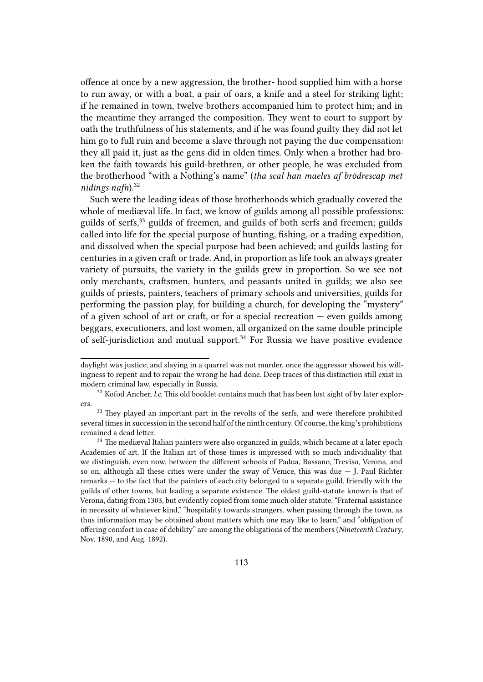offence at once by a new aggression, the brother- hood supplied him with a horse to run away, or with a boat, a pair of oars, a knife and a steel for striking light; if he remained in town, twelve brothers accompanied him to protect him; and in the meantime they arranged the composition. They went to court to support by oath the truthfulness of his statements, and if he was found guilty they did not let him go to full ruin and become a slave through not paying the due compensation: they all paid it, just as the gens did in olden times. Only when a brother had broken the faith towards his guild-brethren, or other people, he was excluded from the brotherhood "with a Nothing's name" (*tha scal han maeles af brödrescap met nidings nafn*).<sup>32</sup>

Such were the leading ideas of those brotherhoods which gradually covered the whole of mediæval life. In fact, we know of guilds among all possible professions: guilds of serfs,<sup>33</sup> guilds of freemen, and guilds of both serfs and freemen; guilds called into life for the special purpose of hunting, fishing, or a trading expedition, and dissolved when the special purpose had been achieved; and guilds lasting for centuries in a given craft or trade. And, in proportion as life took an always greater variety of pursuits, the variety in the guilds grew in proportion. So we see not only merchants, craftsmen, hunters, and peasants united in guilds; we also see guilds of priests, painters, teachers of primary schools and universities, guilds for performing the passion play, for building a church, for developing the "mystery" of a given school of art or craft, or for a special recreation — even guilds among beggars, executioners, and lost women, all organized on the same double principle of self-jurisdiction and mutual support. $34$  For Russia we have positive evidence

daylight was justice; and slaying in a quarrel was not murder, once the aggressor showed his willingness to repent and to repair the wrong he had done. Deep traces of this distinction still exist in modern criminal law, especially in Russia.

<sup>&</sup>lt;sup>32</sup> Kofod Ancher, *l.c.* This old booklet contains much that has been lost sight of by later explorers.

<sup>&</sup>lt;sup>33</sup> They played an important part in the revolts of the serfs, and were therefore prohibited several times in succession in the second half of the ninth century. Of course, the king's prohibitions remained a dead letter.

<sup>&</sup>lt;sup>34</sup> The mediæval Italian painters were also organized in guilds, which became at a later epoch Academies of art. If the Italian art of those times is impressed with so much individuality that we distinguish, even now, between the different schools of Padua, Bassano, Treviso, Verona, and so on, although all these cities were under the sway of Venice, this was due  $-$  J. Paul Richter remarks — to the fact that the painters of each city belonged to a separate guild, friendly with the guilds of other towns, but leading a separate existence. The oldest guild-statute known is that of Verona, dating from 1303, but evidently copied from some much older statute. "Fraternal assistance in necessity of whatever kind," "hospitality towards strangers, when passing through the town, as thus information may be obtained about matters which one may like to learn," and "obligation of offering comfort in case of debility" are among the obligations of the members (*Nineteenth Centur*y, Nov. 1890, and Aug. 1892).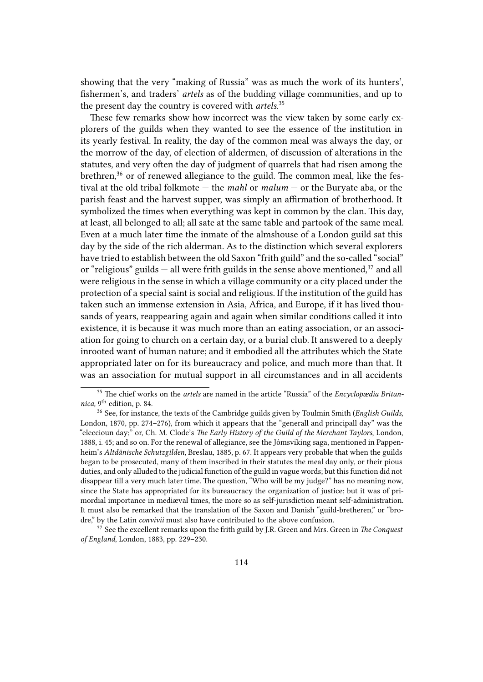showing that the very "making of Russia" was as much the work of its hunters', fishermen's, and traders' *artels* as of the budding village communities, and up to the present day the country is covered with *artels*. 35

These few remarks show how incorrect was the view taken by some early explorers of the guilds when they wanted to see the essence of the institution in its yearly festival. In reality, the day of the common meal was always the day, or the morrow of the day, of election of aldermen, of discussion of alterations in the statutes, and very often the day of judgment of quarrels that had risen among the brethren, $36$  or of renewed allegiance to the guild. The common meal, like the festival at the old tribal folkmote — the *mahl* or *malum* — or the Buryate aba, or the parish feast and the harvest supper, was simply an affirmation of brotherhood. It symbolized the times when everything was kept in common by the clan. This day, at least, all belonged to all; all sate at the same table and partook of the same meal. Even at a much later time the inmate of the almshouse of a London guild sat this day by the side of the rich alderman. As to the distinction which several explorers have tried to establish between the old Saxon "frith guild" and the so-called "social" or "religious" guilds  $-$  all were frith guilds in the sense above mentioned,  $37$  and all were religious in the sense in which a village community or a city placed under the protection of a special saint is social and religious. If the institution of the guild has taken such an immense extension in Asia, Africa, and Europe, if it has lived thousands of years, reappearing again and again when similar conditions called it into existence, it is because it was much more than an eating association, or an association for going to church on a certain day, or a burial club. It answered to a deeply inrooted want of human nature; and it embodied all the attributes which the State appropriated later on for its bureaucracy and police, and much more than that. It was an association for mutual support in all circumstances and in all accidents

<sup>37</sup> See the excellent remarks upon the frith guild by J.R. Green and Mrs. Green in *The Conquest of England*, London, 1883, pp. 229–230.

<sup>35</sup> The chief works on the *artels* are named in the article "Russia" of the *Encyclopædia Britan*nica, 9<sup>th</sup> edition, p. 84.

<sup>36</sup> See, for instance, the texts of the Cambridge guilds given by Toulmin Smith (*English Guilds*, London, 1870, pp. 274–276), from which it appears that the "generall and principall day" was the "eleccioun day;" or, Ch. M. Clode's *The Early History of the Guild of the Merchant Taylors*, London, 1888, i. 45; and so on. For the renewal of allegiance, see the Jómsviking saga, mentioned in Pappenheim's *Altdänische Schutzgilden*, Breslau, 1885, p. 67. It appears very probable that when the guilds began to be prosecuted, many of them inscribed in their statutes the meal day only, or their pious duties, and only alluded to the judicial function of the guild in vague words; but this function did not disappear till a very much later time. The question, "Who will be my judge?" has no meaning now, since the State has appropriated for its bureaucracy the organization of justice; but it was of primordial importance in mediæval times, the more so as self-jurisdiction meant self-administration. It must also be remarked that the translation of the Saxon and Danish "guild-bretheren," or "brodre," by the Latin *convivii* must also have contributed to the above confusion.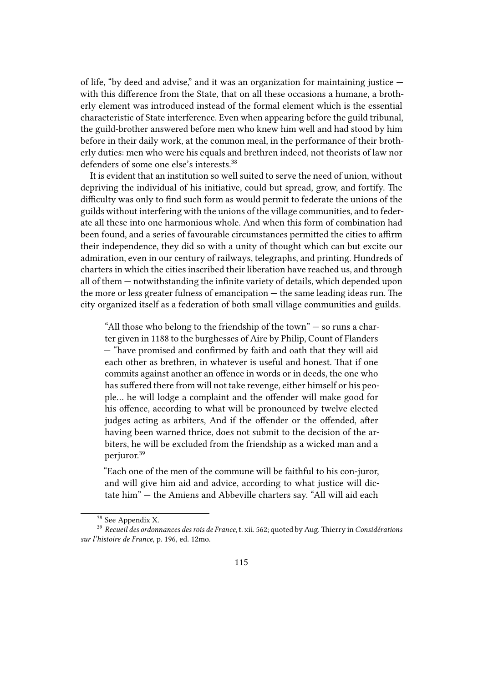of life, "by deed and advise," and it was an organization for maintaining justice with this difference from the State, that on all these occasions a humane, a brotherly element was introduced instead of the formal element which is the essential characteristic of State interference. Even when appearing before the guild tribunal, the guild-brother answered before men who knew him well and had stood by him before in their daily work, at the common meal, in the performance of their brotherly duties: men who were his equals and brethren indeed, not theorists of law nor defenders of some one else's interests.<sup>38</sup>

It is evident that an institution so well suited to serve the need of union, without depriving the individual of his initiative, could but spread, grow, and fortify. The difficulty was only to find such form as would permit to federate the unions of the guilds without interfering with the unions of the village communities, and to federate all these into one harmonious whole. And when this form of combination had been found, and a series of favourable circumstances permitted the cities to affirm their independence, they did so with a unity of thought which can but excite our admiration, even in our century of railways, telegraphs, and printing. Hundreds of charters in which the cities inscribed their liberation have reached us, and through all of them — notwithstanding the infinite variety of details, which depended upon the more or less greater fulness of emancipation — the same leading ideas run. The city organized itself as a federation of both small village communities and guilds.

"All those who belong to the friendship of the town"  $-$  so runs a charter given in 1188 to the burghesses of Aire by Philip, Count of Flanders — "have promised and confirmed by faith and oath that they will aid each other as brethren, in whatever is useful and honest. That if one commits against another an offence in words or in deeds, the one who has suffered there from will not take revenge, either himself or his people… he will lodge a complaint and the offender will make good for his offence, according to what will be pronounced by twelve elected judges acting as arbiters, And if the offender or the offended, after having been warned thrice, does not submit to the decision of the arbiters, he will be excluded from the friendship as a wicked man and a perjuror.<sup>39</sup>

"Each one of the men of the commune will be faithful to his con-juror, and will give him aid and advice, according to what justice will dictate him" — the Amiens and Abbeville charters say. "All will aid each

<sup>38</sup> See Appendix X.

<sup>39</sup> *Recueil des ordonnances des rois de France*, t. xii. 562; quoted by Aug.Thierry in *Considérations sur l'histoire de France*, p. 196, ed. 12mo.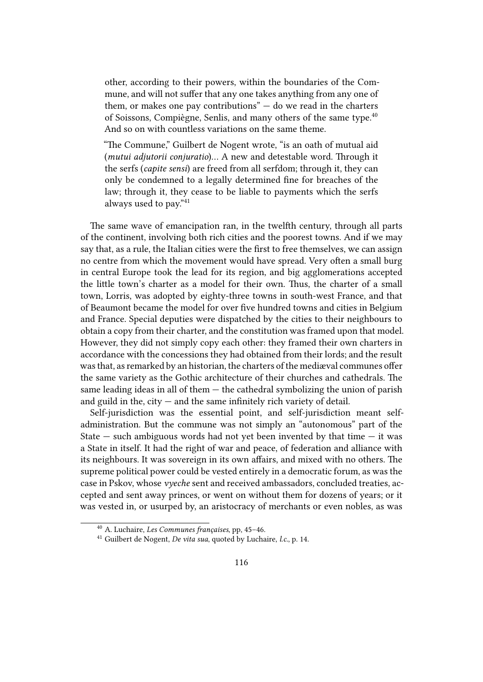other, according to their powers, within the boundaries of the Commune, and will not suffer that any one takes anything from any one of them, or makes one pay contributions"  $-$  do we read in the charters of Soissons, Compiègne, Senlis, and many others of the same type.<sup>40</sup> And so on with countless variations on the same theme.

"The Commune," Guilbert de Nogent wrote, "is an oath of mutual aid (*mutui adjutorii conjuratio*)… A new and detestable word. Through it the serfs (*capite sensi*) are freed from all serfdom; through it, they can only be condemned to a legally determined fine for breaches of the law; through it, they cease to be liable to payments which the serfs always used to pay."<sup>41</sup>

The same wave of emancipation ran, in the twelfth century, through all parts of the continent, involving both rich cities and the poorest towns. And if we may say that, as a rule, the Italian cities were the first to free themselves, we can assign no centre from which the movement would have spread. Very often a small burg in central Europe took the lead for its region, and big agglomerations accepted the little town's charter as a model for their own. Thus, the charter of a small town, Lorris, was adopted by eighty-three towns in south-west France, and that of Beaumont became the model for over five hundred towns and cities in Belgium and France. Special deputies were dispatched by the cities to their neighbours to obtain a copy from their charter, and the constitution was framed upon that model. However, they did not simply copy each other: they framed their own charters in accordance with the concessions they had obtained from their lords; and the result was that, as remarked by an historian, the charters of the mediæval communes offer the same variety as the Gothic architecture of their churches and cathedrals. The same leading ideas in all of them — the cathedral symbolizing the union of parish and guild in the,  $city$  — and the same infinitely rich variety of detail.

Self-jurisdiction was the essential point, and self-jurisdiction meant selfadministration. But the commune was not simply an "autonomous" part of the State  $-$  such ambiguous words had not yet been invented by that time  $-$  it was a State in itself. It had the right of war and peace, of federation and alliance with its neighbours. It was sovereign in its own affairs, and mixed with no others. The supreme political power could be vested entirely in a democratic forum, as was the case in Pskov, whose *vyeche* sent and received ambassadors, concluded treaties, accepted and sent away princes, or went on without them for dozens of years; or it was vested in, or usurped by, an aristocracy of merchants or even nobles, as was

<sup>40</sup> A. Luchaire, *Les Communes françaises*, pp, 45–46.

<sup>41</sup> Guilbert de Nogent, *De vita sua*, quoted by Luchaire, *l.c.*, p. 14.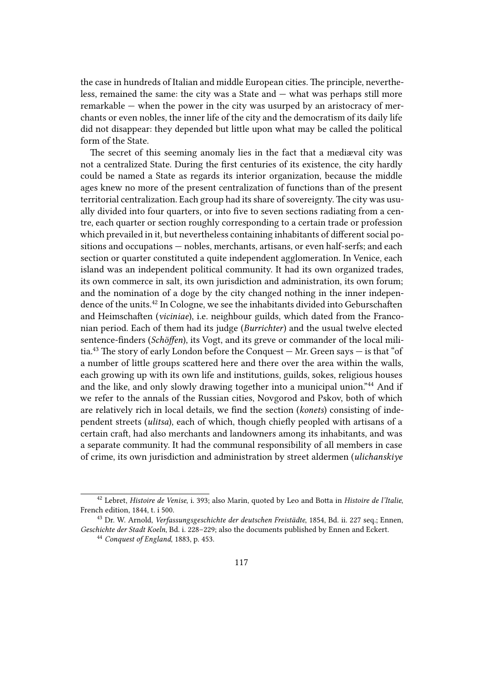the case in hundreds of Italian and middle European cities. The principle, nevertheless, remained the same: the city was a State and — what was perhaps still more remarkable — when the power in the city was usurped by an aristocracy of merchants or even nobles, the inner life of the city and the democratism of its daily life did not disappear: they depended but little upon what may be called the political form of the State.

The secret of this seeming anomaly lies in the fact that a mediæval city was not a centralized State. During the first centuries of its existence, the city hardly could be named a State as regards its interior organization, because the middle ages knew no more of the present centralization of functions than of the present territorial centralization. Each group had its share of sovereignty. The city was usually divided into four quarters, or into five to seven sections radiating from a centre, each quarter or section roughly corresponding to a certain trade or profession which prevailed in it, but nevertheless containing inhabitants of different social positions and occupations — nobles, merchants, artisans, or even half-serfs; and each section or quarter constituted a quite independent agglomeration. In Venice, each island was an independent political community. It had its own organized trades, its own commerce in salt, its own jurisdiction and administration, its own forum; and the nomination of a doge by the city changed nothing in the inner independence of the units.<sup>42</sup> In Cologne, we see the inhabitants divided into Geburschaften and Heimschaften (*viciniae*), i.e. neighbour guilds, which dated from the Franconian period. Each of them had its judge (*Burrichter*) and the usual twelve elected sentence-finders (*Schöffen*), its Vogt, and its greve or commander of the local militia. $43$  The story of early London before the Conquest  $-$  Mr. Green says  $-$  is that "of a number of little groups scattered here and there over the area within the walls, each growing up with its own life and institutions, guilds, sokes, religious houses and the like, and only slowly drawing together into a municipal union."<sup>44</sup> And if we refer to the annals of the Russian cities, Novgorod and Pskov, both of which are relatively rich in local details, we find the section (*konets*) consisting of independent streets (*ulitsa*), each of which, though chiefly peopled with artisans of a certain craft, had also merchants and landowners among its inhabitants, and was a separate community. It had the communal responsibility of all members in case of crime, its own jurisdiction and administration by street aldermen (*ulichanskiye*

<sup>42</sup> Lebret, *Histoire de Venise*, i. 393; also Marin, quoted by Leo and Botta in *Histoire de l'Italie*, French edition, 1844, t. i 500.

<sup>43</sup> Dr. W. Arnold, *Verfassungsgeschichte der deutschen Freistädte*, 1854, Bd. ii. 227 seq.; Ennen, *Geschichte der Stadt Koeln*, Bd. i. 228–229; also the documents published by Ennen and Eckert.

<sup>44</sup> *Conquest of England*, 1883, p. 453.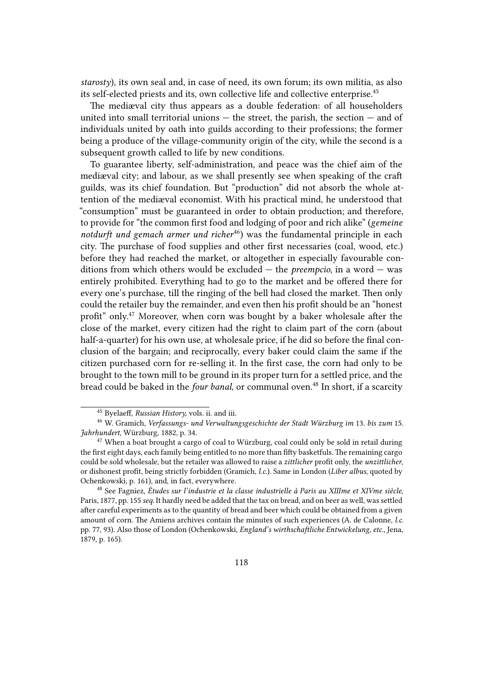*starosty*), its own seal and, in case of need, its own forum; its own militia, as also its self-elected priests and its, own collective life and collective enterprise.<sup>45</sup>

The mediæval city thus appears as a double federation: of all householders united into small territorial unions  $-$  the street, the parish, the section  $-$  and of individuals united by oath into guilds according to their professions; the former being a produce of the village-community origin of the city, while the second is a subsequent growth called to life by new conditions.

To guarantee liberty, self-administration, and peace was the chief aim of the mediæval city; and labour, as we shall presently see when speaking of the craft guilds, was its chief foundation. But "production" did not absorb the whole attention of the mediæval economist. With his practical mind, he understood that "consumption" must be guaranteed in order to obtain production; and therefore, to provide for "the common first food and lodging of poor and rich alike" (*gemeine notdurft und gemach armer und richer<sup>46</sup>*) was the fundamental principle in each city. The purchase of food supplies and other first necessaries (coal, wood, etc.) before they had reached the market, or altogether in especially favourable conditions from which others would be excluded — the *preempcio*, in a word — was entirely prohibited. Everything had to go to the market and be offered there for every one's purchase, till the ringing of the bell had closed the market. Then only could the retailer buy the remainder, and even then his profit should be an "honest profit" only.<sup>47</sup> Moreover, when corn was bought by a baker wholesale after the close of the market, every citizen had the right to claim part of the corn (about half-a-quarter) for his own use, at wholesale price, if he did so before the final conclusion of the bargain; and reciprocally, every baker could claim the same if the citizen purchased corn for re-selling it. In the first case, the corn had only to be brought to the town mill to be ground in its proper turn for a settled price, and the bread could be baked in the *four banal*, or communal oven.<sup>48</sup> In short, if a scarcity

<sup>45</sup> Byelaeff, *Russian History,* vols. ii. and iii.

<sup>46</sup> W. Gramich, *Verfassungs- und Verwaltungsgeschichte der Stadt Würzburg im* 13. *bis zum* 15. *Jahrhundert*, Würzburg, 1882, p. 34.

<sup>&</sup>lt;sup>47</sup> When a boat brought a cargo of coal to Würzburg, coal could only be sold in retail during the first eight days, each family being entitled to no more than fifty basketfuls. The remaining cargo could be sold wholesale, but the retailer was allowed to raise a *zittlicher* profit only, the *unzittlicher*, or dishonest profit, being strictly forbidden (Gramich, *l.c.*). Same in London (*Liber albus*, quoted by Ochenkowski, p. 161), and, in fact, everywhere.

<sup>48</sup> See Fagniez, *Études sur l'industrie et la classe industrielle à Paris au XIIIme et XIVme siècle*, Paris, 1877, pp. 155 *seq*. It hardly need be added that the tax on bread, and on beer as well, was settled after careful experiments as to the quantity of bread and beer which could be obtained from a given amount of corn. The Amiens archives contain the minutes of such experiences (A. de Calonne, *l.c.* pp. 77, 93). Also those of London (Ochenkowski, *England's wirthschaftliche Entwickelung, etc.*, Jena, 1879, p. 165).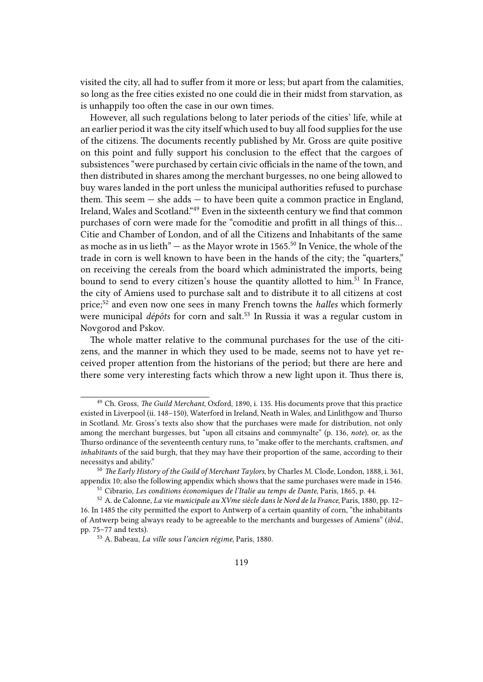visited the city, all had to suffer from it more or less; but apart from the calamities, so long as the free cities existed no one could die in their midst from starvation, as is unhappily too often the case in our own times.

However, all such regulations belong to later periods of the cities' life, while at an earlier period it was the city itself which used to buy all food supplies for the use of the citizens. The documents recently published by Mr. Gross are quite positive on this point and fully support his conclusion to the effect that the cargoes of subsistences "were purchased by certain civic officials in the name of the town, and then distributed in shares among the merchant burgesses, no one being allowed to buy wares landed in the port unless the municipal authorities refused to purchase them. This seem  $-$  she adds  $-$  to have been quite a common practice in England, Ireland, Wales and Scotland."<sup>49</sup> Even in the sixteenth century we find that common purchases of corn were made for the "comoditie and profitt in all things of this… Citie and Chamber of London, and of all the Citizens and Inhabitants of the same as moche as in us lieth" — as the Mayor wrote in  $1565$ <sup>50</sup> In Venice, the whole of the trade in corn is well known to have been in the hands of the city; the "quarters," on receiving the cereals from the board which administrated the imports, being bound to send to every citizen's house the quantity allotted to him. $51$  In France, the city of Amiens used to purchase salt and to distribute it to all citizens at cost price;<sup>52</sup> and even now one sees in many French towns the *halles* which formerly were municipal *dépôts* for corn and salt.<sup>53</sup> In Russia it was a regular custom in Novgorod and Pskov.

The whole matter relative to the communal purchases for the use of the citizens, and the manner in which they used to be made, seems not to have yet received proper attention from the historians of the period; but there are here and there some very interesting facts which throw a new light upon it. Thus there is,

<sup>49</sup> Ch. Gross, *The Guild Merchant*, Oxford, 1890, i. 135. His documents prove that this practice existed in Liverpool (ii. 148–150), Waterford in Ireland, Neath in Wales, and Linlithgow and Thurso in Scotland. Mr. Gross's texts also show that the purchases were made for distribution, not only among the merchant burgesses, but "upon all citsains and commynalte" (p. 136, *note*), or, as the Thurso ordinance of the seventeenth century runs, to "make offer to the merchants, craftsmen, *and inhabitants* of the said burgh, that they may have their proportion of the same, according to their necessitys and ability."

<sup>50</sup> *The Early History of the Guild of Merchant Taylors*, by Charles M. Clode, London, 1888, i. 361, appendix 10; also the following appendix which shows that the same purchases were made in 1546. <sup>51</sup> Cibrario, *Les conditions économiques de l'Italie au temps de Dante*, Paris, 1865, p. 44.

<sup>52</sup> A. de Calonne, *La vie municipale au XVme siècle dans le Nord de la France*, Paris, 1880, pp. 12– 16. In 1485 the city permitted the export to Antwerp of a certain quantity of corn, "the inhabitants of Antwerp being always ready to be agreeable to the merchants and burgesses of Amiens" (*ibid.*, pp. 75–77 and texts).

<sup>53</sup> A. Babeau, *La ville sous l'ancien régime*, Paris, 1880.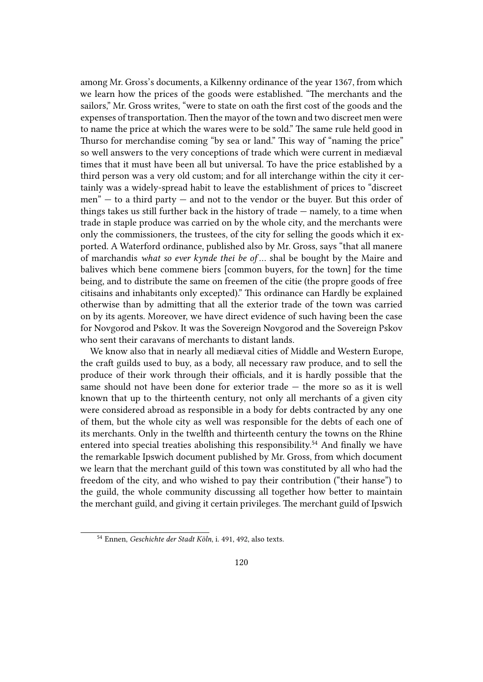among Mr. Gross's documents, a Kilkenny ordinance of the year 1367, from which we learn how the prices of the goods were established. "The merchants and the sailors," Mr. Gross writes, "were to state on oath the first cost of the goods and the expenses of transportation. Then the mayor of the town and two discreet men were to name the price at which the wares were to be sold." The same rule held good in Thurso for merchandise coming "by sea or land." This way of "naming the price" so well answers to the very conceptions of trade which were current in mediæval times that it must have been all but universal. To have the price established by a third person was a very old custom; and for all interchange within the city it certainly was a widely-spread habit to leave the establishment of prices to "discreet men" — to a third party — and not to the vendor or the buyer. But this order of things takes us still further back in the history of trade — namely, to a time when trade in staple produce was carried on by the whole city, and the merchants were only the commissioners, the trustees, of the city for selling the goods which it exported. A Waterford ordinance, published also by Mr. Gross, says "that all manere of marchandis *what so ever kynde thei be of* … shal be bought by the Maire and balives which bene commene biers [common buyers, for the town] for the time being, and to distribute the same on freemen of the citie (the propre goods of free citisains and inhabitants only excepted)." This ordinance can Hardly be explained otherwise than by admitting that all the exterior trade of the town was carried on by its agents. Moreover, we have direct evidence of such having been the case for Novgorod and Pskov. It was the Sovereign Novgorod and the Sovereign Pskov who sent their caravans of merchants to distant lands.

We know also that in nearly all mediæval cities of Middle and Western Europe, the craft guilds used to buy, as a body, all necessary raw produce, and to sell the produce of their work through their officials, and it is hardly possible that the same should not have been done for exterior trade — the more so as it is well known that up to the thirteenth century, not only all merchants of a given city were considered abroad as responsible in a body for debts contracted by any one of them, but the whole city as well was responsible for the debts of each one of its merchants. Only in the twelfth and thirteenth century the towns on the Rhine entered into special treaties abolishing this responsibility.<sup>54</sup> And finally we have the remarkable Ipswich document published by Mr. Gross, from which document we learn that the merchant guild of this town was constituted by all who had the freedom of the city, and who wished to pay their contribution ("their hanse") to the guild, the whole community discussing all together how better to maintain the merchant guild, and giving it certain privileges. The merchant guild of Ipswich

<sup>54</sup> Ennen, *Geschichte der Stadt Köln*, i. 491, 492, also texts.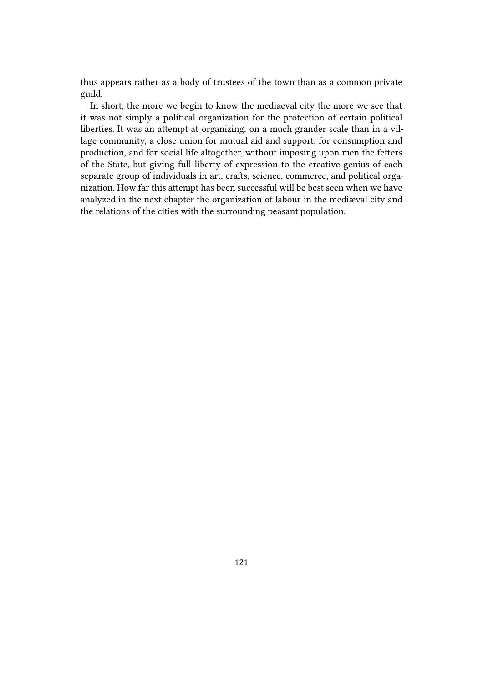thus appears rather as a body of trustees of the town than as a common private guild.

In short, the more we begin to know the mediaeval city the more we see that it was not simply a political organization for the protection of certain political liberties. It was an attempt at organizing, on a much grander scale than in a village community, a close union for mutual aid and support, for consumption and production, and for social life altogether, without imposing upon men the fetters of the State, but giving full liberty of expression to the creative genius of each separate group of individuals in art, crafts, science, commerce, and political organization. How far this attempt has been successful will be best seen when we have analyzed in the next chapter the organization of labour in the mediæval city and the relations of the cities with the surrounding peasant population.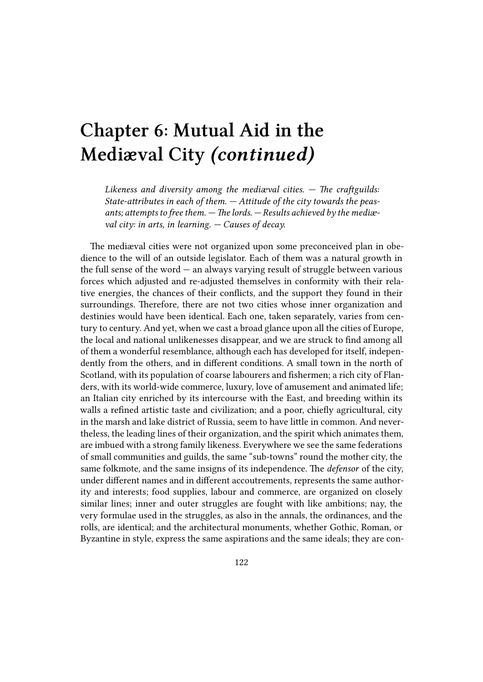## **Chapter 6: Mutual Aid in the Mediæval City** *(continued)*

*Likeness and diversity among the mediæval cities. — The craftguilds: State-attributes in each of them. — Attitude of the city towards the peasants; attempts to free them. — The lords. — Results achieved by the mediæval city: in arts, in learning. — Causes of decay.*

The mediæval cities were not organized upon some preconceived plan in obedience to the will of an outside legislator. Each of them was a natural growth in the full sense of the word  $-$  an always varying result of struggle between various forces which adjusted and re-adjusted themselves in conformity with their relative energies, the chances of their conflicts, and the support they found in their surroundings. Therefore, there are not two cities whose inner organization and destinies would have been identical. Each one, taken separately, varies from century to century. And yet, when we cast a broad glance upon all the cities of Europe, the local and national unlikenesses disappear, and we are struck to find among all of them a wonderful resemblance, although each has developed for itself, independently from the others, and in different conditions. A small town in the north of Scotland, with its population of coarse labourers and fishermen; a rich city of Flanders, with its world-wide commerce, luxury, love of amusement and animated life; an Italian city enriched by its intercourse with the East, and breeding within its walls a refined artistic taste and civilization; and a poor, chiefly agricultural, city in the marsh and lake district of Russia, seem to have little in common. And nevertheless, the leading lines of their organization, and the spirit which animates them, are imbued with a strong family likeness. Everywhere we see the same federations of small communities and guilds, the same "sub-towns" round the mother city, the same folkmote, and the same insigns of its independence. The *defensor* of the city, under different names and in different accoutrements, represents the same authority and interests; food supplies, labour and commerce, are organized on closely similar lines; inner and outer struggles are fought with like ambitions; nay, the very formulae used in the struggles, as also in the annals, the ordinances, and the rolls, are identical; and the architectural monuments, whether Gothic, Roman, or Byzantine in style, express the same aspirations and the same ideals; they are con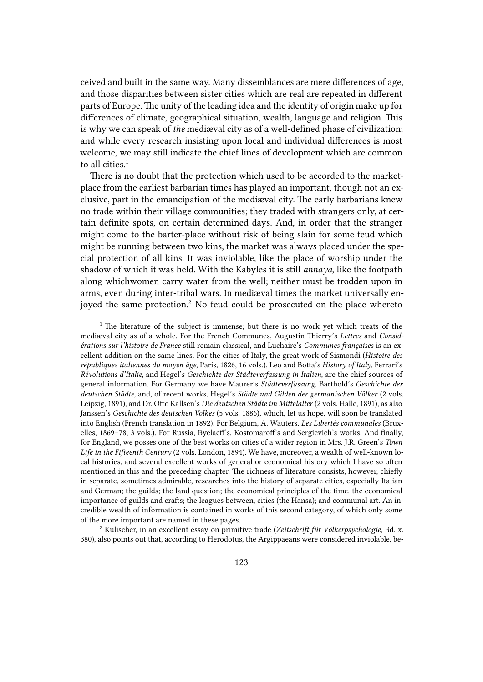ceived and built in the same way. Many dissemblances are mere differences of age, and those disparities between sister cities which are real are repeated in different parts of Europe. The unity of the leading idea and the identity of origin make up for differences of climate, geographical situation, wealth, language and religion. This is why we can speak of *the* mediæval city as of a well-defined phase of civilization; and while every research insisting upon local and individual differences is most welcome, we may still indicate the chief lines of development which are common to all cities.<sup>1</sup>

There is no doubt that the protection which used to be accorded to the marketplace from the earliest barbarian times has played an important, though not an exclusive, part in the emancipation of the mediæval city. The early barbarians knew no trade within their village communities; they traded with strangers only, at certain definite spots, on certain determined days. And, in order that the stranger might come to the barter-place without risk of being slain for some feud which might be running between two kins, the market was always placed under the special protection of all kins. It was inviolable, like the place of worship under the shadow of which it was held. With the Kabyles it is still *annaya*, like the footpath along whichwomen carry water from the well; neither must be trodden upon in arms, even during inter-tribal wars. In mediæval times the market universally enjoyed the same protection.<sup>2</sup> No feud could be prosecuted on the place whereto

<sup>2</sup> Kulischer, in an excellent essay on primitive trade (*Zeitschrift für Völkerpsychologie*, Bd. x. 380), also points out that, according to Herodotus, the Argippaeans were considered inviolable, be-

<sup>&</sup>lt;sup>1</sup> The literature of the subject is immense; but there is no work yet which treats of the mediæval city as of a whole. For the French Communes, Augustin Thierry's *Lettres* and *Considérations sur l'histoire de France* still remain classical, and Luchaire's *Communes françaises* is an excellent addition on the same lines. For the cities of Italy, the great work of Sismondi (*Histoire des républiques italiennes du moyen âge*, Paris, 1826, 16 vols.), Leo and Botta's *History of Italy*, Ferrari's *Révolutions d'Italie*, and Hegel's *Geschichte der Städteverfassung in Italien*, are the chief sources of general information. For Germany we have Maurer's *Städteverfassung*, Barthold's *Geschichte der deutschen Städte*, and, of recent works, Hegel's *Städte und Gilden der germanischen Völker* (2 vols. Leipzig, 1891), and Dr. Otto Kallsen's *Die deutschen Städte im Mittelalter* (2 vols. Halle, 1891), as also Janssen's *Geschichte des deutschen Volkes* (5 vols. 1886), which, let us hope, will soon be translated into English (French translation in 1892). For Belgium, A. Wauters, *Les Libertés communales* (Bruxelles, 1869–78, 3 vols.). For Russia, Byelaeff's, Kostomaroff's and Sergievich's works. And finally, for England, we posses one of the best works on cities of a wider region in Mrs. J.R. Green's *Town Life in the Fifteenth Century* (2 vols. London, 1894). We have, moreover, a wealth of well-known local histories, and several excellent works of general or economical history which I have so often mentioned in this and the preceding chapter. The richness of literature consists, however, chiefly in separate, sometimes admirable, researches into the history of separate cities, especially Italian and German; the guilds; the land question; the economical principles of the time. the economical importance of guilds and crafts; the leagues between, cities (the Hansa); and communal art. An incredible wealth of information is contained in works of this second category, of which only some of the more important are named in these pages.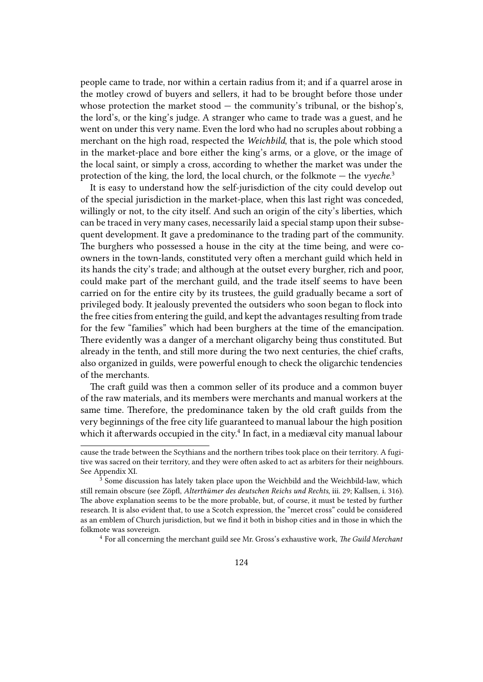people came to trade, nor within a certain radius from it; and if a quarrel arose in the motley crowd of buyers and sellers, it had to be brought before those under whose protection the market stood  $-$  the community's tribunal, or the bishop's, the lord's, or the king's judge. A stranger who came to trade was a guest, and he went on under this very name. Even the lord who had no scruples about robbing a merchant on the high road, respected the *Weichbild*, that is, the pole which stood in the market-place and bore either the king's arms, or a glove, or the image of the local saint, or simply a cross, according to whether the market was under the protection of the king, the lord, the local church, or the folkmote — the *vyeche*. 3

It is easy to understand how the self-jurisdiction of the city could develop out of the special jurisdiction in the market-place, when this last right was conceded, willingly or not, to the city itself. And such an origin of the city's liberties, which can be traced in very many cases, necessarily laid a special stamp upon their subsequent development. It gave a predominance to the trading part of the community. The burghers who possessed a house in the city at the time being, and were coowners in the town-lands, constituted very often a merchant guild which held in its hands the city's trade; and although at the outset every burgher, rich and poor, could make part of the merchant guild, and the trade itself seems to have been carried on for the entire city by its trustees, the guild gradually became a sort of privileged body. It jealously prevented the outsiders who soon began to flock into the free cities from entering the guild, and kept the advantages resulting from trade for the few "families" which had been burghers at the time of the emancipation. There evidently was a danger of a merchant oligarchy being thus constituted. But already in the tenth, and still more during the two next centuries, the chief crafts, also organized in guilds, were powerful enough to check the oligarchic tendencies of the merchants.

The craft guild was then a common seller of its produce and a common buyer of the raw materials, and its members were merchants and manual workers at the same time. Therefore, the predominance taken by the old craft guilds from the very beginnings of the free city life guaranteed to manual labour the high position which it afterwards occupied in the city.<sup>4</sup> In fact, in a mediæval city manual labour

<sup>4</sup> For all concerning the merchant guild see Mr. Gross's exhaustive work, *The Guild Merchant*

cause the trade between the Scythians and the northern tribes took place on their territory. A fugitive was sacred on their territory, and they were often asked to act as arbiters for their neighbours. See Appendix XI.

<sup>&</sup>lt;sup>3</sup> Some discussion has lately taken place upon the Weichbild and the Weichbild-law, which still remain obscure (see Zöpfl, *Alterthümer des deutschen Reichs und Rechts*, iii. 29; Kallsen, i. 316). The above explanation seems to be the more probable, but, of course, it must be tested by further research. It is also evident that, to use a Scotch expression, the "mercet cross" could be considered as an emblem of Church jurisdiction, but we find it both in bishop cities and in those in which the folkmote was sovereign.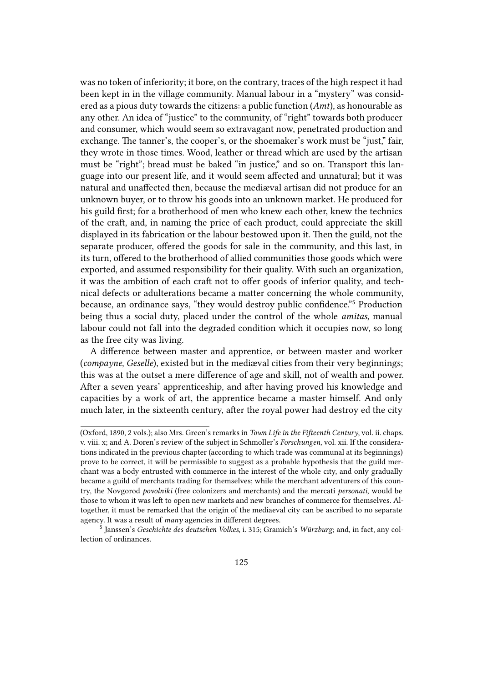was no token of inferiority; it bore, on the contrary, traces of the high respect it had been kept in in the village community. Manual labour in a "mystery" was considered as a pious duty towards the citizens: a public function (*Amt*), as honourable as any other. An idea of "justice" to the community, of "right" towards both producer and consumer, which would seem so extravagant now, penetrated production and exchange. The tanner's, the cooper's, or the shoemaker's work must be "just," fair, they wrote in those times. Wood, leather or thread which are used by the artisan must be "right"; bread must be baked "in justice," and so on. Transport this language into our present life, and it would seem affected and unnatural; but it was natural and unaffected then, because the mediæval artisan did not produce for an unknown buyer, or to throw his goods into an unknown market. He produced for his guild first; for a brotherhood of men who knew each other, knew the technics of the craft, and, in naming the price of each product, could appreciate the skill displayed in its fabrication or the labour bestowed upon it. Then the guild, not the separate producer, offered the goods for sale in the community, and this last, in its turn, offered to the brotherhood of allied communities those goods which were exported, and assumed responsibility for their quality. With such an organization, it was the ambition of each craft not to offer goods of inferior quality, and technical defects or adulterations became a matter concerning the whole community, because, an ordinance says, "they would destroy public confidence."<sup>5</sup> Production being thus a social duty, placed under the control of the whole *amitas*, manual labour could not fall into the degraded condition which it occupies now, so long as the free city was living.

A difference between master and apprentice, or between master and worker (*compayne*, *Geselle*), existed but in the mediæval cities from their very beginnings; this was at the outset a mere difference of age and skill, not of wealth and power. After a seven years' apprenticeship, and after having proved his knowledge and capacities by a work of art, the apprentice became a master himself. And only much later, in the sixteenth century, after the royal power had destroy ed the city

<sup>(</sup>Oxford, 1890, 2 vols.); also Mrs. Green's remarks in *Town Life in the Fifteenth Century*, vol. ii. chaps. v. viii. x; and A. Doren's review of the subject in Schmoller's *Forschungen*, vol. xii. If the considerations indicated in the previous chapter (according to which trade was communal at its beginnings) prove to be correct, it will be permissible to suggest as a probable hypothesis that the guild merchant was a body entrusted with commerce in the interest of the whole city, and only gradually became a guild of merchants trading for themselves; while the merchant adventurers of this country, the Novgorod *povolniki* (free colonizers and merchants) and the mercati *personati*, would be those to whom it was left to open new markets and new branches of commerce for themselves. Altogether, it must be remarked that the origin of the mediaeval city can be ascribed to no separate agency. It was a result of *many* agencies in different degrees.

<sup>5</sup> Janssen's *Geschichte des deutschen Volkes*, i. 315; Gramich's *Würzburg*; and, in fact, any collection of ordinances.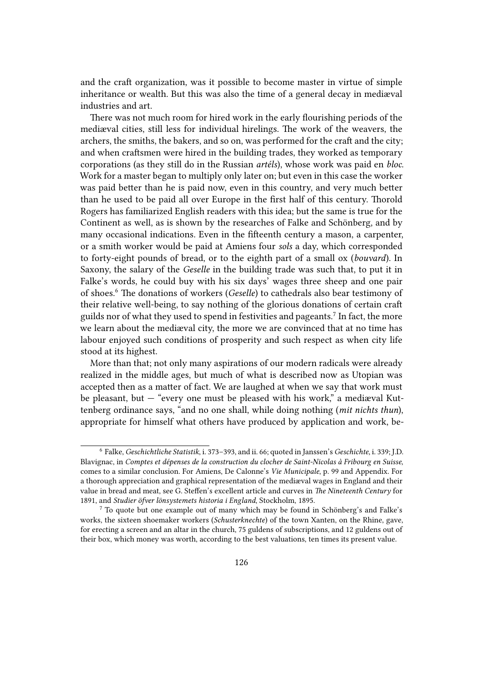and the craft organization, was it possible to become master in virtue of simple inheritance or wealth. But this was also the time of a general decay in mediæval industries and art.

There was not much room for hired work in the early flourishing periods of the mediæval cities, still less for individual hirelings. The work of the weavers, the archers, the smiths, the bakers, and so on, was performed for the craft and the city; and when craftsmen were hired in the building trades, they worked as temporary corporations (as they still do in the Russian *artéls*), whose work was paid en *bloc*. Work for a master began to multiply only later on; but even in this case the worker was paid better than he is paid now, even in this country, and very much better than he used to be paid all over Europe in the first half of this century. Thorold Rogers has familiarized English readers with this idea; but the same is true for the Continent as well, as is shown by the researches of Falke and Schönberg, and by many occasional indications. Even in the fifteenth century a mason, a carpenter, or a smith worker would be paid at Amiens four *sols* a day, which corresponded to forty-eight pounds of bread, or to the eighth part of a small ox (*bouvard*). In Saxony, the salary of the *Geselle* in the building trade was such that, to put it in Falke's words, he could buy with his six days' wages three sheep and one pair of shoes.<sup>6</sup> The donations of workers (*Geselle*) to cathedrals also bear testimony of their relative well-being, to say nothing of the glorious donations of certain craft guilds nor of what they used to spend in festivities and pageants.<sup>7</sup> In fact, the more we learn about the mediæval city, the more we are convinced that at no time has labour enjoyed such conditions of prosperity and such respect as when city life stood at its highest.

More than that; not only many aspirations of our modern radicals were already realized in the middle ages, but much of what is described now as Utopian was accepted then as a matter of fact. We are laughed at when we say that work must be pleasant, but  $-$  "every one must be pleased with his work," a mediæval Kuttenberg ordinance says, "and no one shall, while doing nothing (*mit nichts thun*), appropriate for himself what others have produced by application and work, be-

<sup>6</sup> Falke, *Geschichtliche Statistik*, i. 373–393, and ii. 66; quoted in Janssen's *Geschichte*, i. 339; J.D. Blavignac, in *Comptes et dépenses de la construction du clocher de Saint-Nicolas à Fribourg en Suisse*, comes to a similar conclusion. For Amiens, De Calonne's *Vie Municipale*, p. 99 and Appendix. For a thorough appreciation and graphical representation of the mediæval wages in England and their value in bread and meat, see G. Steffen's excellent article and curves in *The Nineteenth Century* for 1891, and *Studier öfver lönsystemets historia i England*, Stockholm, 1895.

<sup>7</sup> To quote but one example out of many which may be found in Schönberg's and Falke's works, the sixteen shoemaker workers (*Schusterknechte*) of the town Xanten, on the Rhine, gave, for erecting a screen and an altar in the church, 75 guldens of subscriptions, and 12 guldens out of their box, which money was worth, according to the best valuations, ten times its present value.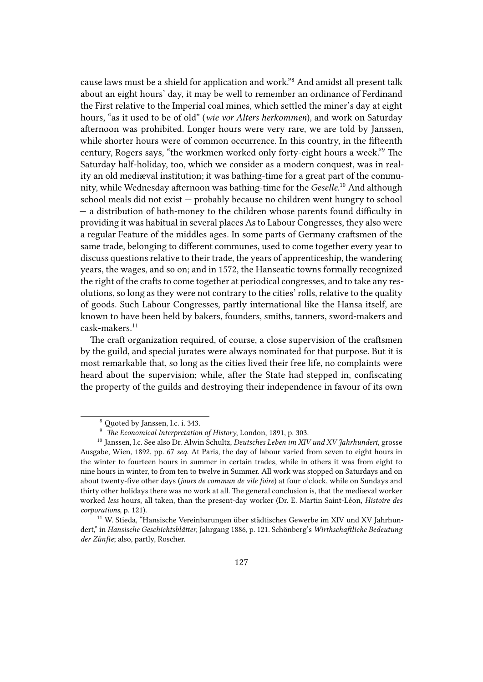cause laws must be a shield for application and work."<sup>8</sup> And amidst all present talk about an eight hours' day, it may be well to remember an ordinance of Ferdinand the First relative to the Imperial coal mines, which settled the miner's day at eight hours, "as it used to be of old" (*wie vor Alters herkommen*), and work on Saturday afternoon was prohibited. Longer hours were very rare, we are told by Janssen, while shorter hours were of common occurrence. In this country, in the fifteenth century, Rogers says, "the workmen worked only forty-eight hours a week."<sup>9</sup> The Saturday half-holiday, too, which we consider as a modern conquest, was in reality an old mediæval institution; it was bathing-time for a great part of the community, while Wednesday afternoon was bathing-time for the *Geselle*. <sup>10</sup> And although school meals did not exist — probably because no children went hungry to school — a distribution of bath-money to the children whose parents found difficulty in providing it was habitual in several places As to Labour Congresses, they also were a regular Feature of the middles ages. In some parts of Germany craftsmen of the same trade, belonging to different communes, used to come together every year to discuss questions relative to their trade, the years of apprenticeship, the wandering years, the wages, and so on; and in 1572, the Hanseatic towns formally recognized the right of the crafts to come together at periodical congresses, and to take any resolutions, so long as they were not contrary to the cities' rolls, relative to the quality of goods. Such Labour Congresses, partly international like the Hansa itself, are known to have been held by bakers, founders, smiths, tanners, sword-makers and cask-makers<sup>11</sup>

The craft organization required, of course, a close supervision of the craftsmen by the guild, and special jurates were always nominated for that purpose. But it is most remarkable that, so long as the cities lived their free life, no complaints were heard about the supervision; while, after the State had stepped in, confiscating the property of the guilds and destroying their independence in favour of its own

<sup>8</sup> Quoted by Janssen, l.c. i. 343.

<sup>9</sup> *The Economical Interpretation of History*, London, 1891, p. 303.

<sup>10</sup> Janssen, l.c. See also Dr. Alwin Schultz, *Deutsches Leben im XIV und XV Jahrhundert*, grosse Ausgabe, Wien, 1892, pp. 67 *seq*. At Paris, the day of labour varied from seven to eight hours in the winter to fourteen hours in summer in certain trades, while in others it was from eight to nine hours in winter, to from ten to twelve in Summer. All work was stopped on Saturdays and on about twenty-five other days (*jours de commun de vile foire*) at four o'clock, while on Sundays and thirty other holidays there was no work at all. The general conclusion is, that the mediæval worker worked *less* hours, all taken, than the present-day worker (Dr. E. Martin Saint-Léon, *Histoire des corporations*, p. 121).

<sup>&</sup>lt;sup>11</sup> W. Stieda, "Hansische Vereinbarungen über städtisches Gewerbe im XIV und XV Jahrhundert," in *Hansische Geschichtsblätter*, Jahrgang 1886, p. 121. Schönberg's *Wirthschaftliche Bedeutung der Zünfte*; also, partly, Roscher.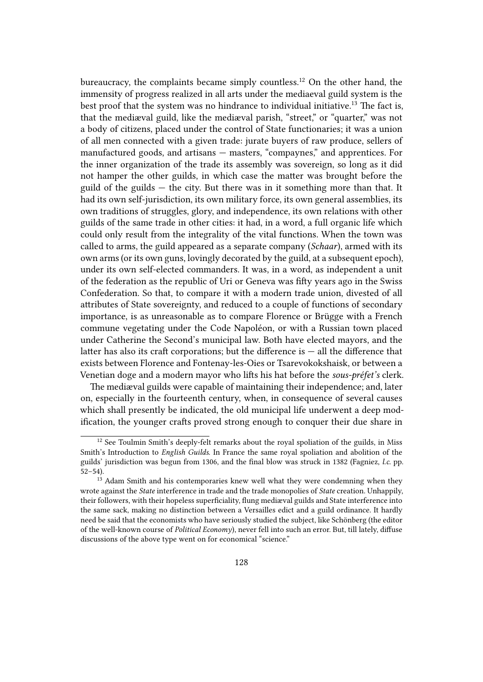bureaucracy, the complaints became simply countless.<sup>12</sup> On the other hand, the immensity of progress realized in all arts under the mediaeval guild system is the best proof that the system was no hindrance to individual initiative.<sup>13</sup> The fact is, that the mediæval guild, like the mediæval parish, "street," or "quarter," was not a body of citizens, placed under the control of State functionaries; it was a union of all men connected with a given trade: jurate buyers of raw produce, sellers of manufactured goods, and artisans — masters, "compaynes," and apprentices. For the inner organization of the trade its assembly was sovereign, so long as it did not hamper the other guilds, in which case the matter was brought before the guild of the guilds  $-$  the city. But there was in it something more than that. It had its own self-jurisdiction, its own military force, its own general assemblies, its own traditions of struggles, glory, and independence, its own relations with other guilds of the same trade in other cities: it had, in a word, a full organic life which could only result from the integrality of the vital functions. When the town was called to arms, the guild appeared as a separate company (*Schaar*), armed with its own arms (or its own guns, lovingly decorated by the guild, at a subsequent epoch), under its own self-elected commanders. It was, in a word, as independent a unit of the federation as the republic of Uri or Geneva was fifty years ago in the Swiss Confederation. So that, to compare it with a modern trade union, divested of all attributes of State sovereignty, and reduced to a couple of functions of secondary importance, is as unreasonable as to compare Florence or Brügge with a French commune vegetating under the Code Napoléon, or with a Russian town placed under Catherine the Second's municipal law. Both have elected mayors, and the latter has also its craft corporations; but the difference is  $-$  all the difference that exists between Florence and Fontenay-les-Oies or Tsarevokokshaisk, or between a Venetian doge and a modern mayor who lifts his hat before the *sous-préfet's* clerk.

The mediæval guilds were capable of maintaining their independence; and, later on, especially in the fourteenth century, when, in consequence of several causes which shall presently be indicated, the old municipal life underwent a deep modification, the younger crafts proved strong enough to conquer their due share in

<sup>&</sup>lt;sup>12</sup> See Toulmin Smith's deeply-felt remarks about the royal spoliation of the guilds, in Miss Smith's Introduction to *English Guilds*. In France the same royal spoliation and abolition of the guilds' jurisdiction was begun from 1306, and the final blow was struck in 1382 (Fagniez, *l.c.* pp. 52–54).

<sup>&</sup>lt;sup>13</sup> Adam Smith and his contemporaries knew well what they were condemning when they wrote against the *State* interference in trade and the trade monopolies of *State* creation. Unhappily, their followers, with their hopeless superficiality, flung mediæval guilds and State interference into the same sack, making no distinction between a Versailles edict and a guild ordinance. It hardly need be said that the economists who have seriously studied the subject, like Schönberg (the editor of the well-known course of *Political Economy*), never fell into such an error. But, till lately, diffuse discussions of the above type went on for economical "science."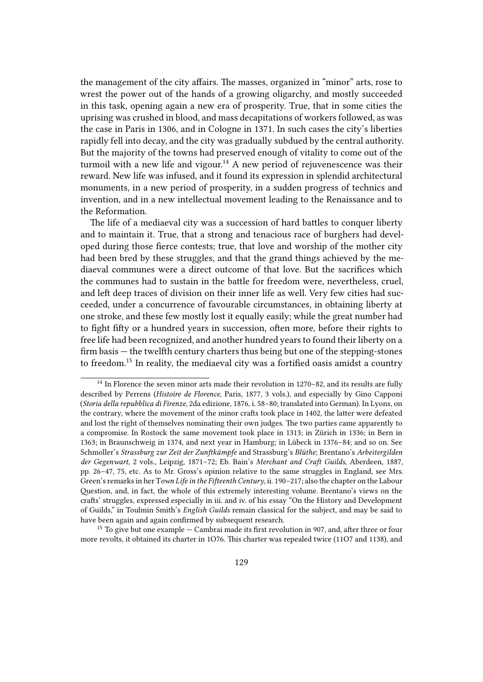the management of the city affairs. The masses, organized in "minor" arts, rose to wrest the power out of the hands of a growing oligarchy, and mostly succeeded in this task, opening again a new era of prosperity. True, that in some cities the uprising was crushed in blood, and mass decapitations of workers followed, as was the case in Paris in 1306, and in Cologne in 1371. In such cases the city's liberties rapidly fell into decay, and the city was gradually subdued by the central authority. But the majority of the towns had preserved enough of vitality to come out of the turmoil with a new life and vigour.<sup>14</sup> A new period of rejuvenescence was their reward. New life was infused, and it found its expression in splendid architectural monuments, in a new period of prosperity, in a sudden progress of technics and invention, and in a new intellectual movement leading to the Renaissance and to the Reformation.

The life of a mediaeval city was a succession of hard battles to conquer liberty and to maintain it. True, that a strong and tenacious race of burghers had developed during those fierce contests; true, that love and worship of the mother city had been bred by these struggles, and that the grand things achieved by the mediaeval communes were a direct outcome of that love. But the sacrifices which the communes had to sustain in the battle for freedom were, nevertheless, cruel, and left deep traces of division on their inner life as well. Very few cities had succeeded, under a concurrence of favourable circumstances, in obtaining liberty at one stroke, and these few mostly lost it equally easily; while the great number had to fight fifty or a hundred years in succession, often more, before their rights to free life had been recognized, and another hundred years to found their liberty on a firm basis — the twelfth century charters thus being but one of the stepping-stones to freedom.<sup>15</sup> In reality, the mediaeval city was a fortified oasis amidst a country

 $14$  In Florence the seven minor arts made their revolution in 1270–82, and its results are fully described by Perrens (*Histoire de Florence*, Paris, 1877, 3 vols.), and especially by Gino Capponi (*Storia della repubblica di Firenze*, 2da edizione, 1876, i. 58–80; translated into German). In Lyons, on the contrary, where the movement of the minor crafts took place in 1402, the latter were defeated and lost the right of themselves nominating their own judges. The two parties came apparently to a compromise. In Rostock the same movement took place in 1313; in Zürich in 1336; in Bern in 1363; in Braunschweig in 1374, and next year in Hamburg; in Lübeck in 1376–84; and so on. See Schmoller's *Strassburg zur Zeit der Zunftkämpfe* and Strassburg's *Blüthe*; Brentano's *Arbeitergilden der Gegenwart*, 2 vols., Leipzig, 1871–72; Eb. Bain's *Merchant and Craft Guilds*, Aberdeen, 1887, pp. 26–47, 75, etc. As to Mr. Gross's opinion relative to the same struggles in England, see Mrs. Green's remarks in her T*own Life in the Fifteenth Century*, ii. 190–217; also the chapter on the Labour Question, and, in fact, the whole of this extremely interesting volume. Brentano's views on the crafts' struggles, expressed especially in iii. and iv. of his essay "On the History and Development of Guilds," in Toulmin Smith's *English Guilds* remain classical for the subject, and may be said to have been again and again confirmed by subsequent research.

 $15$  To give but one example – Cambrai made its first revolution in 907, and, after three or four more revolts, it obtained its charter in 1O76. This charter was repealed twice (11O7 and 1138), and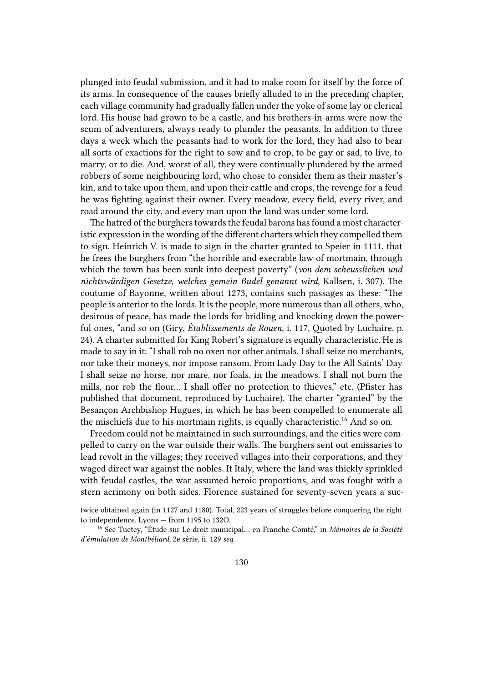plunged into feudal submission, and it had to make room for itself by the force of its arms. In consequence of the causes briefly alluded to in the preceding chapter, each village community had gradually fallen under the yoke of some lay or clerical lord. His house had grown to be a castle, and his brothers-in-arms were now the scum of adventurers, always ready to plunder the peasants. In addition to three days a week which the peasants had to work for the lord, they had also to bear all sorts of exactions for the right to sow and to crop, to be gay or sad, to live, to marry, or to die. And, worst of all, they were continually plundered by the armed robbers of some neighbouring lord, who chose to consider them as their master's kin, and to take upon them, and upon their cattle and crops, the revenge for a feud he was fighting against their owner. Every meadow, every field, every river, and road around the city, and every man upon the land was under some lord.

The hatred of the burghers towards the feudal barons has found a most characteristic expression in the wording of the different charters which they compelled them to sign. Heinrich V. is made to sign in the charter granted to Speier in 1111, that he frees the burghers from "the horrible and execrable law of mortmain, through which the town has been sunk into deepest poverty" (*von dem scheusslichen und nichtswürdigen Gesetze, welches gemein Budel genannt wird*, Kallsen, i. 307). The coutume of Bayonne, written about 1273, contains such passages as these: "The people is anterior to the lords. It is the people, more numerous than all others, who, desirous of peace, has made the lords for bridling and knocking down the powerful ones, "and so on (Giry, *Établissements de Rouen*, i. 117, Quoted by Luchaire, p. 24). A charter submitted for King Robert's signature is equally characteristic. He is made to say in it: "I shall rob no oxen nor other animals. I shall seize no merchants, nor take their moneys, nor impose ransom. From Lady Day to the All Saints' Day I shall seize no horse, nor mare, nor foals, in the meadows. I shall not burn the mills, nor rob the flour… I shall offer no protection to thieves," etc. (Pfister has published that document, reproduced by Luchaire). The charter "granted" by the Besançon Archbishop Hugues, in which he has been compelled to enumerate all the mischiefs due to his mortmain rights, is equally characteristic.<sup>16</sup> And so on.

Freedom could not be maintained in such surroundings, and the cities were compelled to carry on the war outside their walls. The burghers sent out emissaries to lead revolt in the villages; they received villages into their corporations, and they waged direct war against the nobles. It Italy, where the land was thickly sprinkled with feudal castles, the war assumed heroic proportions, and was fought with a stern acrimony on both sides. Florence sustained for seventy-seven years a suc-

twice obtained again (in 1127 and 1180). Total, 223 years of struggles before conquering the right to independence. Lyons — from 1195 to 132O.

<sup>16</sup> See Tuetey, "Étude sur Le droit municipal… en Franche-Comté," in *Mémoires de la Société d'émulation de Montbéliard*, 2e série, ii. 129 *seq*.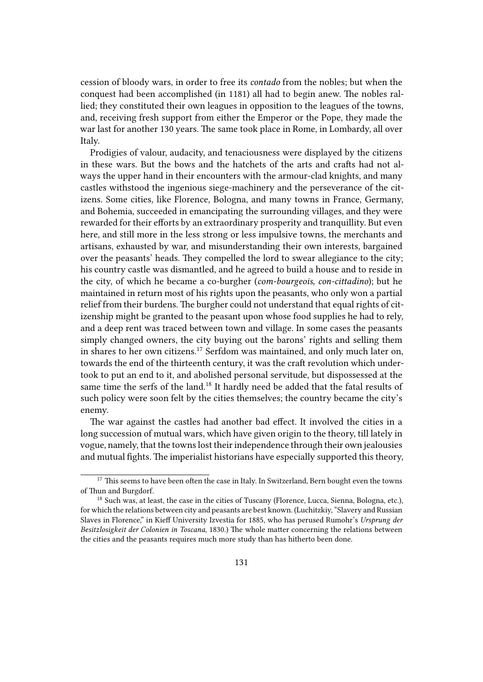cession of bloody wars, in order to free its *contado* from the nobles; but when the conquest had been accomplished (in 1181) all had to begin anew. The nobles rallied; they constituted their own leagues in opposition to the leagues of the towns, and, receiving fresh support from either the Emperor or the Pope, they made the war last for another 130 years. The same took place in Rome, in Lombardy, all over Italy.

Prodigies of valour, audacity, and tenaciousness were displayed by the citizens in these wars. But the bows and the hatchets of the arts and crafts had not always the upper hand in their encounters with the armour-clad knights, and many castles withstood the ingenious siege-machinery and the perseverance of the citizens. Some cities, like Florence, Bologna, and many towns in France, Germany, and Bohemia, succeeded in emancipating the surrounding villages, and they were rewarded for their efforts by an extraordinary prosperity and tranquillity. But even here, and still more in the less strong or less impulsive towns, the merchants and artisans, exhausted by war, and misunderstanding their own interests, bargained over the peasants' heads. They compelled the lord to swear allegiance to the city; his country castle was dismantled, and he agreed to build a house and to reside in the city, of which he became a co-burgher (*com-bourgeois, con-cittadino*); but he maintained in return most of his rights upon the peasants, who only won a partial relief from their burdens. The burgher could not understand that equal rights of citizenship might be granted to the peasant upon whose food supplies he had to rely, and a deep rent was traced between town and village. In some cases the peasants simply changed owners, the city buying out the barons' rights and selling them in shares to her own citizens.<sup>17</sup> Serfdom was maintained, and only much later on, towards the end of the thirteenth century, it was the craft revolution which undertook to put an end to it, and abolished personal servitude, but dispossessed at the same time the serfs of the land.<sup>18</sup> It hardly need be added that the fatal results of such policy were soon felt by the cities themselves; the country became the city's enemy.

The war against the castles had another bad effect. It involved the cities in a long succession of mutual wars, which have given origin to the theory, till lately in vogue, namely, that the towns lost their independence through their own jealousies and mutual fights. The imperialist historians have especially supported this theory,

 $^{\rm 17}$  This seems to have been often the case in Italy. In Switzerland, Bern bought even the towns of Thun and Burgdorf.

<sup>&</sup>lt;sup>18</sup> Such was, at least, the case in the cities of Tuscany (Florence, Lucca, Sienna, Bologna, etc.), for which the relations between city and peasants are best known. (Luchitzkiy, "Slavery and Russian Slaves in Florence," in Kieff University Izvestia for 1885, who has perused Rumohr's *Ursprung der Besitzlosigkeit der Colonien in Toscana*, 1830.) The whole matter concerning the relations between the cities and the peasants requires much more study than has hitherto been done.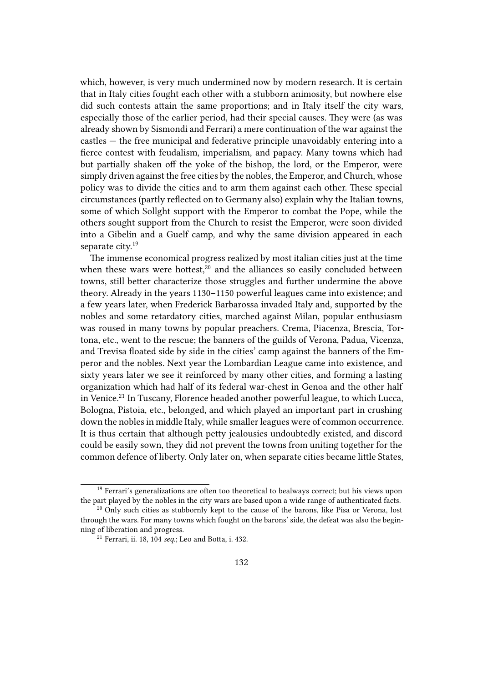which, however, is very much undermined now by modern research. It is certain that in Italy cities fought each other with a stubborn animosity, but nowhere else did such contests attain the same proportions; and in Italy itself the city wars, especially those of the earlier period, had their special causes. They were (as was already shown by Sismondi and Ferrari) a mere continuation of the war against the castles — the free municipal and federative principle unavoidably entering into a fierce contest with feudalism, imperialism, and papacy. Many towns which had but partially shaken off the yoke of the bishop, the lord, or the Emperor, were simply driven against the free cities by the nobles, the Emperor, and Church, whose policy was to divide the cities and to arm them against each other. These special circumstances (partly reflected on to Germany also) explain why the Italian towns, some of which Sollght support with the Emperor to combat the Pope, while the others sought support from the Church to resist the Emperor, were soon divided into a Gibelin and a Guelf camp, and why the same division appeared in each separate city.<sup>19</sup>

The immense economical progress realized by most italian cities just at the time when these wars were hottest, $20$  and the alliances so easily concluded between towns, still better characterize those struggles and further undermine the above theory. Already in the years 1130–1150 powerful leagues came into existence; and a few years later, when Frederick Barbarossa invaded Italy and, supported by the nobles and some retardatory cities, marched against Milan, popular enthusiasm was roused in many towns by popular preachers. Crema, Piacenza, Brescia, Tortona, etc., went to the rescue; the banners of the guilds of Verona, Padua, Vicenza, and Trevisa floated side by side in the cities' camp against the banners of the Emperor and the nobles. Next year the Lombardian League came into existence, and sixty years later we see it reinforced by many other cities, and forming a lasting organization which had half of its federal war-chest in Genoa and the other half in Venice.<sup>21</sup> In Tuscany, Florence headed another powerful league, to which Lucca, Bologna, Pistoia, etc., belonged, and which played an important part in crushing down the nobles in middle Italy, while smaller leagues were of common occurrence. It is thus certain that although petty jealousies undoubtedly existed, and discord could be easily sown, they did not prevent the towns from uniting together for the common defence of liberty. Only later on, when separate cities became little States,

 $19$  Ferrari's generalizations are often too theoretical to bealways correct; but his views upon the part played by the nobles in the city wars are based upon a wide range of authenticated facts.

 $20$  Only such cities as stubbornly kept to the cause of the barons, like Pisa or Verona, lost through the wars. For many towns which fought on the barons' side, the defeat was also the beginning of liberation and progress.

<sup>21</sup> Ferrari, ii. 18, 104 *seq.*; Leo and Botta, i. 432.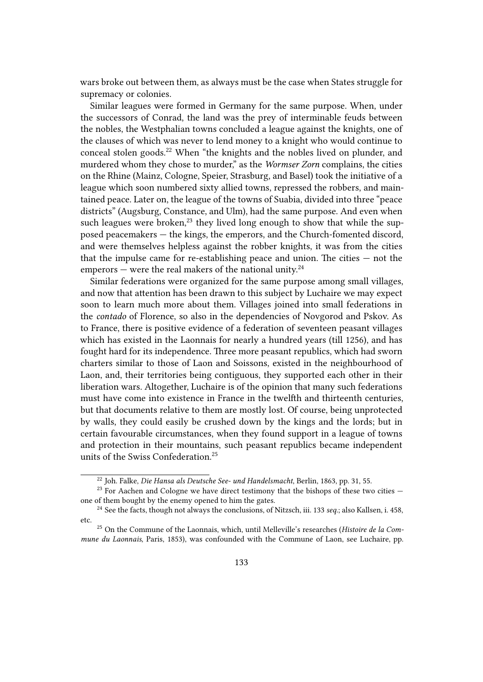wars broke out between them, as always must be the case when States struggle for supremacy or colonies.

Similar leagues were formed in Germany for the same purpose. When, under the successors of Conrad, the land was the prey of interminable feuds between the nobles, the Westphalian towns concluded a league against the knights, one of the clauses of which was never to lend money to a knight who would continue to conceal stolen goods.<sup>22</sup> When "the knights and the nobles lived on plunder, and murdered whom they chose to murder," as the *Wormser Zorn* complains, the cities on the Rhine (Mainz, Cologne, Speier, Strasburg, and Basel) took the initiative of a league which soon numbered sixty allied towns, repressed the robbers, and maintained peace. Later on, the league of the towns of Suabia, divided into three "peace districts" (Augsburg, Constance, and Ulm), had the same purpose. And even when such leagues were broken, $^{23}$  they lived long enough to show that while the supposed peacemakers — the kings, the emperors, and the Church-fomented discord, and were themselves helpless against the robber knights, it was from the cities that the impulse came for re-establishing peace and union. The cities  $-$  not the emperors — were the real makers of the national unity.<sup>24</sup>

Similar federations were organized for the same purpose among small villages, and now that attention has been drawn to this subject by Luchaire we may expect soon to learn much more about them. Villages joined into small federations in the *contado* of Florence, so also in the dependencies of Novgorod and Pskov. As to France, there is positive evidence of a federation of seventeen peasant villages which has existed in the Laonnais for nearly a hundred years (till 1256), and has fought hard for its independence. Three more peasant republics, which had sworn charters similar to those of Laon and Soissons, existed in the neighbourhood of Laon, and, their territories being contiguous, they supported each other in their liberation wars. Altogether, Luchaire is of the opinion that many such federations must have come into existence in France in the twelfth and thirteenth centuries, but that documents relative to them are mostly lost. Of course, being unprotected by walls, they could easily be crushed down by the kings and the lords; but in certain favourable circumstances, when they found support in a league of towns and protection in their mountains, such peasant republics became independent units of the Swiss Confederation.<sup>25</sup>

<sup>22</sup> Joh. Falke, *Die Hansa als Deutsche See- und Handelsmacht*, Berlin, 1863, pp. 31, 55.

 $^{23}$  For Aachen and Cologne we have direct testimony that the bishops of these two cities  $$ one of them bought by the enemy opened to him the gates.

<sup>24</sup> See the facts, though not always the conclusions, of Nitzsch, iii. 133 *seq.*; also Kallsen, i. 458, etc.

<sup>25</sup> On the Commune of the Laonnais, which, until Melleville's researches (*Histoire de la Commune du Laonnais*, Paris, 1853), was confounded with the Commune of Laon, see Luchaire, pp.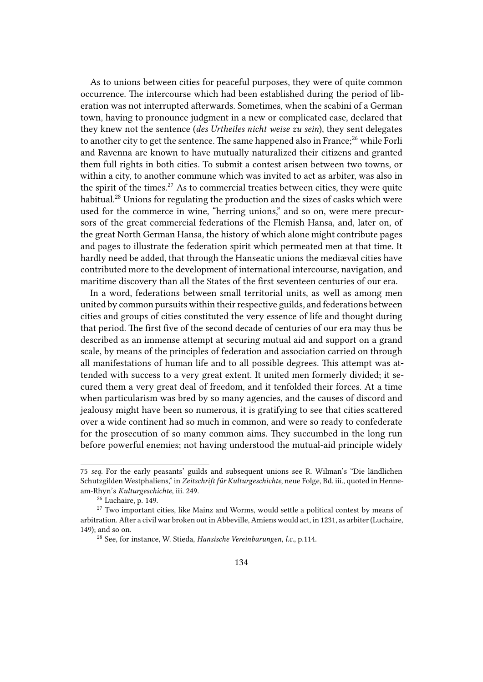As to unions between cities for peaceful purposes, they were of quite common occurrence. The intercourse which had been established during the period of liberation was not interrupted afterwards. Sometimes, when the scabini of a German town, having to pronounce judgment in a new or complicated case, declared that they knew not the sentence (*des Urtheiles nicht weise zu sein*), they sent delegates to another city to get the sentence. The same happened also in France;<sup>26</sup> while Forli and Ravenna are known to have mutually naturalized their citizens and granted them full rights in both cities. To submit a contest arisen between two towns, or within a city, to another commune which was invited to act as arbiter, was also in the spirit of the times. $27$  As to commercial treaties between cities, they were quite habitual.<sup>28</sup> Unions for regulating the production and the sizes of casks which were used for the commerce in wine, "herring unions," and so on, were mere precursors of the great commercial federations of the Flemish Hansa, and, later on, of the great North German Hansa, the history of which alone might contribute pages and pages to illustrate the federation spirit which permeated men at that time. It hardly need be added, that through the Hanseatic unions the mediæval cities have contributed more to the development of international intercourse, navigation, and maritime discovery than all the States of the first seventeen centuries of our era.

In a word, federations between small territorial units, as well as among men united by common pursuits within their respective guilds, and federations between cities and groups of cities constituted the very essence of life and thought during that period. The first five of the second decade of centuries of our era may thus be described as an immense attempt at securing mutual aid and support on a grand scale, by means of the principles of federation and association carried on through all manifestations of human life and to all possible degrees. This attempt was attended with success to a very great extent. It united men formerly divided; it secured them a very great deal of freedom, and it tenfolded their forces. At a time when particularism was bred by so many agencies, and the causes of discord and jealousy might have been so numerous, it is gratifying to see that cities scattered over a wide continent had so much in common, and were so ready to confederate for the prosecution of so many common aims. They succumbed in the long run before powerful enemies; not having understood the mutual-aid principle widely

<sup>75</sup> *seq*. For the early peasants' guilds and subsequent unions see R. Wilman's "Die ländlichen Schutzgilden Westphaliens," in *Zeitschrift für Kulturgeschichte*, neue Folge, Bd. iii., quoted in Henneam-Rhyn's *Kulturgeschichte*, iii. 249.

<sup>26</sup> Luchaire, p. 149.

<sup>&</sup>lt;sup>27</sup> Two important cities, like Mainz and Worms, would settle a political contest by means of arbitration. After a civil war broken out in Abbeville, Amiens would act, in 1231, as arbiter (Luchaire, 149); and so on.

<sup>28</sup> See, for instance, W. Stieda, *Hansische Vereinbarungen*, *l.c.*, p.114.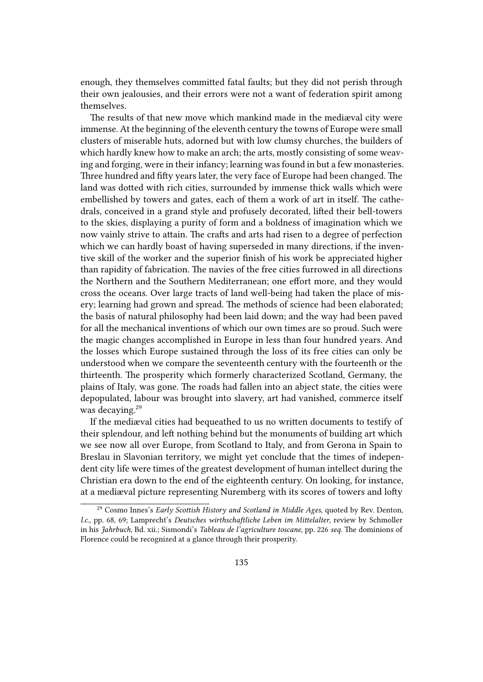enough, they themselves committed fatal faults; but they did not perish through their own jealousies, and their errors were not a want of federation spirit among themselves.

The results of that new move which mankind made in the mediæval city were immense. At the beginning of the eleventh century the towns of Europe were small clusters of miserable huts, adorned but with low clumsy churches, the builders of which hardly knew how to make an arch; the arts, mostly consisting of some weaving and forging, were in their infancy; learning was found in but a few monasteries. Three hundred and fifty years later, the very face of Europe had been changed. The land was dotted with rich cities, surrounded by immense thick walls which were embellished by towers and gates, each of them a work of art in itself. The cathedrals, conceived in a grand style and profusely decorated, lifted their bell-towers to the skies, displaying a purity of form and a boldness of imagination which we now vainly strive to attain. The crafts and arts had risen to a degree of perfection which we can hardly boast of having superseded in many directions, if the inventive skill of the worker and the superior finish of his work be appreciated higher than rapidity of fabrication. The navies of the free cities furrowed in all directions the Northern and the Southern Mediterranean; one effort more, and they would cross the oceans. Over large tracts of land well-being had taken the place of misery; learning had grown and spread. The methods of science had been elaborated; the basis of natural philosophy had been laid down; and the way had been paved for all the mechanical inventions of which our own times are so proud. Such were the magic changes accomplished in Europe in less than four hundred years. And the losses which Europe sustained through the loss of its free cities can only be understood when we compare the seventeenth century with the fourteenth or the thirteenth. The prosperity which formerly characterized Scotland, Germany, the plains of Italy, was gone. The roads had fallen into an abject state, the cities were depopulated, labour was brought into slavery, art had vanished, commerce itself was decaying.<sup>29</sup>

If the mediæval cities had bequeathed to us no written documents to testify of their splendour, and left nothing behind but the monuments of building art which we see now all over Europe, from Scotland to Italy, and from Gerona in Spain to Breslau in Slavonian territory, we might yet conclude that the times of independent city life were times of the greatest development of human intellect during the Christian era down to the end of the eighteenth century. On looking, for instance, at a mediæval picture representing Nuremberg with its scores of towers and lofty

<sup>29</sup> Cosmo Innes's *Early Scottish History and Scotland in Middle Ages*, quoted by Rev. Denton, *l.c.*, pp. 68, 69; Lamprecht's *Deutsches wirthschaftliche Leben im Mittelalter*, review by Schmoller in his *Jahrbuch*, Bd. xii.; Sismondi's *Tableau de l'agriculture toscane*, pp. 226 *seq*. The dominions of Florence could be recognized at a glance through their prosperity.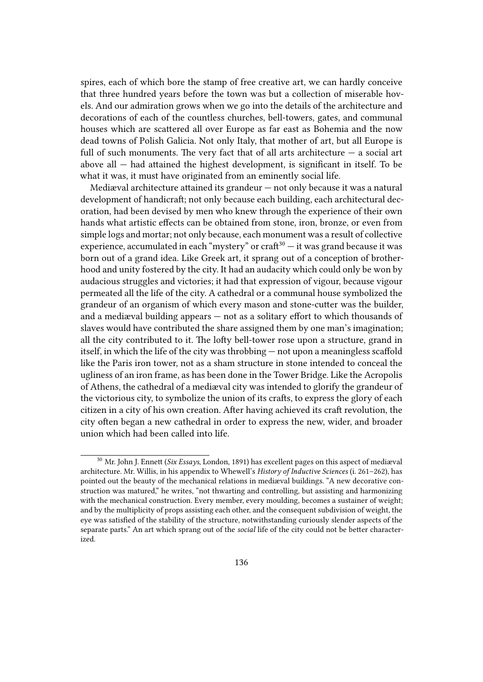spires, each of which bore the stamp of free creative art, we can hardly conceive that three hundred years before the town was but a collection of miserable hovels. And our admiration grows when we go into the details of the architecture and decorations of each of the countless churches, bell-towers, gates, and communal houses which are scattered all over Europe as far east as Bohemia and the now dead towns of Polish Galicia. Not only Italy, that mother of art, but all Europe is full of such monuments. The very fact that of all arts architecture — a social art above all  $-$  had attained the highest development, is significant in itself. To be what it was, it must have originated from an eminently social life.

Mediæval architecture attained its grandeur — not only because it was a natural development of handicraft; not only because each building, each architectural decoration, had been devised by men who knew through the experience of their own hands what artistic effects can be obtained from stone, iron, bronze, or even from simple logs and mortar; not only because, each monument was a result of collective experience, accumulated in each "mystery" or craft<sup>30</sup>  $-$  it was grand because it was born out of a grand idea. Like Greek art, it sprang out of a conception of brotherhood and unity fostered by the city. It had an audacity which could only be won by audacious struggles and victories; it had that expression of vigour, because vigour permeated all the life of the city. A cathedral or a communal house symbolized the grandeur of an organism of which every mason and stone-cutter was the builder, and a mediæval building appears — not as a solitary effort to which thousands of slaves would have contributed the share assigned them by one man's imagination; all the city contributed to it. The lofty bell-tower rose upon a structure, grand in itself, in which the life of the city was throbbing — not upon a meaningless scaffold like the Paris iron tower, not as a sham structure in stone intended to conceal the ugliness of an iron frame, as has been done in the Tower Bridge. Like the Acropolis of Athens, the cathedral of a mediæval city was intended to glorify the grandeur of the victorious city, to symbolize the union of its crafts, to express the glory of each citizen in a city of his own creation. After having achieved its craft revolution, the city often began a new cathedral in order to express the new, wider, and broader union which had been called into life.

<sup>30</sup> Mr. John J. Ennett (*Six Essays*, London, 1891) has excellent pages on this aspect of mediæval architecture. Mr. Willis, in his appendix to Whewell's *History of Inductive Sciences* (i. 261–262), has pointed out the beauty of the mechanical relations in mediæval buildings. "A new decorative construction was matured," he writes, "not thwarting and controlling, but assisting and harmonizing with the mechanical construction. Every member, every moulding, becomes a sustainer of weight; and by the multiplicity of props assisting each other, and the consequent subdivision of weight, the eye was satisfied of the stability of the structure, notwithstanding curiously slender aspects of the separate parts." An art which sprang out of the *social* life of the city could not be better characterized.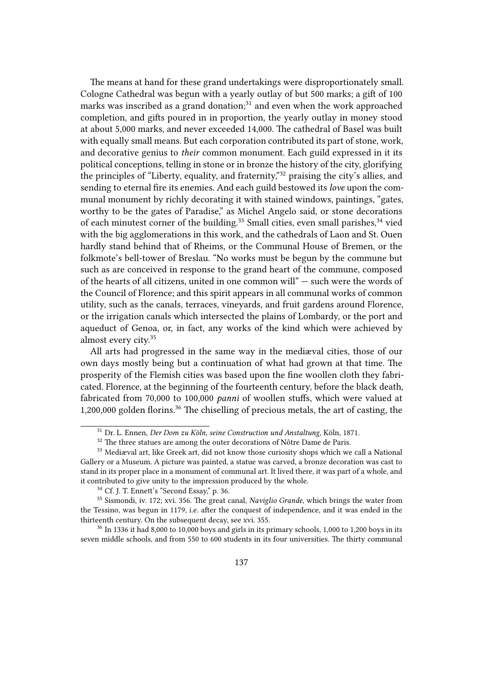The means at hand for these grand undertakings were disproportionately small. Cologne Cathedral was begun with a yearly outlay of but 500 marks; a gift of 100 marks was inscribed as a grand donation; $31$  and even when the work approached completion, and gifts poured in in proportion, the yearly outlay in money stood at about 5,000 marks, and never exceeded 14,000. The cathedral of Basel was built with equally small means. But each corporation contributed its part of stone, work, and decorative genius to *their* common monument. Each guild expressed in it its political conceptions, telling in stone or in bronze the history of the city, glorifying the principles of "Liberty, equality, and fraternity,"<sup>32</sup> praising the city's allies, and sending to eternal fire its enemies. And each guild bestowed its *love* upon the communal monument by richly decorating it with stained windows, paintings, "gates, worthy to be the gates of Paradise," as Michel Angelo said, or stone decorations of each minutest corner of the building.<sup>33</sup> Small cities, even small parishes,<sup>34</sup> vied with the big agglomerations in this work, and the cathedrals of Laon and St. Ouen hardly stand behind that of Rheims, or the Communal House of Bremen, or the folkmote's bell-tower of Breslau. "No works must be begun by the commune but such as are conceived in response to the grand heart of the commune, composed of the hearts of all citizens, united in one common will" — such were the words of the Council of Florence; and this spirit appears in all communal works of common utility, such as the canals, terraces, vineyards, and fruit gardens around Florence, or the irrigation canals which intersected the plains of Lombardy, or the port and aqueduct of Genoa, or, in fact, any works of the kind which were achieved by almost every city.<sup>35</sup>

All arts had progressed in the same way in the mediæval cities, those of our own days mostly being but a continuation of what had grown at that time. The prosperity of the Flemish cities was based upon the fine woollen cloth they fabricated. Florence, at the beginning of the fourteenth century, before the black death, fabricated from 70,000 to 100,000 *panni* of woollen stuffs, which were valued at 1,200,000 golden florins.<sup>36</sup> The chiselling of precious metals, the art of casting, the

<sup>31</sup> Dr. L. Ennen, *Der Dom zu Köln, seine Construction und Anstaltung*, Köln, 1871.

 $32$  The three statues are among the outer decorations of Nôtre Dame de Paris.

<sup>33</sup> Mediæval art, like Greek art, did not know those curiosity shops which we call a National Gallery or a Museum. A picture was painted, a statue was carved, a bronze decoration was cast to stand in its proper place in a monument of communal art. It lived there, it was part of a whole, and it contributed to give unity to the impression produced by the whole.

<sup>34</sup> Cf. J. T. Ennett's "Second Essay," p. 36.

<sup>35</sup> Sismondi, iv. 172; xvi. 356. The great canal, *Naviglio Grande*, which brings the water from the Tessino, was begun in 1179, i.e. after the conquest of independence, and it was ended in the thirteenth century. On the subsequent decay, see xvi. 355.

<sup>&</sup>lt;sup>36</sup> In 1336 it had 8,000 to 10,000 boys and girls in its primary schools, 1,000 to 1,200 boys in its seven middle schools, and from 550 to 600 students in its four universities. The thirty communal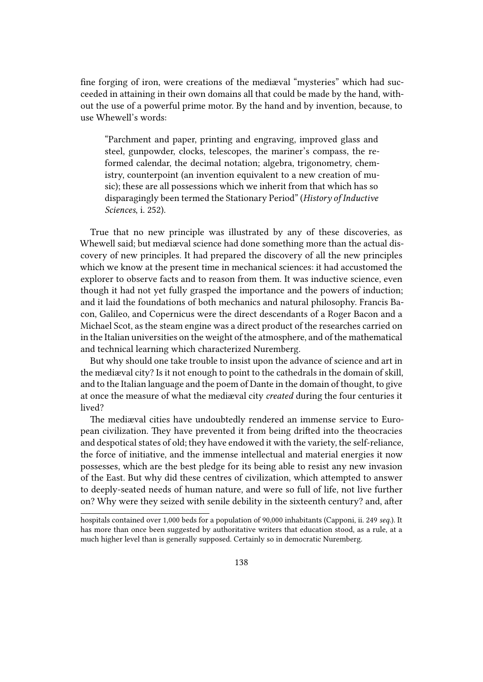fine forging of iron, were creations of the mediæval "mysteries" which had succeeded in attaining in their own domains all that could be made by the hand, without the use of a powerful prime motor. By the hand and by invention, because, to use Whewell's words:

"Parchment and paper, printing and engraving, improved glass and steel, gunpowder, clocks, telescopes, the mariner's compass, the reformed calendar, the decimal notation; algebra, trigonometry, chemistry, counterpoint (an invention equivalent to a new creation of music); these are all possessions which we inherit from that which has so disparagingly been termed the Stationary Period" (*History of Inductive Sciences*, i. 252).

True that no new principle was illustrated by any of these discoveries, as Whewell said; but mediæval science had done something more than the actual discovery of new principles. It had prepared the discovery of all the new principles which we know at the present time in mechanical sciences: it had accustomed the explorer to observe facts and to reason from them. It was inductive science, even though it had not yet fully grasped the importance and the powers of induction; and it laid the foundations of both mechanics and natural philosophy. Francis Bacon, Galileo, and Copernicus were the direct descendants of a Roger Bacon and a Michael Scot, as the steam engine was a direct product of the researches carried on in the Italian universities on the weight of the atmosphere, and of the mathematical and technical learning which characterized Nuremberg.

But why should one take trouble to insist upon the advance of science and art in the mediæval city? Is it not enough to point to the cathedrals in the domain of skill, and to the Italian language and the poem of Dante in the domain of thought, to give at once the measure of what the mediæval city *created* during the four centuries it lived?

The mediæval cities have undoubtedly rendered an immense service to European civilization. They have prevented it from being drifted into the theocracies and despotical states of old; they have endowed it with the variety, the self-reliance, the force of initiative, and the immense intellectual and material energies it now possesses, which are the best pledge for its being able to resist any new invasion of the East. But why did these centres of civilization, which attempted to answer to deeply-seated needs of human nature, and were so full of life, not live further on? Why were they seized with senile debility in the sixteenth century? and, after

hospitals contained over 1,000 beds for a population of 90,000 inhabitants (Capponi, ii. 249 *seq*.). It has more than once been suggested by authoritative writers that education stood, as a rule, at a much higher level than is generally supposed. Certainly so in democratic Nuremberg.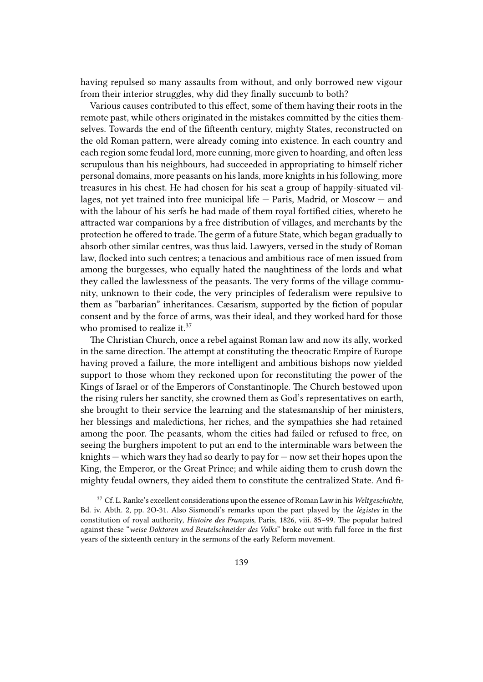having repulsed so many assaults from without, and only borrowed new vigour from their interior struggles, why did they finally succumb to both?

Various causes contributed to this effect, some of them having their roots in the remote past, while others originated in the mistakes committed by the cities themselves. Towards the end of the fifteenth century, mighty States, reconstructed on the old Roman pattern, were already coming into existence. In each country and each region some feudal lord, more cunning, more given to hoarding, and often less scrupulous than his neighbours, had succeeded in appropriating to himself richer personal domains, more peasants on his lands, more knights in his following, more treasures in his chest. He had chosen for his seat a group of happily-situated villages, not yet trained into free municipal life — Paris, Madrid, or Moscow — and with the labour of his serfs he had made of them royal fortified cities, whereto he attracted war companions by a free distribution of villages, and merchants by the protection he offered to trade. The germ of a future State, which began gradually to absorb other similar centres, was thus laid. Lawyers, versed in the study of Roman law, flocked into such centres; a tenacious and ambitious race of men issued from among the burgesses, who equally hated the naughtiness of the lords and what they called the lawlessness of the peasants. The very forms of the village community, unknown to their code, the very principles of federalism were repulsive to them as "barbarian" inheritances. Cæsarism, supported by the fiction of popular consent and by the force of arms, was their ideal, and they worked hard for those who promised to realize it.<sup>37</sup>

The Christian Church, once a rebel against Roman law and now its ally, worked in the same direction. The attempt at constituting the theocratic Empire of Europe having proved a failure, the more intelligent and ambitious bishops now yielded support to those whom they reckoned upon for reconstituting the power of the Kings of Israel or of the Emperors of Constantinople. The Church bestowed upon the rising rulers her sanctity, she crowned them as God's representatives on earth, she brought to their service the learning and the statesmanship of her ministers, her blessings and maledictions, her riches, and the sympathies she had retained among the poor. The peasants, whom the cities had failed or refused to free, on seeing the burghers impotent to put an end to the interminable wars between the knights  $-$  which wars they had so dearly to pay for  $-$  now set their hopes upon the King, the Emperor, or the Great Prince; and while aiding them to crush down the mighty feudal owners, they aided them to constitute the centralized State. And fi-

<sup>37</sup> Cf. L. Ranke's excellent considerations upon the essence of Roman Law in his *Weltgeschichte*, Bd. iv. Abth. 2, pp. 2O-31. Also Sismondi's remarks upon the part played by the *légistes* in the constitution of royal authority, *Histoire des Français*, Paris, 1826, viii. 85–99. The popular hatred against these "*weise Doktoren und Beutelschneider des Volks*" broke out with full force in the first years of the sixteenth century in the sermons of the early Reform movement.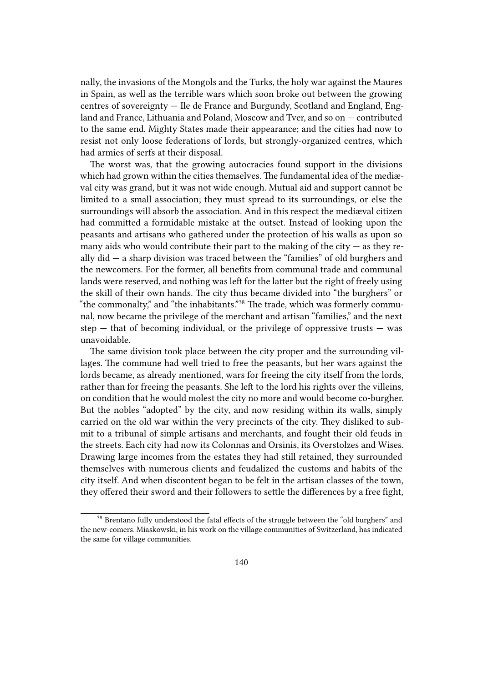nally, the invasions of the Mongols and the Turks, the holy war against the Maures in Spain, as well as the terrible wars which soon broke out between the growing centres of sovereignty — Ile de France and Burgundy, Scotland and England, England and France, Lithuania and Poland, Moscow and Tver, and so on — contributed to the same end. Mighty States made their appearance; and the cities had now to resist not only loose federations of lords, but strongly-organized centres, which had armies of serfs at their disposal.

The worst was, that the growing autocracies found support in the divisions which had grown within the cities themselves. The fundamental idea of the mediæval city was grand, but it was not wide enough. Mutual aid and support cannot be limited to a small association; they must spread to its surroundings, or else the surroundings will absorb the association. And in this respect the mediæval citizen had committed a formidable mistake at the outset. Instead of looking upon the peasants and artisans who gathered under the protection of his walls as upon so many aids who would contribute their part to the making of the city  $-$  as they really did  $-$  a sharp division was traced between the "families" of old burghers and the newcomers. For the former, all benefits from communal trade and communal lands were reserved, and nothing was left for the latter but the right of freely using the skill of their own hands. The city thus became divided into "the burghers" or "the commonalty," and "the inhabitants."<sup>38</sup> The trade, which was formerly communal, now became the privilege of the merchant and artisan "families," and the next step  $-$  that of becoming individual, or the privilege of oppressive trusts  $-$  was unavoidable.

The same division took place between the city proper and the surrounding villages. The commune had well tried to free the peasants, but her wars against the lords became, as already mentioned, wars for freeing the city itself from the lords, rather than for freeing the peasants. She left to the lord his rights over the villeins, on condition that he would molest the city no more and would become co-burgher. But the nobles "adopted" by the city, and now residing within its walls, simply carried on the old war within the very precincts of the city. They disliked to submit to a tribunal of simple artisans and merchants, and fought their old feuds in the streets. Each city had now its Colonnas and Orsinis, its Overstolzes and Wises. Drawing large incomes from the estates they had still retained, they surrounded themselves with numerous clients and feudalized the customs and habits of the city itself. And when discontent began to be felt in the artisan classes of the town, they offered their sword and their followers to settle the differences by a free fight,

<sup>&</sup>lt;sup>38</sup> Brentano fully understood the fatal effects of the struggle between the "old burghers" and the new-comers. Miaskowski, in his work on the village communities of Switzerland, has indicated the same for village communities.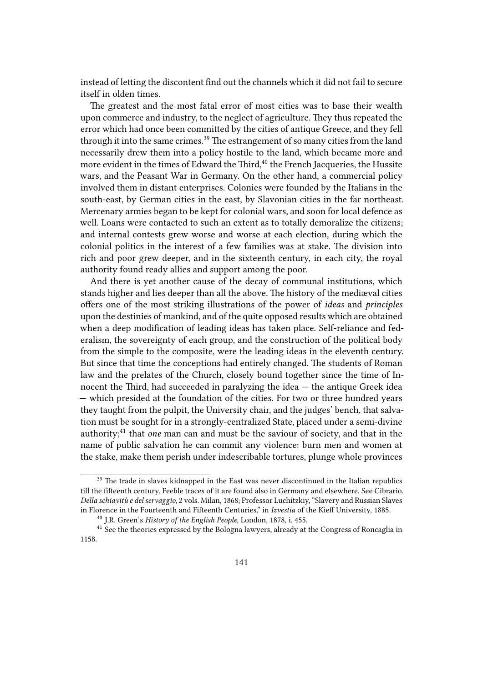instead of letting the discontent find out the channels which it did not fail to secure itself in olden times.

The greatest and the most fatal error of most cities was to base their wealth upon commerce and industry, to the neglect of agriculture. They thus repeated the error which had once been committed by the cities of antique Greece, and they fell through it into the same crimes.<sup>39</sup> The estrangement of so many cities from the land necessarily drew them into a policy hostile to the land, which became more and more evident in the times of Edward the Third,<sup>40</sup> the French Jacqueries, the Hussite wars, and the Peasant War in Germany. On the other hand, a commercial policy involved them in distant enterprises. Colonies were founded by the Italians in the south-east, by German cities in the east, by Slavonian cities in the far northeast. Mercenary armies began to be kept for colonial wars, and soon for local defence as well. Loans were contacted to such an extent as to totally demoralize the citizens; and internal contests grew worse and worse at each election, during which the colonial politics in the interest of a few families was at stake. The division into rich and poor grew deeper, and in the sixteenth century, in each city, the royal authority found ready allies and support among the poor.

And there is yet another cause of the decay of communal institutions, which stands higher and lies deeper than all the above. The history of the mediæval cities offers one of the most striking illustrations of the power of *ideas* and *principles* upon the destinies of mankind, and of the quite opposed results which are obtained when a deep modification of leading ideas has taken place. Self-reliance and federalism, the sovereignty of each group, and the construction of the political body from the simple to the composite, were the leading ideas in the eleventh century. But since that time the conceptions had entirely changed. The students of Roman law and the prelates of the Church, closely bound together since the time of Innocent the Third, had succeeded in paralyzing the idea — the antique Greek idea — which presided at the foundation of the cities. For two or three hundred years they taught from the pulpit, the University chair, and the judges' bench, that salvation must be sought for in a strongly-centralized State, placed under a semi-divine authority;<sup>41</sup> that *one* man can and must be the saviour of society, and that in the name of public salvation he can commit any violence: burn men and women at the stake, make them perish under indescribable tortures, plunge whole provinces

<sup>&</sup>lt;sup>39</sup> The trade in slaves kidnapped in the East was never discontinued in the Italian republics till the fifteenth century. Feeble traces of it are found also in Germany and elsewhere. See Cibrario. *Della schiavitù e del servaggio*, 2 vols. Milan, 1868; Professor Luchitzkiy, "Slavery and Russian Slaves in Florence in the Fourteenth and Fifteenth Centuries," in *Izvestia* of the Kieff University, 1885.

<sup>40</sup> J.R. Green's *History of the English People*, London, 1878, i. 455.

 $41$  See the theories expressed by the Bologna lawyers, already at the Congress of Roncaglia in 1158.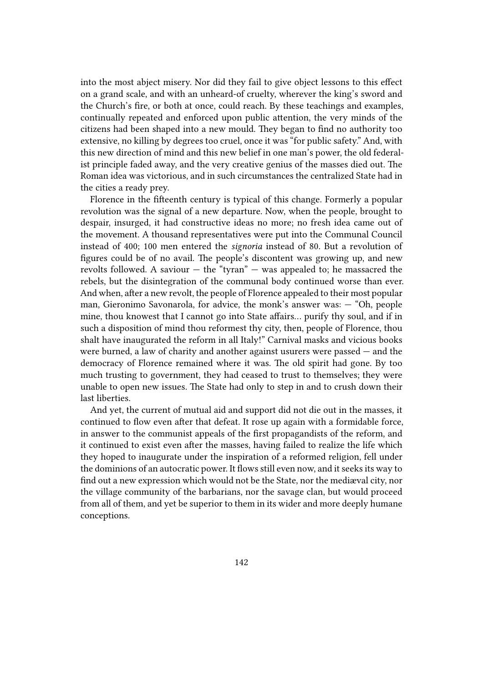into the most abject misery. Nor did they fail to give object lessons to this effect on a grand scale, and with an unheard-of cruelty, wherever the king's sword and the Church's fire, or both at once, could reach. By these teachings and examples, continually repeated and enforced upon public attention, the very minds of the citizens had been shaped into a new mould. They began to find no authority too extensive, no killing by degrees too cruel, once it was "for public safety." And, with this new direction of mind and this new belief in one man's power, the old federalist principle faded away, and the very creative genius of the masses died out. The Roman idea was victorious, and in such circumstances the centralized State had in the cities a ready prey.

Florence in the fifteenth century is typical of this change. Formerly a popular revolution was the signal of a new departure. Now, when the people, brought to despair, insurged, it had constructive ideas no more; no fresh idea came out of the movement. A thousand representatives were put into the Communal Council instead of 400; 100 men entered the *signoria* instead of 80. But a revolution of figures could be of no avail. The people's discontent was growing up, and new revolts followed. A saviour  $-$  the "tyran"  $-$  was appealed to; he massacred the rebels, but the disintegration of the communal body continued worse than ever. And when, after a new revolt, the people of Florence appealed to their most popular man, Gieronimo Savonarola, for advice, the monk's answer was: — "Oh, people mine, thou knowest that I cannot go into State affairs… purify thy soul, and if in such a disposition of mind thou reformest thy city, then, people of Florence, thou shalt have inaugurated the reform in all Italy!" Carnival masks and vicious books were burned, a law of charity and another against usurers were passed — and the democracy of Florence remained where it was. The old spirit had gone. By too much trusting to government, they had ceased to trust to themselves; they were unable to open new issues. The State had only to step in and to crush down their last liberties.

And yet, the current of mutual aid and support did not die out in the masses, it continued to flow even after that defeat. It rose up again with a formidable force, in answer to the communist appeals of the first propagandists of the reform, and it continued to exist even after the masses, having failed to realize the life which they hoped to inaugurate under the inspiration of a reformed religion, fell under the dominions of an autocratic power. It flows still even now, and it seeks its way to find out a new expression which would not be the State, nor the mediæval city, nor the village community of the barbarians, nor the savage clan, but would proceed from all of them, and yet be superior to them in its wider and more deeply humane conceptions.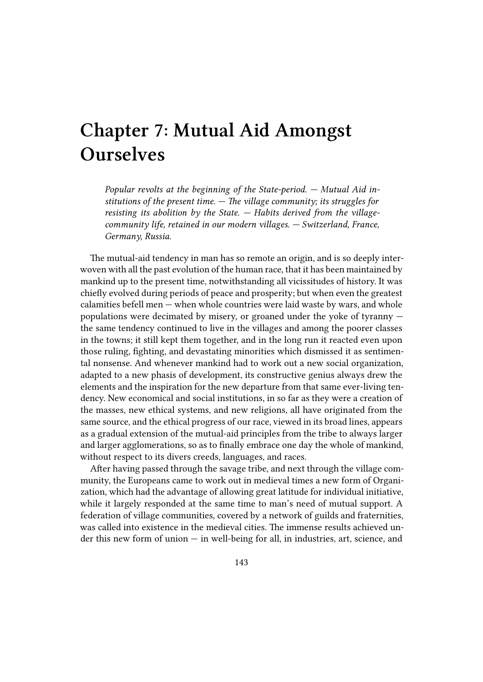## **Chapter 7: Mutual Aid Amongst Ourselves**

*Popular revolts at the beginning of the State-period. — Mutual Aid institutions of the present time. — The village community; its struggles for resisting its abolition by the State. — Habits derived from the villagecommunity life, retained in our modern villages. — Switzerland, France, Germany, Russia.*

The mutual-aid tendency in man has so remote an origin, and is so deeply interwoven with all the past evolution of the human race, that it has been maintained by mankind up to the present time, notwithstanding all vicissitudes of history. It was chiefly evolved during periods of peace and prosperity; but when even the greatest calamities befell men — when whole countries were laid waste by wars, and whole populations were decimated by misery, or groaned under the yoke of tyranny the same tendency continued to live in the villages and among the poorer classes in the towns; it still kept them together, and in the long run it reacted even upon those ruling, fighting, and devastating minorities which dismissed it as sentimental nonsense. And whenever mankind had to work out a new social organization, adapted to a new phasis of development, its constructive genius always drew the elements and the inspiration for the new departure from that same ever-living tendency. New economical and social institutions, in so far as they were a creation of the masses, new ethical systems, and new religions, all have originated from the same source, and the ethical progress of our race, viewed in its broad lines, appears as a gradual extension of the mutual-aid principles from the tribe to always larger and larger agglomerations, so as to finally embrace one day the whole of mankind, without respect to its divers creeds, languages, and races.

After having passed through the savage tribe, and next through the village community, the Europeans came to work out in medieval times a new form of Organization, which had the advantage of allowing great latitude for individual initiative, while it largely responded at the same time to man's need of mutual support. A federation of village communities, covered by a network of guilds and fraternities, was called into existence in the medieval cities. The immense results achieved under this new form of union — in well-being for all, in industries, art, science, and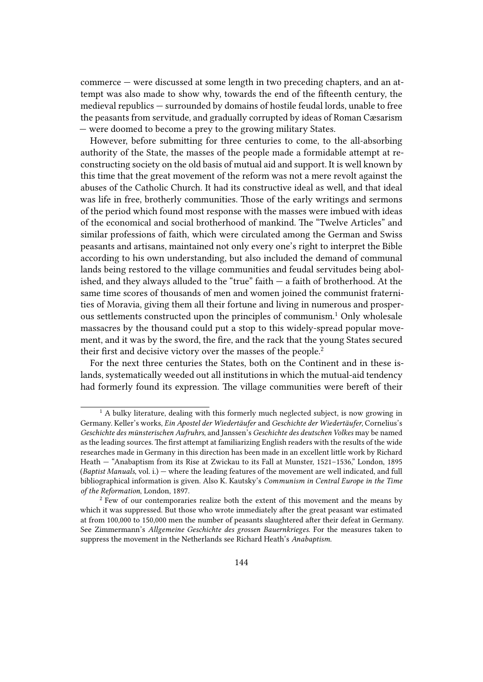commerce — were discussed at some length in two preceding chapters, and an attempt was also made to show why, towards the end of the fifteenth century, the medieval republics — surrounded by domains of hostile feudal lords, unable to free the peasants from servitude, and gradually corrupted by ideas of Roman Cæsarism — were doomed to become a prey to the growing military States.

However, before submitting for three centuries to come, to the all-absorbing authority of the State, the masses of the people made a formidable attempt at reconstructing society on the old basis of mutual aid and support. It is well known by this time that the great movement of the reform was not a mere revolt against the abuses of the Catholic Church. It had its constructive ideal as well, and that ideal was life in free, brotherly communities. Those of the early writings and sermons of the period which found most response with the masses were imbued with ideas of the economical and social brotherhood of mankind. The "Twelve Articles" and similar professions of faith, which were circulated among the German and Swiss peasants and artisans, maintained not only every one's right to interpret the Bible according to his own understanding, but also included the demand of communal lands being restored to the village communities and feudal servitudes being abolished, and they always alluded to the "true" faith  $-$  a faith of brotherhood. At the same time scores of thousands of men and women joined the communist fraternities of Moravia, giving them all their fortune and living in numerous and prosperous settlements constructed upon the principles of communism.<sup>1</sup> Only wholesale massacres by the thousand could put a stop to this widely-spread popular movement, and it was by the sword, the fire, and the rack that the young States secured their first and decisive victory over the masses of the people.<sup>2</sup>

For the next three centuries the States, both on the Continent and in these islands, systematically weeded out all institutions in which the mutual-aid tendency had formerly found its expression. The village communities were bereft of their

 $<sup>1</sup>$  A bulky literature, dealing with this formerly much neglected subject, is now growing in</sup> Germany. Keller's works, *Ein Apostel der Wiedertäufer* and *Geschichte der Wiedertäufer*, Cornelius's *Geschichte des münsterischen Aufruhrs*, and Janssen's *Geschichte des deutschen Volkes* may be named as the leading sources. The first attempt at familiarizing English readers with the results of the wide researches made in Germany in this direction has been made in an excellent little work by Richard Heath — "Anabaptism from its Rise at Zwickau to its Fall at Munster, 1521–1536," London, 1895 (*Baptist Manuals*, vol. i.) — where the leading features of the movement are well indicated, and full bibliographical information is given. Also K. Kautsky's *Communism in Central Europe in the Time of the Reformation*, London, 1897.

<sup>&</sup>lt;sup>2</sup> Few of our contemporaries realize both the extent of this movement and the means by which it was suppressed. But those who wrote immediately after the great peasant war estimated at from 100,000 to 150,000 men the number of peasants slaughtered after their defeat in Germany. See Zimmermann's *Allgemeine Geschichte des grossen Bauernkrieges*. For the measures taken to suppress the movement in the Netherlands see Richard Heath's *Anabaptism*.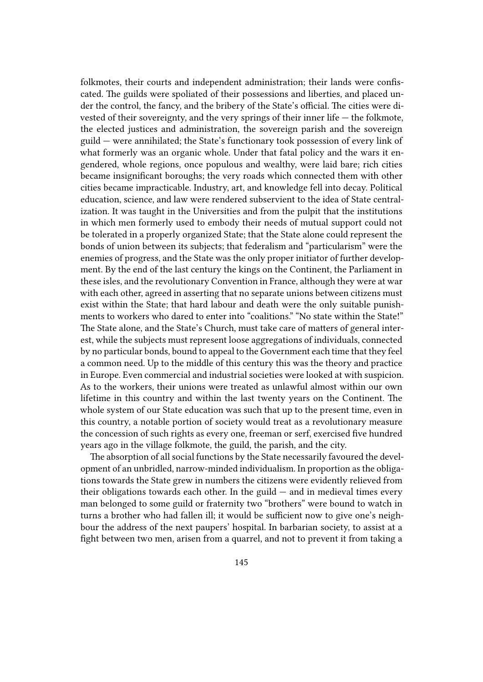folkmotes, their courts and independent administration; their lands were confiscated. The guilds were spoliated of their possessions and liberties, and placed under the control, the fancy, and the bribery of the State's official. The cities were divested of their sovereignty, and the very springs of their inner life — the folkmote, the elected justices and administration, the sovereign parish and the sovereign guild — were annihilated; the State's functionary took possession of every link of what formerly was an organic whole. Under that fatal policy and the wars it engendered, whole regions, once populous and wealthy, were laid bare; rich cities became insignificant boroughs; the very roads which connected them with other cities became impracticable. Industry, art, and knowledge fell into decay. Political education, science, and law were rendered subservient to the idea of State centralization. It was taught in the Universities and from the pulpit that the institutions in which men formerly used to embody their needs of mutual support could not be tolerated in a properly organized State; that the State alone could represent the bonds of union between its subjects; that federalism and "particularism" were the enemies of progress, and the State was the only proper initiator of further development. By the end of the last century the kings on the Continent, the Parliament in these isles, and the revolutionary Convention in France, although they were at war with each other, agreed in asserting that no separate unions between citizens must exist within the State; that hard labour and death were the only suitable punishments to workers who dared to enter into "coalitions." "No state within the State!" The State alone, and the State's Church, must take care of matters of general interest, while the subjects must represent loose aggregations of individuals, connected by no particular bonds, bound to appeal to the Government each time that they feel a common need. Up to the middle of this century this was the theory and practice in Europe. Even commercial and industrial societies were looked at with suspicion. As to the workers, their unions were treated as unlawful almost within our own lifetime in this country and within the last twenty years on the Continent. The whole system of our State education was such that up to the present time, even in this country, a notable portion of society would treat as a revolutionary measure the concession of such rights as every one, freeman or serf, exercised five hundred years ago in the village folkmote, the guild, the parish, and the city.

The absorption of all social functions by the State necessarily favoured the development of an unbridled, narrow-minded individualism. In proportion as the obligations towards the State grew in numbers the citizens were evidently relieved from their obligations towards each other. In the guild  $-$  and in medieval times every man belonged to some guild or fraternity two "brothers" were bound to watch in turns a brother who had fallen ill; it would be sufficient now to give one's neighbour the address of the next paupers' hospital. In barbarian society, to assist at a fight between two men, arisen from a quarrel, and not to prevent it from taking a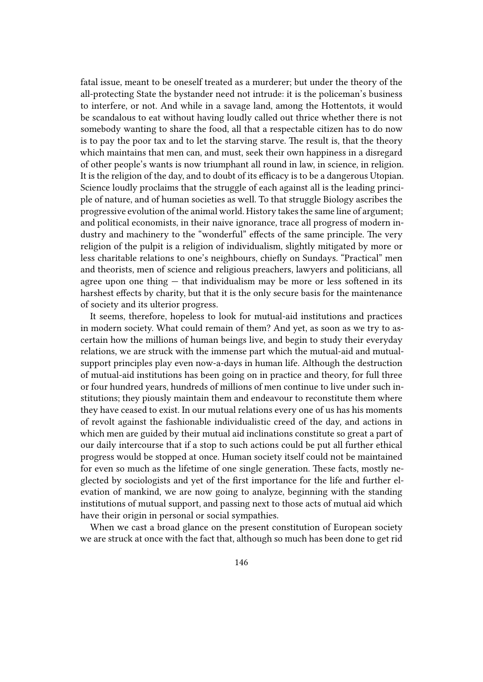fatal issue, meant to be oneself treated as a murderer; but under the theory of the all-protecting State the bystander need not intrude: it is the policeman's business to interfere, or not. And while in a savage land, among the Hottentots, it would be scandalous to eat without having loudly called out thrice whether there is not somebody wanting to share the food, all that a respectable citizen has to do now is to pay the poor tax and to let the starving starve. The result is, that the theory which maintains that men can, and must, seek their own happiness in a disregard of other people's wants is now triumphant all round in law, in science, in religion. It is the religion of the day, and to doubt of its efficacy is to be a dangerous Utopian. Science loudly proclaims that the struggle of each against all is the leading principle of nature, and of human societies as well. To that struggle Biology ascribes the progressive evolution of the animal world. History takes the same line of argument; and political economists, in their naive ignorance, trace all progress of modern industry and machinery to the "wonderful" effects of the same principle. The very religion of the pulpit is a religion of individualism, slightly mitigated by more or less charitable relations to one's neighbours, chiefly on Sundays. "Practical" men and theorists, men of science and religious preachers, lawyers and politicians, all agree upon one thing — that individualism may be more or less softened in its harshest effects by charity, but that it is the only secure basis for the maintenance of society and its ulterior progress.

It seems, therefore, hopeless to look for mutual-aid institutions and practices in modern society. What could remain of them? And yet, as soon as we try to ascertain how the millions of human beings live, and begin to study their everyday relations, we are struck with the immense part which the mutual-aid and mutualsupport principles play even now-a-days in human life. Although the destruction of mutual-aid institutions has been going on in practice and theory, for full three or four hundred years, hundreds of millions of men continue to live under such institutions; they piously maintain them and endeavour to reconstitute them where they have ceased to exist. In our mutual relations every one of us has his moments of revolt against the fashionable individualistic creed of the day, and actions in which men are guided by their mutual aid inclinations constitute so great a part of our daily intercourse that if a stop to such actions could be put all further ethical progress would be stopped at once. Human society itself could not be maintained for even so much as the lifetime of one single generation. These facts, mostly neglected by sociologists and yet of the first importance for the life and further elevation of mankind, we are now going to analyze, beginning with the standing institutions of mutual support, and passing next to those acts of mutual aid which have their origin in personal or social sympathies.

When we cast a broad glance on the present constitution of European society we are struck at once with the fact that, although so much has been done to get rid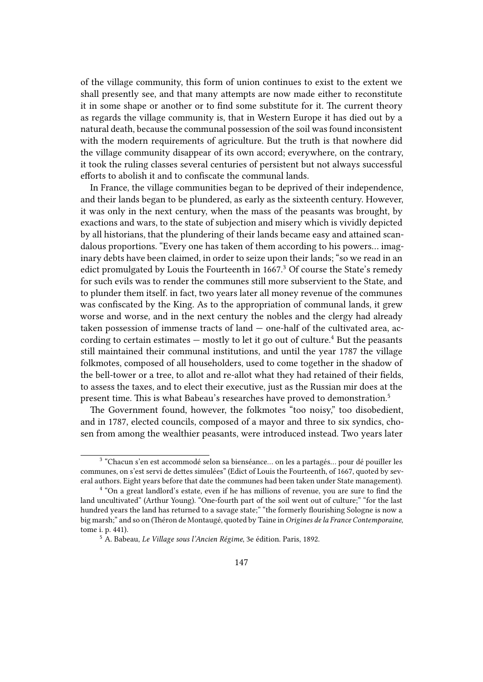of the village community, this form of union continues to exist to the extent we shall presently see, and that many attempts are now made either to reconstitute it in some shape or another or to find some substitute for it. The current theory as regards the village community is, that in Western Europe it has died out by a natural death, because the communal possession of the soil was found inconsistent with the modern requirements of agriculture. But the truth is that nowhere did the village community disappear of its own accord; everywhere, on the contrary, it took the ruling classes several centuries of persistent but not always successful efforts to abolish it and to confiscate the communal lands.

In France, the village communities began to be deprived of their independence, and their lands began to be plundered, as early as the sixteenth century. However, it was only in the next century, when the mass of the peasants was brought, by exactions and wars, to the state of subjection and misery which is vividly depicted by all historians, that the plundering of their lands became easy and attained scandalous proportions. "Every one has taken of them according to his powers… imaginary debts have been claimed, in order to seize upon their lands; "so we read in an edict promulgated by Louis the Fourteenth in 1667.<sup>3</sup> Of course the State's remedy for such evils was to render the communes still more subservient to the State, and to plunder them itself. in fact, two years later all money revenue of the communes was confiscated by the King. As to the appropriation of communal lands, it grew worse and worse, and in the next century the nobles and the clergy had already taken possession of immense tracts of land — one-half of the cultivated area, according to certain estimates  $-$  mostly to let it go out of culture.<sup>4</sup> But the peasants still maintained their communal institutions, and until the year 1787 the village folkmotes, composed of all householders, used to come together in the shadow of the bell-tower or a tree, to allot and re-allot what they had retained of their fields, to assess the taxes, and to elect their executive, just as the Russian mir does at the present time. This is what Babeau's researches have proved to demonstration.<sup>5</sup>

The Government found, however, the folkmotes "too noisy," too disobedient, and in 1787, elected councils, composed of a mayor and three to six syndics, chosen from among the wealthier peasants, were introduced instead. Two years later

<sup>&</sup>lt;sup>3</sup> "Chacun s'en est accommodé selon sa bienséance... on les a partagés... pour dé pouiller les communes, on s'est servi de dettes simulées" (Edict of Louis the Fourteenth, of 1667, quoted by several authors. Eight years before that date the communes had been taken under State management).

<sup>&</sup>lt;sup>4</sup> "On a great landlord's estate, even if he has millions of revenue, you are sure to find the land uncultivated" (Arthur Young). "One-fourth part of the soil went out of culture;" "for the last hundred years the land has returned to a savage state;" "the formerly flourishing Sologne is now a big marsh;" and so on (Théron de Montaugé, quoted by Taine in *Origines de la France Contemporaine*, tome i. p. 441).

<sup>5</sup> A. Babeau, *Le Village sous l'Ancien Régime*, 3e édition. Paris, 1892.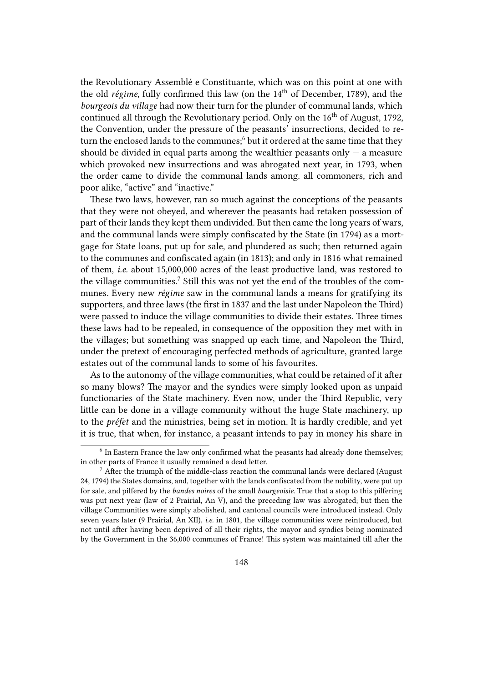the Revolutionary Assemblé e Constituante, which was on this point at one with the old *régime*, fully confirmed this law (on the 14<sup>th</sup> of December, 1789), and the *bourgeois du village* had now their turn for the plunder of communal lands, which continued all through the Revolutionary period. Only on the  $16<sup>th</sup>$  of August, 1792, the Convention, under the pressure of the peasants' insurrections, decided to return the enclosed lands to the communes;<sup>6</sup> but it ordered at the same time that they should be divided in equal parts among the wealthier peasants only  $-$  a measure which provoked new insurrections and was abrogated next year, in 1793, when the order came to divide the communal lands among. all commoners, rich and poor alike, "active" and "inactive."

These two laws, however, ran so much against the conceptions of the peasants that they were not obeyed, and wherever the peasants had retaken possession of part of their lands they kept them undivided. But then came the long years of wars, and the communal lands were simply confiscated by the State (in 1794) as a mortgage for State loans, put up for sale, and plundered as such; then returned again to the communes and confiscated again (in 1813); and only in 1816 what remained of them, *i.e.* about 15,000,000 acres of the least productive land, was restored to the village communities.<sup>7</sup> Still this was not yet the end of the troubles of the communes. Every new *régime* saw in the communal lands a means for gratifying its supporters, and three laws (the first in 1837 and the last under Napoleon the Third) were passed to induce the village communities to divide their estates. Three times these laws had to be repealed, in consequence of the opposition they met with in the villages; but something was snapped up each time, and Napoleon the Third, under the pretext of encouraging perfected methods of agriculture, granted large estates out of the communal lands to some of his favourites.

As to the autonomy of the village communities, what could be retained of it after so many blows? The mayor and the syndics were simply looked upon as unpaid functionaries of the State machinery. Even now, under the Third Republic, very little can be done in a village community without the huge State machinery, up to the *préfet* and the ministries, being set in motion. It is hardly credible, and yet it is true, that when, for instance, a peasant intends to pay in money his share in

<sup>&</sup>lt;sup>6</sup> In Eastern France the law only confirmed what the peasants had already done themselves; in other parts of France it usually remained a dead letter.

 $^7$  After the triumph of the middle-class reaction the communal lands were declared (August 24, 1794) the States domains, and, together with the lands confiscated from the nobility, were put up for sale, and pilfered by the *bandes noires* of the small *bourgeoisie*. True that a stop to this pilfering was put next year (law of 2 Prairial, An V), and the preceding law was abrogated; but then the village Communities were simply abolished, and cantonal councils were introduced instead. Only seven years later (9 Prairial, An XII), *i.e.* in 1801, the village communities were reintroduced, but not until after having been deprived of all their rights, the mayor and syndics being nominated by the Government in the 36,000 communes of France! This system was maintained till after the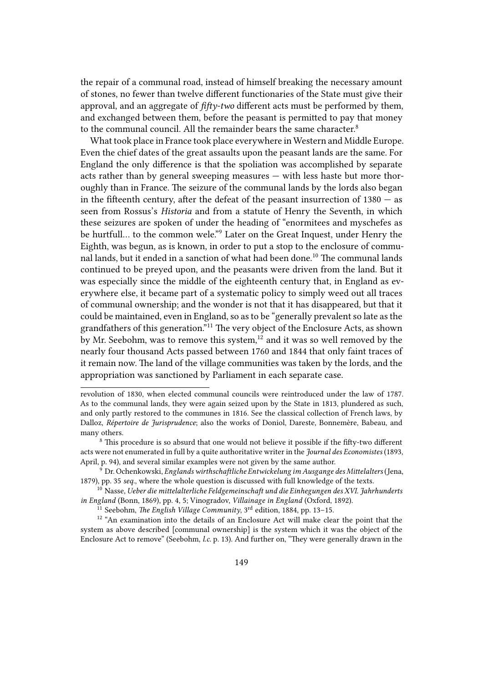the repair of a communal road, instead of himself breaking the necessary amount of stones, no fewer than twelve different functionaries of the State must give their approval, and an aggregate of *fifty-two* different acts must be performed by them, and exchanged between them, before the peasant is permitted to pay that money to the communal council. All the remainder bears the same character.<sup>8</sup>

What took place in France took place everywhere in Western and Middle Europe. Even the chief dates of the great assaults upon the peasant lands are the same. For England the only difference is that the spoliation was accomplished by separate acts rather than by general sweeping measures — with less haste but more thoroughly than in France. The seizure of the communal lands by the lords also began in the fifteenth century, after the defeat of the peasant insurrection of  $1380 - as$ seen from Rossus's *Historia* and from a statute of Henry the Seventh, in which these seizures are spoken of under the heading of "enormitees and myschefes as be hurtfull... to the common wele."<sup>9</sup> Later on the Great Inquest, under Henry the Eighth, was begun, as is known, in order to put a stop to the enclosure of communal lands, but it ended in a sanction of what had been done.<sup>10</sup> The communal lands continued to be preyed upon, and the peasants were driven from the land. But it was especially since the middle of the eighteenth century that, in England as everywhere else, it became part of a systematic policy to simply weed out all traces of communal ownership; and the wonder is not that it has disappeared, but that it could be maintained, even in England, so as to be "generally prevalent so late as the grandfathers of this generation."<sup>11</sup> The very object of the Enclosure Acts, as shown by Mr. Seebohm, was to remove this system, $12$  and it was so well removed by the nearly four thousand Acts passed between 1760 and 1844 that only faint traces of it remain now. The land of the village communities was taken by the lords, and the appropriation was sanctioned by Parliament in each separate case.

revolution of 1830, when elected communal councils were reintroduced under the law of 1787. As to the communal lands, they were again seized upon by the State in 1813, plundered as such, and only partly restored to the communes in 1816. See the classical collection of French laws, by Dalloz, *Répertoire de Jurisprudence*; also the works of Doniol, Dareste, Bonnemère, Babeau, and many others.

<sup>&</sup>lt;sup>8</sup> This procedure is so absurd that one would not believe it possible if the fifty-two different acts were not enumerated in full by a quite authoritative writer in the *Journal des Economistes* (1893, April, p. 94), and several similar examples were not given by the same author.

<sup>9</sup> Dr. Ochenkowski, *Englands wirthschaftliche Entwickelung im Ausgange des Mittelalters* (Jena, 1879), pp. 35 *seq*., where the whole question is discussed with full knowledge of the texts.

<sup>10</sup> Nasse, *Ueber die mittelalterliche Feldgemeinschaft und die Einhegungen des XVI. Jahrhunderts in England* (Bonn, 1869), pp. 4, 5; Vinogradov, *Villainage in England* (Oxford, 1892).

<sup>&</sup>lt;sup>11</sup> Seebohm, *The English Village Community*, 3<sup>rd</sup> edition, 1884, pp. 13–15.

 $12$  "An examination into the details of an Enclosure Act will make clear the point that the system as above described [communal ownership] is the system which it was the object of the Enclosure Act to remove" (Seebohm, *l.c.* p. 13). And further on, "They were generally drawn in the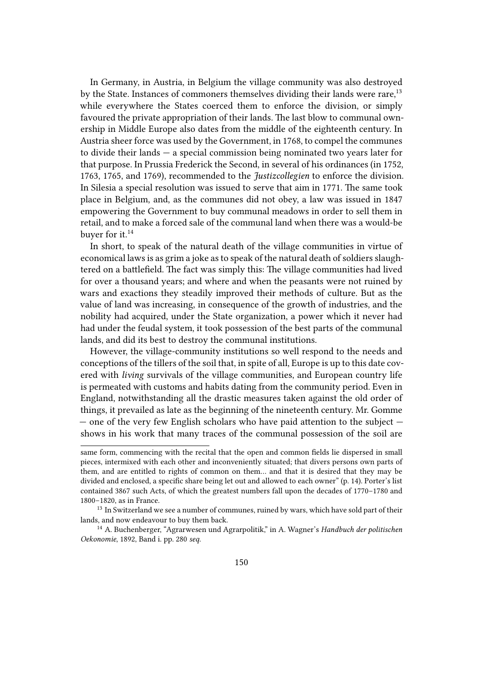In Germany, in Austria, in Belgium the village community was also destroyed by the State. Instances of commoners themselves dividing their lands were rare, $^{13}$ while everywhere the States coerced them to enforce the division, or simply favoured the private appropriation of their lands. The last blow to communal ownership in Middle Europe also dates from the middle of the eighteenth century. In Austria sheer force was used by the Government, in 1768, to compel the communes to divide their lands — a special commission being nominated two years later for that purpose. In Prussia Frederick the Second, in several of his ordinances (in 1752, 1763, 1765, and 1769), recommended to the *Justizcollegien* to enforce the division. In Silesia a special resolution was issued to serve that aim in 1771. The same took place in Belgium, and, as the communes did not obey, a law was issued in 1847 empowering the Government to buy communal meadows in order to sell them in retail, and to make a forced sale of the communal land when there was a would-be buyer for it.<sup>14</sup>

In short, to speak of the natural death of the village communities in virtue of economical laws is as grim a joke as to speak of the natural death of soldiers slaughtered on a battlefield. The fact was simply this: The village communities had lived for over a thousand years; and where and when the peasants were not ruined by wars and exactions they steadily improved their methods of culture. But as the value of land was increasing, in consequence of the growth of industries, and the nobility had acquired, under the State organization, a power which it never had had under the feudal system, it took possession of the best parts of the communal lands, and did its best to destroy the communal institutions.

However, the village-community institutions so well respond to the needs and conceptions of the tillers of the soil that, in spite of all, Europe is up to this date covered with *living* survivals of the village communities, and European country life is permeated with customs and habits dating from the community period. Even in England, notwithstanding all the drastic measures taken against the old order of things, it prevailed as late as the beginning of the nineteenth century. Mr. Gomme — one of the very few English scholars who have paid attention to the subject  $$ shows in his work that many traces of the communal possession of the soil are

same form, commencing with the recital that the open and common fields lie dispersed in small pieces, intermixed with each other and inconveniently situated; that divers persons own parts of them, and are entitled to rights of common on them… and that it is desired that they may be divided and enclosed, a specific share being let out and allowed to each owner" (p. 14). Porter's list contained 3867 such Acts, of which the greatest numbers fall upon the decades of 1770–1780 and 1800–1820, as in France.

 $13$  In Switzerland we see a number of communes, ruined by wars, which have sold part of their lands, and now endeavour to buy them back.

<sup>14</sup> A. Buchenberger, "Agrarwesen und Agrarpolitik," in A. Wagner's *Handbuch der politischen Oekonomie*, 1892, Band i. pp. 280 *seq*.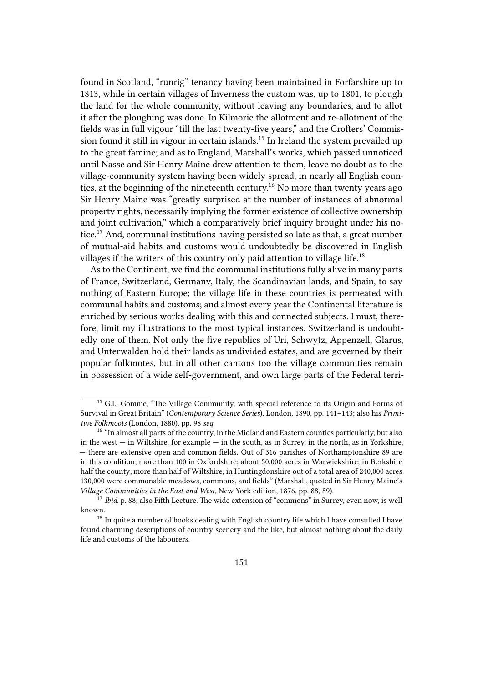found in Scotland, "runrig" tenancy having been maintained in Forfarshire up to 1813, while in certain villages of Inverness the custom was, up to 1801, to plough the land for the whole community, without leaving any boundaries, and to allot it after the ploughing was done. In Kilmorie the allotment and re-allotment of the fields was in full vigour "till the last twenty-five years," and the Crofters' Commission found it still in vigour in certain islands.<sup>15</sup> In Ireland the system prevailed up to the great famine; and as to England, Marshall's works, which passed unnoticed until Nasse and Sir Henry Maine drew attention to them, leave no doubt as to the village-community system having been widely spread, in nearly all English counties, at the beginning of the nineteenth century.<sup>16</sup> No more than twenty years ago Sir Henry Maine was "greatly surprised at the number of instances of abnormal property rights, necessarily implying the former existence of collective ownership and joint cultivation," which a comparatively brief inquiry brought under his notice.<sup>17</sup> And, communal institutions having persisted so late as that, a great number of mutual-aid habits and customs would undoubtedly be discovered in English villages if the writers of this country only paid attention to village life.<sup>18</sup>

As to the Continent, we find the communal institutions fully alive in many parts of France, Switzerland, Germany, Italy, the Scandinavian lands, and Spain, to say nothing of Eastern Europe; the village life in these countries is permeated with communal habits and customs; and almost every year the Continental literature is enriched by serious works dealing with this and connected subjects. I must, therefore, limit my illustrations to the most typical instances. Switzerland is undoubtedly one of them. Not only the five republics of Uri, Schwytz, Appenzell, Glarus, and Unterwalden hold their lands as undivided estates, and are governed by their popular folkmotes, but in all other cantons too the village communities remain in possession of a wide self-government, and own large parts of the Federal terri-

<sup>&</sup>lt;sup>15</sup> G.L. Gomme, "The Village Community, with special reference to its Origin and Forms of Survival in Great Britain" (*Contemporary Science Series*), London, 1890, pp. 141–143; also his *Primitive Folkmoots* (London, 1880), pp. 98 *seq*.

<sup>&</sup>lt;sup>16</sup> "In almost all parts of the country, in the Midland and Eastern counties particularly, but also in the west  $-$  in Wiltshire, for example  $-$  in the south, as in Surrey, in the north, as in Yorkshire, — there are extensive open and common fields. Out of 316 parishes of Northamptonshire 89 are in this condition; more than 100 in Oxfordshire; about 50,000 acres in Warwickshire; in Berkshire half the county; more than half of Wiltshire; in Huntingdonshire out of a total area of 240,000 acres 130,000 were commonable meadows, commons, and fields" (Marshall, quoted in Sir Henry Maine's *Village Communities in the East and West*, New York edition, 1876, pp. 88, 89).

<sup>&</sup>lt;sup>17</sup> *Ibid.* p. 88; also Fifth Lecture. The wide extension of "commons" in Surrey, even now, is well known.

 $18$  In quite a number of books dealing with English country life which I have consulted I have found charming descriptions of country scenery and the like, but almost nothing about the daily life and customs of the labourers.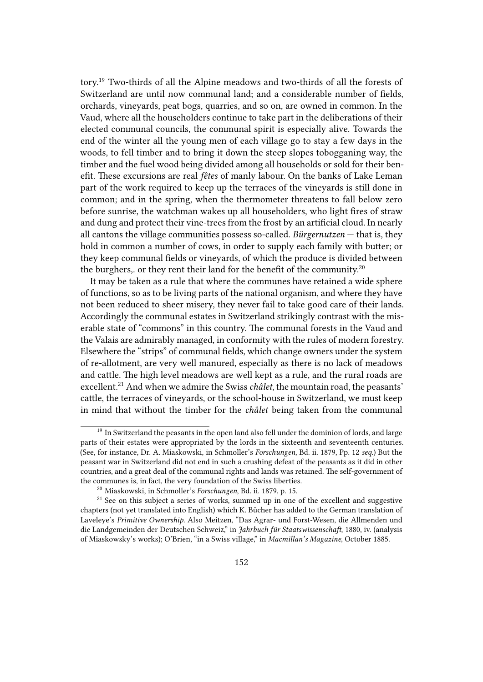tory.<sup>19</sup> Two-thirds of all the Alpine meadows and two-thirds of all the forests of Switzerland are until now communal land; and a considerable number of fields, orchards, vineyards, peat bogs, quarries, and so on, are owned in common. In the Vaud, where all the householders continue to take part in the deliberations of their elected communal councils, the communal spirit is especially alive. Towards the end of the winter all the young men of each village go to stay a few days in the woods, to fell timber and to bring it down the steep slopes tobogganing way, the timber and the fuel wood being divided among all households or sold for their benefit. These excursions are real *fêtes* of manly labour. On the banks of Lake Leman part of the work required to keep up the terraces of the vineyards is still done in common; and in the spring, when the thermometer threatens to fall below zero before sunrise, the watchman wakes up all householders, who light fires of straw and dung and protect their vine-trees from the frost by an artificial cloud. In nearly all cantons the village communities possess so-called. *Bürgernutzen* — that is, they hold in common a number of cows, in order to supply each family with butter; or they keep communal fields or vineyards, of which the produce is divided between the burghers, or they rent their land for the benefit of the community.<sup>20</sup>

It may be taken as a rule that where the communes have retained a wide sphere of functions, so as to be living parts of the national organism, and where they have not been reduced to sheer misery, they never fail to take good care of their lands. Accordingly the communal estates in Switzerland strikingly contrast with the miserable state of "commons" in this country. The communal forests in the Vaud and the Valais are admirably managed, in conformity with the rules of modern forestry. Elsewhere the "strips" of communal fields, which change owners under the system of re-allotment, are very well manured, especially as there is no lack of meadows and cattle. The high level meadows are well kept as a rule, and the rural roads are excellent.<sup>21</sup> And when we admire the Swiss *châlet*, the mountain road, the peasants' cattle, the terraces of vineyards, or the school-house in Switzerland, we must keep in mind that without the timber for the *châlet* being taken from the communal

 $^{\rm 19}$  In Switzerland the peasants in the open land also fell under the dominion of lords, and large parts of their estates were appropriated by the lords in the sixteenth and seventeenth centuries. (See, for instance, Dr. A. Miaskowski, in Schmoller's *Forschungen*, Bd. ii. 1879, Pp. 12 *seq*.) But the peasant war in Switzerland did not end in such a crushing defeat of the peasants as it did in other countries, and a great deal of the communal rights and lands was retained. The self-government of the communes is, in fact, the very foundation of the Swiss liberties.

<sup>20</sup> Miaskowski, in Schmoller's *Forschungen*, Bd. ii. 1879, p. 15.

 $21$  See on this subject a series of works, summed up in one of the excellent and suggestive chapters (not yet translated into English) which K. Bücher has added to the German translation of Laveleye's *Primitive Ownership*. Also Meitzen, "Das Agrar- und Forst-Wesen, die Allmenden und die Landgemeinden der Deutschen Schweiz," in *Jahrbuch für Staatswissenschaft*, 1880, iv. (analysis of Miaskowsky's works); O'Brien, "in a Swiss village," in *Macmillan's Magazine*, October 1885.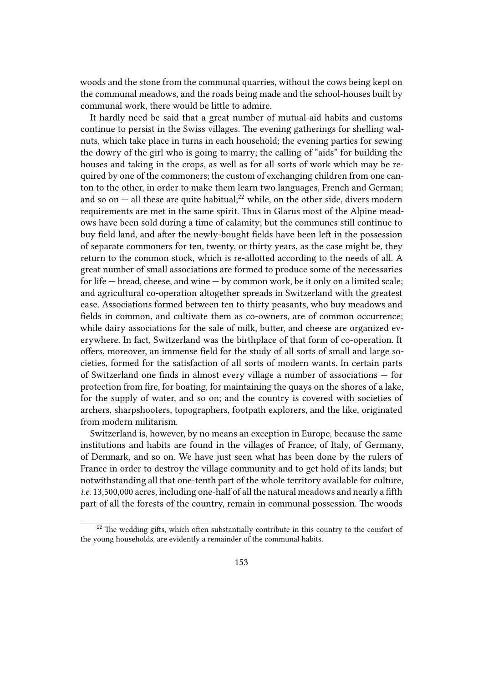woods and the stone from the communal quarries, without the cows being kept on the communal meadows, and the roads being made and the school-houses built by communal work, there would be little to admire.

It hardly need be said that a great number of mutual-aid habits and customs continue to persist in the Swiss villages. The evening gatherings for shelling walnuts, which take place in turns in each household; the evening parties for sewing the dowry of the girl who is going to marry; the calling of "aids" for building the houses and taking in the crops, as well as for all sorts of work which may be required by one of the commoners; the custom of exchanging children from one canton to the other, in order to make them learn two languages, French and German; and so on  $-$  all these are quite habitual;<sup>22</sup> while, on the other side, divers modern requirements are met in the same spirit. Thus in Glarus most of the Alpine meadows have been sold during a time of calamity; but the communes still continue to buy field land, and after the newly-bought fields have been left in the possession of separate commoners for ten, twenty, or thirty years, as the case might be, they return to the common stock, which is re-allotted according to the needs of all. A great number of small associations are formed to produce some of the necessaries for life — bread, cheese, and wine — by common work, be it only on a limited scale; and agricultural co-operation altogether spreads in Switzerland with the greatest ease. Associations formed between ten to thirty peasants, who buy meadows and fields in common, and cultivate them as co-owners, are of common occurrence; while dairy associations for the sale of milk, butter, and cheese are organized everywhere. In fact, Switzerland was the birthplace of that form of co-operation. It offers, moreover, an immense field for the study of all sorts of small and large societies, formed for the satisfaction of all sorts of modern wants. In certain parts of Switzerland one finds in almost every village a number of associations — for protection from fire, for boating, for maintaining the quays on the shores of a lake, for the supply of water, and so on; and the country is covered with societies of archers, sharpshooters, topographers, footpath explorers, and the like, originated from modern militarism.

Switzerland is, however, by no means an exception in Europe, because the same institutions and habits are found in the villages of France, of Italy, of Germany, of Denmark, and so on. We have just seen what has been done by the rulers of France in order to destroy the village community and to get hold of its lands; but notwithstanding all that one-tenth part of the whole territory available for culture, *i.e.* 13,500,000 acres, including one-half of all the natural meadows and nearly a fifth part of all the forests of the country, remain in communal possession. The woods

 $22$  The wedding gifts, which often substantially contribute in this country to the comfort of the young households, are evidently a remainder of the communal habits.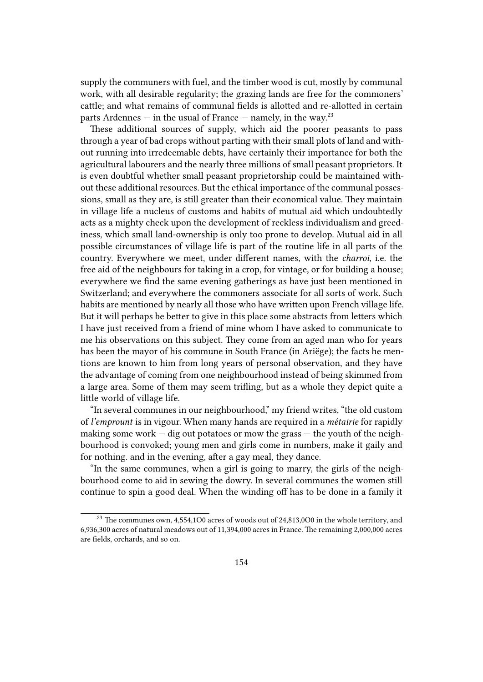supply the communers with fuel, and the timber wood is cut, mostly by communal work, with all desirable regularity; the grazing lands are free for the commoners' cattle; and what remains of communal fields is allotted and re-allotted in certain parts Ardennes — in the usual of France — namely, in the way.<sup>23</sup>

These additional sources of supply, which aid the poorer peasants to pass through a year of bad crops without parting with their small plots of land and without running into irredeemable debts, have certainly their importance for both the agricultural labourers and the nearly three millions of small peasant proprietors. It is even doubtful whether small peasant proprietorship could be maintained without these additional resources. But the ethical importance of the communal possessions, small as they are, is still greater than their economical value. They maintain in village life a nucleus of customs and habits of mutual aid which undoubtedly acts as a mighty check upon the development of reckless individualism and greediness, which small land-ownership is only too prone to develop. Mutual aid in all possible circumstances of village life is part of the routine life in all parts of the country. Everywhere we meet, under different names, with the *charroi*, i.e. the free aid of the neighbours for taking in a crop, for vintage, or for building a house; everywhere we find the same evening gatherings as have just been mentioned in Switzerland; and everywhere the commoners associate for all sorts of work. Such habits are mentioned by nearly all those who have written upon French village life. But it will perhaps be better to give in this place some abstracts from letters which I have just received from a friend of mine whom I have asked to communicate to me his observations on this subject. They come from an aged man who for years has been the mayor of his commune in South France (in Ariëge); the facts he mentions are known to him from long years of personal observation, and they have the advantage of coming from one neighbourhood instead of being skimmed from a large area. Some of them may seem trifling, but as a whole they depict quite a little world of village life.

"In several communes in our neighbourhood," my friend writes, "the old custom of *l'emprount* is in vigour. When many hands are required in a *métairie* for rapidly making some work  $-$  dig out potatoes or mow the grass  $-$  the youth of the neighbourhood is convoked; young men and girls come in numbers, make it gaily and for nothing. and in the evening, after a gay meal, they dance.

"In the same communes, when a girl is going to marry, the girls of the neighbourhood come to aid in sewing the dowry. In several communes the women still continue to spin a good deal. When the winding off has to be done in a family it

<sup>&</sup>lt;sup>23</sup> The communes own, 4,554,100 acres of woods out of 24,813,000 in the whole territory, and 6,936,300 acres of natural meadows out of 11,394,000 acres in France. The remaining 2,000,000 acres are fields, orchards, and so on.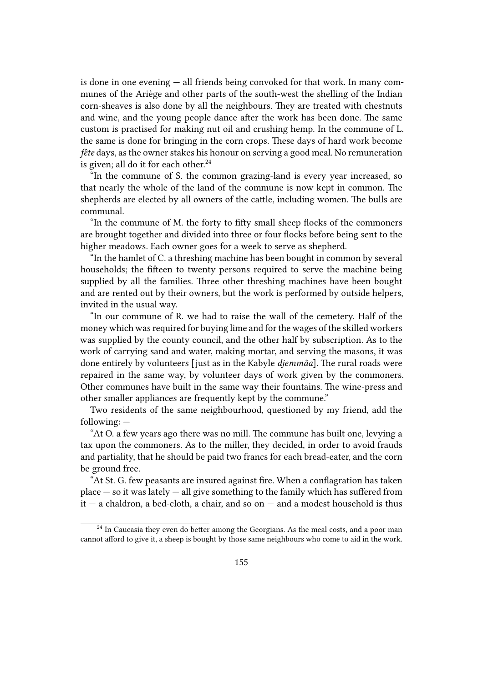is done in one evening — all friends being convoked for that work. In many communes of the Ariège and other parts of the south-west the shelling of the Indian corn-sheaves is also done by all the neighbours. They are treated with chestnuts and wine, and the young people dance after the work has been done. The same custom is practised for making nut oil and crushing hemp. In the commune of L. the same is done for bringing in the corn crops. These days of hard work become *fête* days, as the owner stakes his honour on serving a good meal. No remuneration is given; all do it for each other. $24$ 

"In the commune of S. the common grazing-land is every year increased, so that nearly the whole of the land of the commune is now kept in common. The shepherds are elected by all owners of the cattle, including women. The bulls are communal.

"In the commune of M. the forty to fifty small sheep flocks of the commoners are brought together and divided into three or four flocks before being sent to the higher meadows. Each owner goes for a week to serve as shepherd.

"In the hamlet of C. a threshing machine has been bought in common by several households; the fifteen to twenty persons required to serve the machine being supplied by all the families. Three other threshing machines have been bought and are rented out by their owners, but the work is performed by outside helpers, invited in the usual way.

"In our commune of R. we had to raise the wall of the cemetery. Half of the money which was required for buying lime and for the wages of the skilled workers was supplied by the county council, and the other half by subscription. As to the work of carrying sand and water, making mortar, and serving the masons, it was done entirely by volunteers [just as in the Kabyle *djemmâa*]. The rural roads were repaired in the same way, by volunteer days of work given by the commoners. Other communes have built in the same way their fountains. The wine-press and other smaller appliances are frequently kept by the commune."

Two residents of the same neighbourhood, questioned by my friend, add the following: —

"At O. a few years ago there was no mill. The commune has built one, levying a tax upon the commoners. As to the miller, they decided, in order to avoid frauds and partiality, that he should be paid two francs for each bread-eater, and the corn be ground free.

"At St. G. few peasants are insured against fire. When a conflagration has taken  $place - so it was later – all give something to the family which has suffered from$  $it - a$  chaldron, a bed-cloth, a chair, and so on  $-$  and a modest household is thus

 $^{24}$  In Caucasia they even do better among the Georgians. As the meal costs, and a poor man cannot afford to give it, a sheep is bought by those same neighbours who come to aid in the work.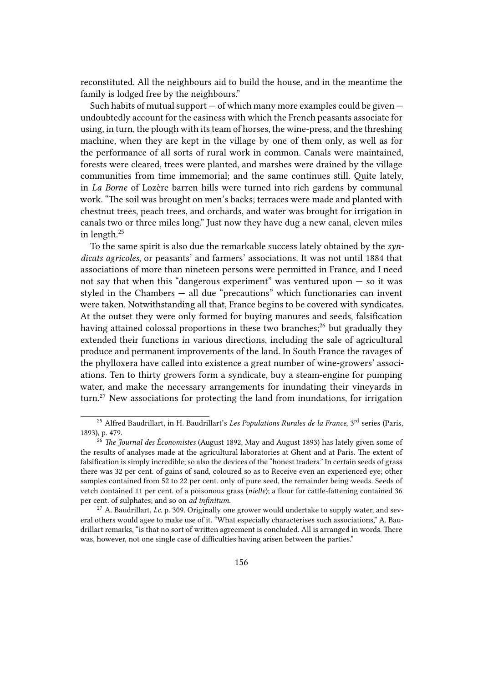reconstituted. All the neighbours aid to build the house, and in the meantime the family is lodged free by the neighbours."

Such habits of mutual support  $-$  of which many more examples could be given  $$ undoubtedly account for the easiness with which the French peasants associate for using, in turn, the plough with its team of horses, the wine-press, and the threshing machine, when they are kept in the village by one of them only, as well as for the performance of all sorts of rural work in common. Canals were maintained, forests were cleared, trees were planted, and marshes were drained by the village communities from time immemorial; and the same continues still. Quite lately, in *La Borne* of Lozère barren hills were turned into rich gardens by communal work. "The soil was brought on men's backs; terraces were made and planted with chestnut trees, peach trees, and orchards, and water was brought for irrigation in canals two or three miles long." Just now they have dug a new canal, eleven miles in length.<sup>25</sup>

To the same spirit is also due the remarkable success lately obtained by the *syndicats agricoles*, or peasants' and farmers' associations. It was not until 1884 that associations of more than nineteen persons were permitted in France, and I need not say that when this "dangerous experiment" was ventured upon  $-$  so it was styled in the Chambers — all due "precautions" which functionaries can invent were taken. Notwithstanding all that, France begins to be covered with syndicates. At the outset they were only formed for buying manures and seeds, falsification having attained colossal proportions in these two branches; $^{26}$  but gradually they extended their functions in various directions, including the sale of agricultural produce and permanent improvements of the land. In South France the ravages of the phylloxera have called into existence a great number of wine-growers' associations. Ten to thirty growers form a syndicate, buy a steam-engine for pumping water, and make the necessary arrangements for inundating their vineyards in turn.<sup>27</sup> New associations for protecting the land from inundations, for irrigation

<sup>25</sup> Alfred Baudrillart, in H. Baudrillart's *Les Populations Rurales de la France*, 3rd series (Paris, 1893), p. 479.

<sup>26</sup> *The Journal des Économistes* (August 1892, May and August 1893) has lately given some of the results of analyses made at the agricultural laboratories at Ghent and at Paris. The extent of falsification is simply incredible; so also the devices of the "honest traders." In certain seeds of grass there was 32 per cent. of gains of sand, coloured so as to Receive even an experienced eye; other samples contained from 52 to 22 per cent. only of pure seed, the remainder being weeds. Seeds of vetch contained 11 per cent. of a poisonous grass (*nielle*); a flour for cattle-fattening contained 36 per cent. of sulphates; and so on *ad infinitum*.

<sup>27</sup> A. Baudrillart, *l.c.* p. 309. Originally one grower would undertake to supply water, and several others would agee to make use of it. "What especially characterises such associations," A. Baudrillart remarks, "is that no sort of written agreement is concluded. All is arranged in words. There was, however, not one single case of difficulties having arisen between the parties."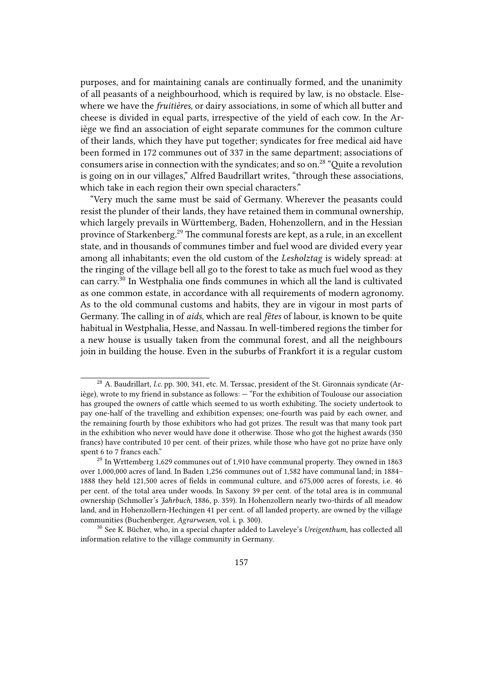purposes, and for maintaining canals are continually formed, and the unanimity of all peasants of a neighbourhood, which is required by law, is no obstacle. Elsewhere we have the *fruitières*, or dairy associations, in some of which all butter and cheese is divided in equal parts, irrespective of the yield of each cow. In the Ariège we find an association of eight separate communes for the common culture of their lands, which they have put together; syndicates for free medical aid have been formed in 172 communes out of 337 in the same department; associations of consumers arise in connection with the syndicates; and so on.<sup>28</sup> "Quite a revolution is going on in our villages," Alfred Baudrillart writes, "through these associations, which take in each region their own special characters."

"Very much the same must be said of Germany. Wherever the peasants could resist the plunder of their lands, they have retained them in communal ownership, which largely prevails in Württemberg, Baden, Hohenzollern, and in the Hessian province of Starkenberg.<sup>29</sup> The communal forests are kept, as a rule, in an excellent state, and in thousands of communes timber and fuel wood are divided every year among all inhabitants; even the old custom of the *Lesholztag* is widely spread: at the ringing of the village bell all go to the forest to take as much fuel wood as they can carry.<sup>30</sup> In Westphalia one finds communes in which all the land is cultivated as one common estate, in accordance with all requirements of modern agronomy. As to the old communal customs and habits, they are in vigour in most parts of Germany. The calling in of *aids*, which are real *fêtes* of labour, is known to be quite habitual in Westphalia, Hesse, and Nassau. In well-timbered regions the timber for a new house is usually taken from the communal forest, and all the neighbours join in building the house. Even in the suburbs of Frankfort it is a regular custom

<sup>28</sup> A. Baudrillart, *l.c.* pp. 300, 341, etc. M. Terssac, president of the St. Gironnais syndicate (Ariège), wrote to my friend in substance as follows: — "For the exhibition of Toulouse our association has grouped the owners of cattle which seemed to us worth exhibiting. The society undertook to pay one-half of the travelling and exhibition expenses; one-fourth was paid by each owner, and the remaining fourth by those exhibitors who had got prizes. The result was that many took part in the exhibition who never would have done it otherwise. Those who got the highest awards (350 francs) have contributed 10 per cent. of their prizes, while those who have got no prize have only spent 6 to 7 francs each."

<sup>&</sup>lt;sup>29</sup> In Wrttemberg 1,629 communes out of 1,910 have communal property. They owned in 1863 over 1,000,000 acres of land. In Baden 1,256 communes out of 1,582 have communal land; in 1884– 1888 they held 121,500 acres of fields in communal culture, and 675,000 acres of forests, i.e. 46 per cent. of the total area under woods. In Saxony 39 per cent. of the total area is in communal ownership (Schmoller's *Jahrbuch*, 1886, p. 359). In Hohenzollern nearly two-thirds of all meadow land, and in Hohenzollern-Hechingen 41 per cent. of all landed property, are owned by the village communities (Buchenberger, *Agrarwesen*, vol. i. p. 300).

<sup>30</sup> See K. Bücher, who, in a special chapter added to Laveleye's *Ureigenthum*, has collected all information relative to the village community in Germany.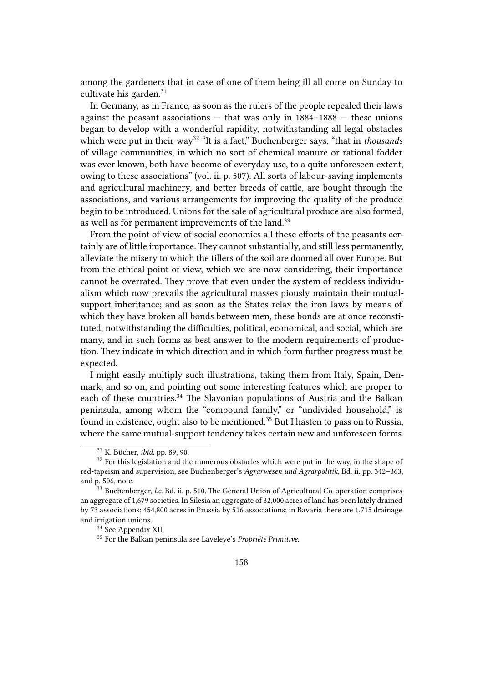among the gardeners that in case of one of them being ill all come on Sunday to cultivate his garden.<sup>31</sup>

In Germany, as in France, as soon as the rulers of the people repealed their laws against the peasant associations  $-$  that was only in 1884–1888  $-$  these unions began to develop with a wonderful rapidity, notwithstanding all legal obstacles which were put in their way<sup>32</sup> "It is a fact," Buchenberger says, "that in *thousands* of village communities, in which no sort of chemical manure or rational fodder was ever known, both have become of everyday use, to a quite unforeseen extent, owing to these associations" (vol. ii. p. 507). All sorts of labour-saving implements and agricultural machinery, and better breeds of cattle, are bought through the associations, and various arrangements for improving the quality of the produce begin to be introduced. Unions for the sale of agricultural produce are also formed, as well as for permanent improvements of the land.<sup>33</sup>

From the point of view of social economics all these efforts of the peasants certainly are of little importance. They cannot substantially, and still less permanently, alleviate the misery to which the tillers of the soil are doomed all over Europe. But from the ethical point of view, which we are now considering, their importance cannot be overrated. They prove that even under the system of reckless individualism which now prevails the agricultural masses piously maintain their mutualsupport inheritance; and as soon as the States relax the iron laws by means of which they have broken all bonds between men, these bonds are at once reconstituted, notwithstanding the difficulties, political, economical, and social, which are many, and in such forms as best answer to the modern requirements of production. They indicate in which direction and in which form further progress must be expected.

I might easily multiply such illustrations, taking them from Italy, Spain, Denmark, and so on, and pointing out some interesting features which are proper to each of these countries.<sup>34</sup> The Slavonian populations of Austria and the Balkan peninsula, among whom the "compound family," or "undivided household," is found in existence, ought also to be mentioned.<sup>35</sup> But I hasten to pass on to Russia, where the same mutual-support tendency takes certain new and unforeseen forms.

<sup>31</sup> K. Bücher, *ibid.* pp. 89, 90.

<sup>&</sup>lt;sup>32</sup> For this legislation and the numerous obstacles which were put in the way, in the shape of red-tapeism and supervision, see Buchenberger's *Agrarwesen und Agrarpolitik*, Bd. ii. pp. 342–363, and p. 506, note.

<sup>33</sup> Buchenberger, *l.c.* Bd. ii. p. 510. The General Union of Agricultural Co-operation comprises an aggregate of 1,679 societies. In Silesia an aggregate of 32,000 acres of land has been lately drained by 73 associations; 454,800 acres in Prussia by 516 associations; in Bavaria there are 1,715 drainage and irrigation unions.

<sup>&</sup>lt;sup>34</sup> See Appendix XII.

<sup>35</sup> For the Balkan peninsula see Laveleye's *Propriété Primitive*.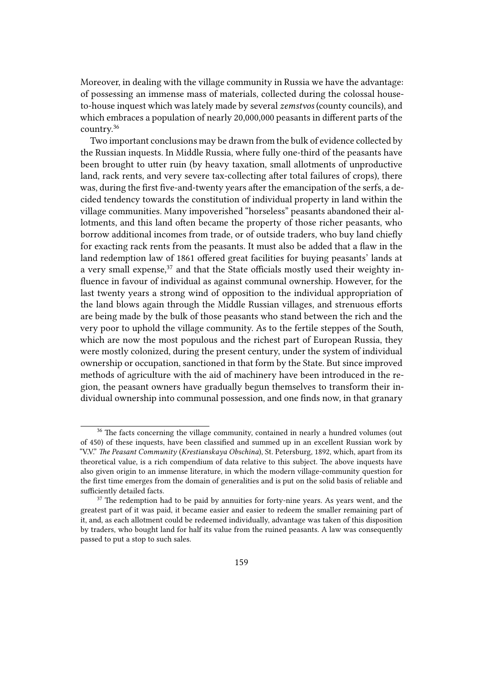Moreover, in dealing with the village community in Russia we have the advantage: of possessing an immense mass of materials, collected during the colossal houseto-house inquest which was lately made by several *zemstvos* (county councils), and which embraces a population of nearly 20,000,000 peasants in different parts of the country.<sup>36</sup>

Two important conclusions may be drawn from the bulk of evidence collected by the Russian inquests. In Middle Russia, where fully one-third of the peasants have been brought to utter ruin (by heavy taxation, small allotments of unproductive land, rack rents, and very severe tax-collecting after total failures of crops), there was, during the first five-and-twenty years after the emancipation of the serfs, a decided tendency towards the constitution of individual property in land within the village communities. Many impoverished "horseless" peasants abandoned their allotments, and this land often became the property of those richer peasants, who borrow additional incomes from trade, or of outside traders, who buy land chiefly for exacting rack rents from the peasants. It must also be added that a flaw in the land redemption law of 1861 offered great facilities for buying peasants' lands at a very small expense, $37$  and that the State officials mostly used their weighty influence in favour of individual as against communal ownership. However, for the last twenty years a strong wind of opposition to the individual appropriation of the land blows again through the Middle Russian villages, and strenuous efforts are being made by the bulk of those peasants who stand between the rich and the very poor to uphold the village community. As to the fertile steppes of the South, which are now the most populous and the richest part of European Russia, they were mostly colonized, during the present century, under the system of individual ownership or occupation, sanctioned in that form by the State. But since improved methods of agriculture with the aid of machinery have been introduced in the region, the peasant owners have gradually begun themselves to transform their individual ownership into communal possession, and one finds now, in that granary

<sup>&</sup>lt;sup>36</sup> The facts concerning the village community, contained in nearly a hundred volumes (out of 450) of these inquests, have been classified and summed up in an excellent Russian work by "V.V." *The Peasant Community* (*Krestianskaya Obschina*), St. Petersburg, 1892, which, apart from its theoretical value, is a rich compendium of data relative to this subject. The above inquests have also given origin to an immense literature, in which the modern village-community question for the first time emerges from the domain of generalities and is put on the solid basis of reliable and sufficiently detailed facts.

 $37$  The redemption had to be paid by annuities for forty-nine years. As years went, and the greatest part of it was paid, it became easier and easier to redeem the smaller remaining part of it, and, as each allotment could be redeemed individually, advantage was taken of this disposition by traders, who bought land for half its value from the ruined peasants. A law was consequently passed to put a stop to such sales.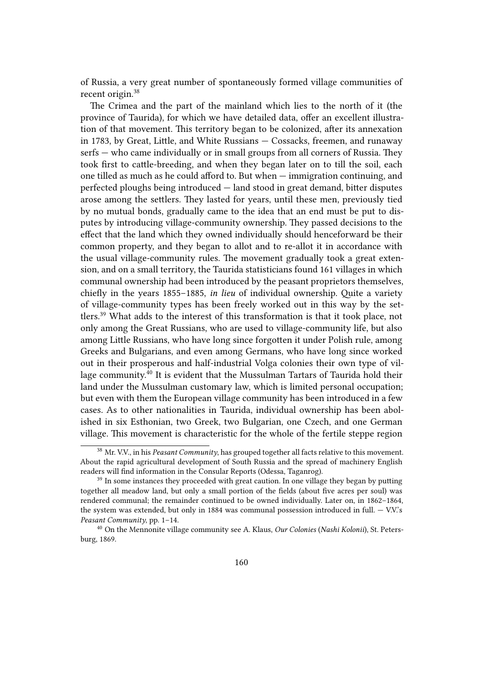of Russia, a very great number of spontaneously formed village communities of recent origin.<sup>38</sup>

The Crimea and the part of the mainland which lies to the north of it (the province of Taurida), for which we have detailed data, offer an excellent illustration of that movement. This territory began to be colonized, after its annexation in 1783, by Great, Little, and White Russians — Cossacks, freemen, and runaway serfs — who came individually or in small groups from all corners of Russia. They took first to cattle-breeding, and when they began later on to till the soil, each one tilled as much as he could afford to. But when — immigration continuing, and perfected ploughs being introduced — land stood in great demand, bitter disputes arose among the settlers. They lasted for years, until these men, previously tied by no mutual bonds, gradually came to the idea that an end must be put to disputes by introducing village-community ownership. They passed decisions to the effect that the land which they owned individually should henceforward be their common property, and they began to allot and to re-allot it in accordance with the usual village-community rules. The movement gradually took a great extension, and on a small territory, the Taurida statisticians found 161 villages in which communal ownership had been introduced by the peasant proprietors themselves, chiefly in the years 1855–1885, *in lieu* of individual ownership. Quite a variety of village-community types has been freely worked out in this way by the settlers.<sup>39</sup> What adds to the interest of this transformation is that it took place, not only among the Great Russians, who are used to village-community life, but also among Little Russians, who have long since forgotten it under Polish rule, among Greeks and Bulgarians, and even among Germans, who have long since worked out in their prosperous and half-industrial Volga colonies their own type of village community.<sup>40</sup> It is evident that the Mussulman Tartars of Taurida hold their land under the Mussulman customary law, which is limited personal occupation; but even with them the European village community has been introduced in a few cases. As to other nationalities in Taurida, individual ownership has been abolished in six Esthonian, two Greek, two Bulgarian, one Czech, and one German village. This movement is characteristic for the whole of the fertile steppe region

<sup>38</sup> Mr. V.V., in his *Peasant Community*, has grouped together all facts relative to this movement. About the rapid agricultural development of South Russia and the spread of machinery English readers will find information in the Consular Reports (Odessa, Taganrog).

<sup>&</sup>lt;sup>39</sup> In some instances they proceeded with great caution. In one village they began by putting together all meadow land, but only a small portion of the fields (about five acres per soul) was rendered communal; the remainder continued to be owned individually. Later on, in 1862–1864, the system was extended, but only in 1884 was communal possession introduced in full. — V.V.'s *Peasant Community*, pp. 1–14.

<sup>40</sup> On the Mennonite village community see A. Klaus, *Our Colonies* (*Nashi Kolonii*), St. Petersburg, 1869.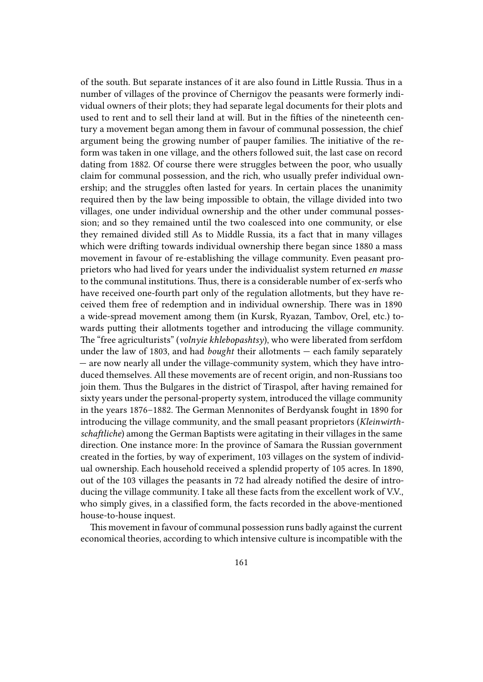of the south. But separate instances of it are also found in Little Russia. Thus in a number of villages of the province of Chernigov the peasants were formerly individual owners of their plots; they had separate legal documents for their plots and used to rent and to sell their land at will. But in the fifties of the nineteenth century a movement began among them in favour of communal possession, the chief argument being the growing number of pauper families. The initiative of the reform was taken in one village, and the others followed suit, the last case on record dating from 1882. Of course there were struggles between the poor, who usually claim for communal possession, and the rich, who usually prefer individual ownership; and the struggles often lasted for years. In certain places the unanimity required then by the law being impossible to obtain, the village divided into two villages, one under individual ownership and the other under communal possession; and so they remained until the two coalesced into one community, or else they remained divided still As to Middle Russia, its a fact that in many villages which were drifting towards individual ownership there began since 1880 a mass movement in favour of re-establishing the village community. Even peasant proprietors who had lived for years under the individualist system returned *en masse* to the communal institutions. Thus, there is a considerable number of ex-serfs who have received one-fourth part only of the regulation allotments, but they have received them free of redemption and in individual ownership. There was in 1890 a wide-spread movement among them (in Kursk, Ryazan, Tambov, Orel, etc.) towards putting their allotments together and introducing the village community. The "free agriculturists" (*volnyie khlebopashtsy*), who were liberated from serfdom under the law of 1803, and had *bought* their allotments — each family separately — are now nearly all under the village-community system, which they have introduced themselves. All these movements are of recent origin, and non-Russians too join them. Thus the Bulgares in the district of Tiraspol, after having remained for sixty years under the personal-property system, introduced the village community in the years 1876–1882. The German Mennonites of Berdyansk fought in 1890 for introducing the village community, and the small peasant proprietors (*Kleinwirthschaftliche*) among the German Baptists were agitating in their villages in the same direction. One instance more: In the province of Samara the Russian government created in the forties, by way of experiment, 103 villages on the system of individual ownership. Each household received a splendid property of 105 acres. In 1890, out of the 103 villages the peasants in 72 had already notified the desire of introducing the village community. I take all these facts from the excellent work of V.V., who simply gives, in a classified form, the facts recorded in the above-mentioned house-to-house inquest.

This movement in favour of communal possession runs badly against the current economical theories, according to which intensive culture is incompatible with the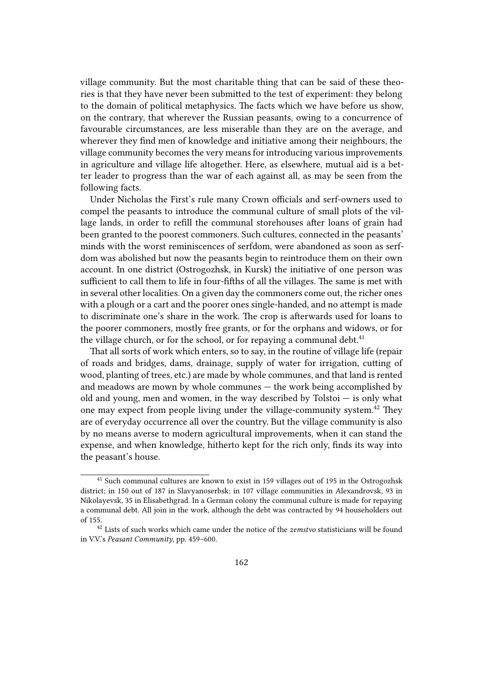village community. But the most charitable thing that can be said of these theories is that they have never been submitted to the test of experiment: they belong to the domain of political metaphysics. The facts which we have before us show, on the contrary, that wherever the Russian peasants, owing to a concurrence of favourable circumstances, are less miserable than they are on the average, and wherever they find men of knowledge and initiative among their neighbours, the village community becomes the very means for introducing various improvements in agriculture and village life altogether. Here, as elsewhere, mutual aid is a better leader to progress than the war of each against all, as may be seen from the following facts.

Under Nicholas the First's rule many Crown officials and serf-owners used to compel the peasants to introduce the communal culture of small plots of the village lands, in order to refill the communal storehouses after loans of grain had been granted to the poorest commoners. Such cultures, connected in the peasants' minds with the worst reminiscences of serfdom, were abandoned as soon as serfdom was abolished but now the peasants begin to reintroduce them on their own account. In one district (Ostrogozhsk, in Kursk) the initiative of one person was sufficient to call them to life in four-fifths of all the villages. The same is met with in several other localities. On a given day the commoners come out, the richer ones with a plough or a cart and the poorer ones single-handed, and no attempt is made to discriminate one's share in the work. The crop is afterwards used for loans to the poorer commoners, mostly free grants, or for the orphans and widows, or for the village church, or for the school, or for repaying a communal debt. $41$ 

That all sorts of work which enters, so to say, in the routine of village life (repair of roads and bridges, dams, drainage, supply of water for irrigation, cutting of wood, planting of trees, etc.) are made by whole communes, and that land is rented and meadows are mown by whole communes — the work being accomplished by old and young, men and women, in the way described by Tolstoi  $-$  is only what one may expect from people living under the village-community system.<sup>42</sup> They are of everyday occurrence all over the country. But the village community is also by no means averse to modern agricultural improvements, when it can stand the expense, and when knowledge, hitherto kept for the rich only, finds its way into the peasant's house.

<sup>41</sup> Such communal cultures are known to exist in 159 villages out of 195 in the Ostrogozhsk district; in 150 out of 187 in Slavyanoserbsk; in 107 village communities in Alexandrovsk, 93 in Nikolayevsk, 35 in Elisabethgrad. In a German colony the communal culture is made for repaying a communal debt. All join in the work, although the debt was contracted by 94 householders out of 155.

<sup>42</sup> Lists of such works which came under the notice of the *zemstvo* statisticians will be found in V.V.'s *Peasant Community*, pp. 459–600.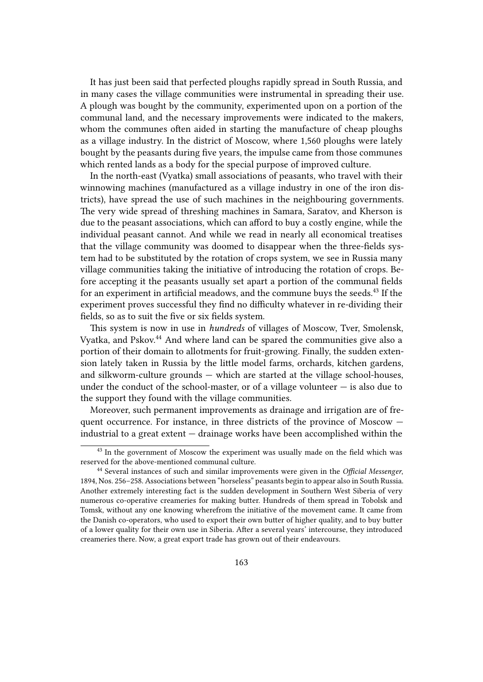It has just been said that perfected ploughs rapidly spread in South Russia, and in many cases the village communities were instrumental in spreading their use. A plough was bought by the community, experimented upon on a portion of the communal land, and the necessary improvements were indicated to the makers, whom the communes often aided in starting the manufacture of cheap ploughs as a village industry. In the district of Moscow, where 1,560 ploughs were lately bought by the peasants during five years, the impulse came from those communes which rented lands as a body for the special purpose of improved culture.

In the north-east (Vyatka) small associations of peasants, who travel with their winnowing machines (manufactured as a village industry in one of the iron districts), have spread the use of such machines in the neighbouring governments. The very wide spread of threshing machines in Samara, Saratov, and Kherson is due to the peasant associations, which can afford to buy a costly engine, while the individual peasant cannot. And while we read in nearly all economical treatises that the village community was doomed to disappear when the three-fields system had to be substituted by the rotation of crops system, we see in Russia many village communities taking the initiative of introducing the rotation of crops. Before accepting it the peasants usually set apart a portion of the communal fields for an experiment in artificial meadows, and the commune buys the seeds.<sup>43</sup> If the experiment proves successful they find no difficulty whatever in re-dividing their fields, so as to suit the five or six fields system.

This system is now in use in *hundreds* of villages of Moscow, Tver, Smolensk, Vyatka, and Pskov.<sup>44</sup> And where land can be spared the communities give also a portion of their domain to allotments for fruit-growing. Finally, the sudden extension lately taken in Russia by the little model farms, orchards, kitchen gardens, and silkworm-culture grounds — which are started at the village school-houses, under the conduct of the school-master, or of a village volunteer  $-$  is also due to the support they found with the village communities.

Moreover, such permanent improvements as drainage and irrigation are of frequent occurrence. For instance, in three districts of the province of Moscow industrial to a great extent — drainage works have been accomplished within the

<sup>&</sup>lt;sup>43</sup> In the government of Moscow the experiment was usually made on the field which was reserved for the above-mentioned communal culture.

<sup>44</sup> Several instances of such and similar improvements were given in the *Official Messenger*, 1894, Nos. 256–258. Associations between "horseless" peasants begin to appear also in South Russia. Another extremely interesting fact is the sudden development in Southern West Siberia of very numerous co-operative creameries for making butter. Hundreds of them spread in Tobolsk and Tomsk, without any one knowing wherefrom the initiative of the movement came. It came from the Danish co-operators, who used to export their own butter of higher quality, and to buy butter of a lower quality for their own use in Siberia. After a several years' intercourse, they introduced creameries there. Now, a great export trade has grown out of their endeavours.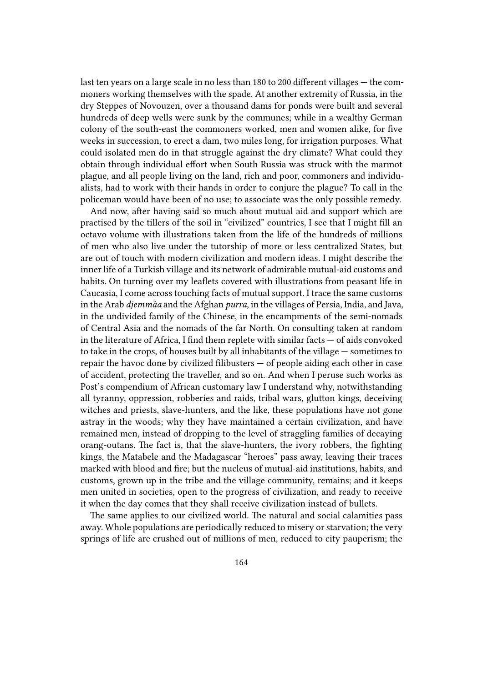last ten years on a large scale in no less than 180 to 200 different villages — the commoners working themselves with the spade. At another extremity of Russia, in the dry Steppes of Novouzen, over a thousand dams for ponds were built and several hundreds of deep wells were sunk by the communes; while in a wealthy German colony of the south-east the commoners worked, men and women alike, for five weeks in succession, to erect a dam, two miles long, for irrigation purposes. What could isolated men do in that struggle against the dry climate? What could they obtain through individual effort when South Russia was struck with the marmot plague, and all people living on the land, rich and poor, commoners and individualists, had to work with their hands in order to conjure the plague? To call in the policeman would have been of no use; to associate was the only possible remedy.

And now, after having said so much about mutual aid and support which are practised by the tillers of the soil in "civilized" countries, I see that I might fill an octavo volume with illustrations taken from the life of the hundreds of millions of men who also live under the tutorship of more or less centralized States, but are out of touch with modern civilization and modern ideas. I might describe the inner life of a Turkish village and its network of admirable mutual-aid customs and habits. On turning over my leaflets covered with illustrations from peasant life in Caucasia, I come across touching facts of mutual support. I trace the same customs in the Arab *djemmâa* and the Afghan *purra*, in the villages of Persia, India, and Java, in the undivided family of the Chinese, in the encampments of the semi-nomads of Central Asia and the nomads of the far North. On consulting taken at random in the literature of Africa, I find them replete with similar facts — of aids convoked to take in the crops, of houses built by all inhabitants of the village — sometimes to repair the havoc done by civilized filibusters — of people aiding each other in case of accident, protecting the traveller, and so on. And when I peruse such works as Post's compendium of African customary law I understand why, notwithstanding all tyranny, oppression, robberies and raids, tribal wars, glutton kings, deceiving witches and priests, slave-hunters, and the like, these populations have not gone astray in the woods; why they have maintained a certain civilization, and have remained men, instead of dropping to the level of straggling families of decaying orang-outans. The fact is, that the slave-hunters, the ivory robbers, the fighting kings, the Matabele and the Madagascar "heroes" pass away, leaving their traces marked with blood and fire; but the nucleus of mutual-aid institutions, habits, and customs, grown up in the tribe and the village community, remains; and it keeps men united in societies, open to the progress of civilization, and ready to receive it when the day comes that they shall receive civilization instead of bullets.

The same applies to our civilized world. The natural and social calamities pass away. Whole populations are periodically reduced to misery or starvation; the very springs of life are crushed out of millions of men, reduced to city pauperism; the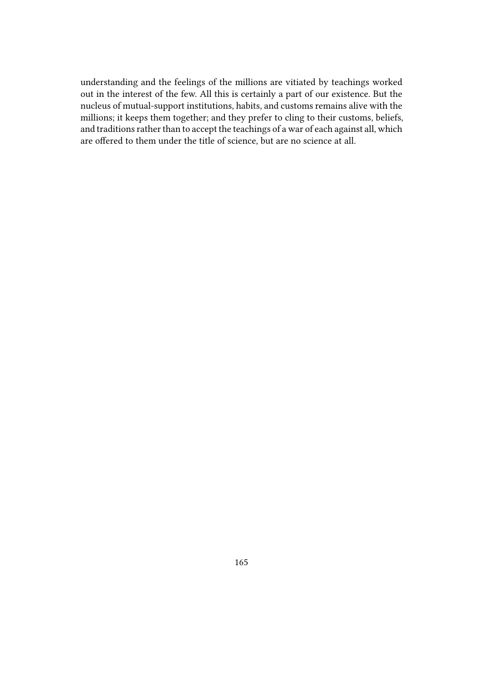understanding and the feelings of the millions are vitiated by teachings worked out in the interest of the few. All this is certainly a part of our existence. But the nucleus of mutual-support institutions, habits, and customs remains alive with the millions; it keeps them together; and they prefer to cling to their customs, beliefs, and traditions rather than to accept the teachings of a war of each against all, which are offered to them under the title of science, but are no science at all.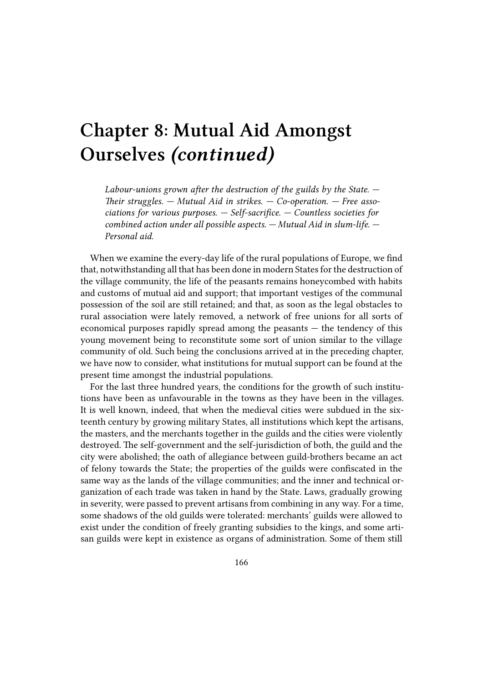## **Chapter 8: Mutual Aid Amongst Ourselves** *(continued)*

*Labour-unions grown after the destruction of the guilds by the State. — Their struggles. — Mutual Aid in strikes. — Co-operation. — Free associations for various purposes. — Self-sacrifice. — Countless societies for combined action under all possible aspects. — Mutual Aid in slum-life. — Personal aid.*

When we examine the every-day life of the rural populations of Europe, we find that, notwithstanding all that has been done in modern States for the destruction of the village community, the life of the peasants remains honeycombed with habits and customs of mutual aid and support; that important vestiges of the communal possession of the soil are still retained; and that, as soon as the legal obstacles to rural association were lately removed, a network of free unions for all sorts of economical purposes rapidly spread among the peasants — the tendency of this young movement being to reconstitute some sort of union similar to the village community of old. Such being the conclusions arrived at in the preceding chapter, we have now to consider, what institutions for mutual support can be found at the present time amongst the industrial populations.

For the last three hundred years, the conditions for the growth of such institutions have been as unfavourable in the towns as they have been in the villages. It is well known, indeed, that when the medieval cities were subdued in the sixteenth century by growing military States, all institutions which kept the artisans, the masters, and the merchants together in the guilds and the cities were violently destroyed. The self-government and the self-jurisdiction of both, the guild and the city were abolished; the oath of allegiance between guild-brothers became an act of felony towards the State; the properties of the guilds were confiscated in the same way as the lands of the village communities; and the inner and technical organization of each trade was taken in hand by the State. Laws, gradually growing in severity, were passed to prevent artisans from combining in any way. For a time, some shadows of the old guilds were tolerated: merchants' guilds were allowed to exist under the condition of freely granting subsidies to the kings, and some artisan guilds were kept in existence as organs of administration. Some of them still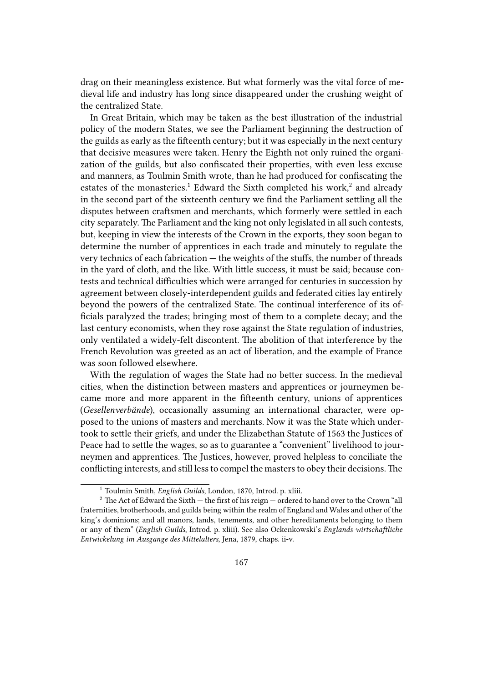drag on their meaningless existence. But what formerly was the vital force of medieval life and industry has long since disappeared under the crushing weight of the centralized State.

In Great Britain, which may be taken as the best illustration of the industrial policy of the modern States, we see the Parliament beginning the destruction of the guilds as early as the fifteenth century; but it was especially in the next century that decisive measures were taken. Henry the Eighth not only ruined the organization of the guilds, but also confiscated their properties, with even less excuse and manners, as Toulmin Smith wrote, than he had produced for confiscating the estates of the monasteries.<sup>1</sup> Edward the Sixth completed his work,<sup>2</sup> and already in the second part of the sixteenth century we find the Parliament settling all the disputes between craftsmen and merchants, which formerly were settled in each city separately. The Parliament and the king not only legislated in all such contests, but, keeping in view the interests of the Crown in the exports, they soon began to determine the number of apprentices in each trade and minutely to regulate the very technics of each fabrication — the weights of the stuffs, the number of threads in the yard of cloth, and the like. With little success, it must be said; because contests and technical difficulties which were arranged for centuries in succession by agreement between closely-interdependent guilds and federated cities lay entirely beyond the powers of the centralized State. The continual interference of its officials paralyzed the trades; bringing most of them to a complete decay; and the last century economists, when they rose against the State regulation of industries, only ventilated a widely-felt discontent. The abolition of that interference by the French Revolution was greeted as an act of liberation, and the example of France was soon followed elsewhere.

With the regulation of wages the State had no better success. In the medieval cities, when the distinction between masters and apprentices or journeymen became more and more apparent in the fifteenth century, unions of apprentices (*Gesellenverbände*), occasionally assuming an international character, were opposed to the unions of masters and merchants. Now it was the State which undertook to settle their griefs, and under the Elizabethan Statute of 1563 the Justices of Peace had to settle the wages, so as to guarantee a "convenient" livelihood to journeymen and apprentices. The Justices, however, proved helpless to conciliate the conflicting interests, and still less to compel the masters to obey their decisions.The

<sup>1</sup> Toulmin Smith, *English Guilds*, London, 1870, Introd. p. xliii.

 $2$  The Act of Edward the Sixth  $-$  the first of his reign  $-$  ordered to hand over to the Crown "all fraternities, brotherhoods, and guilds being within the realm of England and Wales and other of the king's dominions; and all manors, lands, tenements, and other hereditaments belonging to them or any of them" (*English Guilds*, Introd. p. xliii). See also Ockenkowski's *Englands wirtschaftliche Entwickelung im Ausgange des Mittelalters*, Jena, 1879, chaps. ii-v.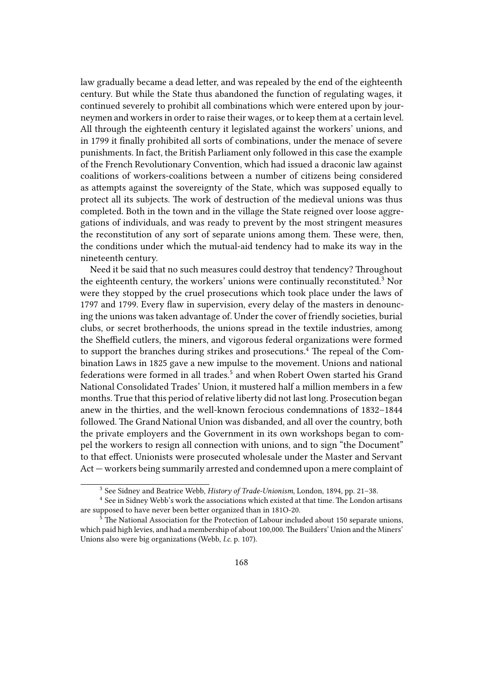law gradually became a dead letter, and was repealed by the end of the eighteenth century. But while the State thus abandoned the function of regulating wages, it continued severely to prohibit all combinations which were entered upon by journeymen and workers in order to raise their wages, or to keep them at a certain level. All through the eighteenth century it legislated against the workers' unions, and in 1799 it finally prohibited all sorts of combinations, under the menace of severe punishments. In fact, the British Parliament only followed in this case the example of the French Revolutionary Convention, which had issued a draconic law against coalitions of workers-coalitions between a number of citizens being considered as attempts against the sovereignty of the State, which was supposed equally to protect all its subjects. The work of destruction of the medieval unions was thus completed. Both in the town and in the village the State reigned over loose aggregations of individuals, and was ready to prevent by the most stringent measures the reconstitution of any sort of separate unions among them. These were, then, the conditions under which the mutual-aid tendency had to make its way in the nineteenth century.

Need it be said that no such measures could destroy that tendency? Throughout the eighteenth century, the workers' unions were continually reconstituted.<sup>3</sup> Nor were they stopped by the cruel prosecutions which took place under the laws of 1797 and 1799. Every flaw in supervision, every delay of the masters in denouncing the unions was taken advantage of. Under the cover of friendly societies, burial clubs, or secret brotherhoods, the unions spread in the textile industries, among the Sheffield cutlers, the miners, and vigorous federal organizations were formed to support the branches during strikes and prosecutions.<sup>4</sup> The repeal of the Combination Laws in 1825 gave a new impulse to the movement. Unions and national federations were formed in all trades.<sup>5</sup> and when Robert Owen started his Grand National Consolidated Trades' Union, it mustered half a million members in a few months. True that this period of relative liberty did not last long. Prosecution began anew in the thirties, and the well-known ferocious condemnations of 1832–1844 followed. The Grand National Union was disbanded, and all over the country, both the private employers and the Government in its own workshops began to compel the workers to resign all connection with unions, and to sign "the Document" to that effect. Unionists were prosecuted wholesale under the Master and Servant Act — workers being summarily arrested and condemned upon a mere complaint of

<sup>3</sup> See Sidney and Beatrice Webb, *History of Trade-Unionism*, London, 1894, pp. 21–38.

<sup>4</sup> See in Sidney Webb's work the associations which existed at that time. The London artisans are supposed to have never been better organized than in 181O-20.

 $<sup>5</sup>$  The National Association for the Protection of Labour included about 150 separate unions,</sup> which paid high levies, and had a membership of about 100,000. The Builders' Union and the Miners' Unions also were big organizations (Webb, *l.c.* p. 107).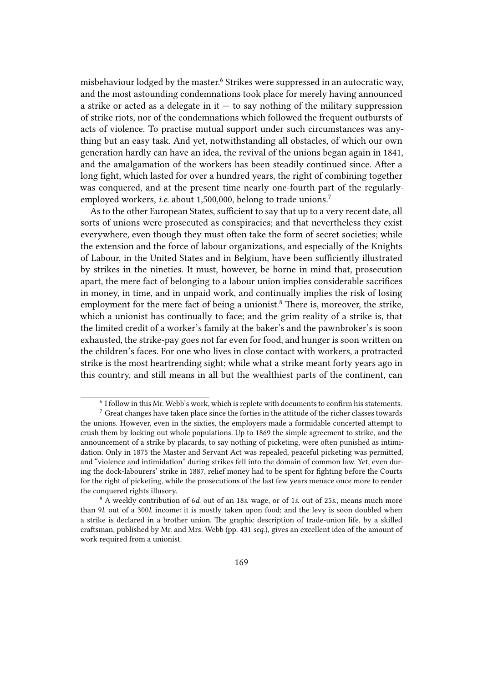misbehaviour lodged by the master.<sup>6</sup> Strikes were suppressed in an autocratic way, and the most astounding condemnations took place for merely having announced a strike or acted as a delegate in it  $-$  to say nothing of the military suppression of strike riots, nor of the condemnations which followed the frequent outbursts of acts of violence. To practise mutual support under such circumstances was anything but an easy task. And yet, notwithstanding all obstacles, of which our own generation hardly can have an idea, the revival of the unions began again in 1841, and the amalgamation of the workers has been steadily continued since. After a long fight, which lasted for over a hundred years, the right of combining together was conquered, and at the present time nearly one-fourth part of the regularlyemployed workers, *i.e.* about 1,500,000, belong to trade unions.<sup>7</sup>

As to the other European States, sufficient to say that up to a very recent date, all sorts of unions were prosecuted as conspiracies; and that nevertheless they exist everywhere, even though they must often take the form of secret societies; while the extension and the force of labour organizations, and especially of the Knights of Labour, in the United States and in Belgium, have been sufficiently illustrated by strikes in the nineties. It must, however, be borne in mind that, prosecution apart, the mere fact of belonging to a labour union implies considerable sacrifices in money, in time, and in unpaid work, and continually implies the risk of losing employment for the mere fact of being a unionist.<sup>8</sup> There is, moreover, the strike, which a unionist has continually to face; and the grim reality of a strike is, that the limited credit of a worker's family at the baker's and the pawnbroker's is soon exhausted, the strike-pay goes not far even for food, and hunger is soon written on the children's faces. For one who lives in close contact with workers, a protracted strike is the most heartrending sight; while what a strike meant forty years ago in this country, and still means in all but the wealthiest parts of the continent, can

 $6$  I follow in this Mr. Webb's work, which is replete with documents to confirm his statements.

 $7$  Great changes have taken place since the forties in the attitude of the richer classes towards the unions. However, even in the sixties, the employers made a formidable concerted attempt to crush them by locking out whole populations. Up to 1869 the simple agreement to strike, and the announcement of a strike by placards, to say nothing of picketing, were often punished as intimidation. Only in 1875 the Master and Servant Act was repealed, peaceful picketing was permitted, and "violence and intimidation" during strikes fell into the domain of common law. Yet, even during the dock-labourers' strike in 1887, relief money had to be spent for fighting before the Courts for the right of picketing, while the prosecutions of the last few years menace once more to render the conquered rights illusory.

<sup>8</sup> A weekly contribution of 6*d*. out of an 18*s*. wage, or of 1*s*. out of 25*s*., means much more than 9*l*. out of a 300*l*. income: it is mostly taken upon food; and the levy is soon doubled when a strike is declared in a brother union. The graphic description of trade-union life, by a skilled craftsman, published by Mr. and Mrs. Webb (pp. 431 *seq*.), gives an excellent idea of the amount of work required from a unionist.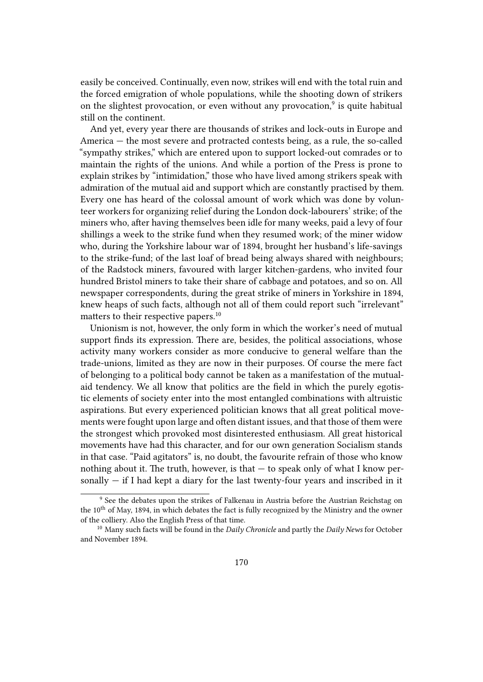easily be conceived. Continually, even now, strikes will end with the total ruin and the forced emigration of whole populations, while the shooting down of strikers on the slightest provocation, or even without any provocation,<sup>9</sup> is quite habitual still on the continent.

And yet, every year there are thousands of strikes and lock-outs in Europe and America — the most severe and protracted contests being, as a rule, the so-called "sympathy strikes," which are entered upon to support locked-out comrades or to maintain the rights of the unions. And while a portion of the Press is prone to explain strikes by "intimidation," those who have lived among strikers speak with admiration of the mutual aid and support which are constantly practised by them. Every one has heard of the colossal amount of work which was done by volunteer workers for organizing relief during the London dock-labourers' strike; of the miners who, after having themselves been idle for many weeks, paid a levy of four shillings a week to the strike fund when they resumed work; of the miner widow who, during the Yorkshire labour war of 1894, brought her husband's life-savings to the strike-fund; of the last loaf of bread being always shared with neighbours; of the Radstock miners, favoured with larger kitchen-gardens, who invited four hundred Bristol miners to take their share of cabbage and potatoes, and so on. All newspaper correspondents, during the great strike of miners in Yorkshire in 1894, knew heaps of such facts, although not all of them could report such "irrelevant" matters to their respective papers.<sup>10</sup>

Unionism is not, however, the only form in which the worker's need of mutual support finds its expression. There are, besides, the political associations, whose activity many workers consider as more conducive to general welfare than the trade-unions, limited as they are now in their purposes. Of course the mere fact of belonging to a political body cannot be taken as a manifestation of the mutualaid tendency. We all know that politics are the field in which the purely egotistic elements of society enter into the most entangled combinations with altruistic aspirations. But every experienced politician knows that all great political movements were fought upon large and often distant issues, and that those of them were the strongest which provoked most disinterested enthusiasm. All great historical movements have had this character, and for our own generation Socialism stands in that case. "Paid agitators" is, no doubt, the favourite refrain of those who know nothing about it. The truth, however, is that  $-$  to speak only of what I know personally  $-$  if I had kept a diary for the last twenty-four years and inscribed in it

<sup>&</sup>lt;sup>9</sup> See the debates upon the strikes of Falkenau in Austria before the Austrian Reichstag on the 10<sup>th</sup> of May, 1894, in which debates the fact is fully recognized by the Ministry and the owner of the colliery. Also the English Press of that time.

<sup>10</sup> Many such facts will be found in the *Daily Chronicle* and partly the *Daily News* for October and November 1894.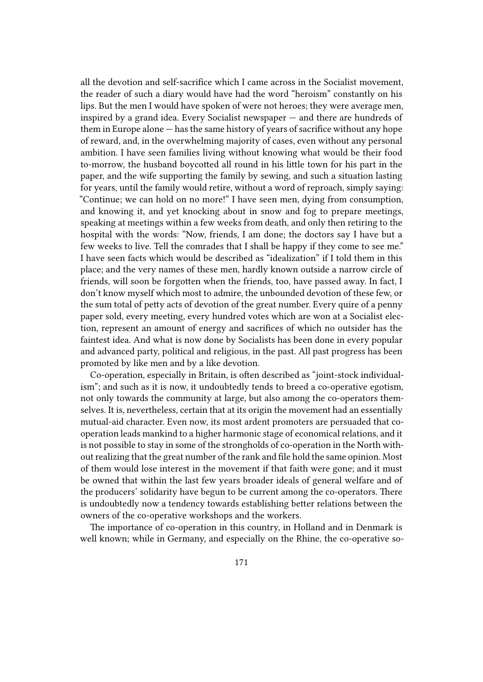all the devotion and self-sacrifice which I came across in the Socialist movement, the reader of such a diary would have had the word "heroism" constantly on his lips. But the men I would have spoken of were not heroes; they were average men, inspired by a grand idea. Every Socialist newspaper — and there are hundreds of them in Europe alone — has the same history of years of sacrifice without any hope of reward, and, in the overwhelming majority of cases, even without any personal ambition. I have seen families living without knowing what would be their food to-morrow, the husband boycotted all round in his little town for his part in the paper, and the wife supporting the family by sewing, and such a situation lasting for years, until the family would retire, without a word of reproach, simply saying: "Continue; we can hold on no more!" I have seen men, dying from consumption, and knowing it, and yet knocking about in snow and fog to prepare meetings, speaking at meetings within a few weeks from death, and only then retiring to the hospital with the words: "Now, friends, I am done; the doctors say I have but a few weeks to live. Tell the comrades that I shall be happy if they come to see me." I have seen facts which would be described as "idealization" if I told them in this place; and the very names of these men, hardly known outside a narrow circle of friends, will soon be forgotten when the friends, too, have passed away. In fact, I don't know myself which most to admire, the unbounded devotion of these few, or the sum total of petty acts of devotion of the great number. Every quire of a penny paper sold, every meeting, every hundred votes which are won at a Socialist election, represent an amount of energy and sacrifices of which no outsider has the faintest idea. And what is now done by Socialists has been done in every popular and advanced party, political and religious, in the past. All past progress has been promoted by like men and by a like devotion.

Co-operation, especially in Britain, is often described as "joint-stock individualism"; and such as it is now, it undoubtedly tends to breed a co-operative egotism, not only towards the community at large, but also among the co-operators themselves. It is, nevertheless, certain that at its origin the movement had an essentially mutual-aid character. Even now, its most ardent promoters are persuaded that cooperation leads mankind to a higher harmonic stage of economical relations, and it is not possible to stay in some of the strongholds of co-operation in the North without realizing that the great number of the rank and file hold the same opinion. Most of them would lose interest in the movement if that faith were gone; and it must be owned that within the last few years broader ideals of general welfare and of the producers' solidarity have begun to be current among the co-operators. There is undoubtedly now a tendency towards establishing better relations between the owners of the co-operative workshops and the workers.

The importance of co-operation in this country, in Holland and in Denmark is well known; while in Germany, and especially on the Rhine, the co-operative so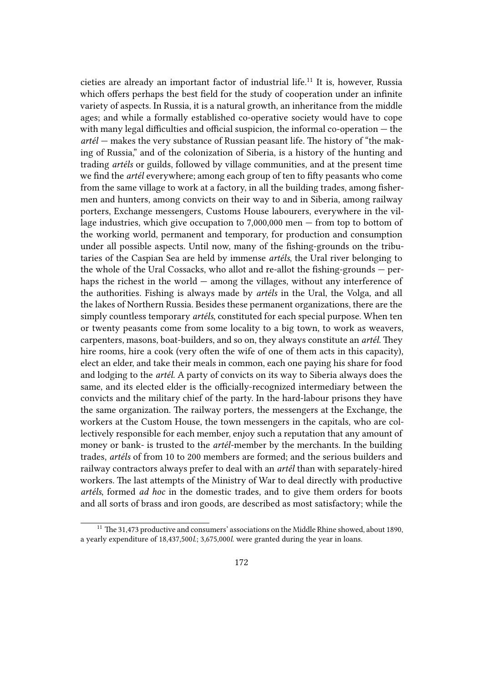cieties are already an important factor of industrial life.<sup>11</sup> It is, however, Russia which offers perhaps the best field for the study of cooperation under an infinite variety of aspects. In Russia, it is a natural growth, an inheritance from the middle ages; and while a formally established co-operative society would have to cope with many legal difficulties and official suspicion, the informal co-operation — the *artél* — makes the very substance of Russian peasant life. The history of "the making of Russia," and of the colonization of Siberia, is a history of the hunting and trading *artéls* or guilds, followed by village communities, and at the present time we find the *artél* everywhere; among each group of ten to fifty peasants who come from the same village to work at a factory, in all the building trades, among fishermen and hunters, among convicts on their way to and in Siberia, among railway porters, Exchange messengers, Customs House labourers, everywhere in the village industries, which give occupation to  $7,000,000$  men  $-$  from top to bottom of the working world, permanent and temporary, for production and consumption under all possible aspects. Until now, many of the fishing-grounds on the tributaries of the Caspian Sea are held by immense *artéls*, the Ural river belonging to the whole of the Ural Cossacks, who allot and re-allot the fishing-grounds — perhaps the richest in the world — among the villages, without any interference of the authorities. Fishing is always made by *artéls* in the Ural, the Volga, and all the lakes of Northern Russia. Besides these permanent organizations, there are the simply countless temporary *artéls*, constituted for each special purpose. When ten or twenty peasants come from some locality to a big town, to work as weavers, carpenters, masons, boat-builders, and so on, they always constitute an *artél*. They hire rooms, hire a cook (very often the wife of one of them acts in this capacity), elect an elder, and take their meals in common, each one paying his share for food and lodging to the *artél*. A party of convicts on its way to Siberia always does the same, and its elected elder is the officially-recognized intermediary between the convicts and the military chief of the party. In the hard-labour prisons they have the same organization. The railway porters, the messengers at the Exchange, the workers at the Custom House, the town messengers in the capitals, who are collectively responsible for each member, enjoy such a reputation that any amount of money or bank- is trusted to the *artél*-member by the merchants. In the building trades, *artéls* of from 10 to 200 members are formed; and the serious builders and railway contractors always prefer to deal with an *artél* than with separately-hired workers. The last attempts of the Ministry of War to deal directly with productive *artéls*, formed *ad hoc* in the domestic trades, and to give them orders for boots and all sorts of brass and iron goods, are described as most satisfactory; while the

 $11$  The 31,473 productive and consumers' associations on the Middle Rhine showed, about 1890, a yearly expenditure of 18,437,500*l*.; 3,675,000*l*. were granted during the year in loans.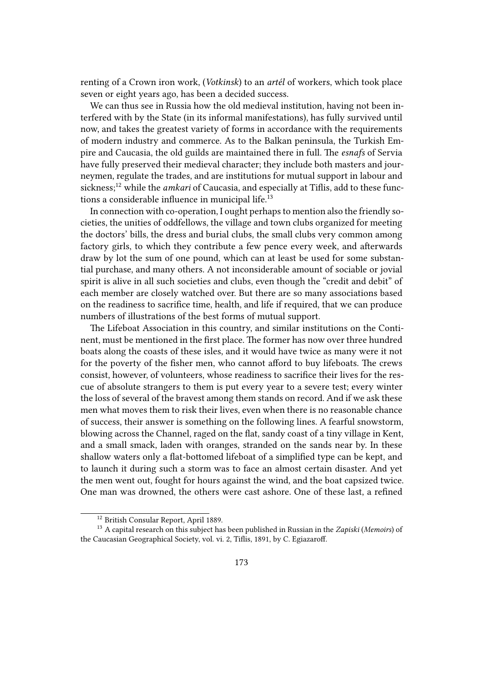renting of a Crown iron work, (*Votkinsk*) to an *artél* of workers, which took place seven or eight years ago, has been a decided success.

We can thus see in Russia how the old medieval institution, having not been interfered with by the State (in its informal manifestations), has fully survived until now, and takes the greatest variety of forms in accordance with the requirements of modern industry and commerce. As to the Balkan peninsula, the Turkish Empire and Caucasia, the old guilds are maintained there in full. The *esnafs* of Servia have fully preserved their medieval character; they include both masters and journeymen, regulate the trades, and are institutions for mutual support in labour and sickness;<sup>12</sup> while the *amkari* of Caucasia, and especially at Tiflis, add to these functions a considerable influence in municipal life. $13$ 

In connection with co-operation, I ought perhaps to mention also the friendly societies, the unities of oddfellows, the village and town clubs organized for meeting the doctors' bills, the dress and burial clubs, the small clubs very common among factory girls, to which they contribute a few pence every week, and afterwards draw by lot the sum of one pound, which can at least be used for some substantial purchase, and many others. A not inconsiderable amount of sociable or jovial spirit is alive in all such societies and clubs, even though the "credit and debit" of each member are closely watched over. But there are so many associations based on the readiness to sacrifice time, health, and life if required, that we can produce numbers of illustrations of the best forms of mutual support.

The Lifeboat Association in this country, and similar institutions on the Continent, must be mentioned in the first place. The former has now over three hundred boats along the coasts of these isles, and it would have twice as many were it not for the poverty of the fisher men, who cannot afford to buy lifeboats. The crews consist, however, of volunteers, whose readiness to sacrifice their lives for the rescue of absolute strangers to them is put every year to a severe test; every winter the loss of several of the bravest among them stands on record. And if we ask these men what moves them to risk their lives, even when there is no reasonable chance of success, their answer is something on the following lines. A fearful snowstorm, blowing across the Channel, raged on the flat, sandy coast of a tiny village in Kent, and a small smack, laden with oranges, stranded on the sands near by. In these shallow waters only a flat-bottomed lifeboat of a simplified type can be kept, and to launch it during such a storm was to face an almost certain disaster. And yet the men went out, fought for hours against the wind, and the boat capsized twice. One man was drowned, the others were cast ashore. One of these last, a refined

<sup>12</sup> British Consular Report, April 1889.

<sup>13</sup> A capital research on this subject has been published in Russian in the *Zapiski* (*Memoirs*) of the Caucasian Geographical Society, vol. vi. 2, Tiflis, 1891, by C. Egiazaroff.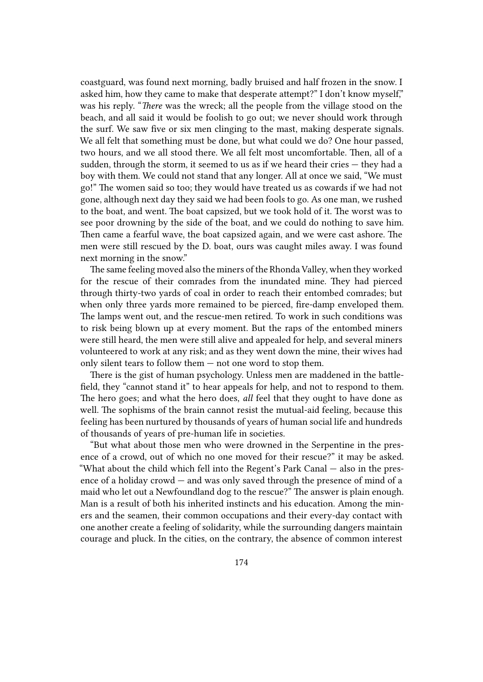coastguard, was found next morning, badly bruised and half frozen in the snow. I asked him, how they came to make that desperate attempt?" I don't know myself," was his reply. "*There* was the wreck; all the people from the village stood on the beach, and all said it would be foolish to go out; we never should work through the surf. We saw five or six men clinging to the mast, making desperate signals. We all felt that something must be done, but what could we do? One hour passed, two hours, and we all stood there. We all felt most uncomfortable. Then, all of a sudden, through the storm, it seemed to us as if we heard their cries — they had a boy with them. We could not stand that any longer. All at once we said, "We must go!" The women said so too; they would have treated us as cowards if we had not gone, although next day they said we had been fools to go. As one man, we rushed to the boat, and went. The boat capsized, but we took hold of it. The worst was to see poor drowning by the side of the boat, and we could do nothing to save him. Then came a fearful wave, the boat capsized again, and we were cast ashore. The men were still rescued by the D. boat, ours was caught miles away. I was found next morning in the snow."

The same feeling moved also the miners of the Rhonda Valley, when they worked for the rescue of their comrades from the inundated mine. They had pierced through thirty-two yards of coal in order to reach their entombed comrades; but when only three yards more remained to be pierced, fire-damp enveloped them. The lamps went out, and the rescue-men retired. To work in such conditions was to risk being blown up at every moment. But the raps of the entombed miners were still heard, the men were still alive and appealed for help, and several miners volunteered to work at any risk; and as they went down the mine, their wives had only silent tears to follow them — not one word to stop them.

There is the gist of human psychology. Unless men are maddened in the battlefield, they "cannot stand it" to hear appeals for help, and not to respond to them. The hero goes; and what the hero does, *all* feel that they ought to have done as well. The sophisms of the brain cannot resist the mutual-aid feeling, because this feeling has been nurtured by thousands of years of human social life and hundreds of thousands of years of pre-human life in societies.

"But what about those men who were drowned in the Serpentine in the presence of a crowd, out of which no one moved for their rescue?" it may be asked. "What about the child which fell into the Regent's Park Canal — also in the presence of a holiday crowd — and was only saved through the presence of mind of a maid who let out a Newfoundland dog to the rescue?" The answer is plain enough. Man is a result of both his inherited instincts and his education. Among the miners and the seamen, their common occupations and their every-day contact with one another create a feeling of solidarity, while the surrounding dangers maintain courage and pluck. In the cities, on the contrary, the absence of common interest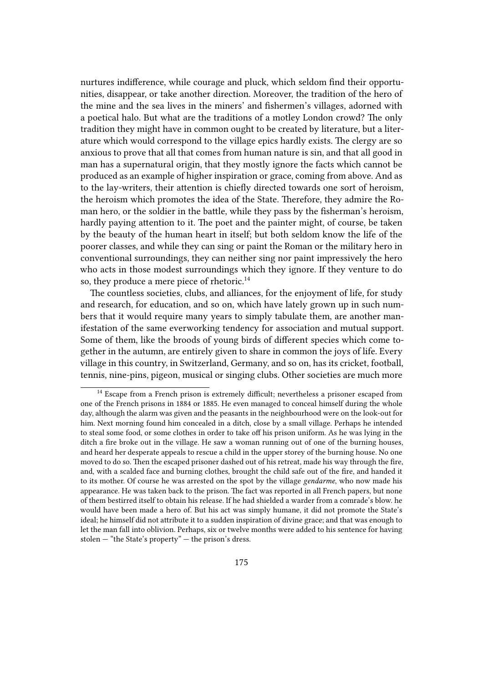nurtures indifference, while courage and pluck, which seldom find their opportunities, disappear, or take another direction. Moreover, the tradition of the hero of the mine and the sea lives in the miners' and fishermen's villages, adorned with a poetical halo. But what are the traditions of a motley London crowd? The only tradition they might have in common ought to be created by literature, but a literature which would correspond to the village epics hardly exists. The clergy are so anxious to prove that all that comes from human nature is sin, and that all good in man has a supernatural origin, that they mostly ignore the facts which cannot be produced as an example of higher inspiration or grace, coming from above. And as to the lay-writers, their attention is chiefly directed towards one sort of heroism, the heroism which promotes the idea of the State. Therefore, they admire the Roman hero, or the soldier in the battle, while they pass by the fisherman's heroism, hardly paying attention to it. The poet and the painter might, of course, be taken by the beauty of the human heart in itself; but both seldom know the life of the poorer classes, and while they can sing or paint the Roman or the military hero in conventional surroundings, they can neither sing nor paint impressively the hero who acts in those modest surroundings which they ignore. If they venture to do so, they produce a mere piece of rhetoric.<sup>14</sup>

The countless societies, clubs, and alliances, for the enjoyment of life, for study and research, for education, and so on, which have lately grown up in such numbers that it would require many years to simply tabulate them, are another manifestation of the same everworking tendency for association and mutual support. Some of them, like the broods of young birds of different species which come together in the autumn, are entirely given to share in common the joys of life. Every village in this country, in Switzerland, Germany, and so on, has its cricket, football, tennis, nine-pins, pigeon, musical or singing clubs. Other societies are much more

<sup>&</sup>lt;sup>14</sup> Escape from a French prison is extremely difficult; nevertheless a prisoner escaped from one of the French prisons in 1884 or 1885. He even managed to conceal himself during the whole day, although the alarm was given and the peasants in the neighbourhood were on the look-out for him. Next morning found him concealed in a ditch, close by a small village. Perhaps he intended to steal some food, or some clothes in order to take off his prison uniform. As he was lying in the ditch a fire broke out in the village. He saw a woman running out of one of the burning houses, and heard her desperate appeals to rescue a child in the upper storey of the burning house. No one moved to do so. Then the escaped prisoner dashed out of his retreat, made his way through the fire, and, with a scalded face and burning clothes, brought the child safe out of the fire, and handed it to its mother. Of course he was arrested on the spot by the village *gendarme*, who now made his appearance. He was taken back to the prison. The fact was reported in all French papers, but none of them bestirred itself to obtain his release. If he had shielded a warder from a comrade's blow. he would have been made a hero of. But his act was simply humane, it did not promote the State's ideal; he himself did not attribute it to a sudden inspiration of divine grace; and that was enough to let the man fall into oblivion. Perhaps, six or twelve months were added to his sentence for having stolen  $-$  "the State's property"  $-$  the prison's dress.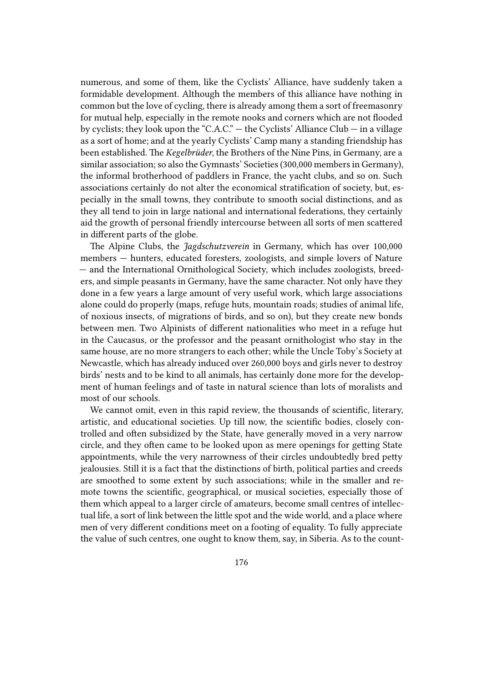numerous, and some of them, like the Cyclists' Alliance, have suddenly taken a formidable development. Although the members of this alliance have nothing in common but the love of cycling, there is already among them a sort of freemasonry for mutual help, especially in the remote nooks and corners which are not flooded by cyclists; they look upon the "C.A.C." — the Cyclists' Alliance Club — in a village as a sort of home; and at the yearly Cyclists' Camp many a standing friendship has been established. The *Kegelbrüder*, the Brothers of the Nine Pins, in Germany, are a similar association; so also the Gymnasts' Societies (300,000 members in Germany), the informal brotherhood of paddlers in France, the yacht clubs, and so on. Such associations certainly do not alter the economical stratification of society, but, especially in the small towns, they contribute to smooth social distinctions, and as they all tend to join in large national and international federations, they certainly aid the growth of personal friendly intercourse between all sorts of men scattered in different parts of the globe.

The Alpine Clubs, the *Jagdschutzverein* in Germany, which has over 100,000 members — hunters, educated foresters, zoologists, and simple lovers of Nature — and the International Ornithological Society, which includes zoologists, breeders, and simple peasants in Germany, have the same character. Not only have they done in a few years a large amount of very useful work, which large associations alone could do properly (maps, refuge huts, mountain roads; studies of animal life, of noxious insects, of migrations of birds, and so on), but they create new bonds between men. Two Alpinists of different nationalities who meet in a refuge hut in the Caucasus, or the professor and the peasant ornithologist who stay in the same house, are no more strangers to each other; while the Uncle Toby's Society at Newcastle, which has already induced over 260,000 boys and girls never to destroy birds' nests and to be kind to all animals, has certainly done more for the development of human feelings and of taste in natural science than lots of moralists and most of our schools.

We cannot omit, even in this rapid review, the thousands of scientific, literary, artistic, and educational societies. Up till now, the scientific bodies, closely controlled and often subsidized by the State, have generally moved in a very narrow circle, and they often came to be looked upon as mere openings for getting State appointments, while the very narrowness of their circles undoubtedly bred petty jealousies. Still it is a fact that the distinctions of birth, political parties and creeds are smoothed to some extent by such associations; while in the smaller and remote towns the scientific, geographical, or musical societies, especially those of them which appeal to a larger circle of amateurs, become small centres of intellectual life, a sort of link between the little spot and the wide world, and a place where men of very different conditions meet on a footing of equality. To fully appreciate the value of such centres, one ought to know them, say, in Siberia. As to the count-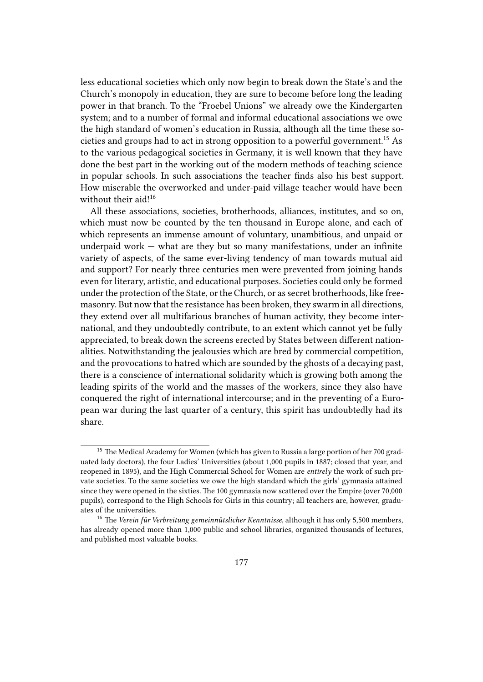less educational societies which only now begin to break down the State's and the Church's monopoly in education, they are sure to become before long the leading power in that branch. To the "Froebel Unions" we already owe the Kindergarten system; and to a number of formal and informal educational associations we owe the high standard of women's education in Russia, although all the time these societies and groups had to act in strong opposition to a powerful government.<sup>15</sup> As to the various pedagogical societies in Germany, it is well known that they have done the best part in the working out of the modern methods of teaching science in popular schools. In such associations the teacher finds also his best support. How miserable the overworked and under-paid village teacher would have been without their aid!<sup>16</sup>

All these associations, societies, brotherhoods, alliances, institutes, and so on, which must now be counted by the ten thousand in Europe alone, and each of which represents an immense amount of voluntary, unambitious, and unpaid or underpaid work  $-$  what are they but so many manifestations, under an infinite variety of aspects, of the same ever-living tendency of man towards mutual aid and support? For nearly three centuries men were prevented from joining hands even for literary, artistic, and educational purposes. Societies could only be formed under the protection of the State, or the Church, or as secret brotherhoods, like freemasonry. But now that the resistance has been broken, they swarm in all directions, they extend over all multifarious branches of human activity, they become international, and they undoubtedly contribute, to an extent which cannot yet be fully appreciated, to break down the screens erected by States between different nationalities. Notwithstanding the jealousies which are bred by commercial competition, and the provocations to hatred which are sounded by the ghosts of a decaying past, there is a conscience of international solidarity which is growing both among the leading spirits of the world and the masses of the workers, since they also have conquered the right of international intercourse; and in the preventing of a European war during the last quarter of a century, this spirit has undoubtedly had its share.

<sup>&</sup>lt;sup>15</sup> The Medical Academy for Women (which has given to Russia a large portion of her 700 graduated lady doctors), the four Ladies' Universities (about 1,000 pupils in 1887; closed that year, and reopened in 1895), and the High Commercial School for Women are *entirely* the work of such private societies. To the same societies we owe the high standard which the girls' gymnasia attained since they were opened in the sixties. The 100 gymnasia now scattered over the Empire (over 70,000 pupils), correspond to the High Schools for Girls in this country; all teachers are, however, graduates of the universities.

<sup>16</sup> The *Verein für Verbreitung gemeinnütslicher Kenntnisse*, although it has only 5,500 members, has already opened more than 1,000 public and school libraries, organized thousands of lectures, and published most valuable books.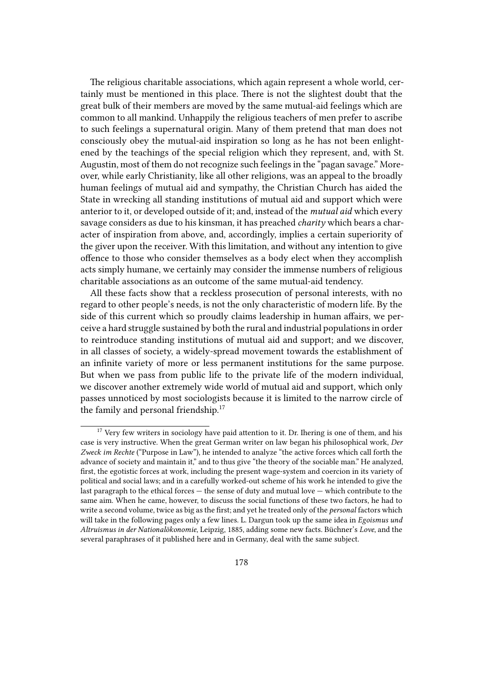The religious charitable associations, which again represent a whole world, certainly must be mentioned in this place. There is not the slightest doubt that the great bulk of their members are moved by the same mutual-aid feelings which are common to all mankind. Unhappily the religious teachers of men prefer to ascribe to such feelings a supernatural origin. Many of them pretend that man does not consciously obey the mutual-aid inspiration so long as he has not been enlightened by the teachings of the special religion which they represent, and, with St. Augustin, most of them do not recognize such feelings in the "pagan savage." Moreover, while early Christianity, like all other religions, was an appeal to the broadly human feelings of mutual aid and sympathy, the Christian Church has aided the State in wrecking all standing institutions of mutual aid and support which were anterior to it, or developed outside of it; and, instead of the *mutual aid* which every savage considers as due to his kinsman, it has preached *charity* which bears a character of inspiration from above, and, accordingly, implies a certain superiority of the giver upon the receiver. With this limitation, and without any intention to give offence to those who consider themselves as a body elect when they accomplish acts simply humane, we certainly may consider the immense numbers of religious charitable associations as an outcome of the same mutual-aid tendency.

All these facts show that a reckless prosecution of personal interests, with no regard to other people's needs, is not the only characteristic of modern life. By the side of this current which so proudly claims leadership in human affairs, we perceive a hard struggle sustained by both the rural and industrial populations in order to reintroduce standing institutions of mutual aid and support; and we discover, in all classes of society, a widely-spread movement towards the establishment of an infinite variety of more or less permanent institutions for the same purpose. But when we pass from public life to the private life of the modern individual, we discover another extremely wide world of mutual aid and support, which only passes unnoticed by most sociologists because it is limited to the narrow circle of the family and personal friendship.<sup>17</sup>

 $^{17}$  Very few writers in sociology have paid attention to it. Dr. Ihering is one of them, and his case is very instructive. When the great German writer on law began his philosophical work, *Der Zweck im Rechte* ("Purpose in Law"), he intended to analyze "the active forces which call forth the advance of society and maintain it," and to thus give "the theory of the sociable man." He analyzed, first, the egotistic forces at work, including the present wage-system and coercion in its variety of political and social laws; and in a carefully worked-out scheme of his work he intended to give the last paragraph to the ethical forces — the sense of duty and mutual love — which contribute to the same aim. When he came, however, to discuss the social functions of these two factors, he had to write a second volume, twice as big as the first; and yet he treated only of the *personal* factors which will take in the following pages only a few lines. L. Dargun took up the same idea in *Egoismus und Altruismus in der Nationalökonomie*, Leipzig, 1885, adding some new facts. Büchner's *Love*, and the several paraphrases of it published here and in Germany, deal with the same subject.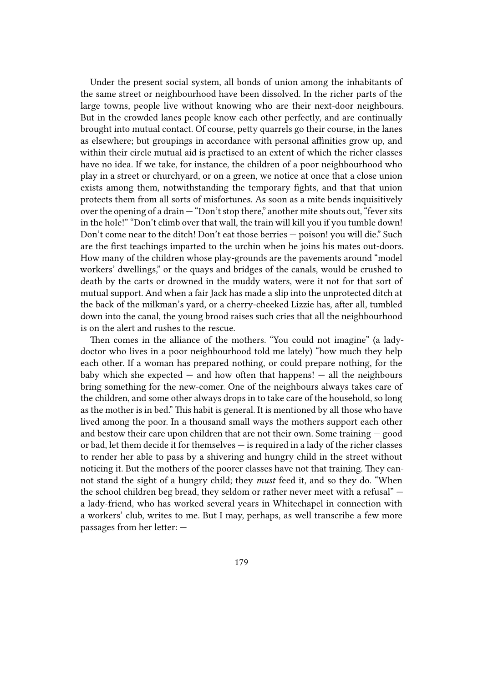Under the present social system, all bonds of union among the inhabitants of the same street or neighbourhood have been dissolved. In the richer parts of the large towns, people live without knowing who are their next-door neighbours. But in the crowded lanes people know each other perfectly, and are continually brought into mutual contact. Of course, petty quarrels go their course, in the lanes as elsewhere; but groupings in accordance with personal affinities grow up, and within their circle mutual aid is practised to an extent of which the richer classes have no idea. If we take, for instance, the children of a poor neighbourhood who play in a street or churchyard, or on a green, we notice at once that a close union exists among them, notwithstanding the temporary fights, and that that union protects them from all sorts of misfortunes. As soon as a mite bends inquisitively over the opening of a drain — "Don't stop there," another mite shouts out, "fever sits in the hole!" "Don't climb over that wall, the train will kill you if you tumble down! Don't come near to the ditch! Don't eat those berries — poison! you will die." Such are the first teachings imparted to the urchin when he joins his mates out-doors. How many of the children whose play-grounds are the pavements around "model workers' dwellings," or the quays and bridges of the canals, would be crushed to death by the carts or drowned in the muddy waters, were it not for that sort of mutual support. And when a fair Jack has made a slip into the unprotected ditch at the back of the milkman's yard, or a cherry-cheeked Lizzie has, after all, tumbled down into the canal, the young brood raises such cries that all the neighbourhood is on the alert and rushes to the rescue.

Then comes in the alliance of the mothers. "You could not imagine" (a ladydoctor who lives in a poor neighbourhood told me lately) "how much they help each other. If a woman has prepared nothing, or could prepare nothing, for the baby which she expected  $-$  and how often that happens!  $-$  all the neighbours bring something for the new-comer. One of the neighbours always takes care of the children, and some other always drops in to take care of the household, so long as the mother is in bed." This habit is general. It is mentioned by all those who have lived among the poor. In a thousand small ways the mothers support each other and bestow their care upon children that are not their own. Some training — good or bad, let them decide it for themselves — is required in a lady of the richer classes to render her able to pass by a shivering and hungry child in the street without noticing it. But the mothers of the poorer classes have not that training. They cannot stand the sight of a hungry child; they *must* feed it, and so they do. "When the school children beg bread, they seldom or rather never meet with a refusal" a lady-friend, who has worked several years in Whitechapel in connection with a workers' club, writes to me. But I may, perhaps, as well transcribe a few more passages from her letter: —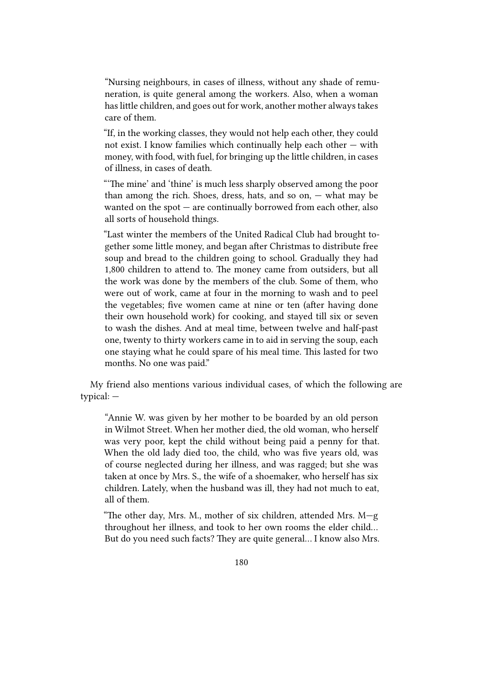"Nursing neighbours, in cases of illness, without any shade of remuneration, is quite general among the workers. Also, when a woman has little children, and goes out for work, another mother always takes care of them.

"If, in the working classes, they would not help each other, they could not exist. I know families which continually help each other — with money, with food, with fuel, for bringing up the little children, in cases of illness, in cases of death.

"'The mine' and 'thine' is much less sharply observed among the poor than among the rich. Shoes, dress, hats, and so on,  $-$  what may be wanted on the spot  $-$  are continually borrowed from each other, also all sorts of household things.

"Last winter the members of the United Radical Club had brought together some little money, and began after Christmas to distribute free soup and bread to the children going to school. Gradually they had 1,800 children to attend to. The money came from outsiders, but all the work was done by the members of the club. Some of them, who were out of work, came at four in the morning to wash and to peel the vegetables; five women came at nine or ten (after having done their own household work) for cooking, and stayed till six or seven to wash the dishes. And at meal time, between twelve and half-past one, twenty to thirty workers came in to aid in serving the soup, each one staying what he could spare of his meal time. This lasted for two months. No one was paid."

My friend also mentions various individual cases, of which the following are typical: —

"Annie W. was given by her mother to be boarded by an old person in Wilmot Street. When her mother died, the old woman, who herself was very poor, kept the child without being paid a penny for that. When the old lady died too, the child, who was five years old, was of course neglected during her illness, and was ragged; but she was taken at once by Mrs. S., the wife of a shoemaker, who herself has six children. Lately, when the husband was ill, they had not much to eat, all of them.

"The other day, Mrs. M., mother of six children, attended Mrs.  $M-g$ throughout her illness, and took to her own rooms the elder child… But do you need such facts? They are quite general… I know also Mrs.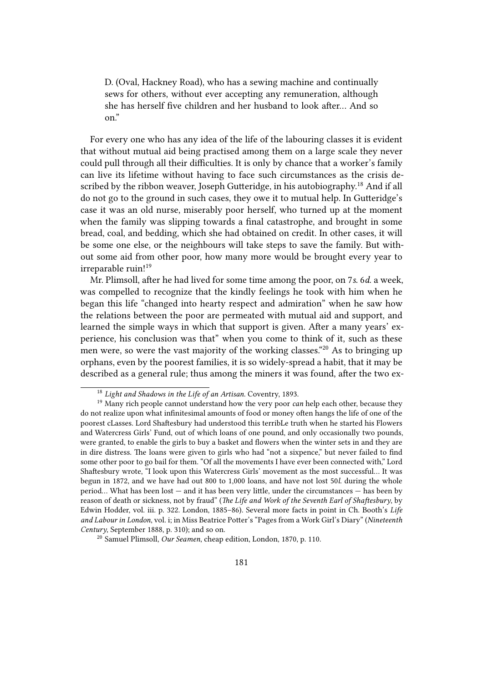D. (Oval, Hackney Road), who has a sewing machine and continually sews for others, without ever accepting any remuneration, although she has herself five children and her husband to look after… And so on."

For every one who has any idea of the life of the labouring classes it is evident that without mutual aid being practised among them on a large scale they never could pull through all their difficulties. It is only by chance that a worker's family can live its lifetime without having to face such circumstances as the crisis described by the ribbon weaver, Joseph Gutteridge, in his autobiography.<sup>18</sup> And if all do not go to the ground in such cases, they owe it to mutual help. In Gutteridge's case it was an old nurse, miserably poor herself, who turned up at the moment when the family was slipping towards a final catastrophe, and brought in some bread, coal, and bedding, which she had obtained on credit. In other cases, it will be some one else, or the neighbours will take steps to save the family. But without some aid from other poor, how many more would be brought every year to irreparable ruin!<sup>19</sup>

Mr. Plimsoll, after he had lived for some time among the poor, on 7*s*. 6*d*. a week, was compelled to recognize that the kindly feelings he took with him when he began this life "changed into hearty respect and admiration" when he saw how the relations between the poor are permeated with mutual aid and support, and learned the simple ways in which that support is given. After a many years' experience, his conclusion was that" when you come to think of it, such as these men were, so were the vast majority of the working classes."<sup>20</sup> As to bringing up orphans, even by the poorest families, it is so widely-spread a habit, that it may be described as a general rule; thus among the miners it was found, after the two ex-

<sup>18</sup> *Light and Shadows in the Life of an Artisan*. Coventry, 1893.

<sup>&</sup>lt;sup>19</sup> Many rich people cannot understand how the very poor *can* help each other, because they do not realize upon what infinitesimal amounts of food or money often hangs the life of one of the poorest cLasses. Lord Shaftesbury had understood this terribLe truth when he started his Flowers and Watercress Girls' Fund, out of which loans of one pound, and only occasionally two pounds, were granted, to enable the girls to buy a basket and flowers when the winter sets in and they are in dire distress. The loans were given to girls who had "not a sixpence," but never failed to find some other poor to go bail for them. "Of all the movements I have ever been connected with," Lord Shaftesbury wrote, "I look upon this Watercress Girls' movement as the most successful… It was begun in 1872, and we have had out 800 to 1,000 loans, and have not lost 50*l*. during the whole period… What has been lost — and it has been very little, under the circumstances — has been by reason of death or sickness, not by fraud" (*The Life and Work of the Seventh Earl of Shaftesbury*, by Edwin Hodder, vol. iii. p. 322. London, 1885–86). Several more facts in point in Ch. Booth's *Life and Labour in London*, vol. i; in Miss Beatrice Potter's "Pages from a Work Girl's Diary" (*Nineteenth Century*, September 1888, p. 310); and so on.

<sup>20</sup> Samuel Plimsoll, *Our Seamen*, cheap edition, London, 1870, p. 110.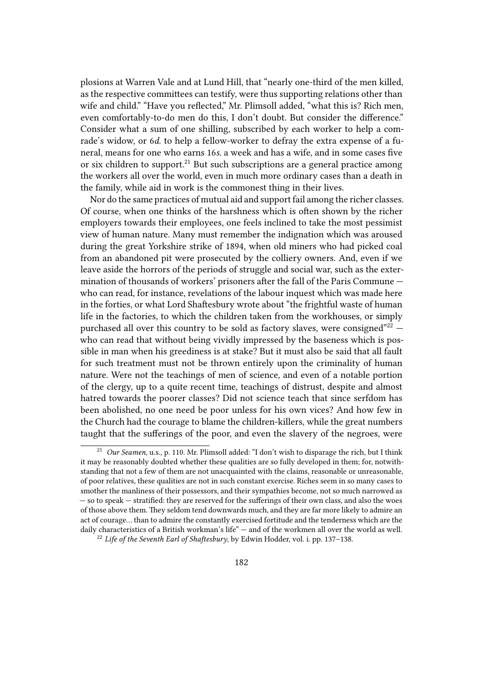plosions at Warren Vale and at Lund Hill, that "nearly one-third of the men killed, as the respective committees can testify, were thus supporting relations other than wife and child." "Have you reflected," Mr. Plimsoll added, "what this is? Rich men, even comfortably-to-do men do this, I don't doubt. But consider the difference." Consider what a sum of one shilling, subscribed by each worker to help a comrade's widow, or 6*d*. to help a fellow-worker to defray the extra expense of a funeral, means for one who earns 16*s*. a week and has a wife, and in some cases five or six children to support.<sup>21</sup> But such subscriptions are a general practice among the workers all over the world, even in much more ordinary cases than a death in the family, while aid in work is the commonest thing in their lives.

Nor do the same practices of mutual aid and support fail among the richer classes. Of course, when one thinks of the harshness which is often shown by the richer employers towards their employees, one feels inclined to take the most pessimist view of human nature. Many must remember the indignation which was aroused during the great Yorkshire strike of 1894, when old miners who had picked coal from an abandoned pit were prosecuted by the colliery owners. And, even if we leave aside the horrors of the periods of struggle and social war, such as the extermination of thousands of workers' prisoners after the fall of the Paris Commune who can read, for instance, revelations of the labour inquest which was made here in the forties, or what Lord Shaftesbury wrote about "the frightful waste of human life in the factories, to which the children taken from the workhouses, or simply purchased all over this country to be sold as factory slaves, were consigned<sup>"22</sup>  $$ who can read that without being vividly impressed by the baseness which is possible in man when his greediness is at stake? But it must also be said that all fault for such treatment must not be thrown entirely upon the criminality of human nature. Were not the teachings of men of science, and even of a notable portion of the clergy, up to a quite recent time, teachings of distrust, despite and almost hatred towards the poorer classes? Did not science teach that since serfdom has been abolished, no one need be poor unless for his own vices? And how few in the Church had the courage to blame the children-killers, while the great numbers taught that the sufferings of the poor, and even the slavery of the negroes, were

<sup>21</sup> *Our Seamen*, u.s., p. 110. Mr. Plimsoll added: "I don't wish to disparage the rich, but I think it may be reasonably doubted whether these qualities are so fully developed in them; for, notwithstanding that not a few of them are not unacquainted with the claims, reasonable or unreasonable, of poor relatives, these qualities are not in such constant exercise. Riches seem in so many cases to smother the manliness of their possessors, and their sympathies become, not so much narrowed as — so to speak — stratified: they are reserved for the sufferings of their own class, and also the woes of those above them. They seldom tend downwards much, and they are far more likely to admire an act of courage… than to admire the constantly exercised fortitude and the tenderness which are the daily characteristics of a British workman's life" — and of the workmen all over the world as well.

<sup>22</sup> *Life of the Seventh Earl of Shaftesbury*, by Edwin Hodder, vol. i. pp. 137–138.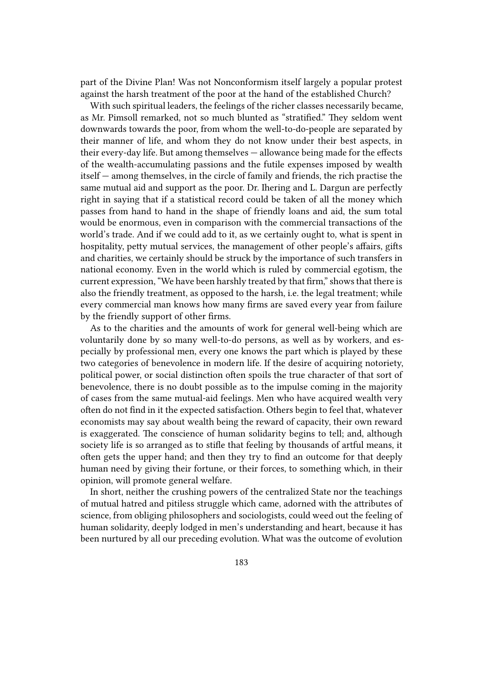part of the Divine Plan! Was not Nonconformism itself largely a popular protest against the harsh treatment of the poor at the hand of the established Church?

With such spiritual leaders, the feelings of the richer classes necessarily became, as Mr. Pimsoll remarked, not so much blunted as "stratified." They seldom went downwards towards the poor, from whom the well-to-do-people are separated by their manner of life, and whom they do not know under their best aspects, in their every-day life. But among themselves — allowance being made for the effects of the wealth-accumulating passions and the futile expenses imposed by wealth itself — among themselves, in the circle of family and friends, the rich practise the same mutual aid and support as the poor. Dr. Ihering and L. Dargun are perfectly right in saying that if a statistical record could be taken of all the money which passes from hand to hand in the shape of friendly loans and aid, the sum total would be enormous, even in comparison with the commercial transactions of the world's trade. And if we could add to it, as we certainly ought to, what is spent in hospitality, petty mutual services, the management of other people's affairs, gifts and charities, we certainly should be struck by the importance of such transfers in national economy. Even in the world which is ruled by commercial egotism, the current expression, "We have been harshly treated by that firm," shows that there is also the friendly treatment, as opposed to the harsh, i.e. the legal treatment; while every commercial man knows how many firms are saved every year from failure by the friendly support of other firms.

As to the charities and the amounts of work for general well-being which are voluntarily done by so many well-to-do persons, as well as by workers, and especially by professional men, every one knows the part which is played by these two categories of benevolence in modern life. If the desire of acquiring notoriety, political power, or social distinction often spoils the true character of that sort of benevolence, there is no doubt possible as to the impulse coming in the majority of cases from the same mutual-aid feelings. Men who have acquired wealth very often do not find in it the expected satisfaction. Others begin to feel that, whatever economists may say about wealth being the reward of capacity, their own reward is exaggerated. The conscience of human solidarity begins to tell; and, although society life is so arranged as to stifle that feeling by thousands of artful means, it often gets the upper hand; and then they try to find an outcome for that deeply human need by giving their fortune, or their forces, to something which, in their opinion, will promote general welfare.

In short, neither the crushing powers of the centralized State nor the teachings of mutual hatred and pitiless struggle which came, adorned with the attributes of science, from obliging philosophers and sociologists, could weed out the feeling of human solidarity, deeply lodged in men's understanding and heart, because it has been nurtured by all our preceding evolution. What was the outcome of evolution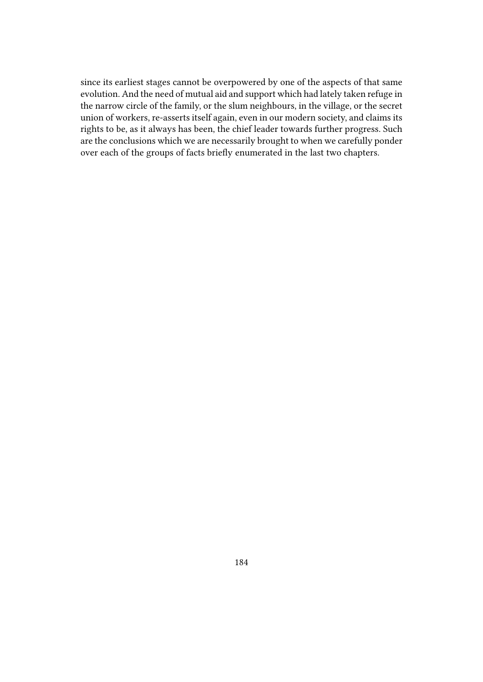since its earliest stages cannot be overpowered by one of the aspects of that same evolution. And the need of mutual aid and support which had lately taken refuge in the narrow circle of the family, or the slum neighbours, in the village, or the secret union of workers, re-asserts itself again, even in our modern society, and claims its rights to be, as it always has been, the chief leader towards further progress. Such are the conclusions which we are necessarily brought to when we carefully ponder over each of the groups of facts briefly enumerated in the last two chapters.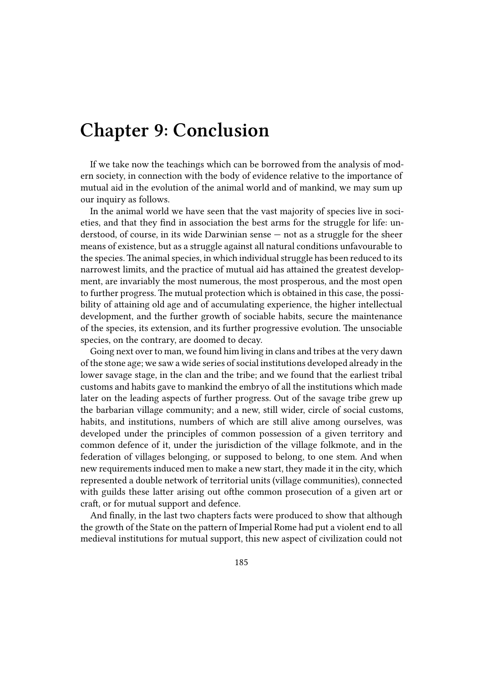#### **Chapter 9: Conclusion**

If we take now the teachings which can be borrowed from the analysis of modern society, in connection with the body of evidence relative to the importance of mutual aid in the evolution of the animal world and of mankind, we may sum up our inquiry as follows.

In the animal world we have seen that the vast majority of species live in societies, and that they find in association the best arms for the struggle for life: understood, of course, in its wide Darwinian sense — not as a struggle for the sheer means of existence, but as a struggle against all natural conditions unfavourable to the species.The animal species, in which individual struggle has been reduced to its narrowest limits, and the practice of mutual aid has attained the greatest development, are invariably the most numerous, the most prosperous, and the most open to further progress. The mutual protection which is obtained in this case, the possibility of attaining old age and of accumulating experience, the higher intellectual development, and the further growth of sociable habits, secure the maintenance of the species, its extension, and its further progressive evolution. The unsociable species, on the contrary, are doomed to decay.

Going next over to man, we found him living in clans and tribes at the very dawn of the stone age; we saw a wide series of social institutions developed already in the lower savage stage, in the clan and the tribe; and we found that the earliest tribal customs and habits gave to mankind the embryo of all the institutions which made later on the leading aspects of further progress. Out of the savage tribe grew up the barbarian village community; and a new, still wider, circle of social customs, habits, and institutions, numbers of which are still alive among ourselves, was developed under the principles of common possession of a given territory and common defence of it, under the jurisdiction of the village folkmote, and in the federation of villages belonging, or supposed to belong, to one stem. And when new requirements induced men to make a new start, they made it in the city, which represented a double network of territorial units (village communities), connected with guilds these latter arising out ofthe common prosecution of a given art or craft, or for mutual support and defence.

And finally, in the last two chapters facts were produced to show that although the growth of the State on the pattern of Imperial Rome had put a violent end to all medieval institutions for mutual support, this new aspect of civilization could not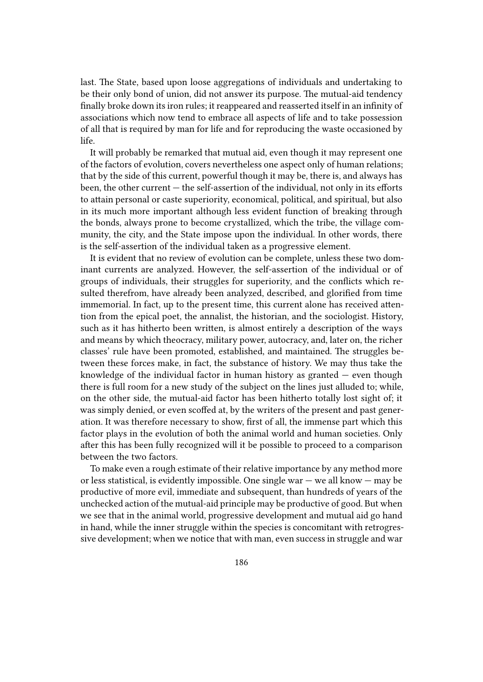last. The State, based upon loose aggregations of individuals and undertaking to be their only bond of union, did not answer its purpose. The mutual-aid tendency finally broke down its iron rules; it reappeared and reasserted itself in an infinity of associations which now tend to embrace all aspects of life and to take possession of all that is required by man for life and for reproducing the waste occasioned by life.

It will probably be remarked that mutual aid, even though it may represent one of the factors of evolution, covers nevertheless one aspect only of human relations; that by the side of this current, powerful though it may be, there is, and always has been, the other current — the self-assertion of the individual, not only in its efforts to attain personal or caste superiority, economical, political, and spiritual, but also in its much more important although less evident function of breaking through the bonds, always prone to become crystallized, which the tribe, the village community, the city, and the State impose upon the individual. In other words, there is the self-assertion of the individual taken as a progressive element.

It is evident that no review of evolution can be complete, unless these two dominant currents are analyzed. However, the self-assertion of the individual or of groups of individuals, their struggles for superiority, and the conflicts which resulted therefrom, have already been analyzed, described, and glorified from time immemorial. In fact, up to the present time, this current alone has received attention from the epical poet, the annalist, the historian, and the sociologist. History, such as it has hitherto been written, is almost entirely a description of the ways and means by which theocracy, military power, autocracy, and, later on, the richer classes' rule have been promoted, established, and maintained. The struggles between these forces make, in fact, the substance of history. We may thus take the knowledge of the individual factor in human history as granted — even though there is full room for a new study of the subject on the lines just alluded to; while, on the other side, the mutual-aid factor has been hitherto totally lost sight of; it was simply denied, or even scoffed at, by the writers of the present and past generation. It was therefore necessary to show, first of all, the immense part which this factor plays in the evolution of both the animal world and human societies. Only after this has been fully recognized will it be possible to proceed to a comparison between the two factors.

To make even a rough estimate of their relative importance by any method more or less statistical, is evidently impossible. One single war — we all know — may be productive of more evil, immediate and subsequent, than hundreds of years of the unchecked action of the mutual-aid principle may be productive of good. But when we see that in the animal world, progressive development and mutual aid go hand in hand, while the inner struggle within the species is concomitant with retrogressive development; when we notice that with man, even success in struggle and war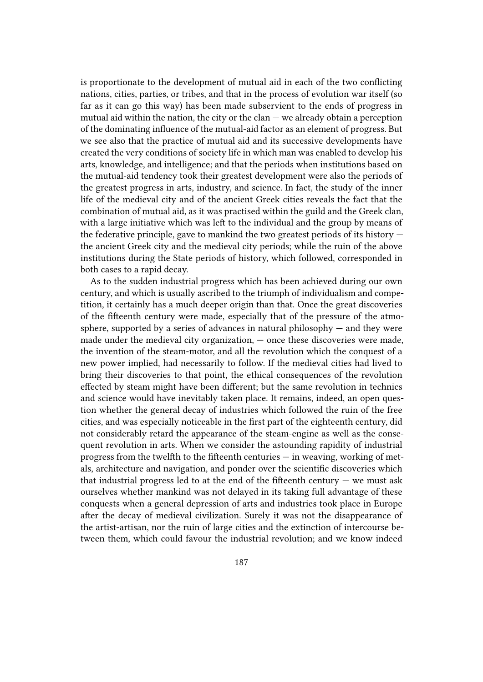is proportionate to the development of mutual aid in each of the two conflicting nations, cities, parties, or tribes, and that in the process of evolution war itself (so far as it can go this way) has been made subservient to the ends of progress in mutual aid within the nation, the city or the clan — we already obtain a perception of the dominating influence of the mutual-aid factor as an element of progress. But we see also that the practice of mutual aid and its successive developments have created the very conditions of society life in which man was enabled to develop his arts, knowledge, and intelligence; and that the periods when institutions based on the mutual-aid tendency took their greatest development were also the periods of the greatest progress in arts, industry, and science. In fact, the study of the inner life of the medieval city and of the ancient Greek cities reveals the fact that the combination of mutual aid, as it was practised within the guild and the Greek clan, with a large initiative which was left to the individual and the group by means of the federative principle, gave to mankind the two greatest periods of its history the ancient Greek city and the medieval city periods; while the ruin of the above institutions during the State periods of history, which followed, corresponded in both cases to a rapid decay.

As to the sudden industrial progress which has been achieved during our own century, and which is usually ascribed to the triumph of individualism and competition, it certainly has a much deeper origin than that. Once the great discoveries of the fifteenth century were made, especially that of the pressure of the atmosphere, supported by a series of advances in natural philosophy  $-$  and they were made under the medieval city organization, — once these discoveries were made, the invention of the steam-motor, and all the revolution which the conquest of a new power implied, had necessarily to follow. If the medieval cities had lived to bring their discoveries to that point, the ethical consequences of the revolution effected by steam might have been different; but the same revolution in technics and science would have inevitably taken place. It remains, indeed, an open question whether the general decay of industries which followed the ruin of the free cities, and was especially noticeable in the first part of the eighteenth century, did not considerably retard the appearance of the steam-engine as well as the consequent revolution in arts. When we consider the astounding rapidity of industrial progress from the twelfth to the fifteenth centuries — in weaving, working of metals, architecture and navigation, and ponder over the scientific discoveries which that industrial progress led to at the end of the fifteenth century  $-$  we must ask ourselves whether mankind was not delayed in its taking full advantage of these conquests when a general depression of arts and industries took place in Europe after the decay of medieval civilization. Surely it was not the disappearance of the artist-artisan, nor the ruin of large cities and the extinction of intercourse between them, which could favour the industrial revolution; and we know indeed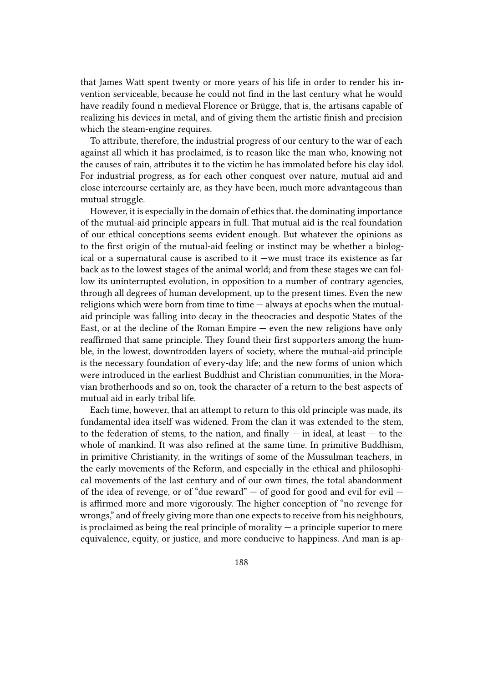that James Watt spent twenty or more years of his life in order to render his invention serviceable, because he could not find in the last century what he would have readily found n medieval Florence or Brügge, that is, the artisans capable of realizing his devices in metal, and of giving them the artistic finish and precision which the steam-engine requires.

To attribute, therefore, the industrial progress of our century to the war of each against all which it has proclaimed, is to reason like the man who, knowing not the causes of rain, attributes it to the victim he has immolated before his clay idol. For industrial progress, as for each other conquest over nature, mutual aid and close intercourse certainly are, as they have been, much more advantageous than mutual struggle.

However, it is especially in the domain of ethics that. the dominating importance of the mutual-aid principle appears in full. That mutual aid is the real foundation of our ethical conceptions seems evident enough. But whatever the opinions as to the first origin of the mutual-aid feeling or instinct may be whether a biological or a supernatural cause is ascribed to it —we must trace its existence as far back as to the lowest stages of the animal world; and from these stages we can follow its uninterrupted evolution, in opposition to a number of contrary agencies, through all degrees of human development, up to the present times. Even the new religions which were born from time to time — always at epochs when the mutualaid principle was falling into decay in the theocracies and despotic States of the East, or at the decline of the Roman Empire — even the new religions have only reaffirmed that same principle. They found their first supporters among the humble, in the lowest, downtrodden layers of society, where the mutual-aid principle is the necessary foundation of every-day life; and the new forms of union which were introduced in the earliest Buddhist and Christian communities, in the Moravian brotherhoods and so on, took the character of a return to the best aspects of mutual aid in early tribal life.

Each time, however, that an attempt to return to this old principle was made, its fundamental idea itself was widened. From the clan it was extended to the stem, to the federation of stems, to the nation, and finally  $-$  in ideal, at least  $-$  to the whole of mankind. It was also refined at the same time. In primitive Buddhism, in primitive Christianity, in the writings of some of the Mussulman teachers, in the early movements of the Reform, and especially in the ethical and philosophical movements of the last century and of our own times, the total abandonment of the idea of revenge, or of "due reward"  $-$  of good for good and evil for evil  $$ is affirmed more and more vigorously. The higher conception of "no revenge for wrongs," and of freely giving more than one expects to receive from his neighbours, is proclaimed as being the real principle of morality  $-$  a principle superior to mere equivalence, equity, or justice, and more conducive to happiness. And man is ap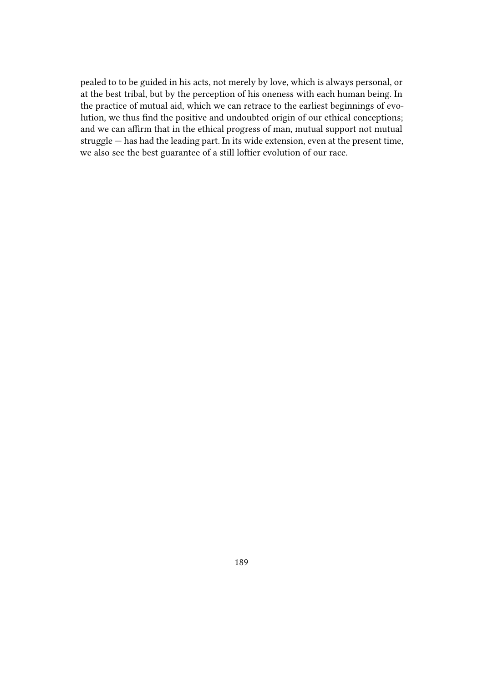pealed to to be guided in his acts, not merely by love, which is always personal, or at the best tribal, but by the perception of his oneness with each human being. In the practice of mutual aid, which we can retrace to the earliest beginnings of evolution, we thus find the positive and undoubted origin of our ethical conceptions; and we can affirm that in the ethical progress of man, mutual support not mutual struggle — has had the leading part. In its wide extension, even at the present time, we also see the best guarantee of a still loftier evolution of our race.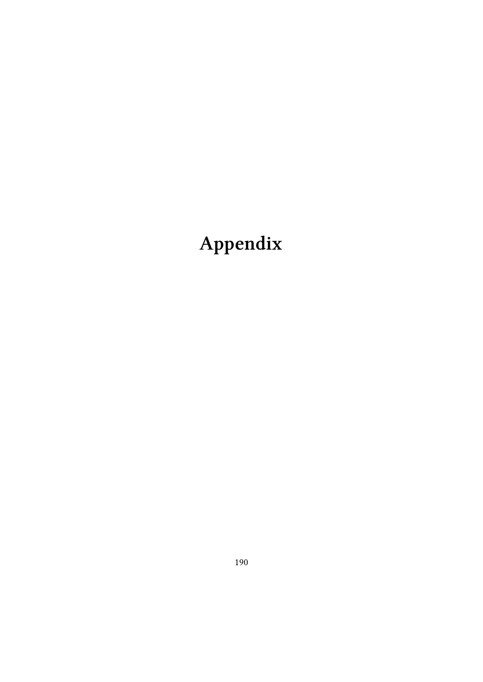# **Appendix**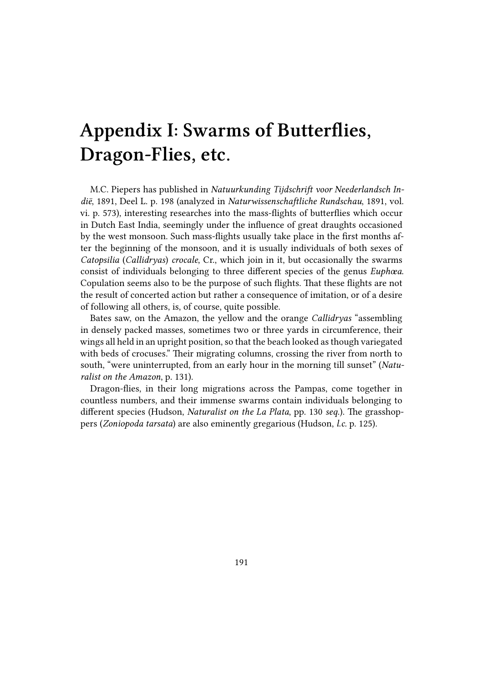### **Appendix I: Swarms of Butterflies, Dragon-Flies, etc.**

M.C. Piepers has published in *Natuurkunding Tijdschrift voor Neederlandsch Indië*, 1891, Deel L. p. 198 (analyzed in *Naturwissenschaftliche Rundschau*, 1891, vol. vi. p. 573), interesting researches into the mass-flights of butterflies which occur in Dutch East India, seemingly under the influence of great draughts occasioned by the west monsoon. Such mass-flights usually take place in the first months after the beginning of the monsoon, and it is usually individuals of both sexes of *Catopsilia* (*Callidryas*) *crocale*, Cr., which join in it, but occasionally the swarms consist of individuals belonging to three different species of the genus *Euphœa*. Copulation seems also to be the purpose of such flights. That these flights are not the result of concerted action but rather a consequence of imitation, or of a desire of following all others, is, of course, quite possible.

Bates saw, on the Amazon, the yellow and the orange *Callidryas* "assembling in densely packed masses, sometimes two or three yards in circumference, their wings all held in an upright position, so that the beach looked as though variegated with beds of crocuses." Their migrating columns, crossing the river from north to south, "were uninterrupted, from an early hour in the morning till sunset" (*Naturalist on the Amazon*, p. 131).

Dragon-flies, in their long migrations across the Pampas, come together in countless numbers, and their immense swarms contain individuals belonging to different species (Hudson, *Naturalist on the La Plata*, pp. 130 *seq*.). The grasshoppers (*Zoniopoda tarsata*) are also eminently gregarious (Hudson, *l.c.* p. 125).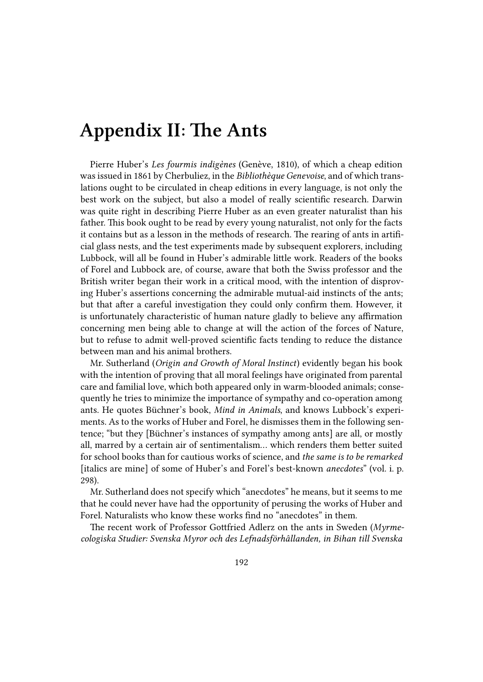#### **Appendix II: The Ants**

Pierre Huber's *Les fourmis indigènes* (Genève, 1810), of which a cheap edition was issued in 1861 by Cherbuliez, in the *Bibliothèque Genevoise*, and of which translations ought to be circulated in cheap editions in every language, is not only the best work on the subject, but also a model of really scientific research. Darwin was quite right in describing Pierre Huber as an even greater naturalist than his father. This book ought to be read by every young naturalist, not only for the facts it contains but as a lesson in the methods of research. The rearing of ants in artificial glass nests, and the test experiments made by subsequent explorers, including Lubbock, will all be found in Huber's admirable little work. Readers of the books of Forel and Lubbock are, of course, aware that both the Swiss professor and the British writer began their work in a critical mood, with the intention of disproving Huber's assertions concerning the admirable mutual-aid instincts of the ants; but that after a careful investigation they could only confirm them. However, it is unfortunately characteristic of human nature gladly to believe any affirmation concerning men being able to change at will the action of the forces of Nature, but to refuse to admit well-proved scientific facts tending to reduce the distance between man and his animal brothers.

Mr. Sutherland (*Origin and Growth of Moral Instinct*) evidently began his book with the intention of proving that all moral feelings have originated from parental care and familial love, which both appeared only in warm-blooded animals; consequently he tries to minimize the importance of sympathy and co-operation among ants. He quotes Büchner's book, *Mind in Animals*, and knows Lubbock's experiments. As to the works of Huber and Forel, he dismisses them in the following sentence; "but they [Büchner's instances of sympathy among ants] are all, or mostly all, marred by a certain air of sentimentalism… which renders them better suited for school books than for cautious works of science, and *the same is to be remarked* [italics are mine] of some of Huber's and Forel's best-known *anecdotes*" (vol. i. p. 298).

Mr. Sutherland does not specify which "anecdotes" he means, but it seems to me that he could never have had the opportunity of perusing the works of Huber and Forel. Naturalists who know these works find no "anecdotes" in them.

The recent work of Professor Gottfried Adlerz on the ants in Sweden (*Myrmecologiska Studier: Svenska Myror och des Lefnadsförhâllanden, in Bihan till Svenska*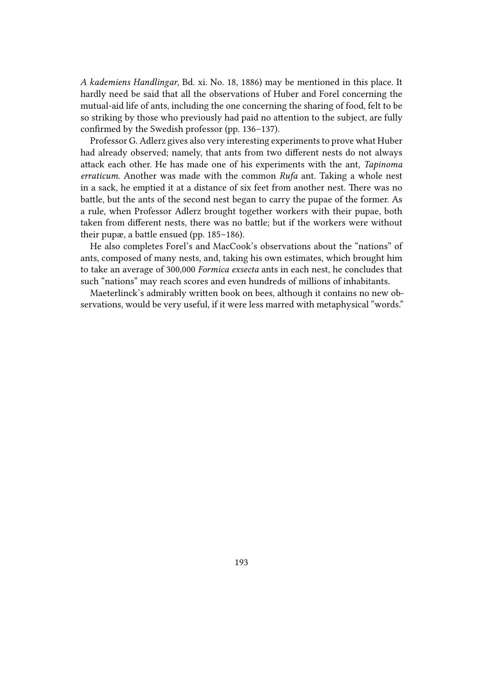*A kademiens Handlingar*, Bd. xi. No. 18, 1886) may be mentioned in this place. It hardly need be said that all the observations of Huber and Forel concerning the mutual-aid life of ants, including the one concerning the sharing of food, felt to be so striking by those who previously had paid no attention to the subject, are fully confirmed by the Swedish professor (pp. 136–137).

Professor G. Adlerz gives also very interesting experiments to prove what Huber had already observed; namely, that ants from two different nests do not always attack each other. He has made one of his experiments with the ant, *Tapinoma erraticum*. Another was made with the common *Rufa* ant. Taking a whole nest in a sack, he emptied it at a distance of six feet from another nest. There was no battle, but the ants of the second nest began to carry the pupae of the former. As a rule, when Professor Adlerz brought together workers with their pupae, both taken from different nests, there was no battle; but if the workers were without their pupæ, a battle ensued (pp. 185–186).

He also completes Forel's and MacCook's observations about the "nations" of ants, composed of many nests, and, taking his own estimates, which brought him to take an average of 300,000 *Formica exsecta* ants in each nest, he concludes that such "nations" may reach scores and even hundreds of millions of inhabitants.

Maeterlinck's admirably written book on bees, although it contains no new observations, would be very useful, if it were less marred with metaphysical "words."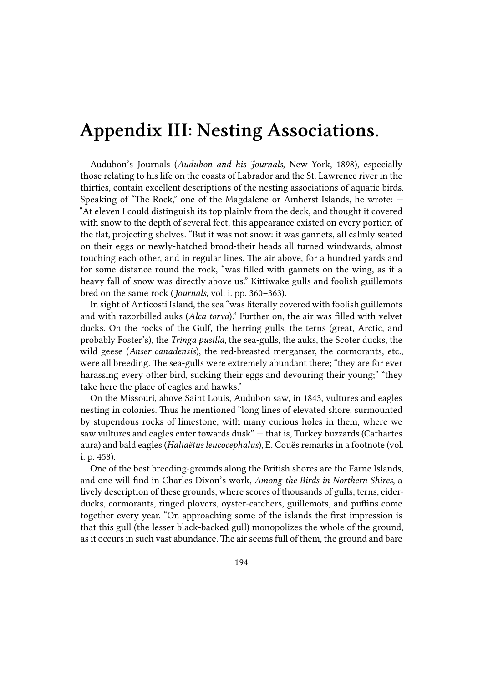#### **Appendix III: Nesting Associations.**

Audubon's Journals (*Audubon and his Journals*, New York, 1898), especially those relating to his life on the coasts of Labrador and the St. Lawrence river in the thirties, contain excellent descriptions of the nesting associations of aquatic birds. Speaking of "The Rock," one of the Magdalene or Amherst Islands, he wrote: — "At eleven I could distinguish its top plainly from the deck, and thought it covered with snow to the depth of several feet; this appearance existed on every portion of the flat, projecting shelves. "But it was not snow: it was gannets, all calmly seated on their eggs or newly-hatched brood-their heads all turned windwards, almost touching each other, and in regular lines. The air above, for a hundred yards and for some distance round the rock, "was filled with gannets on the wing, as if a heavy fall of snow was directly above us." Kittiwake gulls and foolish guillemots bred on the same rock (*Journals*, vol. i. pp. 360–363).

In sight of Anticosti Island, the sea "was literally covered with foolish guillemots and with razorbilled auks (*Alca torva*)." Further on, the air was filled with velvet ducks. On the rocks of the Gulf, the herring gulls, the terns (great, Arctic, and probably Foster's), the *Tringa pusilla*, the sea-gulls, the auks, the Scoter ducks, the wild geese (*Anser canadensis*), the red-breasted merganser, the cormorants, etc., were all breeding. The sea-gulls were extremely abundant there; "they are for ever harassing every other bird, sucking their eggs and devouring their young;" "they take here the place of eagles and hawks."

On the Missouri, above Saint Louis, Audubon saw, in 1843, vultures and eagles nesting in colonies. Thus he mentioned "long lines of elevated shore, surmounted by stupendous rocks of limestone, with many curious holes in them, where we saw vultures and eagles enter towards dusk" — that is, Turkey buzzards (Cathartes aura) and bald eagles (*Haliaëtus leucocephalus*), E. Couës remarks in a footnote (vol. i. p. 458).

One of the best breeding-grounds along the British shores are the Farne Islands, and one will find in Charles Dixon's work, *Among the Birds in Northern Shires*, a lively description of these grounds, where scores of thousands of gulls, terns, eiderducks, cormorants, ringed plovers, oyster-catchers, guillemots, and puffins come together every year. "On approaching some of the islands the first impression is that this gull (the lesser black-backed gull) monopolizes the whole of the ground, as it occurs in such vast abundance. The air seems full of them, the ground and bare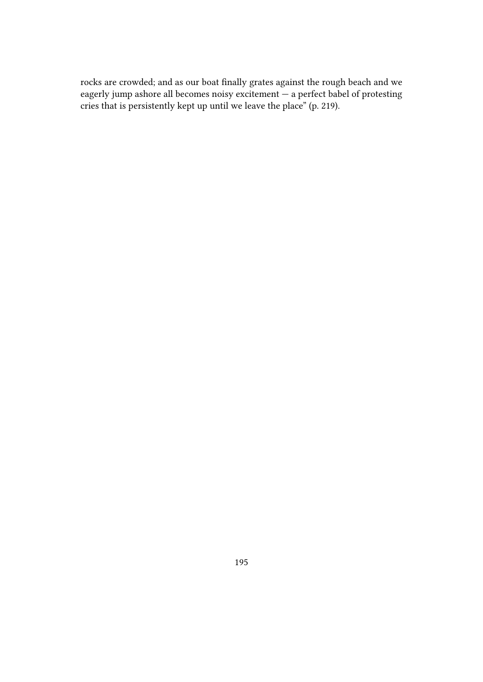rocks are crowded; and as our boat finally grates against the rough beach and we eagerly jump ashore all becomes noisy excitement — a perfect babel of protesting cries that is persistently kept up until we leave the place" (p. 219).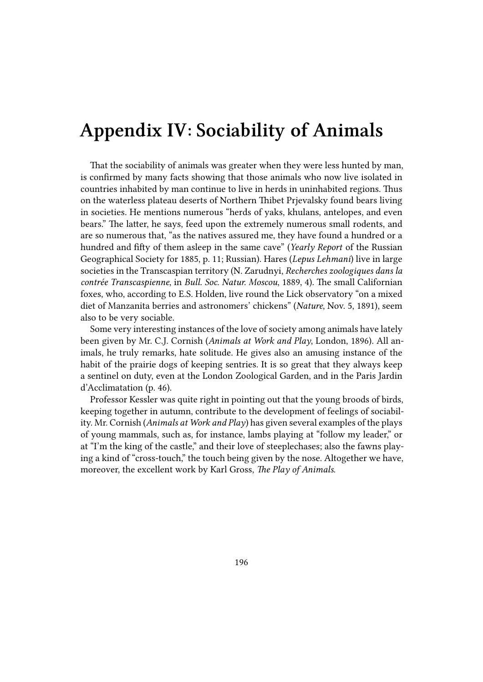#### **Appendix IV: Sociability of Animals**

That the sociability of animals was greater when they were less hunted by man, is confirmed by many facts showing that those animals who now live isolated in countries inhabited by man continue to live in herds in uninhabited regions. Thus on the waterless plateau deserts of Northern Thibet Prjevalsky found bears living in societies. He mentions numerous "herds of yaks, khulans, antelopes, and even bears." The latter, he says, feed upon the extremely numerous small rodents, and are so numerous that, "as the natives assured me, they have found a hundred or a hundred and fifty of them asleep in the same cave" (*Yearly Report* of the Russian Geographical Society for 1885, p. 11; Russian). Hares (*Lepus Lehmani*) live in large societies in the Transcaspian territory (N. Zarudnyi, *Recherches zoologiques dans la contrée Transcaspienne*, in *Bull. Soc. Natur. Moscou*, 1889, 4). The small Californian foxes, who, according to E.S. Holden, live round the Lick observatory "on a mixed diet of Manzanita berries and astronomers' chickens" (*Nature*, Nov. 5, 1891), seem also to be very sociable.

Some very interesting instances of the love of society among animals have lately been given by Mr. C.J. Cornish (*Animals at Work and Play*, London, 1896). All animals, he truly remarks, hate solitude. He gives also an amusing instance of the habit of the prairie dogs of keeping sentries. It is so great that they always keep a sentinel on duty, even at the London Zoological Garden, and in the Paris Jardin d'Acclimatation (p. 46).

Professor Kessler was quite right in pointing out that the young broods of birds, keeping together in autumn, contribute to the development of feelings of sociability. Mr. Cornish (*Animals at Work and Play*) has given several examples of the plays of young mammals, such as, for instance, lambs playing at "follow my leader," or at "I'm the king of the castle," and their love of steeplechases; also the fawns playing a kind of "cross-touch," the touch being given by the nose. Altogether we have, moreover, the excellent work by Karl Gross, *The Play of Animals*.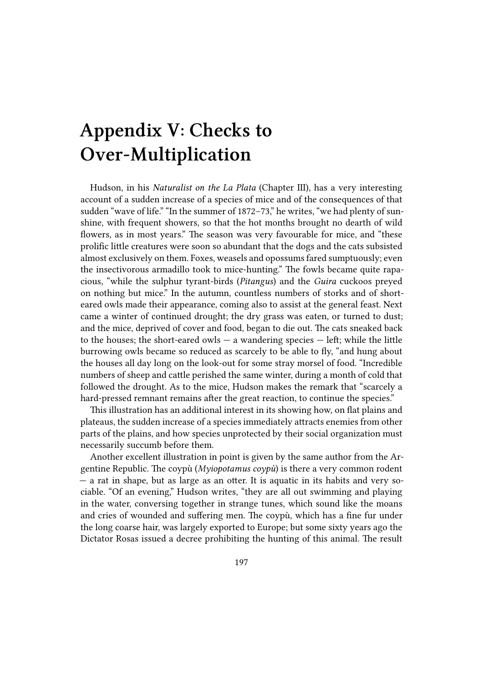### **Appendix V: Checks to Over-Multiplication**

Hudson, in his *Naturalist on the La Plata* (Chapter III), has a very interesting account of a sudden increase of a species of mice and of the consequences of that sudden "wave of life." "In the summer of 1872–73," he writes, "we had plenty of sunshine, with frequent showers, so that the hot months brought no dearth of wild flowers, as in most years." The season was very favourable for mice, and "these prolific little creatures were soon so abundant that the dogs and the cats subsisted almost exclusively on them. Foxes, weasels and opossums fared sumptuously; even the insectivorous armadillo took to mice-hunting." The fowls became quite rapacious, "while the sulphur tyrant-birds (*Pitangus*) and the *Guira* cuckoos preyed on nothing but mice." In the autumn, countless numbers of storks and of shorteared owls made their appearance, coming also to assist at the general feast. Next came a winter of continued drought; the dry grass was eaten, or turned to dust; and the mice, deprived of cover and food, began to die out. The cats sneaked back to the houses; the short-eared owls  $-$  a wandering species  $-$  left; while the little burrowing owls became so reduced as scarcely to be able to fly, "and hung about the houses all day long on the look-out for some stray morsel of food. "Incredible numbers of sheep and cattle perished the same winter, during a month of cold that followed the drought. As to the mice, Hudson makes the remark that "scarcely a hard-pressed remnant remains after the great reaction, to continue the species."

This illustration has an additional interest in its showing how, on flat plains and plateaus, the sudden increase of a species immediately attracts enemies from other parts of the plains, and how species unprotected by their social organization must necessarily succumb before them.

Another excellent illustration in point is given by the same author from the Argentine Republic. The coypù (*Myiopotamus coypù*) is there a very common rodent — a rat in shape, but as large as an otter. It is aquatic in its habits and very sociable. "Of an evening," Hudson writes, "they are all out swimming and playing in the water, conversing together in strange tunes, which sound like the moans and cries of wounded and suffering men. The coypù, which has a fine fur under the long coarse hair, was largely exported to Europe; but some sixty years ago the Dictator Rosas issued a decree prohibiting the hunting of this animal. The result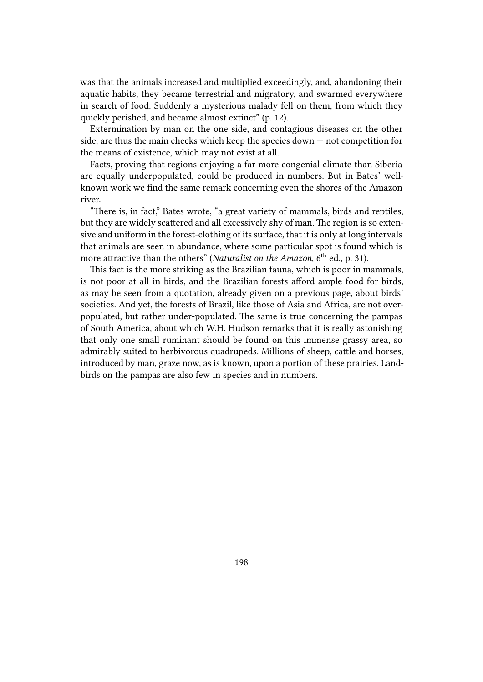was that the animals increased and multiplied exceedingly, and, abandoning their aquatic habits, they became terrestrial and migratory, and swarmed everywhere in search of food. Suddenly a mysterious malady fell on them, from which they quickly perished, and became almost extinct" (p. 12).

Extermination by man on the one side, and contagious diseases on the other side, are thus the main checks which keep the species down — not competition for the means of existence, which may not exist at all.

Facts, proving that regions enjoying a far more congenial climate than Siberia are equally underpopulated, could be produced in numbers. But in Bates' wellknown work we find the same remark concerning even the shores of the Amazon river.

"There is, in fact," Bates wrote, "a great variety of mammals, birds and reptiles, but they are widely scattered and all excessively shy of man. The region is so extensive and uniform in the forest-clothing of its surface, that it is only at long intervals that animals are seen in abundance, where some particular spot is found which is more attractive than the others" (*Naturalist on the Amazon*, 6<sup>th</sup> ed., p. 31).

This fact is the more striking as the Brazilian fauna, which is poor in mammals, is not poor at all in birds, and the Brazilian forests afford ample food for birds, as may be seen from a quotation, already given on a previous page, about birds' societies. And yet, the forests of Brazil, like those of Asia and Africa, are not overpopulated, but rather under-populated. The same is true concerning the pampas of South America, about which W.H. Hudson remarks that it is really astonishing that only one small ruminant should be found on this immense grassy area, so admirably suited to herbivorous quadrupeds. Millions of sheep, cattle and horses, introduced by man, graze now, as is known, upon a portion of these prairies. Landbirds on the pampas are also few in species and in numbers.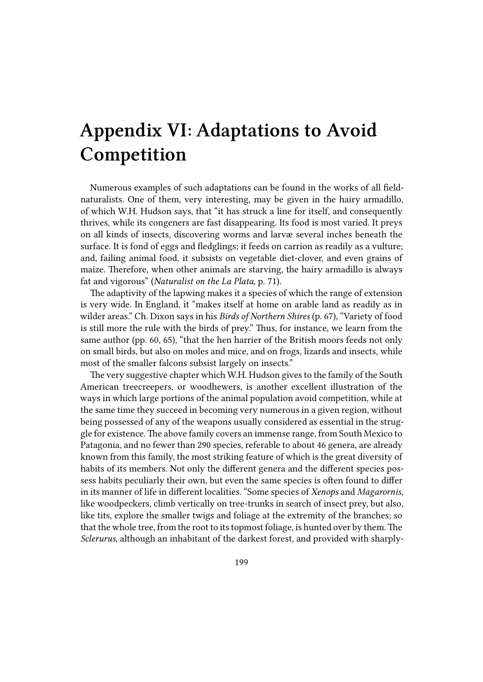### **Appendix VI: Adaptations to Avoid Competition**

Numerous examples of such adaptations can be found in the works of all fieldnaturalists. One of them, very interesting, may be given in the hairy armadillo, of which W.H. Hudson says, that "it has struck a line for itself, and consequently thrives, while its congeners are fast disappearing. Its food is most varied. It preys on all kinds of insects, discovering worms and larvæ several inches beneath the surface. It is fond of eggs and fledglings; it feeds on carrion as readily as a vulture; and, failing animal food, it subsists on vegetable diet-clover, and even grains of maize. Therefore, when other animals are starving, the hairy armadillo is always fat and vigorous" (*Naturalist on the La Plata*, p. 71).

The adaptivity of the lapwing makes it a species of which the range of extension is very wide. In England, it "makes itself at home on arable land as readily as in wilder areas." Ch. Dixon says in his *Birds of Northern Shires* (p. 67), "Variety of food is still more the rule with the birds of prey." Thus, for instance, we learn from the same author (pp. 60, 65), "that the hen harrier of the British moors feeds not only on small birds, but also on moles and mice, and on frogs, lizards and insects, while most of the smaller falcons subsist largely on insects."

The very suggestive chapter which W.H. Hudson gives to the family of the South American treecreepers, or woodhewers, is another excellent illustration of the ways in which large portions of the animal population avoid competition, while at the same time they succeed in becoming very numerous in a given region, without being possessed of any of the weapons usually considered as essential in the struggle for existence. The above family covers an immense range, from South Mexico to Patagonia, and no fewer than 290 species, referable to about 46 genera, are already known from this family, the most striking feature of which is the great diversity of habits of its members. Not only the different genera and the different species possess habits peculiarly their own, but even the same species is often found to differ in its manner of life in different localities. "Some species of *Xenops* and *Magarornis*, like woodpeckers, climb vertically on tree-trunks in search of insect prey, but also, like tits, explore the smaller twigs and foliage at the extremity of the branches; so that the whole tree, from the root to its topmost foliage, is hunted over by them.The *Sclerurus*, although an inhabitant of the darkest forest, and provided with sharply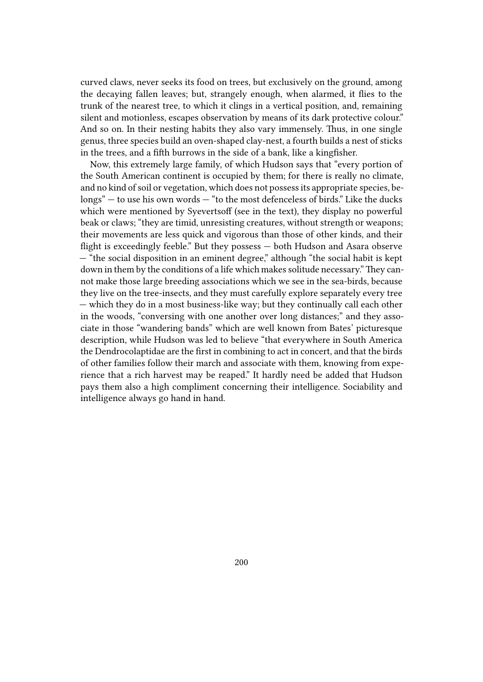curved claws, never seeks its food on trees, but exclusively on the ground, among the decaying fallen leaves; but, strangely enough, when alarmed, it flies to the trunk of the nearest tree, to which it clings in a vertical position, and, remaining silent and motionless, escapes observation by means of its dark protective colour." And so on. In their nesting habits they also vary immensely. Thus, in one single genus, three species build an oven-shaped clay-nest, a fourth builds a nest of sticks in the trees, and a fifth burrows in the side of a bank, like a kingfisher.

Now, this extremely large family, of which Hudson says that "every portion of the South American continent is occupied by them; for there is really no climate, and no kind of soil or vegetation, which does not possess its appropriate species, belongs" — to use his own words — "to the most defenceless of birds." Like the ducks which were mentioned by Syevertsoff (see in the text), they display no powerful beak or claws; "they are timid, unresisting creatures, without strength or weapons; their movements are less quick and vigorous than those of other kinds, and their flight is exceedingly feeble." But they possess — both Hudson and Asara observe — "the social disposition in an eminent degree," although "the social habit is kept down in them by the conditions of a life which makes solitude necessary." They cannot make those large breeding associations which we see in the sea-birds, because they live on the tree-insects, and they must carefully explore separately every tree — which they do in a most business-like way; but they continually call each other in the woods, "conversing with one another over long distances;" and they associate in those "wandering bands" which are well known from Bates' picturesque description, while Hudson was led to believe "that everywhere in South America the Dendrocolaptidae are the first in combining to act in concert, and that the birds of other families follow their march and associate with them, knowing from experience that a rich harvest may be reaped." It hardly need be added that Hudson pays them also a high compliment concerning their intelligence. Sociability and intelligence always go hand in hand.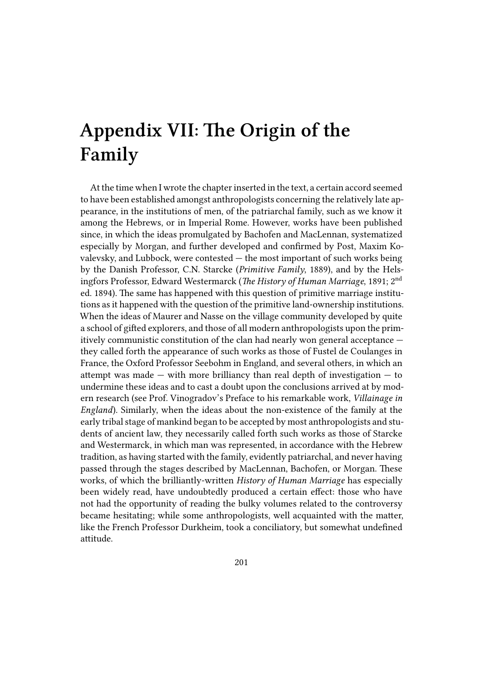### **Appendix VII: The Origin of the Family**

At the time when I wrote the chapter inserted in the text, a certain accord seemed to have been established amongst anthropologists concerning the relatively late appearance, in the institutions of men, of the patriarchal family, such as we know it among the Hebrews, or in Imperial Rome. However, works have been published since, in which the ideas promulgated by Bachofen and MacLennan, systematized especially by Morgan, and further developed and confirmed by Post, Maxim Kovalevsky, and Lubbock, were contested — the most important of such works being by the Danish Professor, C.N. Starcke (*Primitive Family*, 1889), and by the Helsingfors Professor, Edward Westermarck (*The History of Human Marriage*, 1891; 2nd ed. 1894). The same has happened with this question of primitive marriage institutions as it happened with the question of the primitive land-ownership institutions. When the ideas of Maurer and Nasse on the village community developed by quite a school of gifted explorers, and those of all modern anthropologists upon the primitively communistic constitution of the clan had nearly won general acceptance they called forth the appearance of such works as those of Fustel de Coulanges in France, the Oxford Professor Seebohm in England, and several others, in which an attempt was made  $-$  with more brilliancy than real depth of investigation  $-$  to undermine these ideas and to cast a doubt upon the conclusions arrived at by modern research (see Prof. Vinogradov's Preface to his remarkable work, *Villainage in England*). Similarly, when the ideas about the non-existence of the family at the early tribal stage of mankind began to be accepted by most anthropologists and students of ancient law, they necessarily called forth such works as those of Starcke and Westermarck, in which man was represented, in accordance with the Hebrew tradition, as having started with the family, evidently patriarchal, and never having passed through the stages described by MacLennan, Bachofen, or Morgan. These works, of which the brilliantly-written *History of Human Marriage* has especially been widely read, have undoubtedly produced a certain effect: those who have not had the opportunity of reading the bulky volumes related to the controversy became hesitating; while some anthropologists, well acquainted with the matter, like the French Professor Durkheim, took a conciliatory, but somewhat undefined attitude.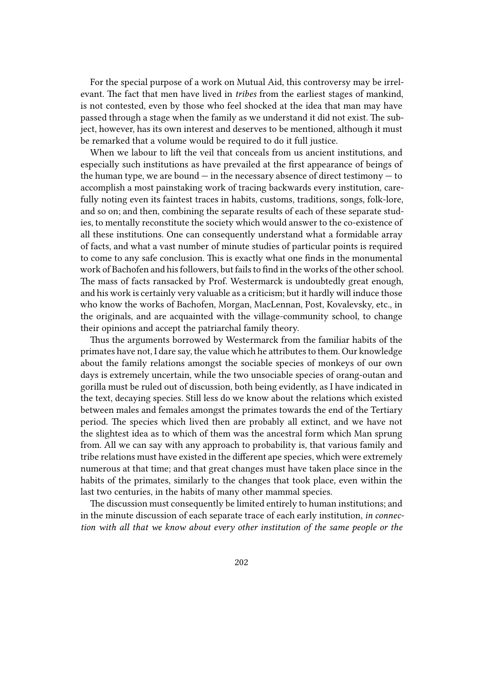For the special purpose of a work on Mutual Aid, this controversy may be irrelevant. The fact that men have lived in *tribes* from the earliest stages of mankind, is not contested, even by those who feel shocked at the idea that man may have passed through a stage when the family as we understand it did not exist. The subject, however, has its own interest and deserves to be mentioned, although it must be remarked that a volume would be required to do it full justice.

When we labour to lift the veil that conceals from us ancient institutions, and especially such institutions as have prevailed at the first appearance of beings of the human type, we are bound  $-$  in the necessary absence of direct testimony  $-$  to accomplish a most painstaking work of tracing backwards every institution, carefully noting even its faintest traces in habits, customs, traditions, songs, folk-lore, and so on; and then, combining the separate results of each of these separate studies, to mentally reconstitute the society which would answer to the co-existence of all these institutions. One can consequently understand what a formidable array of facts, and what a vast number of minute studies of particular points is required to come to any safe conclusion. This is exactly what one finds in the monumental work of Bachofen and his followers, but fails to find in the works of the other school. The mass of facts ransacked by Prof. Westermarck is undoubtedly great enough, and his work is certainly very valuable as a criticism; but it hardly will induce those who know the works of Bachofen, Morgan, MacLennan, Post, Kovalevsky, etc., in the originals, and are acquainted with the village-community school, to change their opinions and accept the patriarchal family theory.

Thus the arguments borrowed by Westermarck from the familiar habits of the primates have not, I dare say, the value which he attributes to them. Our knowledge about the family relations amongst the sociable species of monkeys of our own days is extremely uncertain, while the two unsociable species of orang-outan and gorilla must be ruled out of discussion, both being evidently, as I have indicated in the text, decaying species. Still less do we know about the relations which existed between males and females amongst the primates towards the end of the Tertiary period. The species which lived then are probably all extinct, and we have not the slightest idea as to which of them was the ancestral form which Man sprung from. All we can say with any approach to probability is, that various family and tribe relations must have existed in the different ape species, which were extremely numerous at that time; and that great changes must have taken place since in the habits of the primates, similarly to the changes that took place, even within the last two centuries, in the habits of many other mammal species.

The discussion must consequently be limited entirely to human institutions; and in the minute discussion of each separate trace of each early institution, *in connection with all that we know about every other institution of the same people or the*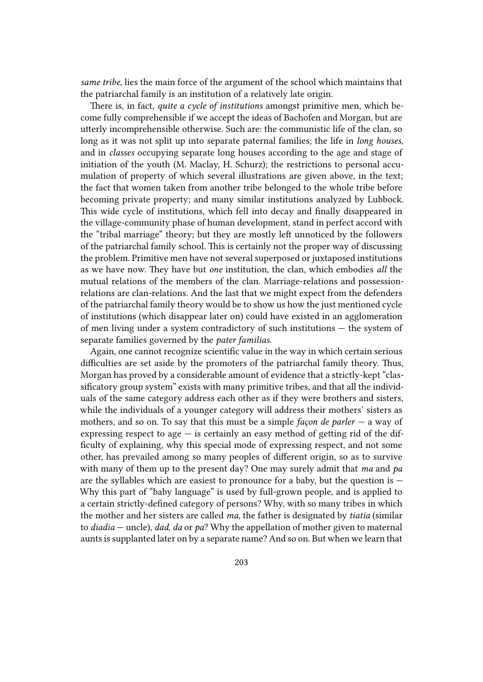*same tribe*, lies the main force of the argument of the school which maintains that the patriarchal family is an institution of a relatively late origin.

There is, in fact, *quite a cycle of institutions* amongst primitive men, which become fully comprehensible if we accept the ideas of Bachofen and Morgan, but are utterly incomprehensible otherwise. Such are: the communistic life of the clan, so long as it was not split up into separate paternal families; the life in *long houses*, and in *classes* occupying separate long houses according to the age and stage of initiation of the youth (M. Maclay, H. Schurz); the restrictions to personal accumulation of property of which several illustrations are given above, in the text; the fact that women taken from another tribe belonged to the whole tribe before becoming private property; and many similar institutions analyzed by Lubbock. This wide cycle of institutions, which fell into decay and finally disappeared in the village-community phase of human development, stand in perfect accord with the "tribal marriage" theory; but they are mostly left unnoticed by the followers of the patriarchal family school. This is certainly not the proper way of discussing the problem. Primitive men have not several superposed or juxtaposed institutions as we have now. They have but *one* institution, the clan, which embodies *all* the mutual relations of the members of the clan. Marriage-relations and possessionrelations are clan-relations. And the last that we might expect from the defenders of the patriarchal family theory would be to show us how the just mentioned cycle of institutions (which disappear later on) could have existed in an agglomeration of men living under a system contradictory of such institutions — the system of separate families governed by the *pater familias*.

Again, one cannot recognize scientific value in the way in which certain serious difficulties are set aside by the promoters of the patriarchal family theory. Thus, Morgan has proved by a considerable amount of evidence that a strictly-kept "classificatory group system" exists with many primitive tribes, and that all the individuals of the same category address each other as if they were brothers and sisters, while the individuals of a younger category will address their mothers' sisters as mothers, and so on. To say that this must be a simple *façon de parler* — a way of expressing respect to age  $-$  is certainly an easy method of getting rid of the difficulty of explaining, why this special mode of expressing respect, and not some other, has prevailed among so many peoples of different origin, so as to survive with many of them up to the present day? One may surely admit that *ma* and *pa* are the syllables which are easiest to pronounce for a baby, but the question is  $-$ Why this part of "baby language" is used by full-grown people, and is applied to a certain strictly-defined category of persons? Why, with so many tribes in which the mother and her sisters are called *ma*, the father is designated by *tiatia* (similar to *diadia* — uncle), *dad*, *da* or *pa*? Why the appellation of mother given to maternal aunts is supplanted later on by a separate name? And so on. But when we learn that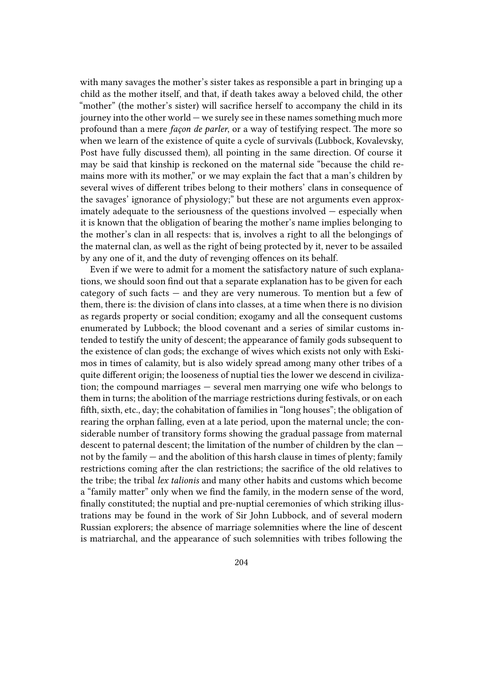with many savages the mother's sister takes as responsible a part in bringing up a child as the mother itself, and that, if death takes away a beloved child, the other "mother" (the mother's sister) will sacrifice herself to accompany the child in its journey into the other world — we surely see in these names something much more profound than a mere *façon de parler*, or a way of testifying respect. The more so when we learn of the existence of quite a cycle of survivals (Lubbock, Kovalevsky, Post have fully discussed them), all pointing in the same direction. Of course it may be said that kinship is reckoned on the maternal side "because the child remains more with its mother," or we may explain the fact that a man's children by several wives of different tribes belong to their mothers' clans in consequence of the savages' ignorance of physiology;" but these are not arguments even approximately adequate to the seriousness of the questions involved — especially when it is known that the obligation of bearing the mother's name implies belonging to the mother's clan in all respects: that is, involves a right to all the belongings of the maternal clan, as well as the right of being protected by it, never to be assailed by any one of it, and the duty of revenging offences on its behalf.

Even if we were to admit for a moment the satisfactory nature of such explanations, we should soon find out that a separate explanation has to be given for each category of such facts — and they are very numerous. To mention but a few of them, there is: the division of clans into classes, at a time when there is no division as regards property or social condition; exogamy and all the consequent customs enumerated by Lubbock; the blood covenant and a series of similar customs intended to testify the unity of descent; the appearance of family gods subsequent to the existence of clan gods; the exchange of wives which exists not only with Eskimos in times of calamity, but is also widely spread among many other tribes of a quite different origin; the looseness of nuptial ties the lower we descend in civilization; the compound marriages — several men marrying one wife who belongs to them in turns; the abolition of the marriage restrictions during festivals, or on each fifth, sixth, etc., day; the cohabitation of families in "long houses"; the obligation of rearing the orphan falling, even at a late period, upon the maternal uncle; the considerable number of transitory forms showing the gradual passage from maternal descent to paternal descent; the limitation of the number of children by the clan not by the family — and the abolition of this harsh clause in times of plenty; family restrictions coming after the clan restrictions; the sacrifice of the old relatives to the tribe; the tribal *lex talionis* and many other habits and customs which become a "family matter" only when we find the family, in the modern sense of the word, finally constituted; the nuptial and pre-nuptial ceremonies of which striking illustrations may be found in the work of Sir John Lubbock, and of several modern Russian explorers; the absence of marriage solemnities where the line of descent is matriarchal, and the appearance of such solemnities with tribes following the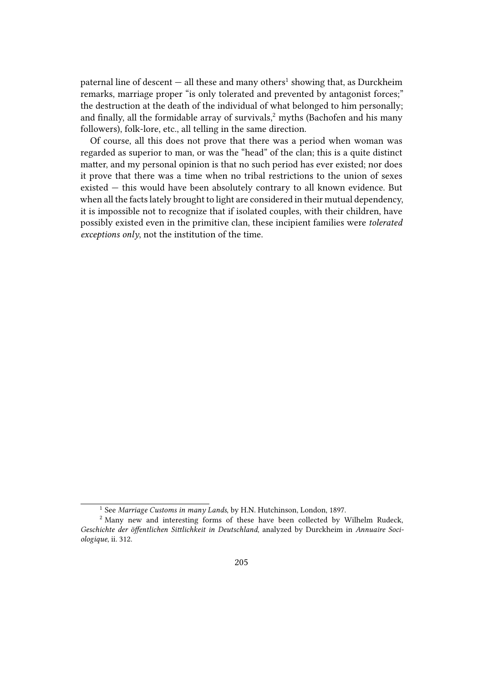paternal line of descent  $-$  all these and many others $^1$  showing that, as Durckheim remarks, marriage proper "is only tolerated and prevented by antagonist forces;" the destruction at the death of the individual of what belonged to him personally; and finally, all the formidable array of survivals, $2$  myths (Bachofen and his many followers), folk-lore, etc., all telling in the same direction.

Of course, all this does not prove that there was a period when woman was regarded as superior to man, or was the "head" of the clan; this is a quite distinct matter, and my personal opinion is that no such period has ever existed; nor does it prove that there was a time when no tribal restrictions to the union of sexes existed — this would have been absolutely contrary to all known evidence. But when all the facts lately brought to light are considered in their mutual dependency, it is impossible not to recognize that if isolated couples, with their children, have possibly existed even in the primitive clan, these incipient families were *tolerated exceptions only*, not the institution of the time.

<sup>1</sup> See *Marriage Customs in many Lands*, by H.N. Hutchinson, London, 1897.

<sup>&</sup>lt;sup>2</sup> Many new and interesting forms of these have been collected by Wilhelm Rudeck, *Geschichte der öffentlichen Sittlichkeit in Deutschland*, analyzed by Durckheim in *Annuaire Sociologique*, ii. 312.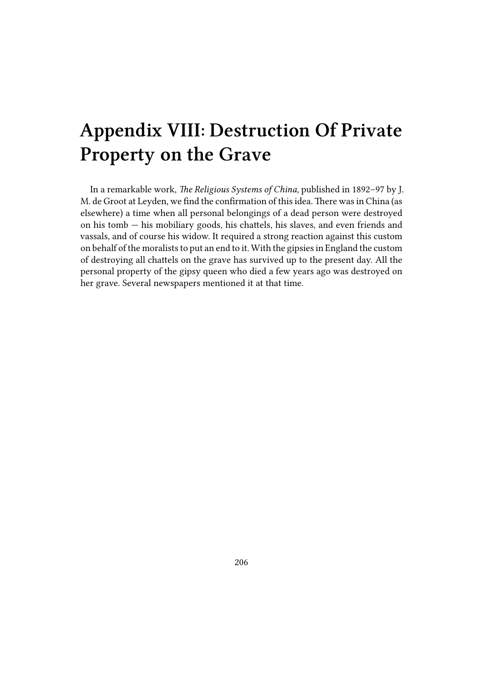# **Appendix VIII: Destruction Of Private Property on the Grave**

In a remarkable work, *The Religious Systems of China*, published in 1892–97 by J. M. de Groot at Leyden, we find the confirmation of this idea. There was in China (as elsewhere) a time when all personal belongings of a dead person were destroyed on his tomb — his mobiliary goods, his chattels, his slaves, and even friends and vassals, and of course his widow. It required a strong reaction against this custom on behalf of the moralists to put an end to it. With the gipsies in England the custom of destroying all chattels on the grave has survived up to the present day. All the personal property of the gipsy queen who died a few years ago was destroyed on her grave. Several newspapers mentioned it at that time.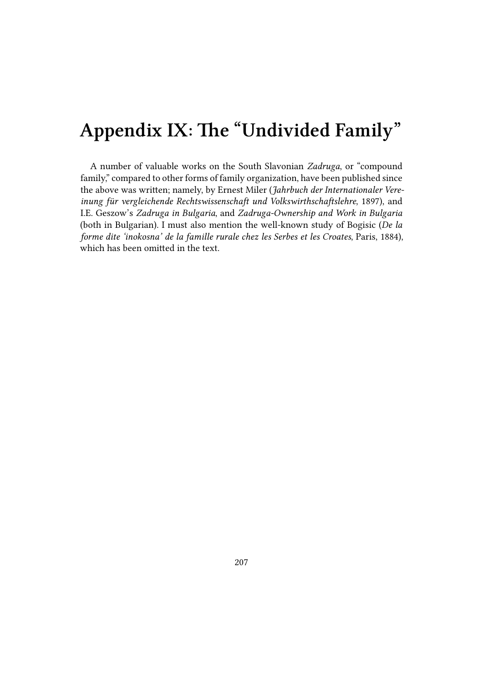#### **Appendix IX: The "Undivided Family"**

A number of valuable works on the South Slavonian *Zadruga*, or "compound family," compared to other forms of family organization, have been published since the above was written; namely, by Ernest Miler (*Jahrbuch der Internationaler Vereinung für vergleichende Rechtswissenschaft und Volkswirthschaftslehre*, 1897), and I.E. Geszow's *Zadruga in Bulgaria*, and *Zadruga-Ownership and Work in Bulgaria* (both in Bulgarian). I must also mention the well-known study of Bogisic (*De la forme dite 'inokosna' de la famille rurale chez les Serbes et les Croates*, Paris, 1884), which has been omitted in the text.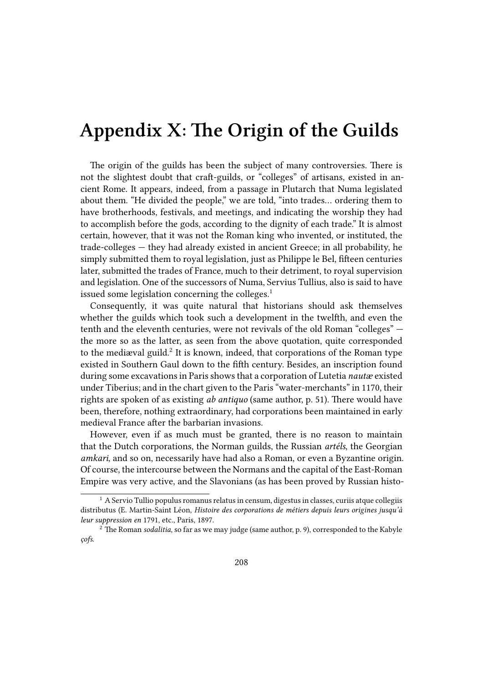#### **Appendix X: The Origin of the Guilds**

The origin of the guilds has been the subject of many controversies. There is not the slightest doubt that craft-guilds, or "colleges" of artisans, existed in ancient Rome. It appears, indeed, from a passage in Plutarch that Numa legislated about them. "He divided the people," we are told, "into trades… ordering them to have brotherhoods, festivals, and meetings, and indicating the worship they had to accomplish before the gods, according to the dignity of each trade." It is almost certain, however, that it was not the Roman king who invented, or instituted, the trade-colleges — they had already existed in ancient Greece; in all probability, he simply submitted them to royal legislation, just as Philippe le Bel, fifteen centuries later, submitted the trades of France, much to their detriment, to royal supervision and legislation. One of the successors of Numa, Servius Tullius, also is said to have issued some legislation concerning the colleges.<sup>1</sup>

Consequently, it was quite natural that historians should ask themselves whether the guilds which took such a development in the twelfth, and even the tenth and the eleventh centuries, were not revivals of the old Roman "colleges" the more so as the latter, as seen from the above quotation, quite corresponded to the mediæval guild.<sup>2</sup> It is known, indeed, that corporations of the Roman type existed in Southern Gaul down to the fifth century. Besides, an inscription found during some excavations in Paris shows that a corporation of Lutetia *nautæ* existed under Tiberius; and in the chart given to the Paris "water-merchants" in 1170, their rights are spoken of as existing *ab antiquo* (same author, p. 51). There would have been, therefore, nothing extraordinary, had corporations been maintained in early medieval France after the barbarian invasions.

However, even if as much must be granted, there is no reason to maintain that the Dutch corporations, the Norman guilds, the Russian *artéls*, the Georgian *amkari*, and so on, necessarily have had also a Roman, or even a Byzantine origin. Of course, the intercourse between the Normans and the capital of the East-Roman Empire was very active, and the Slavonians (as has been proved by Russian histo-

 $1$  A Servio Tullio populus romanus relatus in censum, digestus in classes, curiis atque collegiis distributus (E. Martin-Saint Léon, *Histoire des corporations de métiers depuis leurs origines jusqu'à leur suppression en* 1791, etc., Paris, 1897.

<sup>&</sup>lt;sup>2</sup> The Roman *sodalitia*, so far as we may judge (same author, p. 9), corresponded to the Kabyle *çofs*.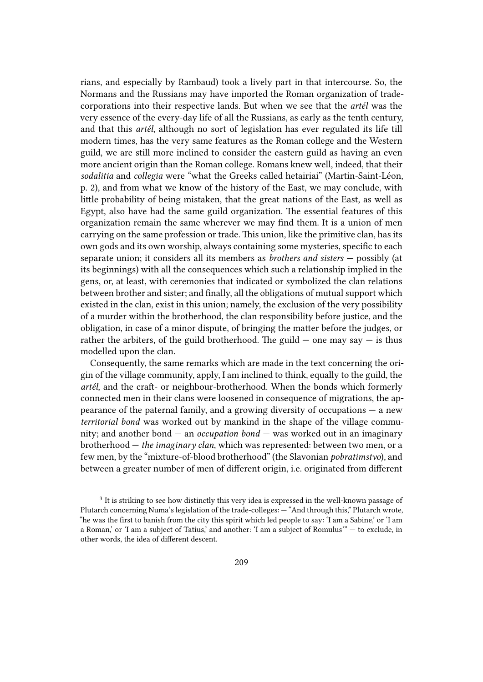rians, and especially by Rambaud) took a lively part in that intercourse. So, the Normans and the Russians may have imported the Roman organization of tradecorporations into their respective lands. But when we see that the *artél* was the very essence of the every-day life of all the Russians, as early as the tenth century, and that this *artél*, although no sort of legislation has ever regulated its life till modern times, has the very same features as the Roman college and the Western guild, we are still more inclined to consider the eastern guild as having an even more ancient origin than the Roman college. Romans knew well, indeed, that their *sodalitia* and *collegia* were "what the Greeks called hetairiai" (Martin-Saint-Léon, p. 2), and from what we know of the history of the East, we may conclude, with little probability of being mistaken, that the great nations of the East, as well as Egypt, also have had the same guild organization. The essential features of this organization remain the same wherever we may find them. It is a union of men carrying on the same profession or trade. This union, like the primitive clan, has its own gods and its own worship, always containing some mysteries, specific to each separate union; it considers all its members as *brothers and sisters* — possibly (at its beginnings) with all the consequences which such a relationship implied in the gens, or, at least, with ceremonies that indicated or symbolized the clan relations between brother and sister; and finally, all the obligations of mutual support which existed in the clan, exist in this union; namely, the exclusion of the very possibility of a murder within the brotherhood, the clan responsibility before justice, and the obligation, in case of a minor dispute, of bringing the matter before the judges, or rather the arbiters, of the guild brotherhood. The guild  $-$  one may say  $-$  is thus modelled upon the clan.

Consequently, the same remarks which are made in the text concerning the origin of the village community, apply, I am inclined to think, equally to the guild, the *artél*, and the craft- or neighbour-brotherhood. When the bonds which formerly connected men in their clans were loosened in consequence of migrations, the appearance of the paternal family, and a growing diversity of occupations — a new *territorial bond* was worked out by mankind in the shape of the village community; and another bond — an *occupation bond* — was worked out in an imaginary brotherhood — *the imaginary clan*, which was represented: between two men, or a few men, by the "mixture-of-blood brotherhood" (the Slavonian *pobratimstvo*), and between a greater number of men of different origin, i.e. originated from different

 $3$  It is striking to see how distinctly this very idea is expressed in the well-known passage of Plutarch concerning Numa's legislation of the trade-colleges: — "And through this," Plutarch wrote, "he was the first to banish from the city this spirit which led people to say: 'I am a Sabine,' or 'I am a Roman,' or 'I am a subject of Tatius,' and another: 'I am a subject of Romulus'" — to exclude, in other words, the idea of different descent.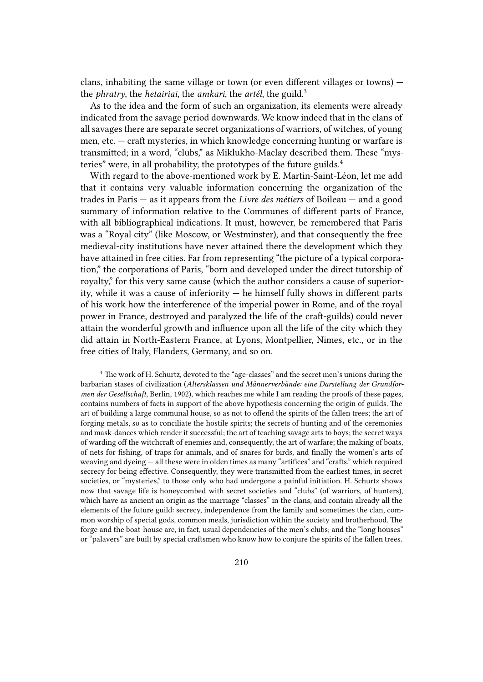clans, inhabiting the same village or town (or even different villages or towns) the *phratry*, the *hetairiai*, the *amkari*, the *artél*, the guild.<sup>3</sup>

As to the idea and the form of such an organization, its elements were already indicated from the savage period downwards. We know indeed that in the clans of all savages there are separate secret organizations of warriors, of witches, of young men, etc. — craft mysteries, in which knowledge concerning hunting or warfare is transmitted; in a word, "clubs," as Miklukho-Maclay described them. These "mysteries" were, in all probability, the prototypes of the future guilds.<sup>4</sup>

With regard to the above-mentioned work by E. Martin-Saint-Léon, let me add that it contains very valuable information concerning the organization of the trades in Paris — as it appears from the *Livre des métiers* of Boileau — and a good summary of information relative to the Communes of different parts of France, with all bibliographical indications. It must, however, be remembered that Paris was a "Royal city" (like Moscow, or Westminster), and that consequently the free medieval-city institutions have never attained there the development which they have attained in free cities. Far from representing "the picture of a typical corporation," the corporations of Paris, "born and developed under the direct tutorship of royalty," for this very same cause (which the author considers a cause of superiority, while it was a cause of inferiority — he himself fully shows in different parts of his work how the interference of the imperial power in Rome, and of the royal power in France, destroyed and paralyzed the life of the craft-guilds) could never attain the wonderful growth and influence upon all the life of the city which they did attain in North-Eastern France, at Lyons, Montpellier, Nimes, etc., or in the free cities of Italy, Flanders, Germany, and so on.

 $^4$  The work of H. Schurtz, devoted to the "age-classes" and the secret men's unions during the barbarian stases of civilization (*Altersklassen und Männerverbände: eine Darstellung der Grundformen der Gesellschaft*, Berlin, 1902), which reaches me while I am reading the proofs of these pages, contains numbers of facts in support of the above hypothesis concerning the origin of guilds. The art of building a large communal house, so as not to offend the spirits of the fallen trees; the art of forging metals, so as to conciliate the hostile spirits; the secrets of hunting and of the ceremonies and mask-dances which render it successful; the art of teaching savage arts to boys; the secret ways of warding off the witchcraft of enemies and, consequently, the art of warfare; the making of boats, of nets for fishing, of traps for animals, and of snares for birds, and finally the women's arts of weaving and dyeing — all these were in olden times as many "artifices" and "crafts," which required secrecy for being effective. Consequently, they were transmitted from the earliest times, in secret societies, or "mysteries," to those only who had undergone a painful initiation. H. Schurtz shows now that savage life is honeycombed with secret societies and "clubs" (of warriors, of hunters), which have as ancient an origin as the marriage "classes" in the clans, and contain already all the elements of the future guild: secrecy, independence from the family and sometimes the clan, common worship of special gods, common meals, jurisdiction within the society and brotherhood. The forge and the boat-house are, in fact, usual dependencies of the men's clubs; and the "long houses" or "palavers" are built by special craftsmen who know how to conjure the spirits of the fallen trees.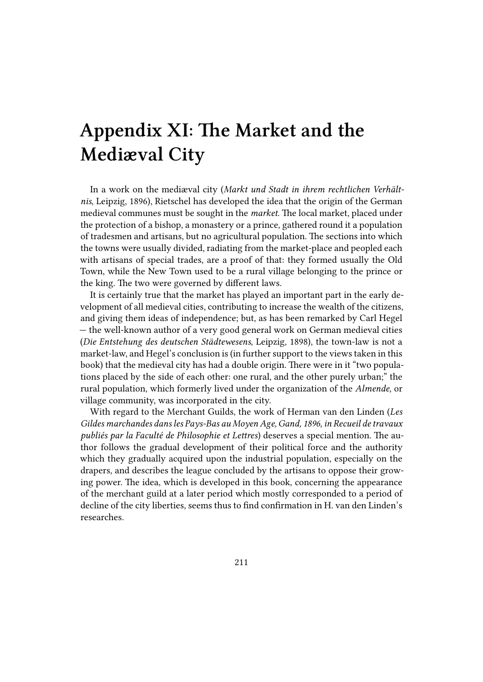### **Appendix XI: The Market and the Mediæval City**

In a work on the mediæval city (*Markt und Stadt in ihrem rechtlichen Verhältnis*, Leipzig, 1896), Rietschel has developed the idea that the origin of the German medieval communes must be sought in the *market*. The local market, placed under the protection of a bishop, a monastery or a prince, gathered round it a population of tradesmen and artisans, but no agricultural population. The sections into which the towns were usually divided, radiating from the market-place and peopled each with artisans of special trades, are a proof of that: they formed usually the Old Town, while the New Town used to be a rural village belonging to the prince or the king. The two were governed by different laws.

It is certainly true that the market has played an important part in the early development of all medieval cities, contributing to increase the wealth of the citizens, and giving them ideas of independence; but, as has been remarked by Carl Hegel — the well-known author of a very good general work on German medieval cities (*Die Entstehung des deutschen Städtewesens*, Leipzig, 1898), the town-law is not a market-law, and Hegel's conclusion is (in further support to the views taken in this book) that the medieval city has had a double origin. There were in it "two populations placed by the side of each other: one rural, and the other purely urban;" the rural population, which formerly lived under the organization of the *Almende*, or village community, was incorporated in the city.

With regard to the Merchant Guilds, the work of Herman van den Linden (*Les Gildes marchandes dans les Pays-Bas au Moyen Age, Gand, 1896, in Recueil de travaux publiés par la Faculté de Philosophie et Lettres*) deserves a special mention. The author follows the gradual development of their political force and the authority which they gradually acquired upon the industrial population, especially on the drapers, and describes the league concluded by the artisans to oppose their growing power. The idea, which is developed in this book, concerning the appearance of the merchant guild at a later period which mostly corresponded to a period of decline of the city liberties, seems thus to find confirmation in H. van den Linden's researches.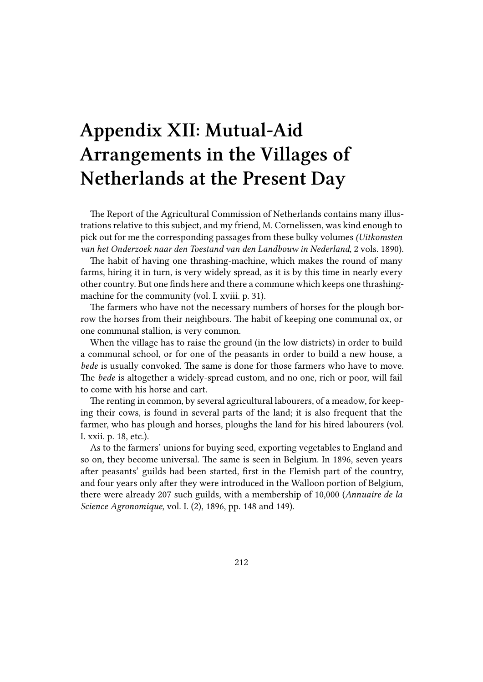# **Appendix XII: Mutual-Aid Arrangements in the Villages of Netherlands at the Present Day**

The Report of the Agricultural Commission of Netherlands contains many illustrations relative to this subject, and my friend, M. Cornelissen, was kind enough to pick out for me the corresponding passages from these bulky volumes *(Uitkomsten van het Onderzoek naar den Toestand van den Landbouw in Nederland*, 2 vols. 1890).

The habit of having one thrashing-machine, which makes the round of many farms, hiring it in turn, is very widely spread, as it is by this time in nearly every other country. But one finds here and there a commune which keeps one thrashingmachine for the community (vol. I. xviii. p. 31).

The farmers who have not the necessary numbers of horses for the plough borrow the horses from their neighbours. The habit of keeping one communal ox, or one communal stallion, is very common.

When the village has to raise the ground (in the low districts) in order to build a communal school, or for one of the peasants in order to build a new house, a *bede* is usually convoked. The same is done for those farmers who have to move. The *bede* is altogether a widely-spread custom, and no one, rich or poor, will fail to come with his horse and cart.

The renting in common, by several agricultural labourers, of a meadow, for keeping their cows, is found in several parts of the land; it is also frequent that the farmer, who has plough and horses, ploughs the land for his hired labourers (vol. I. xxii. p. 18, etc.).

As to the farmers' unions for buying seed, exporting vegetables to England and so on, they become universal. The same is seen in Belgium. In 1896, seven years after peasants' guilds had been started, first in the Flemish part of the country, and four years only after they were introduced in the Walloon portion of Belgium, there were already 207 such guilds, with a membership of 10,000 (*Annuaire de la Science Agronomique*, vol. I. (2), 1896, pp. 148 and 149).